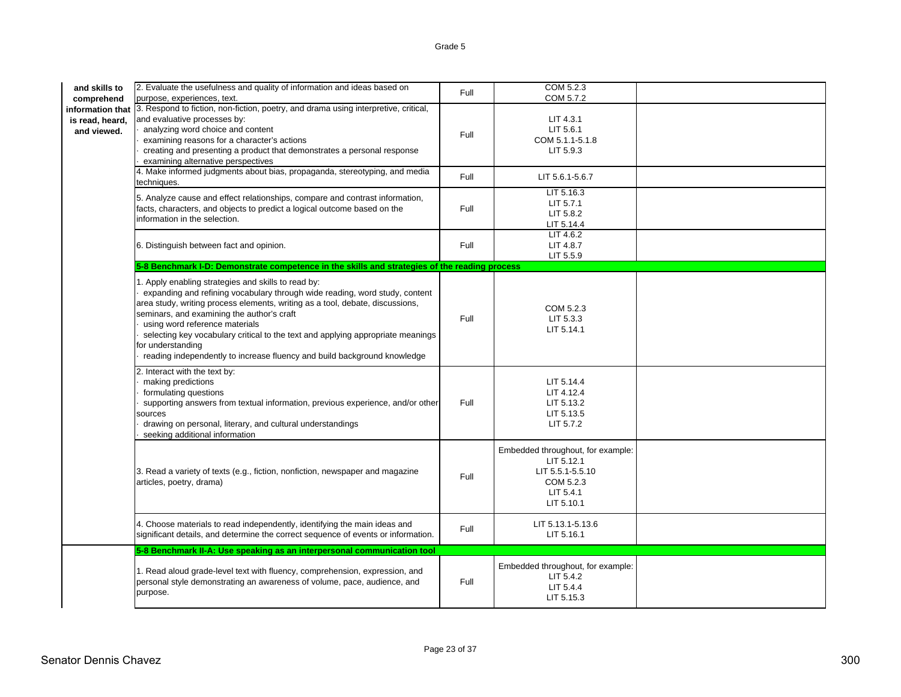| and skills to<br>comprehend                        | 2. Evaluate the usefulness and quality of information and ideas based on<br>purpose, experiences, text.                                                                                                                                                                                                                                                                                                                                                                                 | Full | COM 5.2.3<br>COM 5.7.2                                                                                      |  |
|----------------------------------------------------|-----------------------------------------------------------------------------------------------------------------------------------------------------------------------------------------------------------------------------------------------------------------------------------------------------------------------------------------------------------------------------------------------------------------------------------------------------------------------------------------|------|-------------------------------------------------------------------------------------------------------------|--|
| information that<br>is read, heard,<br>and viewed. | 3. Respond to fiction, non-fiction, poetry, and drama using interpretive, critical,<br>and evaluative processes by:<br>analyzing word choice and content<br>examining reasons for a character's actions<br>creating and presenting a product that demonstrates a personal response<br>examining alternative perspectives                                                                                                                                                                | Full | LIT 4.3.1<br>LIT 5.6.1<br>COM 5.1.1-5.1.8<br>LIT 5.9.3                                                      |  |
|                                                    | 4. Make informed judgments about bias, propaganda, stereotyping, and media<br>techniques.                                                                                                                                                                                                                                                                                                                                                                                               | Full | LIT 5.6.1-5.6.7                                                                                             |  |
|                                                    | 5. Analyze cause and effect relationships, compare and contrast information,<br>facts, characters, and objects to predict a logical outcome based on the<br>information in the selection.                                                                                                                                                                                                                                                                                               | Full | LIT 5.16.3<br>LIT 5.7.1<br>LIT 5.8.2<br>LIT 5.14.4                                                          |  |
|                                                    | 6. Distinguish between fact and opinion.                                                                                                                                                                                                                                                                                                                                                                                                                                                | Full | LIT 4.6.2<br>LIT 4.8.7<br>LIT 5.5.9                                                                         |  |
|                                                    | 5-8 Benchmark I-D: Demonstrate competence in the skills and strategies of the reading process                                                                                                                                                                                                                                                                                                                                                                                           |      |                                                                                                             |  |
|                                                    | 1. Apply enabling strategies and skills to read by:<br>expanding and refining vocabulary through wide reading, word study, content<br>area study, writing process elements, writing as a tool, debate, discussions,<br>seminars, and examining the author's craft<br>using word reference materials<br>selecting key vocabulary critical to the text and applying appropriate meanings<br>for understanding<br>reading independently to increase fluency and build background knowledge | Full | COM 5.2.3<br>LIT 5.3.3<br>LIT 5.14.1                                                                        |  |
|                                                    | 2. Interact with the text by:<br>making predictions<br>formulating questions<br>supporting answers from textual information, previous experience, and/or other<br>sources<br>drawing on personal, literary, and cultural understandings<br>seeking additional information                                                                                                                                                                                                               | Full | LIT 5.14.4<br>LIT 4.12.4<br>LIT 5.13.2<br>LIT 5.13.5<br>LIT 5.7.2                                           |  |
|                                                    | 3. Read a variety of texts (e.g., fiction, nonfiction, newspaper and magazine<br>articles, poetry, drama)                                                                                                                                                                                                                                                                                                                                                                               | Full | Embedded throughout, for example:<br>LIT 5.12.1<br>LIT 5.5.1-5.5.10<br>COM 5.2.3<br>LIT 5.4.1<br>LIT 5.10.1 |  |
|                                                    | 4. Choose materials to read independently, identifying the main ideas and<br>significant details, and determine the correct sequence of events or information.                                                                                                                                                                                                                                                                                                                          | Full | LIT 5.13.1-5.13.6<br>LIT 5.16.1                                                                             |  |
|                                                    | 5-8 Benchmark II-A: Use speaking as an interpersonal communication tool                                                                                                                                                                                                                                                                                                                                                                                                                 |      |                                                                                                             |  |
|                                                    | 1. Read aloud grade-level text with fluency, comprehension, expression, and<br>personal style demonstrating an awareness of volume, pace, audience, and<br>purpose.                                                                                                                                                                                                                                                                                                                     | Full | Embedded throughout, for example:<br>LIT 5.4.2<br>LIT 5.4.4<br>LIT 5.15.3                                   |  |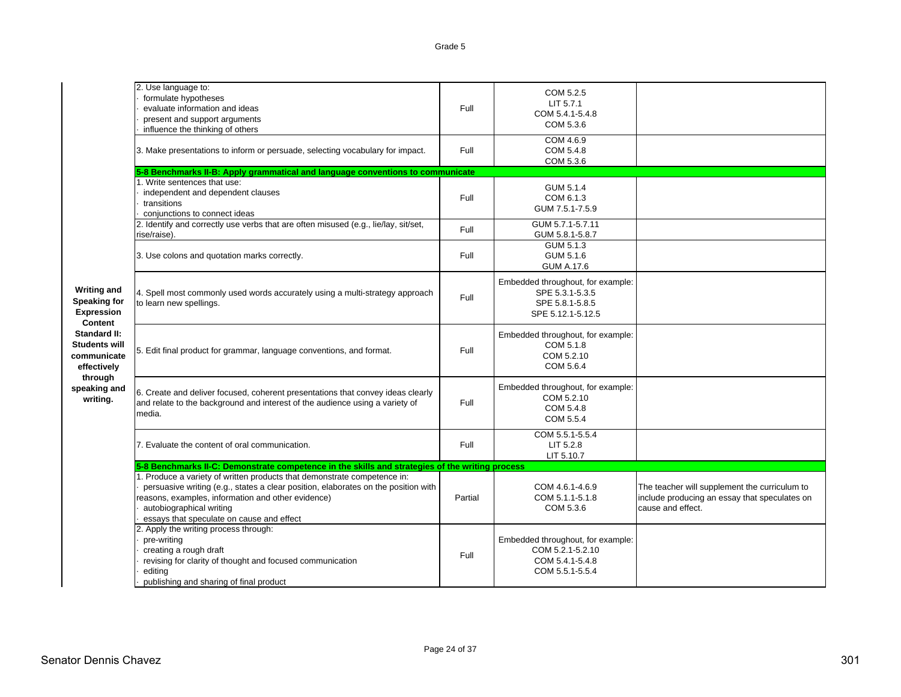|                                                                           | 2. Use language to:<br>formulate hypotheses<br>evaluate information and ideas<br>present and support arguments<br>influence the thinking of others                                                                                                                                            | Full    | COM 5.2.5<br>LIT 5.7.1<br>COM 5.4.1-5.4.8<br>COM 5.3.6                                       |                                                                                                                     |
|---------------------------------------------------------------------------|-----------------------------------------------------------------------------------------------------------------------------------------------------------------------------------------------------------------------------------------------------------------------------------------------|---------|----------------------------------------------------------------------------------------------|---------------------------------------------------------------------------------------------------------------------|
|                                                                           | 3. Make presentations to inform or persuade, selecting vocabulary for impact.                                                                                                                                                                                                                 | Full    | COM 4.6.9<br>COM 5.4.8<br>COM 5.3.6                                                          |                                                                                                                     |
|                                                                           | 5-8 Benchmarks II-B: Apply grammatical and language conventions to communicate                                                                                                                                                                                                                |         |                                                                                              |                                                                                                                     |
|                                                                           | 1. Write sentences that use:<br>independent and dependent clauses<br>transitions<br>conjunctions to connect ideas                                                                                                                                                                             | Full    | GUM 5.1.4<br>COM 6.1.3<br>GUM 7.5.1-7.5.9                                                    |                                                                                                                     |
|                                                                           | 2. Identify and correctly use verbs that are often misused (e.g., lie/lay, sit/set,<br>rise/raise).                                                                                                                                                                                           | Full    | GUM 5.7.1-5.7.11<br>GUM 5.8.1-5.8.7                                                          |                                                                                                                     |
|                                                                           | 3. Use colons and quotation marks correctly.                                                                                                                                                                                                                                                  | Full    | GUM 5.1.3<br>GUM 5.1.6<br><b>GUM A.17.6</b>                                                  |                                                                                                                     |
| <b>Writing and</b><br><b>Speaking for</b><br><b>Expression</b><br>Content | 4. Spell most commonly used words accurately using a multi-strategy approach<br>to learn new spellings.                                                                                                                                                                                       | Full    | Embedded throughout, for example:<br>SPE 5.3.1-5.3.5<br>SPE 5.8.1-5.8.5<br>SPE 5.12.1-5.12.5 |                                                                                                                     |
| <b>Standard II:</b><br><b>Students will</b><br>communicate<br>effectively | 5. Edit final product for grammar, language conventions, and format.                                                                                                                                                                                                                          | Full    | Embedded throughout, for example:<br>COM 5.1.8<br>COM 5.2.10<br>COM 5.6.4                    |                                                                                                                     |
| through<br>speaking and<br>writing.                                       | 6. Create and deliver focused, coherent presentations that convey ideas clearly<br>and relate to the background and interest of the audience using a variety of<br>media.                                                                                                                     | Full    | Embedded throughout, for example:<br>COM 5.2.10<br>COM 5.4.8<br>COM 5.5.4                    |                                                                                                                     |
|                                                                           | 7. Evaluate the content of oral communication.                                                                                                                                                                                                                                                | Full    | COM 5.5.1-5.5.4<br>LIT 5.2.8<br>LIT 5.10.7                                                   |                                                                                                                     |
|                                                                           | 5-8 Benchmarks II-C: Demonstrate competence in the skills and strategies of the writing process                                                                                                                                                                                               |         |                                                                                              |                                                                                                                     |
|                                                                           | 1. Produce a variety of written products that demonstrate competence in:<br>persuasive writing (e.g., states a clear position, elaborates on the position with<br>reasons, examples, information and other evidence)<br>autobiographical writing<br>essays that speculate on cause and effect | Partial | COM 4.6.1-4.6.9<br>COM 5.1.1-5.1.8<br>COM 5.3.6                                              | The teacher will supplement the curriculum to<br>include producing an essay that speculates on<br>cause and effect. |
|                                                                           | 2. Apply the writing process through:<br>pre-writing<br>creating a rough draft<br>revising for clarity of thought and focused communication<br>editing<br>publishing and sharing of final product                                                                                             | Full    | Embedded throughout, for example:<br>COM 5.2.1-5.2.10<br>COM 5.4.1-5.4.8<br>COM 5.5.1-5.5.4  |                                                                                                                     |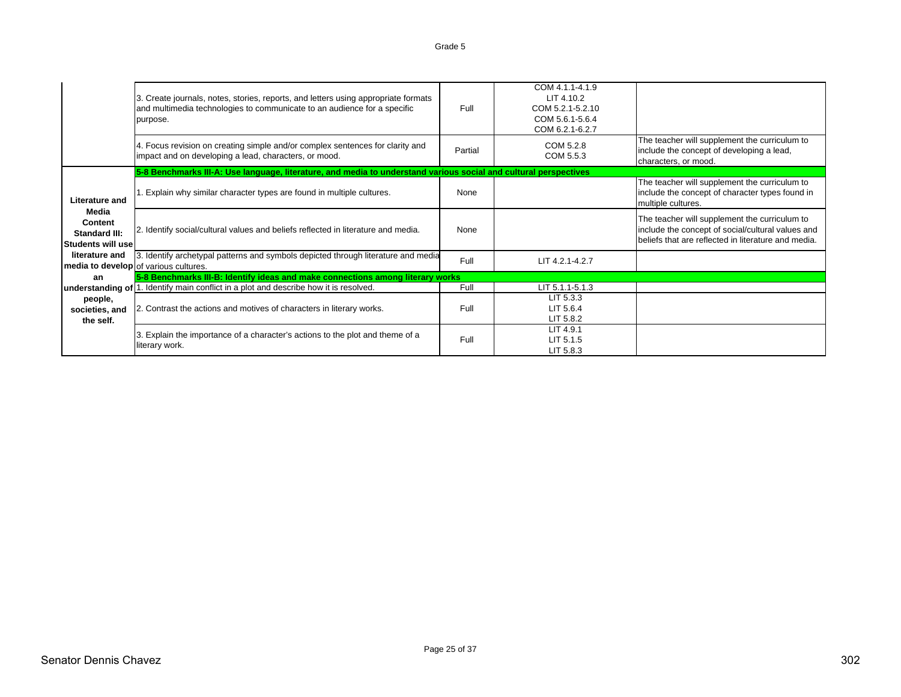|                                                               | 3. Create journals, notes, stories, reports, and letters using appropriate formats<br>and multimedia technologies to communicate to an audience for a specific<br>purpose. | Full    | COM 4.1.1-4.1.9<br>LIT 4.10.2<br>COM 5.2.1-5.2.10<br>COM 5.6.1-5.6.4<br>COM 6.2.1-6.2.7 |                                                                                                                                                           |
|---------------------------------------------------------------|----------------------------------------------------------------------------------------------------------------------------------------------------------------------------|---------|-----------------------------------------------------------------------------------------|-----------------------------------------------------------------------------------------------------------------------------------------------------------|
|                                                               | 4. Focus revision on creating simple and/or complex sentences for clarity and<br>impact and on developing a lead, characters, or mood.                                     | Partial | COM 5.2.8<br>COM 5.5.3                                                                  | The teacher will supplement the curriculum to<br>include the concept of developing a lead,<br>characters, or mood.                                        |
|                                                               | 5-8 Benchmarks III-A: Use language, literature, and media to understand various social and cultural perspectives                                                           |         |                                                                                         |                                                                                                                                                           |
| <b>Literature and</b>                                         | . Explain why similar character types are found in multiple cultures.                                                                                                      | None    |                                                                                         | The teacher will supplement the curriculum to<br>include the concept of character types found in<br>multiple cultures.                                    |
| Media<br>Content<br><b>Standard III:</b><br>Students will use | 2. Identify social/cultural values and beliefs reflected in literature and media.                                                                                          | None    |                                                                                         | The teacher will supplement the curriculum to<br>include the concept of social/cultural values and<br>beliefs that are reflected in literature and media. |
| literature and<br>media to develop of various cultures.       | 3. Identify archetypal patterns and symbols depicted through literature and media                                                                                          | Full    | LIT 4.2.1-4.2.7                                                                         |                                                                                                                                                           |
| an                                                            | 5-8 Benchmarks III-B: Identify ideas and make connections among literary works                                                                                             |         |                                                                                         |                                                                                                                                                           |
|                                                               | understanding of   1. Identify main conflict in a plot and describe how it is resolved.                                                                                    | Full    | LIT 5.1.1-5.1.3                                                                         |                                                                                                                                                           |
| people,<br>societies, and<br>the self.                        | 2. Contrast the actions and motives of characters in literary works.                                                                                                       | Full    | LIT 5.3.3<br>LIT 5.6.4<br>LIT 5.8.2                                                     |                                                                                                                                                           |
|                                                               | 3. Explain the importance of a character's actions to the plot and theme of a<br>literary work.                                                                            | Full    | LIT 4.9.1<br>LIT 5.1.5<br>LIT 5.8.3                                                     |                                                                                                                                                           |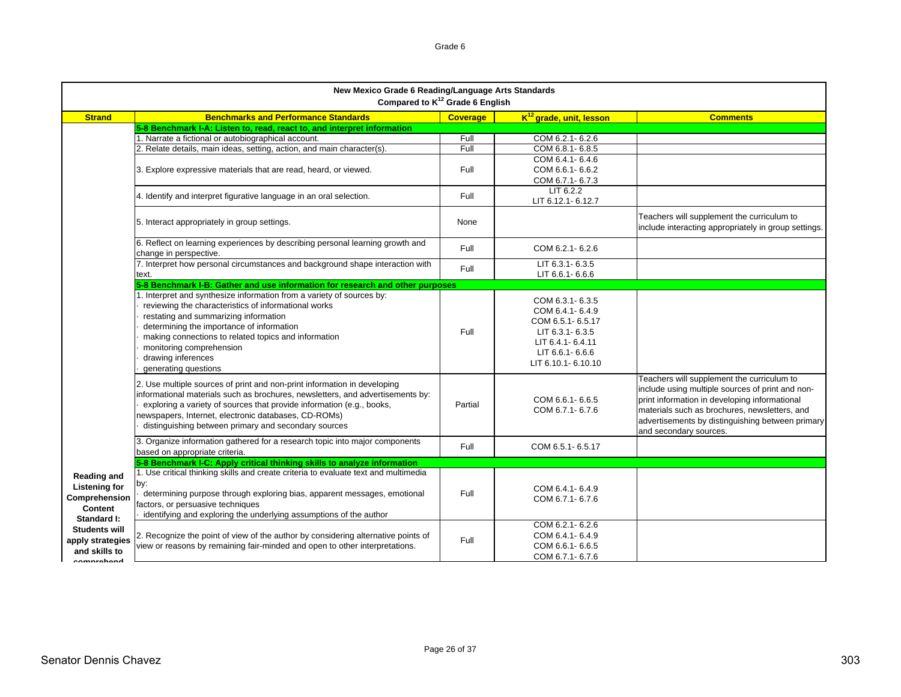|                                                                                       | New Mexico Grade 6 Reading/Language Arts Standards<br>Compared to K <sup>12</sup> Grade 6 English                                                                                                                                                                                                                                                     |                 |                                                                                                                                         |                                                                                                                                                                                                                                                                                |  |
|---------------------------------------------------------------------------------------|-------------------------------------------------------------------------------------------------------------------------------------------------------------------------------------------------------------------------------------------------------------------------------------------------------------------------------------------------------|-----------------|-----------------------------------------------------------------------------------------------------------------------------------------|--------------------------------------------------------------------------------------------------------------------------------------------------------------------------------------------------------------------------------------------------------------------------------|--|
| <b>Strand</b>                                                                         | <b>Benchmarks and Performance Standards</b>                                                                                                                                                                                                                                                                                                           | <b>Coverage</b> | K <sup>12</sup> grade, unit, lesson                                                                                                     | <b>Comments</b>                                                                                                                                                                                                                                                                |  |
|                                                                                       | 5-8 Benchmark I-A: Listen to, read, react to, and interpret information                                                                                                                                                                                                                                                                               |                 |                                                                                                                                         |                                                                                                                                                                                                                                                                                |  |
|                                                                                       | 1. Narrate a fictional or autobiographical account.                                                                                                                                                                                                                                                                                                   | Full            | COM 6.2.1-6.2.6                                                                                                                         |                                                                                                                                                                                                                                                                                |  |
|                                                                                       | 2. Relate details, main ideas, setting, action, and main character(s).                                                                                                                                                                                                                                                                                | Full            | COM 6.8.1-6.8.5                                                                                                                         |                                                                                                                                                                                                                                                                                |  |
|                                                                                       | 3. Explore expressive materials that are read, heard, or viewed.                                                                                                                                                                                                                                                                                      | Full            | COM 6.4.1-6.4.6<br>COM 6.6.1-6.6.2<br>COM 6.7.1-6.7.3                                                                                   |                                                                                                                                                                                                                                                                                |  |
|                                                                                       | 4. Identify and interpret figurative language in an oral selection.                                                                                                                                                                                                                                                                                   | Full            | LIT 6.2.2<br>LIT 6.12.1-6.12.7                                                                                                          |                                                                                                                                                                                                                                                                                |  |
|                                                                                       | 5. Interact appropriately in group settings.                                                                                                                                                                                                                                                                                                          | None            |                                                                                                                                         | Teachers will supplement the curriculum to<br>include interacting appropriately in group settings.                                                                                                                                                                             |  |
|                                                                                       | 6. Reflect on learning experiences by describing personal learning growth and<br>change in perspective.                                                                                                                                                                                                                                               | Full            | COM 6.2.1-6.2.6                                                                                                                         |                                                                                                                                                                                                                                                                                |  |
|                                                                                       | 7. Interpret how personal circumstances and background shape interaction with<br>text.                                                                                                                                                                                                                                                                | Full            | LIT 6.3.1-6.3.5<br>LIT 6.6.1-6.6.6                                                                                                      |                                                                                                                                                                                                                                                                                |  |
|                                                                                       | 5-8 Benchmark I-B: Gather and use information for research and other purposes                                                                                                                                                                                                                                                                         |                 |                                                                                                                                         |                                                                                                                                                                                                                                                                                |  |
|                                                                                       | 1. Interpret and synthesize information from a variety of sources by:<br>reviewing the characteristics of informational works<br>restating and summarizing information<br>determining the importance of information<br>making connections to related topics and information<br>monitoring comprehension<br>drawing inferences<br>generating questions | Full            | COM 6.3.1-6.3.5<br>COM 6.4.1-6.4.9<br>COM 6.5.1-6.5.17<br>LIT 6.3.1-6.3.5<br>LIT 6.4.1- 6.4.11<br>LIT 6.6.1-6.6.6<br>LIT 6.10.1-6.10.10 |                                                                                                                                                                                                                                                                                |  |
|                                                                                       | 2. Use multiple sources of print and non-print information in developing<br>informational materials such as brochures, newsletters, and advertisements by:<br>exploring a variety of sources that provide information (e.g., books,<br>newspapers, Internet, electronic databases, CD-ROMs)<br>distinguishing between primary and secondary sources   | Partial         | COM 6.6.1-6.6.5<br>COM 6.7.1-6.7.6                                                                                                      | Teachers will supplement the curriculum to<br>include using multiple sources of print and non-<br>print information in developing informational<br>materials such as brochures, newsletters, and<br>advertisements by distinguishing between primary<br>and secondary sources. |  |
|                                                                                       | 3. Organize information gathered for a research topic into major components<br>based on appropriate criteria.                                                                                                                                                                                                                                         | Full            | COM 6.5.1-6.5.17                                                                                                                        |                                                                                                                                                                                                                                                                                |  |
|                                                                                       | 5-8 Benchmark I-C: Apply critical thinking skills to analyze information                                                                                                                                                                                                                                                                              |                 |                                                                                                                                         |                                                                                                                                                                                                                                                                                |  |
| <b>Reading and</b><br><b>Listening for</b><br>Comprehension<br>Content<br>Standard I: | 1. Use critical thinking skills and create criteria to evaluate text and multimedia<br>by:<br>determining purpose through exploring bias, apparent messages, emotional<br>factors, or persuasive techniques<br>identifying and exploring the underlying assumptions of the author                                                                     | Full            | COM 6.4.1-6.4.9<br>COM 6.7.1-6.7.6                                                                                                      |                                                                                                                                                                                                                                                                                |  |
| <b>Students will</b><br>apply strategies<br>and skills to<br>comprobond               | 2. Recognize the point of view of the author by considering alternative points of<br>view or reasons by remaining fair-minded and open to other interpretations.                                                                                                                                                                                      | Full            | COM 6.2.1-6.2.6<br>COM 6.4.1-6.4.9<br>COM 6.6.1-6.6.5<br>COM 6.7.1-6.7.6                                                                |                                                                                                                                                                                                                                                                                |  |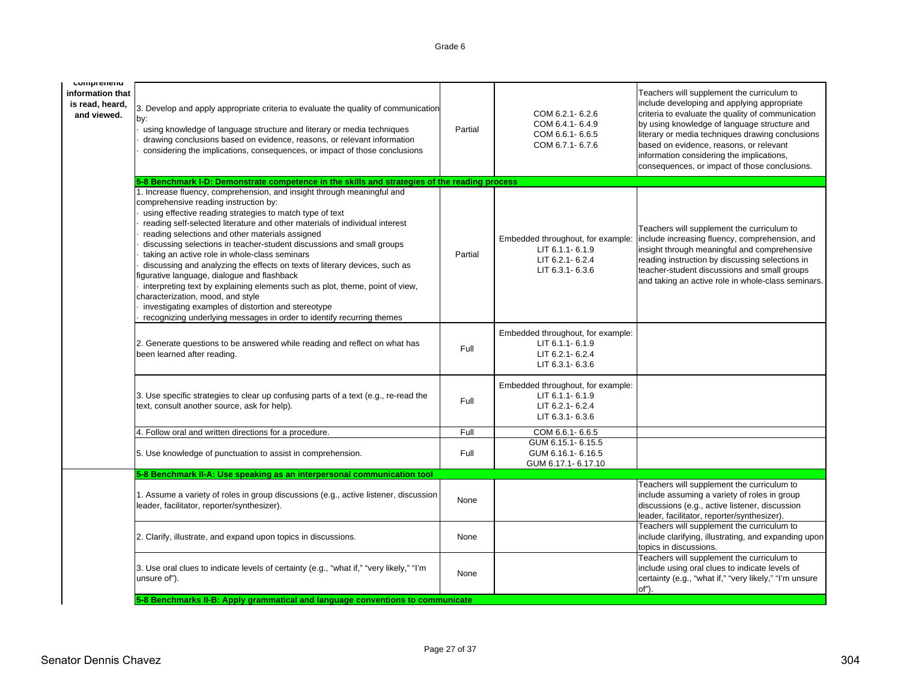| comprenena<br>information that<br>is read, heard,<br>and viewed. | 3. Develop and apply appropriate criteria to evaluate the quality of communication<br>by:<br>using knowledge of language structure and literary or media techniques<br>drawing conclusions based on evidence, reasons, or relevant information<br>considering the implications, consequences, or impact of those conclusions                                                                                                                                                                                                                                                                                                                                                                                                                                                                                             | Partial | COM 6.2.1-6.2.6<br>COM 6.4.1-6.4.9<br>COM 6.6.1-6.6.5<br>COM 6.7.1-6.7.6                   | Teachers will supplement the curriculum to<br>include developing and applying appropriate<br>criteria to evaluate the quality of communication<br>by using knowledge of language structure and<br>literary or media techniques drawing conclusions<br>based on evidence, reasons, or relevant<br>information considering the implications,<br>consequences, or impact of those conclusions. |
|------------------------------------------------------------------|--------------------------------------------------------------------------------------------------------------------------------------------------------------------------------------------------------------------------------------------------------------------------------------------------------------------------------------------------------------------------------------------------------------------------------------------------------------------------------------------------------------------------------------------------------------------------------------------------------------------------------------------------------------------------------------------------------------------------------------------------------------------------------------------------------------------------|---------|--------------------------------------------------------------------------------------------|---------------------------------------------------------------------------------------------------------------------------------------------------------------------------------------------------------------------------------------------------------------------------------------------------------------------------------------------------------------------------------------------|
|                                                                  | 5-8 Benchmark I-D: Demonstrate competence in the skills and strategies of the reading process                                                                                                                                                                                                                                                                                                                                                                                                                                                                                                                                                                                                                                                                                                                            |         |                                                                                            |                                                                                                                                                                                                                                                                                                                                                                                             |
|                                                                  | 1. Increase fluency, comprehension, and insight through meaningful and<br>comprehensive reading instruction by:<br>using effective reading strategies to match type of text<br>reading self-selected literature and other materials of individual interest<br>reading selections and other materials assigned<br>discussing selections in teacher-student discussions and small groups<br>taking an active role in whole-class seminars<br>discussing and analyzing the effects on texts of literary devices, such as<br>igurative language, dialogue and flashback<br>interpreting text by explaining elements such as plot, theme, point of view,<br>characterization, mood, and style<br>investigating examples of distortion and stereotype<br>recognizing underlying messages in order to identify recurring themes | Partial | Embedded throughout, for example:<br>LIT 6.1.1-6.1.9<br>LIT 6.2.1-6.2.4<br>LIT 6.3.1-6.3.6 | Teachers will supplement the curriculum to<br>include increasing fluency, comprehension, and<br>insight through meaningful and comprehensive<br>reading instruction by discussing selections in<br>teacher-student discussions and small groups<br>and taking an active role in whole-class seminars.                                                                                       |
|                                                                  | 2. Generate questions to be answered while reading and reflect on what has<br>been learned after reading.                                                                                                                                                                                                                                                                                                                                                                                                                                                                                                                                                                                                                                                                                                                | Full    | Embedded throughout, for example:<br>LIT 6.1.1-6.1.9<br>LIT 6.2.1-6.2.4<br>LIT 6.3.1-6.3.6 |                                                                                                                                                                                                                                                                                                                                                                                             |
|                                                                  | 3. Use specific strategies to clear up confusing parts of a text (e.g., re-read the<br>text, consult another source, ask for help).                                                                                                                                                                                                                                                                                                                                                                                                                                                                                                                                                                                                                                                                                      | Full    | Embedded throughout, for example:<br>LIT 6.1.1-6.1.9<br>LIT 6.2.1-6.2.4<br>LIT 6.3.1-6.3.6 |                                                                                                                                                                                                                                                                                                                                                                                             |
|                                                                  | 4. Follow oral and written directions for a procedure.                                                                                                                                                                                                                                                                                                                                                                                                                                                                                                                                                                                                                                                                                                                                                                   | Full    | COM 6.6.1-6.6.5                                                                            |                                                                                                                                                                                                                                                                                                                                                                                             |
|                                                                  | 5. Use knowledge of punctuation to assist in comprehension.                                                                                                                                                                                                                                                                                                                                                                                                                                                                                                                                                                                                                                                                                                                                                              | Full    | GUM 6.15.1-6.15.5<br>GUM 6.16.1-6.16.5<br>GUM 6.17.1-6.17.10                               |                                                                                                                                                                                                                                                                                                                                                                                             |
|                                                                  | 5-8 Benchmark II-A: Use speaking as an interpersonal communication tool                                                                                                                                                                                                                                                                                                                                                                                                                                                                                                                                                                                                                                                                                                                                                  |         |                                                                                            |                                                                                                                                                                                                                                                                                                                                                                                             |
|                                                                  | 1. Assume a variety of roles in group discussions (e.g., active listener, discussion<br>leader, facilitator, reporter/synthesizer).                                                                                                                                                                                                                                                                                                                                                                                                                                                                                                                                                                                                                                                                                      | None    |                                                                                            | Teachers will supplement the curriculum to<br>include assuming a variety of roles in group<br>discussions (e.g., active listener, discussion<br>leader, facilitator, reporter/synthesizer).                                                                                                                                                                                                 |
|                                                                  | 2. Clarify, illustrate, and expand upon topics in discussions.                                                                                                                                                                                                                                                                                                                                                                                                                                                                                                                                                                                                                                                                                                                                                           | None    |                                                                                            | Teachers will supplement the curriculum to<br>include clarifying, illustrating, and expanding upon<br>topics in discussions.                                                                                                                                                                                                                                                                |
|                                                                  | 3. Use oral clues to indicate levels of certainty (e.g., "what if," "very likely," "I'm<br>unsure of").                                                                                                                                                                                                                                                                                                                                                                                                                                                                                                                                                                                                                                                                                                                  | None    |                                                                                            | Teachers will supplement the curriculum to<br>include using oral clues to indicate levels of<br>certainty (e.g., "what if," "very likely," "I'm unsure<br>$of$ ).                                                                                                                                                                                                                           |
|                                                                  | 5-8 Benchmarks II-B: Apply grammatical and language conventions to communicate                                                                                                                                                                                                                                                                                                                                                                                                                                                                                                                                                                                                                                                                                                                                           |         |                                                                                            |                                                                                                                                                                                                                                                                                                                                                                                             |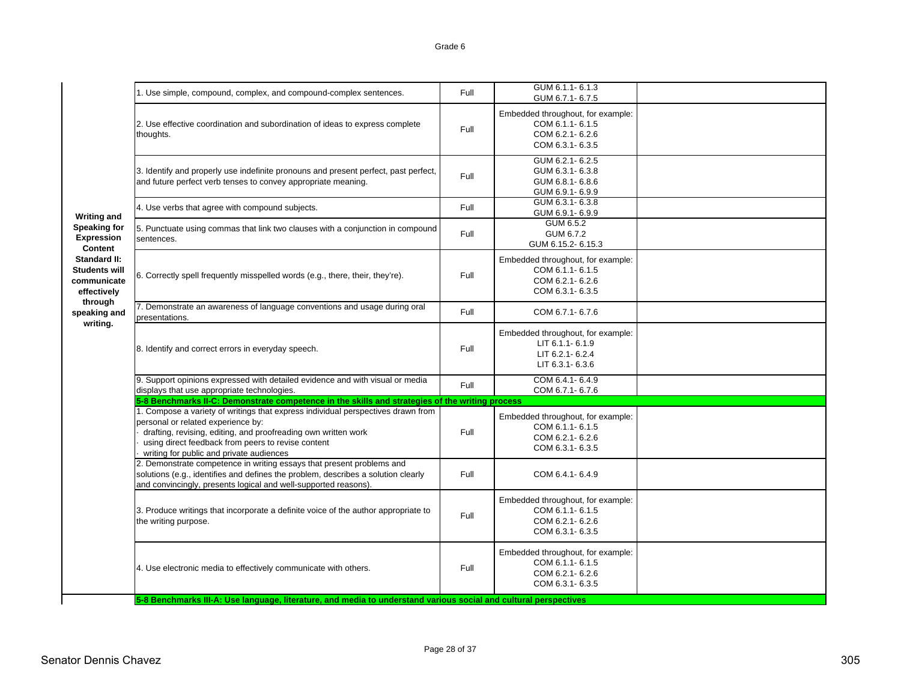|                                                                           | 1. Use simple, compound, complex, and compound-complex sentences.                                                                                                                                                                                                                          | Full | GUM 6.1.1-6.1.3<br>GUM 6.7.1-6.7.5                                                         |  |  |  |  |
|---------------------------------------------------------------------------|--------------------------------------------------------------------------------------------------------------------------------------------------------------------------------------------------------------------------------------------------------------------------------------------|------|--------------------------------------------------------------------------------------------|--|--|--|--|
|                                                                           | 2. Use effective coordination and subordination of ideas to express complete<br>thoughts.                                                                                                                                                                                                  | Full | Embedded throughout, for example:<br>COM 6.1.1-6.1.5<br>COM 6.2.1-6.2.6<br>COM 6.3.1-6.3.5 |  |  |  |  |
|                                                                           | 3. Identify and properly use indefinite pronouns and present perfect, past perfect,<br>and future perfect verb tenses to convey appropriate meaning.                                                                                                                                       | Full | GUM 6.2.1-6.2.5<br>GUM 6.3.1-6.3.8<br>GUM 6.8.1-6.8.6<br>GUM 6.9.1-6.9.9                   |  |  |  |  |
|                                                                           | 4. Use verbs that agree with compound subjects.                                                                                                                                                                                                                                            | Full | GUM 6.3.1-6.3.8<br>GUM 6.9.1-6.9.9                                                         |  |  |  |  |
| <b>Writing and</b><br><b>Speaking for</b><br><b>Expression</b><br>Content | 5. Punctuate using commas that link two clauses with a conjunction in compound<br>sentences.                                                                                                                                                                                               | Full | GUM 6.5.2<br>GUM 6.7.2<br>GUM 6.15.2-6.15.3                                                |  |  |  |  |
| <b>Standard II:</b><br><b>Students will</b><br>communicate<br>effectively | 6. Correctly spell frequently misspelled words (e.g., there, their, they're).                                                                                                                                                                                                              | Full | Embedded throughout, for example:<br>COM 6.1.1-6.1.5<br>COM 6.2.1-6.2.6<br>COM 6.3.1-6.3.5 |  |  |  |  |
| through<br>speaking and                                                   | 7. Demonstrate an awareness of language conventions and usage during oral<br>presentations.                                                                                                                                                                                                | Full | COM 6.7.1-6.7.6                                                                            |  |  |  |  |
| writing.                                                                  | 8. Identify and correct errors in everyday speech.                                                                                                                                                                                                                                         | Full | Embedded throughout, for example:<br>LIT 6.1.1-6.1.9<br>LIT 6.2.1-6.2.4<br>LIT 6.3.1-6.3.6 |  |  |  |  |
|                                                                           | 9. Support opinions expressed with detailed evidence and with visual or media<br>displays that use appropriate technologies.                                                                                                                                                               | Full | COM 6.4.1-6.4.9<br>COM 6.7.1-6.7.6                                                         |  |  |  |  |
|                                                                           | 5-8 Benchmarks II-C: Demonstrate competence in the skills and strategies of the writing process                                                                                                                                                                                            |      |                                                                                            |  |  |  |  |
|                                                                           | 1. Compose a variety of writings that express individual perspectives drawn from<br>personal or related experience by:<br>drafting, revising, editing, and proofreading own written work<br>using direct feedback from peers to revise content<br>writing for public and private audiences | Full | Embedded throughout, for example:<br>COM 6.1.1-6.1.5<br>COM 6.2.1-6.2.6<br>COM 6.3.1-6.3.5 |  |  |  |  |
|                                                                           | 2. Demonstrate competence in writing essays that present problems and<br>solutions (e.g., identifies and defines the problem, describes a solution clearly<br>and convincingly, presents logical and well-supported reasons).                                                              | Full | COM 6.4.1-6.4.9                                                                            |  |  |  |  |
|                                                                           | 3. Produce writings that incorporate a definite voice of the author appropriate to<br>the writing purpose.                                                                                                                                                                                 | Full | Embedded throughout, for example:<br>COM 6.1.1-6.1.5<br>COM 6.2.1-6.2.6<br>COM 6.3.1-6.3.5 |  |  |  |  |
|                                                                           | 4. Use electronic media to effectively communicate with others.                                                                                                                                                                                                                            | Full | Embedded throughout, for example:<br>COM 6.1.1-6.1.5<br>COM 6.2.1-6.2.6<br>COM 6.3.1-6.3.5 |  |  |  |  |
|                                                                           | 5-8 Benchmarks III-A: Use language, literature, and media to understand various social and cultural perspectives                                                                                                                                                                           |      |                                                                                            |  |  |  |  |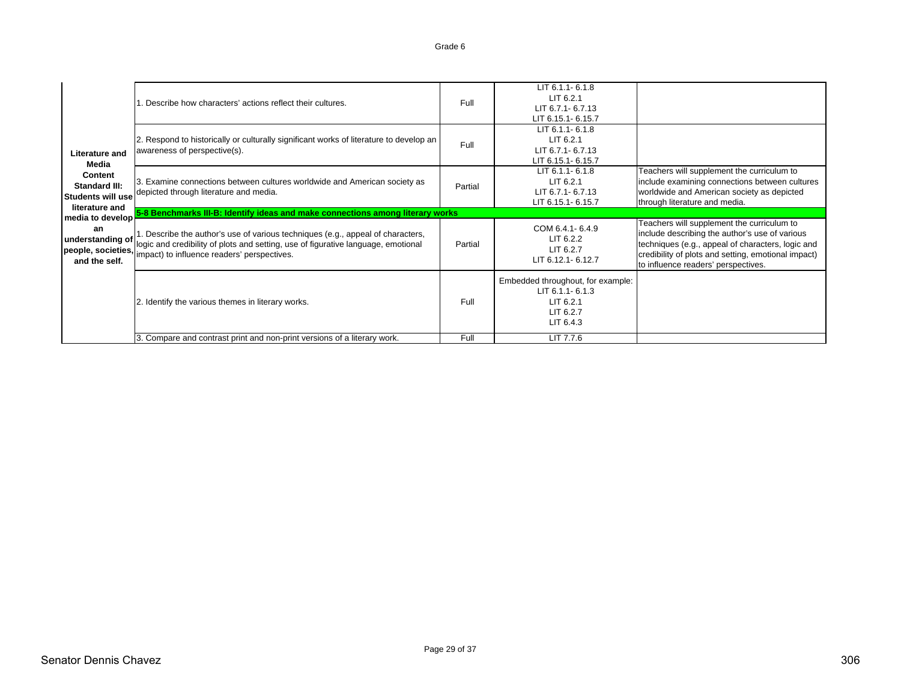|  |                                                                                   | . Describe how characters' actions reflect their cultures.                                                                                                                                                          | Full    | LIT 6.1.1-6.1.8<br>$LIT$ 6.2.1<br>LIT 6.7.1- 6.7.13<br>LIT 6.15.1-6.15.7                    |                                                                                                                                                                                                                                                 |  |  |
|--|-----------------------------------------------------------------------------------|---------------------------------------------------------------------------------------------------------------------------------------------------------------------------------------------------------------------|---------|---------------------------------------------------------------------------------------------|-------------------------------------------------------------------------------------------------------------------------------------------------------------------------------------------------------------------------------------------------|--|--|
|  | Literature and<br>Media                                                           | 2. Respond to historically or culturally significant works of literature to develop an<br>awareness of perspective(s).                                                                                              | Full    | $LIT 6.1.1 - 6.1.8$<br>$LIT$ 6.2.1<br>LIT 6.7.1- 6.7.13<br>LIT 6.15.1-6.15.7                |                                                                                                                                                                                                                                                 |  |  |
|  | Content<br>Standard III:<br><b>Students will use</b><br>literature and            | 3. Examine connections between cultures worldwide and American society as<br>depicted through literature and media.                                                                                                 | Partial | LIT 6.1.1-6.1.8<br>$LIT$ 6.2.1<br>LIT 6.7.1- 6.7.13<br>LIT 6.15.1-6.15.7                    | Teachers will supplement the curriculum to<br>include examining connections between cultures<br>worldwide and American society as depicted<br>through literature and media.                                                                     |  |  |
|  | media to develop<br>an<br>understanding of<br>people, societies,<br>and the self. | 5-8 Benchmarks III-B: Identify ideas and make connections among literary works                                                                                                                                      |         |                                                                                             |                                                                                                                                                                                                                                                 |  |  |
|  |                                                                                   | 1. Describe the author's use of various techniques (e.g., appeal of characters,<br>logic and credibility of plots and setting, use of figurative language, emotional<br>impact) to influence readers' perspectives. | Partial | COM 6.4.1-6.4.9<br>$LIT$ 6.2.2<br>$LIT$ 6.2.7<br>LIT 6.12.1-6.12.7                          | Teachers will supplement the curriculum to<br>include describing the author's use of various<br>techniques (e.g., appeal of characters, logic and<br>credibility of plots and setting, emotional impact)<br>to influence readers' perspectives. |  |  |
|  |                                                                                   | 2. Identify the various themes in literary works.                                                                                                                                                                   | Full    | Embedded throughout, for example:<br>LIT 6.1.1-6.1.3<br>LIT 6.2.1<br>LIT 6.2.7<br>LIT 6.4.3 |                                                                                                                                                                                                                                                 |  |  |
|  |                                                                                   | 3. Compare and contrast print and non-print versions of a literary work.                                                                                                                                            | Full    | LIT 7.7.6                                                                                   |                                                                                                                                                                                                                                                 |  |  |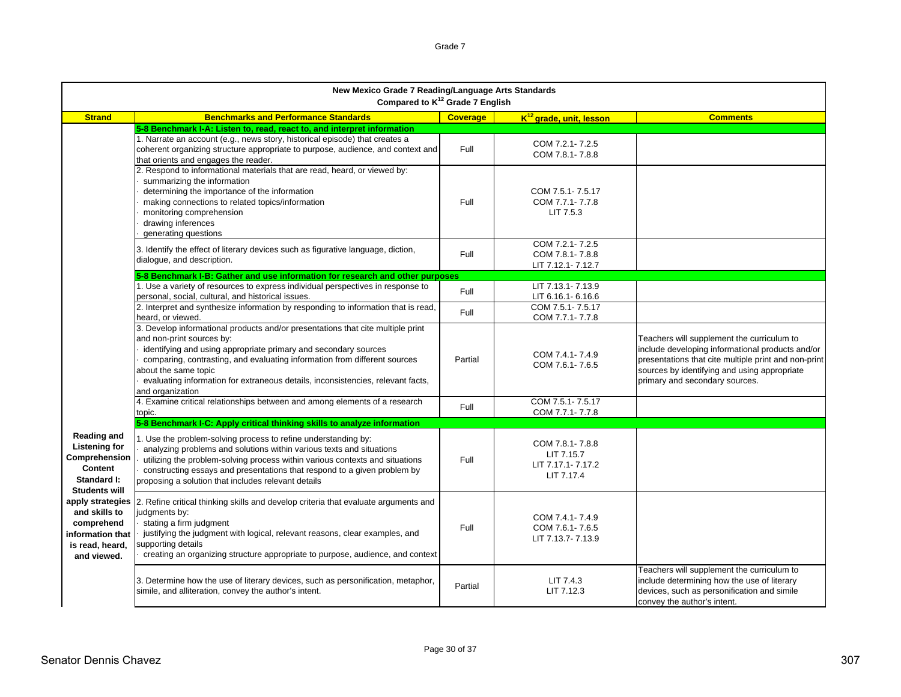|                                                                                                               | New Mexico Grade 7 Reading/Language Arts Standards<br>Compared to K <sup>12</sup> Grade 7 English                                                                                                                                                                                                                                                                                           |                 |                                                                  |                                                                                                                                                                                                                                          |  |
|---------------------------------------------------------------------------------------------------------------|---------------------------------------------------------------------------------------------------------------------------------------------------------------------------------------------------------------------------------------------------------------------------------------------------------------------------------------------------------------------------------------------|-----------------|------------------------------------------------------------------|------------------------------------------------------------------------------------------------------------------------------------------------------------------------------------------------------------------------------------------|--|
| <b>Strand</b>                                                                                                 | <b>Benchmarks and Performance Standards</b>                                                                                                                                                                                                                                                                                                                                                 | <b>Coverage</b> | K <sup>12</sup> grade, unit, lesson                              | <b>Comments</b>                                                                                                                                                                                                                          |  |
|                                                                                                               | 5-8 Benchmark I-A: Listen to, read, react to, and interpret information<br>1. Narrate an account (e.g., news story, historical episode) that creates a<br>coherent organizing structure appropriate to purpose, audience, and context and                                                                                                                                                   | Full            | COM 7.2.1-7.2.5<br>COM 7.8.1-7.8.8                               |                                                                                                                                                                                                                                          |  |
|                                                                                                               | that orients and engages the reader.<br>2. Respond to informational materials that are read, heard, or viewed by:<br>summarizing the information<br>determining the importance of the information<br>making connections to related topics/information<br>monitoring comprehension<br>drawing inferences<br>generating questions                                                             | Full            | COM 7.5.1-7.5.17<br>COM 7.7.1-7.7.8<br>LIT 7.5.3                 |                                                                                                                                                                                                                                          |  |
|                                                                                                               | 3. Identify the effect of literary devices such as figurative language, diction,<br>dialogue, and description.                                                                                                                                                                                                                                                                              | Full            | COM 7.2.1-7.2.5<br>COM 7.8.1-7.8.8<br>LIT 7.12.1-7.12.7          |                                                                                                                                                                                                                                          |  |
|                                                                                                               | 5-8 Benchmark I-B: Gather and use information for research and other purposes                                                                                                                                                                                                                                                                                                               |                 |                                                                  |                                                                                                                                                                                                                                          |  |
|                                                                                                               | 1. Use a variety of resources to express individual perspectives in response to<br>personal, social, cultural, and historical issues.                                                                                                                                                                                                                                                       | Full            | LIT 7.13.1-7.13.9<br>LIT 6.16.1-6.16.6                           |                                                                                                                                                                                                                                          |  |
|                                                                                                               | 2. Interpret and synthesize information by responding to information that is read,<br>heard, or viewed.                                                                                                                                                                                                                                                                                     | Full            | COM 7.5.1-7.5.17<br>COM 7.7.1-7.7.8                              |                                                                                                                                                                                                                                          |  |
|                                                                                                               | 3. Develop informational products and/or presentations that cite multiple print<br>and non-print sources by:<br>identifying and using appropriate primary and secondary sources<br>comparing, contrasting, and evaluating information from different sources<br>about the same topic<br>evaluating information for extraneous details, inconsistencies, relevant facts,<br>and organization | Partial         | COM 7.4.1-7.4.9<br>COM 7.6.1-7.6.5                               | Teachers will supplement the curriculum to<br>include developing informational products and/or<br>presentations that cite multiple print and non-print<br>sources by identifying and using appropriate<br>primary and secondary sources. |  |
|                                                                                                               | 4. Examine critical relationships between and among elements of a research<br>topic.                                                                                                                                                                                                                                                                                                        | Full            | COM 7.5.1-7.5.17<br>COM 7.7.1-7.7.8                              |                                                                                                                                                                                                                                          |  |
|                                                                                                               | 5-8 Benchmark I-C: Apply critical thinking skills to analyze information                                                                                                                                                                                                                                                                                                                    |                 |                                                                  |                                                                                                                                                                                                                                          |  |
| <b>Reading and</b><br><b>Listening for</b><br>Comprehension<br>Content<br>Standard I:<br><b>Students will</b> | 1. Use the problem-solving process to refine understanding by:<br>analyzing problems and solutions within various texts and situations<br>utilizing the problem-solving process within various contexts and situations<br>constructing essays and presentations that respond to a given problem by<br>proposing a solution that includes relevant details                                   | Full            | COM 7.8.1-7.8.8<br>LIT 7.15.7<br>LIT 7.17.1-7.17.2<br>LIT 7.17.4 |                                                                                                                                                                                                                                          |  |
| and skills to<br>comprehend<br>information that<br>is read, heard,<br>and viewed.                             | apply strategies 2. Refine critical thinking skills and develop criteria that evaluate arguments and<br>judgments by:<br>stating a firm judgment<br>justifying the judgment with logical, relevant reasons, clear examples, and<br>supporting details<br>creating an organizing structure appropriate to purpose, audience, and context                                                     | Full            | COM 7.4.1-7.4.9<br>COM 7.6.1-7.6.5<br>LIT 7.13.7-7.13.9          |                                                                                                                                                                                                                                          |  |
|                                                                                                               | 3. Determine how the use of literary devices, such as personification, metaphor,<br>simile, and alliteration, convey the author's intent.                                                                                                                                                                                                                                                   | Partial         | LIT 7.4.3<br>LIT 7.12.3                                          | Teachers will supplement the curriculum to<br>include determining how the use of literary<br>devices, such as personification and simile<br>convey the author's intent.                                                                  |  |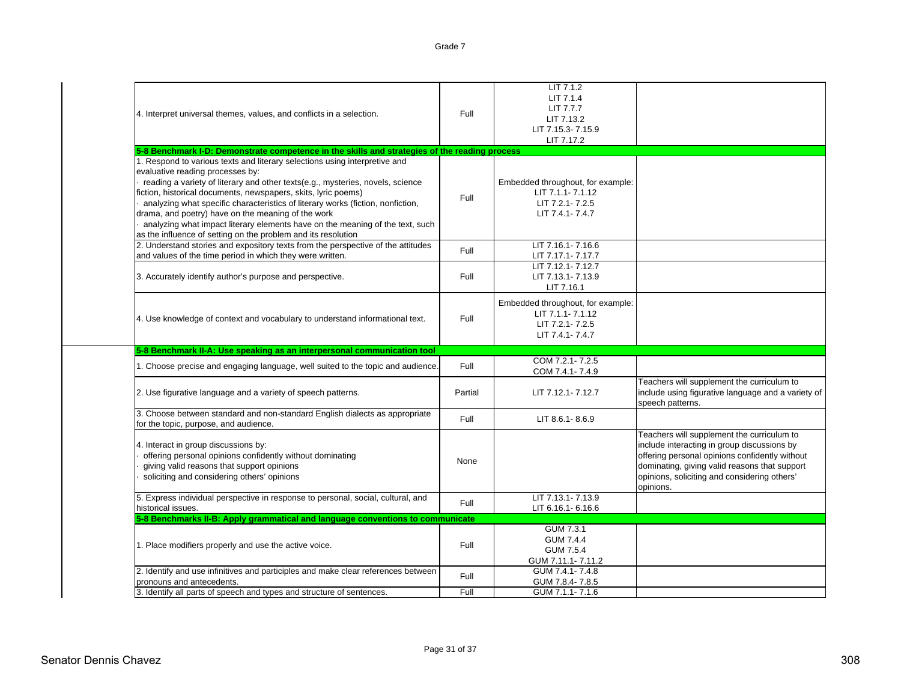| U<br>۰ |  |
|--------|--|
|--------|--|

| 4. Interpret universal themes, values, and conflicts in a selection.                                                                                                                                                                                                                                                                                                                                                                                                                                                                                          | Full    | LIT 7.1.2<br>LIT 7.1.4<br>LIT 7.7.7<br>LIT 7.13.2<br>LIT 7.15.3-7.15.9<br>LIT 7.17.2        |                                                                                                                                                                                                                                                           |
|---------------------------------------------------------------------------------------------------------------------------------------------------------------------------------------------------------------------------------------------------------------------------------------------------------------------------------------------------------------------------------------------------------------------------------------------------------------------------------------------------------------------------------------------------------------|---------|---------------------------------------------------------------------------------------------|-----------------------------------------------------------------------------------------------------------------------------------------------------------------------------------------------------------------------------------------------------------|
| 5-8 Benchmark I-D: Demonstrate competence in the skills and strategies of the reading process                                                                                                                                                                                                                                                                                                                                                                                                                                                                 |         |                                                                                             |                                                                                                                                                                                                                                                           |
| 1. Respond to various texts and literary selections using interpretive and<br>evaluative reading processes by:<br>reading a variety of literary and other texts(e.g., mysteries, novels, science<br>fiction, historical documents, newspapers, skits, lyric poems)<br>analyzing what specific characteristics of literary works (fiction, nonfiction,<br>drama, and poetry) have on the meaning of the work<br>analyzing what impact literary elements have on the meaning of the text, such<br>as the influence of setting on the problem and its resolution | Full    | Embedded throughout, for example:<br>LIT 7.1.1-7.1.12<br>LIT 7.2.1-7.2.5<br>LIT 7.4.1-7.4.7 |                                                                                                                                                                                                                                                           |
| 2. Understand stories and expository texts from the perspective of the attitudes<br>and values of the time period in which they were written.                                                                                                                                                                                                                                                                                                                                                                                                                 | Full    | LIT 7.16.1-7.16.6<br>LIT 7.17.1-7.17.7                                                      |                                                                                                                                                                                                                                                           |
| 3. Accurately identify author's purpose and perspective.                                                                                                                                                                                                                                                                                                                                                                                                                                                                                                      | Full    | LIT 7.12.1-7.12.7<br>LIT 7.13.1-7.13.9<br>LIT 7.16.1                                        |                                                                                                                                                                                                                                                           |
| 4. Use knowledge of context and vocabulary to understand informational text.                                                                                                                                                                                                                                                                                                                                                                                                                                                                                  | Full    | Embedded throughout, for example:<br>LIT 7.1.1-7.1.12<br>LIT 7.2.1-7.2.5<br>LIT 7.4.1-7.4.7 |                                                                                                                                                                                                                                                           |
| 5-8 Benchmark II-A: Use speaking as an interpersonal communication tool                                                                                                                                                                                                                                                                                                                                                                                                                                                                                       |         |                                                                                             |                                                                                                                                                                                                                                                           |
| 1. Choose precise and engaging language, well suited to the topic and audience.                                                                                                                                                                                                                                                                                                                                                                                                                                                                               | Full    | COM 7.2.1-7.2.5<br>COM 7.4.1-7.4.9                                                          |                                                                                                                                                                                                                                                           |
| 2. Use figurative language and a variety of speech patterns.                                                                                                                                                                                                                                                                                                                                                                                                                                                                                                  | Partial | LIT 7.12.1-7.12.7                                                                           | Teachers will supplement the curriculum to<br>include using figurative language and a variety of<br>speech patterns.                                                                                                                                      |
| 3. Choose between standard and non-standard English dialects as appropriate<br>for the topic, purpose, and audience.                                                                                                                                                                                                                                                                                                                                                                                                                                          | Full    | LIT 8.6.1-8.6.9                                                                             |                                                                                                                                                                                                                                                           |
| 4. Interact in group discussions by:<br>offering personal opinions confidently without dominating<br>giving valid reasons that support opinions<br>soliciting and considering others' opinions                                                                                                                                                                                                                                                                                                                                                                | None    |                                                                                             | Teachers will supplement the curriculum to<br>include interacting in group discussions by<br>offering personal opinions confidently without<br>dominating, giving valid reasons that support<br>opinions, soliciting and considering others'<br>opinions. |
| 5. Express individual perspective in response to personal, social, cultural, and<br>historical issues.                                                                                                                                                                                                                                                                                                                                                                                                                                                        | Full    | LIT 7.13.1-7.13.9<br>LIT 6.16.1-6.16.6                                                      |                                                                                                                                                                                                                                                           |
| 5-8 Benchmarks II-B: Apply grammatical and language conventions to communicate                                                                                                                                                                                                                                                                                                                                                                                                                                                                                |         |                                                                                             |                                                                                                                                                                                                                                                           |
| 1. Place modifiers properly and use the active voice.                                                                                                                                                                                                                                                                                                                                                                                                                                                                                                         | Full    | GUM 7.3.1<br><b>GUM 7.4.4</b><br><b>GUM 7.5.4</b><br>GUM 7.11.1-7.11.2                      |                                                                                                                                                                                                                                                           |
| 2. Identify and use infinitives and participles and make clear references between<br>pronouns and antecedents.                                                                                                                                                                                                                                                                                                                                                                                                                                                | Full    | GUM 7.4.1-7.4.8<br>GUM 7.8.4-7.8.5                                                          |                                                                                                                                                                                                                                                           |
| 3. Identify all parts of speech and types and structure of sentences.                                                                                                                                                                                                                                                                                                                                                                                                                                                                                         | Full    | GUM 7.1.1-7.1.6                                                                             |                                                                                                                                                                                                                                                           |
|                                                                                                                                                                                                                                                                                                                                                                                                                                                                                                                                                               |         |                                                                                             |                                                                                                                                                                                                                                                           |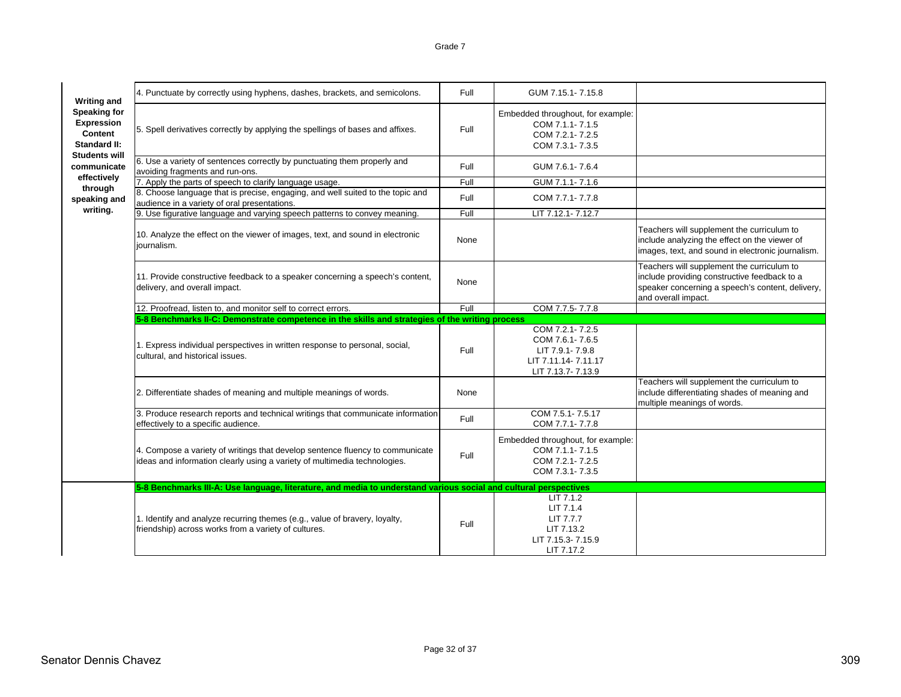| <b>Writing and</b>                                                  | 4. Punctuate by correctly using hyphens, dashes, brackets, and semicolons.                                                                                 | Full | GUM 7.15.1-7.15.8                                                                                 |                                                                                                                                                                       |
|---------------------------------------------------------------------|------------------------------------------------------------------------------------------------------------------------------------------------------------|------|---------------------------------------------------------------------------------------------------|-----------------------------------------------------------------------------------------------------------------------------------------------------------------------|
| <b>Speaking for</b><br>Expression<br>Content<br><b>Standard II:</b> | 5. Spell derivatives correctly by applying the spellings of bases and affixes.                                                                             | Full | Embedded throughout, for example:<br>COM 7.1.1-7.1.5<br>COM 7.2.1-7.2.5<br>COM 7.3.1-7.3.5        |                                                                                                                                                                       |
| <b>Students will</b><br>communicate                                 | 6. Use a variety of sentences correctly by punctuating them properly and<br>avoiding fragments and run-ons.                                                | Full | GUM 7.6.1-7.6.4                                                                                   |                                                                                                                                                                       |
| effectively                                                         | 7. Apply the parts of speech to clarify language usage.                                                                                                    | Full | GUM 7.1.1-7.1.6                                                                                   |                                                                                                                                                                       |
| through<br>speaking and                                             | 8. Choose language that is precise, engaging, and well suited to the topic and<br>audience in a variety of oral presentations.                             | Full | COM 7.7.1-7.7.8                                                                                   |                                                                                                                                                                       |
| writing.                                                            | 9. Use figurative language and varying speech patterns to convey meaning.                                                                                  | Full | LIT 7.12.1-7.12.7                                                                                 |                                                                                                                                                                       |
|                                                                     | 10. Analyze the effect on the viewer of images, text, and sound in electronic<br>journalism.                                                               | None |                                                                                                   | Teachers will supplement the curriculum to<br>include analyzing the effect on the viewer of<br>images, text, and sound in electronic journalism.                      |
|                                                                     | 11. Provide constructive feedback to a speaker concerning a speech's content,<br>delivery, and overall impact.                                             | None |                                                                                                   | Teachers will supplement the curriculum to<br>include providing constructive feedback to a<br>speaker concerning a speech's content, delivery,<br>and overall impact. |
|                                                                     | 12. Proofread, listen to, and monitor self to correct errors.                                                                                              | Full | COM 7.7.5-7.7.8                                                                                   |                                                                                                                                                                       |
|                                                                     | 5-8 Benchmarks II-C: Demonstrate competence in the skills and strategies of the writing process                                                            |      |                                                                                                   |                                                                                                                                                                       |
|                                                                     | 1. Express individual perspectives in written response to personal, social,<br>cultural, and historical issues.                                            | Full | COM 7.2.1-7.2.5<br>COM 7.6.1-7.6.5<br>LIT 7.9.1-7.9.8<br>LIT 7.11.14-7.11.17<br>LIT 7.13.7-7.13.9 |                                                                                                                                                                       |
|                                                                     | 2. Differentiate shades of meaning and multiple meanings of words.                                                                                         | None |                                                                                                   | Teachers will supplement the curriculum to<br>include differentiating shades of meaning and<br>multiple meanings of words.                                            |
|                                                                     | 3. Produce research reports and technical writings that communicate information<br>effectively to a specific audience.                                     | Full | COM 7.5.1-7.5.17<br>COM 7.7.1-7.7.8                                                               |                                                                                                                                                                       |
|                                                                     | 4. Compose a variety of writings that develop sentence fluency to communicate<br>ideas and information clearly using a variety of multimedia technologies. | Full | Embedded throughout, for example:<br>COM 7.1.1-7.1.5<br>COM 7.2.1-7.2.5<br>COM 7.3.1-7.3.5        |                                                                                                                                                                       |
|                                                                     | 5-8 Benchmarks III-A: Use language, literature, and media to understand various social and cultural perspectives                                           |      |                                                                                                   |                                                                                                                                                                       |
|                                                                     | 1. Identify and analyze recurring themes (e.g., value of bravery, loyalty,<br>friendship) across works from a variety of cultures.                         | Full | LIT 7.1.2<br>LIT 7.1.4<br>LIT 7.7.7<br>LIT 7.13.2<br>LIT 7.15.3-7.15.9<br>LIT 7.17.2              |                                                                                                                                                                       |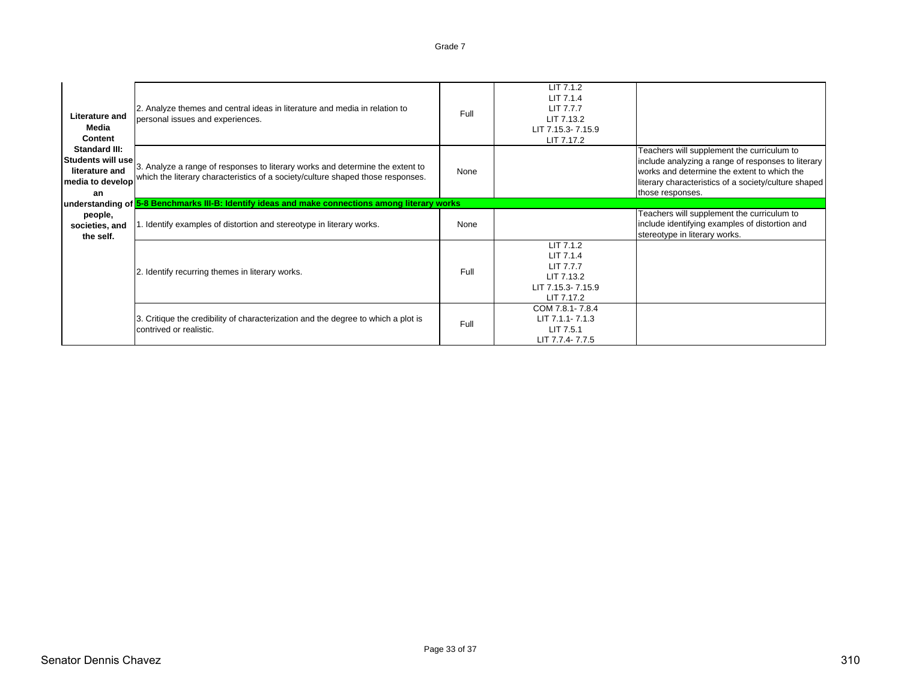| Literature and<br>Media<br>Content                                                    | 2. Analyze themes and central ideas in literature and media in relation to<br>personal issues and experiences.                                                   | <b>Full</b> | LIT 7.1.2<br>LIT 7.1.4<br>LIT 7.7.7<br>LIT 7.13.2<br>LIT 7.15.3-7.15.9<br>LIT 7.17.2 |                                                                                                                                                                                                                             |
|---------------------------------------------------------------------------------------|------------------------------------------------------------------------------------------------------------------------------------------------------------------|-------------|--------------------------------------------------------------------------------------|-----------------------------------------------------------------------------------------------------------------------------------------------------------------------------------------------------------------------------|
| <b>Standard III:</b><br>Students will use<br>literature and<br>media to develop<br>an | 3. Analyze a range of responses to literary works and determine the extent to<br>which the literary characteristics of a society/culture shaped those responses. | None        |                                                                                      | Teachers will supplement the curriculum to<br>include analyzing a range of responses to literary<br>works and determine the extent to which the<br>literary characteristics of a society/culture shaped<br>those responses. |
|                                                                                       | understanding of <mark>5-8 Benchmarks III-B: Identify ideas and make connections among literary works</mark>                                                     |             |                                                                                      |                                                                                                                                                                                                                             |
| people,<br>societies, and<br>the self.                                                | . Identify examples of distortion and stereotype in literary works.                                                                                              | None        |                                                                                      | Teachers will supplement the curriculum to<br>include identifying examples of distortion and<br>stereotype in literary works.                                                                                               |
|                                                                                       | 2. Identify recurring themes in literary works.                                                                                                                  | Full        | LIT 7.1.2<br>LIT 7.1.4<br>LIT 7.7.7<br>LIT 7.13.2<br>LIT 7.15.3-7.15.9<br>LIT 7.17.2 |                                                                                                                                                                                                                             |
|                                                                                       | 3. Critique the credibility of characterization and the degree to which a plot is<br>contrived or realistic.                                                     | Full        | COM 7.8.1-7.8.4<br>LIT 7.1.1-7.1.3<br>LIT 7.5.1<br>LIT 7.7.4-7.7.5                   |                                                                                                                                                                                                                             |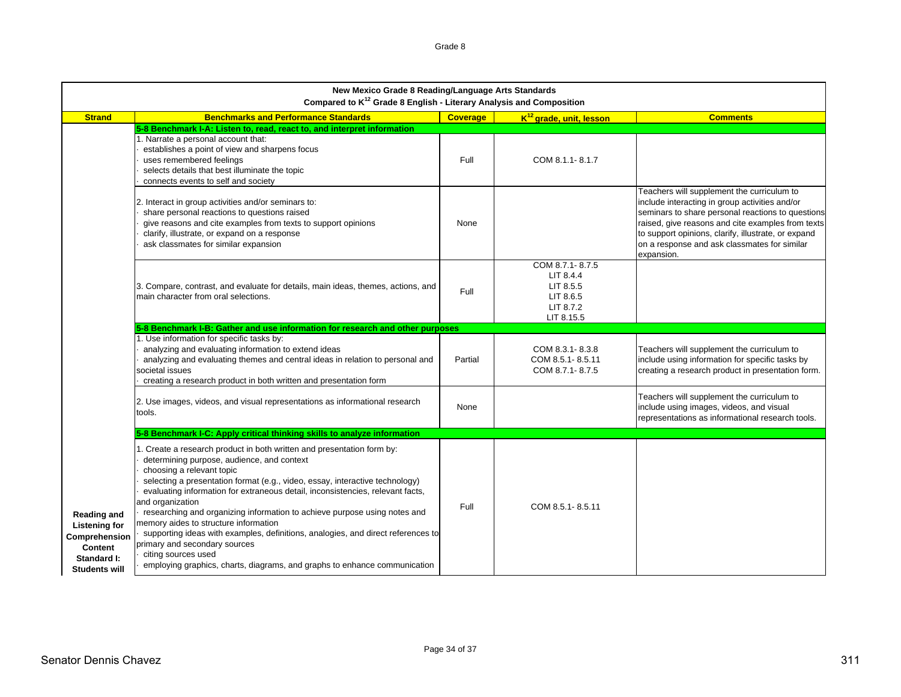|                                                                                                                      | New Mexico Grade 8 Reading/Language Arts Standards<br>Compared to K <sup>12</sup> Grade 8 English - Literary Analysis and Composition                                                                                                                                                                                                                                                                                                                                                                                                                                                                                                                                                 |                 |                                                                                   |                                                                                                                                                                                                                                                                                                                             |  |  |
|----------------------------------------------------------------------------------------------------------------------|---------------------------------------------------------------------------------------------------------------------------------------------------------------------------------------------------------------------------------------------------------------------------------------------------------------------------------------------------------------------------------------------------------------------------------------------------------------------------------------------------------------------------------------------------------------------------------------------------------------------------------------------------------------------------------------|-----------------|-----------------------------------------------------------------------------------|-----------------------------------------------------------------------------------------------------------------------------------------------------------------------------------------------------------------------------------------------------------------------------------------------------------------------------|--|--|
| <b>Strand</b>                                                                                                        | <b>Benchmarks and Performance Standards</b>                                                                                                                                                                                                                                                                                                                                                                                                                                                                                                                                                                                                                                           | <b>Coverage</b> | K <sup>12</sup> grade, unit, lesson                                               | <b>Comments</b>                                                                                                                                                                                                                                                                                                             |  |  |
|                                                                                                                      | 5-8 Benchmark I-A: Listen to, read, react to, and interpret information<br>1. Narrate a personal account that:<br>establishes a point of view and sharpens focus<br>uses remembered feelings<br>selects details that best illuminate the topic<br>connects events to self and society                                                                                                                                                                                                                                                                                                                                                                                                 | Full            | COM 8.1.1-8.1.7                                                                   |                                                                                                                                                                                                                                                                                                                             |  |  |
|                                                                                                                      | 2. Interact in group activities and/or seminars to:<br>share personal reactions to questions raised<br>give reasons and cite examples from texts to support opinions<br>clarify, illustrate, or expand on a response<br>ask classmates for similar expansion                                                                                                                                                                                                                                                                                                                                                                                                                          | None            |                                                                                   | Teachers will supplement the curriculum to<br>include interacting in group activities and/or<br>seminars to share personal reactions to questions<br>raised, give reasons and cite examples from texts<br>to support opinions, clarify, illustrate, or expand<br>on a response and ask classmates for similar<br>expansion. |  |  |
|                                                                                                                      | 3. Compare, contrast, and evaluate for details, main ideas, themes, actions, and<br>main character from oral selections.                                                                                                                                                                                                                                                                                                                                                                                                                                                                                                                                                              | Full            | COM 8.7.1-8.7.5<br>LIT 8.4.4<br>LIT 8.5.5<br>LIT 8.6.5<br>LIT 8.7.2<br>LIT 8.15.5 |                                                                                                                                                                                                                                                                                                                             |  |  |
|                                                                                                                      | 5-8 Benchmark I-B: Gather and use information for research and other purposes                                                                                                                                                                                                                                                                                                                                                                                                                                                                                                                                                                                                         |                 |                                                                                   |                                                                                                                                                                                                                                                                                                                             |  |  |
|                                                                                                                      | 1. Use information for specific tasks by:<br>analyzing and evaluating information to extend ideas<br>analyzing and evaluating themes and central ideas in relation to personal and<br>societal issues<br>creating a research product in both written and presentation form                                                                                                                                                                                                                                                                                                                                                                                                            | Partial         | COM 8.3.1-8.3.8<br>COM 8.5.1-8.5.11<br>COM 8.7.1-8.7.5                            | Teachers will supplement the curriculum to<br>include using information for specific tasks by<br>creating a research product in presentation form.                                                                                                                                                                          |  |  |
|                                                                                                                      | 2. Use images, videos, and visual representations as informational research<br>tools.                                                                                                                                                                                                                                                                                                                                                                                                                                                                                                                                                                                                 | None            |                                                                                   | Teachers will supplement the curriculum to<br>include using images, videos, and visual<br>representations as informational research tools.                                                                                                                                                                                  |  |  |
|                                                                                                                      | 5-8 Benchmark I-C: Apply critical thinking skills to analyze information                                                                                                                                                                                                                                                                                                                                                                                                                                                                                                                                                                                                              |                 |                                                                                   |                                                                                                                                                                                                                                                                                                                             |  |  |
| <b>Reading and</b><br><b>Listening for</b><br>Comprehension<br><b>Content</b><br>Standard I:<br><b>Students will</b> | . Create a research product in both written and presentation form by:<br>determining purpose, audience, and context<br>choosing a relevant topic<br>selecting a presentation format (e.g., video, essay, interactive technology)<br>evaluating information for extraneous detail, inconsistencies, relevant facts,<br>and organization<br>researching and organizing information to achieve purpose using notes and<br>memory aides to structure information<br>supporting ideas with examples, definitions, analogies, and direct references to<br>primary and secondary sources<br>citing sources used<br>employing graphics, charts, diagrams, and graphs to enhance communication | Full            | COM 8.5.1-8.5.11                                                                  |                                                                                                                                                                                                                                                                                                                             |  |  |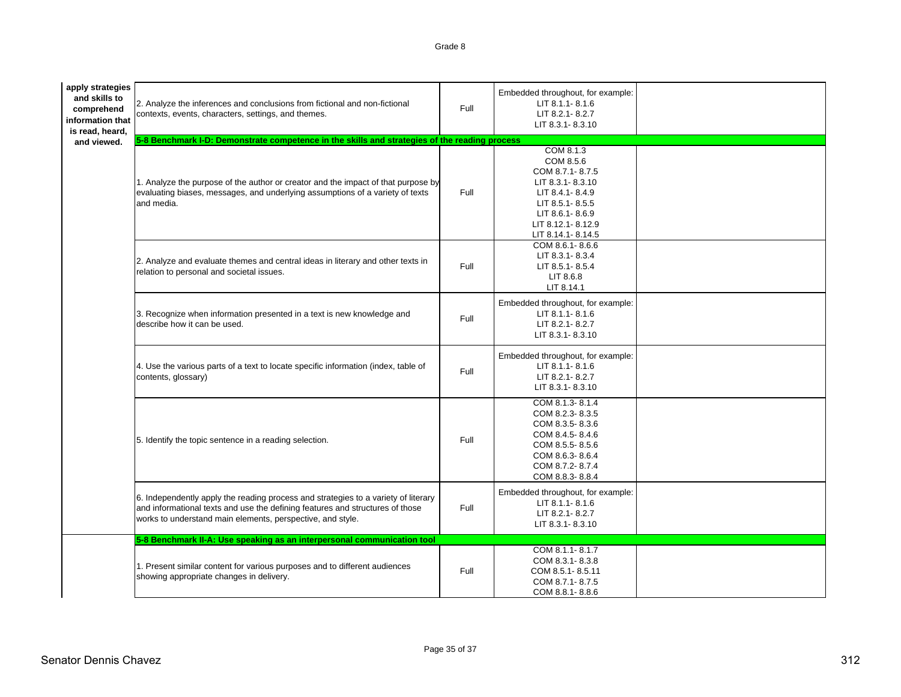| apply strategies<br>and skills to<br>comprehend<br>information that<br>is read, heard,<br>and viewed. | 2. Analyze the inferences and conclusions from fictional and non-fictional<br>contexts, events, characters, settings, and themes.<br>5-8 Benchmark I-D: Demonstrate competence in the skills and strategies of the reading process | Full | Embedded throughout, for example:<br>LIT 8.1.1-8.1.6<br>LIT 8.2.1-8.2.7<br>LIT 8.3.1-8.3.10                                                                      |  |
|-------------------------------------------------------------------------------------------------------|------------------------------------------------------------------------------------------------------------------------------------------------------------------------------------------------------------------------------------|------|------------------------------------------------------------------------------------------------------------------------------------------------------------------|--|
|                                                                                                       | 1. Analyze the purpose of the author or creator and the impact of that purpose by<br>evaluating biases, messages, and underlying assumptions of a variety of texts<br>and media.                                                   | Full | COM 8.1.3<br>COM 8.5.6<br>COM 8.7.1-8.7.5<br>LIT 8.3.1-8.3.10<br>LIT 8.4.1-8.4.9<br>LIT 8.5.1-8.5.5<br>LIT 8.6.1-8.6.9<br>LIT 8.12.1-8.12.9<br>LIT 8.14.1-8.14.5 |  |
|                                                                                                       | 2. Analyze and evaluate themes and central ideas in literary and other texts in<br>relation to personal and societal issues.                                                                                                       | Full | COM 8.6.1-8.6.6<br>LIT 8.3.1-8.3.4<br>LIT 8.5.1-8.5.4<br>LIT 8.6.8<br>LIT 8.14.1                                                                                 |  |
|                                                                                                       | 3. Recognize when information presented in a text is new knowledge and<br>describe how it can be used.                                                                                                                             | Full | Embedded throughout, for example:<br>LIT 8.1.1-8.1.6<br>LIT 8.2.1-8.2.7<br>LIT 8.3.1-8.3.10                                                                      |  |
|                                                                                                       | 4. Use the various parts of a text to locate specific information (index, table of<br>contents, glossary)                                                                                                                          | Full | Embedded throughout, for example:<br>LIT 8.1.1-8.1.6<br>LIT 8.2.1-8.2.7<br>LIT 8.3.1-8.3.10                                                                      |  |
|                                                                                                       | 5. Identify the topic sentence in a reading selection.                                                                                                                                                                             | Full | COM 8.1.3-8.1.4<br>COM 8.2.3-8.3.5<br>COM 8.3.5-8.3.6<br>COM 8.4.5-8.4.6<br>COM 8.5.5-8.5.6<br>COM 8.6.3-8.6.4<br>COM 8.7.2-8.7.4<br>COM 8.8.3-8.8.4             |  |
|                                                                                                       | 6. Independently apply the reading process and strategies to a variety of literary<br>and informational texts and use the defining features and structures of those<br>works to understand main elements, perspective, and style.  | Full | Embedded throughout, for example:<br>LIT 8.1.1-8.1.6<br>LIT 8.2.1-8.2.7<br>LIT 8.3.1-8.3.10                                                                      |  |
|                                                                                                       | 5-8 Benchmark II-A: Use speaking as an interpersonal communication tool                                                                                                                                                            |      | COM 8.1.1-8.1.7                                                                                                                                                  |  |
|                                                                                                       | 1. Present similar content for various purposes and to different audiences<br>showing appropriate changes in delivery.                                                                                                             | Full | COM 8.3.1-8.3.8<br>COM 8.5.1-8.5.11<br>COM 8.7.1-8.7.5<br>COM 8.8.1-8.8.6                                                                                        |  |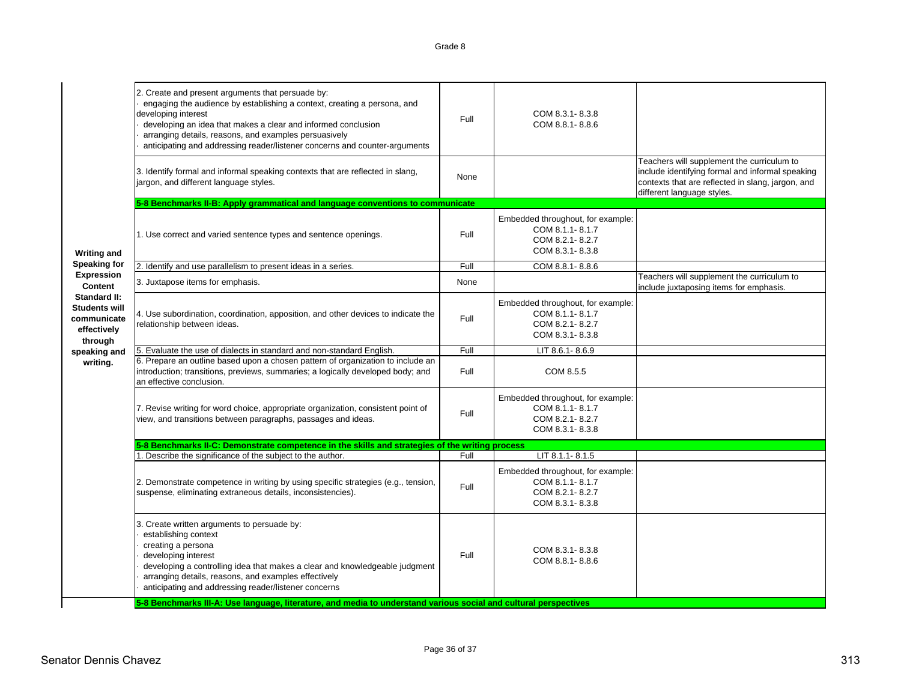|                                                                               | 2. Create and present arguments that persuade by:<br>engaging the audience by establishing a context, creating a persona, and<br>developing interest<br>developing an idea that makes a clear and informed conclusion<br>arranging details, reasons, and examples persuasively<br>anticipating and addressing reader/listener concerns and counter-arguments | Full | COM 8.3.1-8.3.8<br>COM 8.8.1-8.8.6                                                         |                                                                                                                                                                                   |
|-------------------------------------------------------------------------------|--------------------------------------------------------------------------------------------------------------------------------------------------------------------------------------------------------------------------------------------------------------------------------------------------------------------------------------------------------------|------|--------------------------------------------------------------------------------------------|-----------------------------------------------------------------------------------------------------------------------------------------------------------------------------------|
|                                                                               | 3. Identify formal and informal speaking contexts that are reflected in slang,<br>jargon, and different language styles.                                                                                                                                                                                                                                     | None |                                                                                            | Teachers will supplement the curriculum to<br>include identifying formal and informal speaking<br>contexts that are reflected in slang, jargon, and<br>different language styles. |
|                                                                               | 5-8 Benchmarks II-B: Apply grammatical and language conventions to communicate                                                                                                                                                                                                                                                                               |      |                                                                                            |                                                                                                                                                                                   |
| <b>Writing and</b>                                                            | 1. Use correct and varied sentence types and sentence openings.                                                                                                                                                                                                                                                                                              | Full | Embedded throughout, for example:<br>COM 8.1.1-8.1.7<br>COM 8.2.1-8.2.7<br>COM 8.3.1-8.3.8 |                                                                                                                                                                                   |
| <b>Speaking for</b>                                                           | 2. Identify and use parallelism to present ideas in a series.                                                                                                                                                                                                                                                                                                | Full | COM 8.8.1-8.8.6                                                                            |                                                                                                                                                                                   |
| <b>Expression</b><br>Content                                                  | 3. Juxtapose items for emphasis.                                                                                                                                                                                                                                                                                                                             | None |                                                                                            | Teachers will supplement the curriculum to<br>include juxtaposing items for emphasis.                                                                                             |
| <b>Standard II:</b><br>Students will<br>communicate<br>effectively<br>through | 4. Use subordination, coordination, apposition, and other devices to indicate the<br>relationship between ideas.                                                                                                                                                                                                                                             | Full | Embedded throughout, for example:<br>COM 8.1.1-8.1.7<br>COM 8.2.1-8.2.7<br>COM 8.3.1-8.3.8 |                                                                                                                                                                                   |
| speaking and                                                                  | 5. Evaluate the use of dialects in standard and non-standard English.                                                                                                                                                                                                                                                                                        | Full | LIT 8.6.1-8.6.9                                                                            |                                                                                                                                                                                   |
| writing.                                                                      | 6. Prepare an outline based upon a chosen pattern of organization to include an<br>introduction; transitions, previews, summaries; a logically developed body; and<br>an effective conclusion.                                                                                                                                                               | Full | COM 8.5.5                                                                                  |                                                                                                                                                                                   |
|                                                                               | 7. Revise writing for word choice, appropriate organization, consistent point of<br>view, and transitions between paragraphs, passages and ideas.                                                                                                                                                                                                            | Full | Embedded throughout, for example:<br>COM 8.1.1-8.1.7<br>COM 8.2.1-8.2.7<br>COM 8.3.1-8.3.8 |                                                                                                                                                                                   |
|                                                                               | 5-8 Benchmarks II-C: Demonstrate competence in the skills and strategies of the writing process                                                                                                                                                                                                                                                              |      |                                                                                            |                                                                                                                                                                                   |
|                                                                               | 1. Describe the significance of the subject to the author.                                                                                                                                                                                                                                                                                                   | Full | LIT 8.1.1-8.1.5                                                                            |                                                                                                                                                                                   |
|                                                                               | 2. Demonstrate competence in writing by using specific strategies (e.g., tension,<br>suspense, eliminating extraneous details, inconsistencies).                                                                                                                                                                                                             | Full | Embedded throughout, for example:<br>COM 8.1.1-8.1.7<br>COM 8.2.1-8.2.7<br>COM 8.3.1-8.3.8 |                                                                                                                                                                                   |
|                                                                               | 3. Create written arguments to persuade by:<br>establishing context<br>creating a persona<br>developing interest<br>developing a controlling idea that makes a clear and knowledgeable judgment<br>arranging details, reasons, and examples effectively<br>anticipating and addressing reader/listener concerns                                              | Full | COM 8.3.1-8.3.8<br>COM 8.8.1-8.8.6                                                         |                                                                                                                                                                                   |
|                                                                               | 5-8 Benchmarks III-A: Use language, literature, and media to understand various social and cultural perspectives                                                                                                                                                                                                                                             |      |                                                                                            |                                                                                                                                                                                   |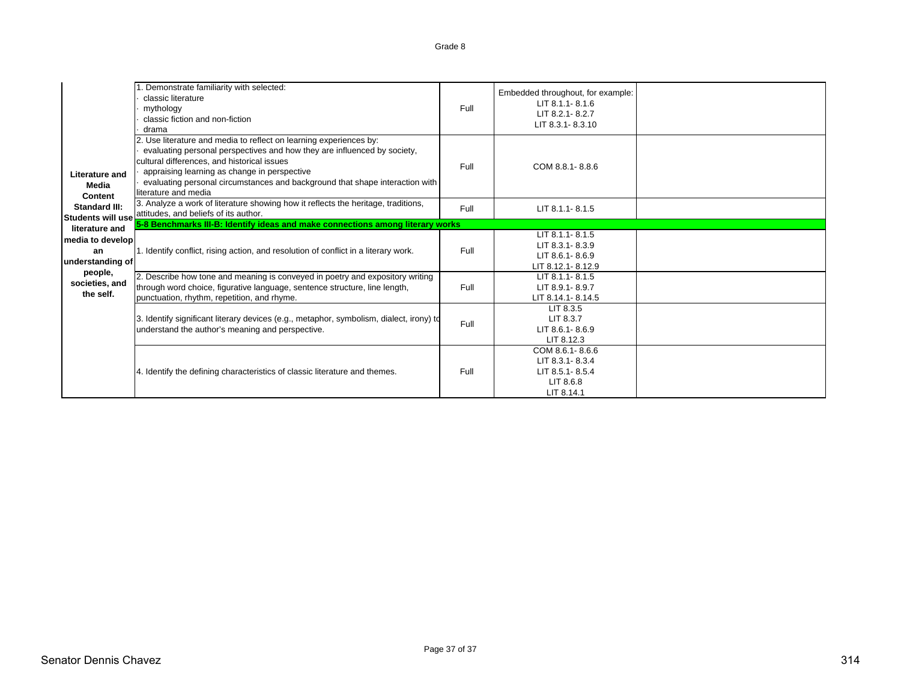|                                            | . Demonstrate familiarity with selected:<br>classic literature<br>mythology<br>classic fiction and non-fiction<br>drama                                                                                                                                                                                                                               | Full | Embedded throughout, for example:<br>$LIT 8.1.1 - 8.1.6$<br>LIT 8.2.1-8.2.7<br>LIT 8.3.1-8.3.10 |  |
|--------------------------------------------|-------------------------------------------------------------------------------------------------------------------------------------------------------------------------------------------------------------------------------------------------------------------------------------------------------------------------------------------------------|------|-------------------------------------------------------------------------------------------------|--|
| Literature and<br>Media<br>Content         | 2. Use literature and media to reflect on learning experiences by:<br>evaluating personal perspectives and how they are influenced by society,<br>cultural differences, and historical issues<br>appraising learning as change in perspective<br>evaluating personal circumstances and background that shape interaction with<br>literature and media | Full | COM 8.8.1-8.8.6                                                                                 |  |
| Standard III:                              | 3. Analyze a work of literature showing how it reflects the heritage, traditions,<br>Students will use attitudes, and beliefs of its author.                                                                                                                                                                                                          | Full | LIT 8.1.1-8.1.5                                                                                 |  |
| literature and                             | 5-8 Benchmarks III-B: Identify ideas and make connections among literary works                                                                                                                                                                                                                                                                        |      |                                                                                                 |  |
| media to develop<br>an<br>understanding of | 1. Identify conflict, rising action, and resolution of conflict in a literary work.                                                                                                                                                                                                                                                                   | Full | LIT 8.1.1-8.1.5<br>LIT 8.3.1-8.3.9<br>$LIT 8.6.1 - 8.6.9$<br>LIT 8.12.1 - 8.12.9                |  |
| people,<br>societies, and<br>the self.     | 2. Describe how tone and meaning is conveyed in poetry and expository writing<br>through word choice, figurative language, sentence structure, line length,<br>punctuation, rhythm, repetition, and rhyme.                                                                                                                                            | Full | LIT 8.1.1-8.1.5<br>LIT 8.9.1-8.9.7<br>LIT 8.14.1-8.14.5                                         |  |
|                                            | 3. Identify significant literary devices (e.g., metaphor, symbolism, dialect, irony) to<br>understand the author's meaning and perspective.                                                                                                                                                                                                           | Full | LIT 8.3.5<br>LIT 8.3.7<br>LIT 8.6.1-8.6.9<br>LIT 8.12.3                                         |  |
|                                            | 4. Identify the defining characteristics of classic literature and themes.                                                                                                                                                                                                                                                                            | Full | COM 8.6.1-8.6.6<br>LIT 8.3.1-8.3.4<br>LIT 8.5.1-8.5.4<br>LIT 8.6.8<br>LIT 8.14.1                |  |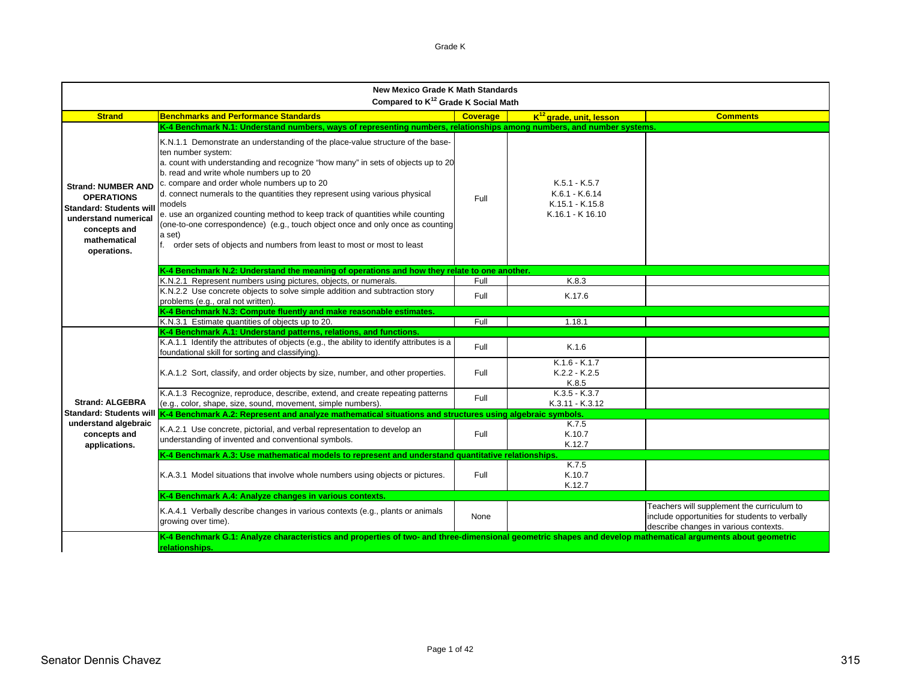| <b>New Mexico Grade K Math Standards</b><br>Compared to K <sup>12</sup> Grade K Social Math                                                            |                                                                                                                                                                                                                                                                                                                                                                                                                                                                                                                                                                                                                                        |                 |                                                                          |                                                                                                                                       |  |
|--------------------------------------------------------------------------------------------------------------------------------------------------------|----------------------------------------------------------------------------------------------------------------------------------------------------------------------------------------------------------------------------------------------------------------------------------------------------------------------------------------------------------------------------------------------------------------------------------------------------------------------------------------------------------------------------------------------------------------------------------------------------------------------------------------|-----------------|--------------------------------------------------------------------------|---------------------------------------------------------------------------------------------------------------------------------------|--|
| <b>Strand</b>                                                                                                                                          | <b>Benchmarks and Performance Standards</b>                                                                                                                                                                                                                                                                                                                                                                                                                                                                                                                                                                                            | <b>Coverage</b> | K <sup>12</sup> grade, unit, lesson                                      | <b>Comments</b>                                                                                                                       |  |
|                                                                                                                                                        | K-4 Benchmark N.1: Understand numbers, ways of representing numbers, relationships among numbers, and number systems.                                                                                                                                                                                                                                                                                                                                                                                                                                                                                                                  |                 |                                                                          |                                                                                                                                       |  |
| <b>Strand: NUMBER AND</b><br><b>OPERATIONS</b><br><b>Standard: Students wil</b><br>understand numerical<br>concepts and<br>mathematical<br>operations. | K.N.1.1 Demonstrate an understanding of the place-value structure of the base-<br>ten number system:<br>a. count with understanding and recognize "how many" in sets of objects up to 20<br>b. read and write whole numbers up to 20<br>c. compare and order whole numbers up to 20<br>d. connect numerals to the quantities they represent using various physical<br>models<br>e. use an organized counting method to keep track of quantities while counting<br>(one-to-one correspondence) (e.g., touch object once and only once as counting<br>a set)<br>f. order sets of objects and numbers from least to most or most to least | Full            | $K.5.1 - K.5.7$<br>K.6.1 - K.6.14<br>K.15.1 - K.15.8<br>K.16.1 - K 16.10 |                                                                                                                                       |  |
|                                                                                                                                                        | K-4 Benchmark N.2: Understand the meaning of operations and how they relate to one another.                                                                                                                                                                                                                                                                                                                                                                                                                                                                                                                                            |                 |                                                                          |                                                                                                                                       |  |
|                                                                                                                                                        | K.N.2.1 Represent numbers using pictures, objects, or numerals.                                                                                                                                                                                                                                                                                                                                                                                                                                                                                                                                                                        | Full            | K.8.3                                                                    |                                                                                                                                       |  |
|                                                                                                                                                        | K.N.2.2 Use concrete objects to solve simple addition and subtraction story<br>problems (e.g., oral not written).                                                                                                                                                                                                                                                                                                                                                                                                                                                                                                                      | Full            | K.17.6                                                                   |                                                                                                                                       |  |
|                                                                                                                                                        | K-4 Benchmark N.3: Compute fluently and make reasonable estimates.                                                                                                                                                                                                                                                                                                                                                                                                                                                                                                                                                                     |                 |                                                                          |                                                                                                                                       |  |
|                                                                                                                                                        | K.N.3.1 Estimate quantities of objects up to 20.<br>K-4 Benchmark A.1: Understand patterns, relations, and functions.                                                                                                                                                                                                                                                                                                                                                                                                                                                                                                                  | Full            | 1.18.1                                                                   |                                                                                                                                       |  |
|                                                                                                                                                        | K.A.1.1 Identify the attributes of objects (e.g., the ability to identify attributes is a<br>foundational skill for sorting and classifying).                                                                                                                                                                                                                                                                                                                                                                                                                                                                                          | Full            | K.1.6                                                                    |                                                                                                                                       |  |
|                                                                                                                                                        | K.A.1.2 Sort, classify, and order objects by size, number, and other properties.                                                                                                                                                                                                                                                                                                                                                                                                                                                                                                                                                       | Full            | $K.1.6 - K.1.7$<br>$K.2.2 - K.2.5$<br>K.8.5                              |                                                                                                                                       |  |
| <b>Strand: ALGEBRA</b>                                                                                                                                 | K.A.1.3 Recognize, reproduce, describe, extend, and create repeating patterns<br>(e.g., color, shape, size, sound, movement, simple numbers).                                                                                                                                                                                                                                                                                                                                                                                                                                                                                          | Full            | $K.3.5 - K.3.7$<br>K.3.11 - K.3.12                                       |                                                                                                                                       |  |
| <b>Standard: Students will</b>                                                                                                                         | K-4 Benchmark A.2: Represent and analyze mathematical situations and structures using algebraic symbols.                                                                                                                                                                                                                                                                                                                                                                                                                                                                                                                               |                 |                                                                          |                                                                                                                                       |  |
| understand algebraic<br>concepts and<br>applications.                                                                                                  | K.A.2.1 Use concrete, pictorial, and verbal representation to develop an<br>understanding of invented and conventional symbols.                                                                                                                                                                                                                                                                                                                                                                                                                                                                                                        | Full            | K.7.5<br>K.10.7<br>K.12.7                                                |                                                                                                                                       |  |
|                                                                                                                                                        | K-4 Benchmark A.3: Use mathematical models to represent and understand quantitative relationships.                                                                                                                                                                                                                                                                                                                                                                                                                                                                                                                                     |                 |                                                                          |                                                                                                                                       |  |
|                                                                                                                                                        | K.A.3.1 Model situations that involve whole numbers using objects or pictures.                                                                                                                                                                                                                                                                                                                                                                                                                                                                                                                                                         | Full            | K.7.5<br>K.10.7<br>K.12.7                                                |                                                                                                                                       |  |
|                                                                                                                                                        | K-4 Benchmark A.4: Analyze changes in various contexts.                                                                                                                                                                                                                                                                                                                                                                                                                                                                                                                                                                                |                 |                                                                          |                                                                                                                                       |  |
|                                                                                                                                                        | K.A.4.1 Verbally describe changes in various contexts (e.g., plants or animals<br>growing over time).                                                                                                                                                                                                                                                                                                                                                                                                                                                                                                                                  | None            |                                                                          | Teachers will supplement the curriculum to<br>include opportunities for students to verbally<br>describe changes in various contexts. |  |
|                                                                                                                                                        | K-4 Benchmark G.1: Analyze characteristics and properties of two- and three-dimensional geometric shapes and develop mathematical arguments about geometric<br>relationships.                                                                                                                                                                                                                                                                                                                                                                                                                                                          |                 |                                                                          |                                                                                                                                       |  |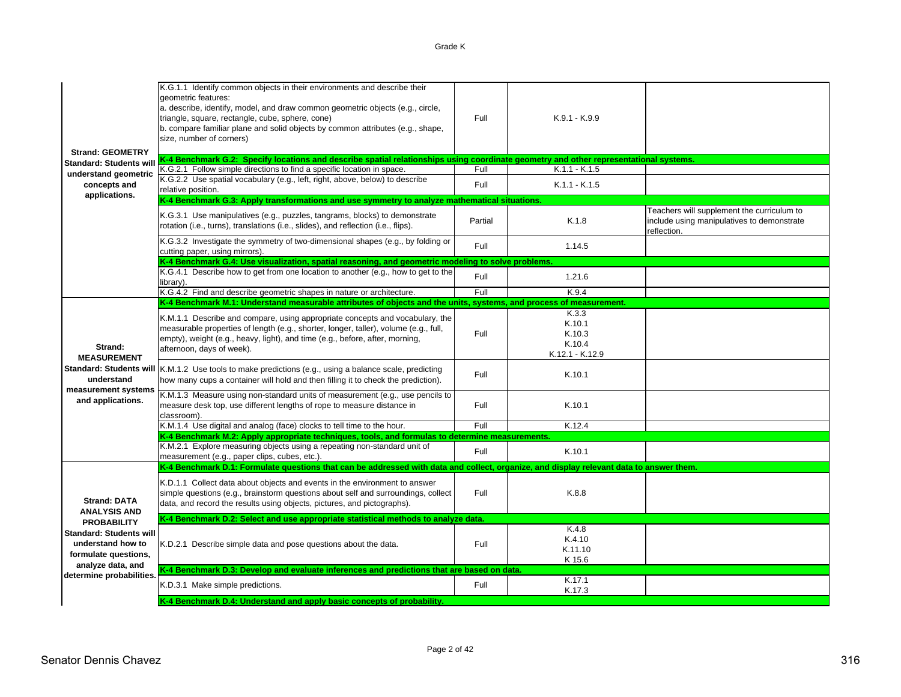Grade K

| <b>Strand: GEOMETRY</b>                                                                          | K.G.1.1 Identify common objects in their environments and describe their<br>geometric features:<br>a. describe, identify, model, and draw common geometric objects (e.g., circle,<br>triangle, square, rectangle, cube, sphere, cone)<br>b. compare familiar plane and solid objects by common attributes (e.g., shape,<br>size, number of corners) | Full    | $K.9.1 - K.9.9$                                        |                                                                                                         |
|--------------------------------------------------------------------------------------------------|-----------------------------------------------------------------------------------------------------------------------------------------------------------------------------------------------------------------------------------------------------------------------------------------------------------------------------------------------------|---------|--------------------------------------------------------|---------------------------------------------------------------------------------------------------------|
| <b>Standard: Students will</b>                                                                   | K-4 Benchmark G.2: Specify locations and describe spatial relationships using coordinate geometry and other representational systems.                                                                                                                                                                                                               |         |                                                        |                                                                                                         |
| understand geometric                                                                             | K.G.2.1 Follow simple directions to find a specific location in space.                                                                                                                                                                                                                                                                              | Full    | $K.1.1 - K.1.5$                                        |                                                                                                         |
| concepts and<br>applications.                                                                    | K.G.2.2 Use spatial vocabulary (e.g., left, right, above, below) to describe<br>relative position.                                                                                                                                                                                                                                                  | Full    | $K.1.1 - K.1.5$                                        |                                                                                                         |
|                                                                                                  | K-4 Benchmark G.3: Apply transformations and use symmetry to analyze mathematical situations.                                                                                                                                                                                                                                                       |         |                                                        |                                                                                                         |
|                                                                                                  | K.G.3.1 Use manipulatives (e.g., puzzles, tangrams, blocks) to demonstrate<br>rotation (i.e., turns), translations (i.e., slides), and reflection (i.e., flips).                                                                                                                                                                                    | Partial | K.1.8                                                  | Teachers will supplement the curriculum to<br>include using manipulatives to demonstrate<br>reflection. |
|                                                                                                  | K.G.3.2 Investigate the symmetry of two-dimensional shapes (e.g., by folding or<br>cutting paper, using mirrors).                                                                                                                                                                                                                                   | Full    | 1.14.5                                                 |                                                                                                         |
|                                                                                                  | K-4 Benchmark G.4: Use visualization, spatial reasoning, and geometric modeling to solve problems.                                                                                                                                                                                                                                                  |         |                                                        |                                                                                                         |
|                                                                                                  | K.G.4.1 Describe how to get from one location to another (e.g., how to get to the<br>library).                                                                                                                                                                                                                                                      | Full    | 1.21.6                                                 |                                                                                                         |
|                                                                                                  | K.G.4.2 Find and describe geometric shapes in nature or architecture.                                                                                                                                                                                                                                                                               | Full    | K.9.4                                                  |                                                                                                         |
|                                                                                                  | K-4 Benchmark M.1: Understand measurable attributes of objects and the units, systems, and process of measurement.                                                                                                                                                                                                                                  |         |                                                        |                                                                                                         |
| Strand:<br><b>MEASUREMENT</b>                                                                    | K.M.1.1 Describe and compare, using appropriate concepts and vocabulary, the<br>measurable properties of length (e.g., shorter, longer, taller), volume (e.g., full,<br>empty), weight (e.g., heavy, light), and time (e.g., before, after, morning,<br>afternoon, days of week).                                                                   | Full    | K.3.3<br>K.10.1<br>K.10.3<br>K.10.4<br>K.12.1 - K.12.9 |                                                                                                         |
| understand                                                                                       | Standard: Students will   K.M.1.2 Use tools to make predictions (e.g., using a balance scale, predicting<br>how many cups a container will hold and then filling it to check the prediction).                                                                                                                                                       | Full    | K.10.1                                                 |                                                                                                         |
| measurement systems<br>and applications.                                                         | K.M.1.3 Measure using non-standard units of measurement (e.g., use pencils to<br>measure desk top, use different lengths of rope to measure distance in<br>classroom).                                                                                                                                                                              | Full    | K.10.1                                                 |                                                                                                         |
|                                                                                                  | K.M.1.4 Use digital and analog (face) clocks to tell time to the hour.                                                                                                                                                                                                                                                                              | Full    | K.12.4                                                 |                                                                                                         |
|                                                                                                  | K-4 Benchmark M.2: Apply appropriate techniques, tools, and formulas to determine measurements.                                                                                                                                                                                                                                                     |         |                                                        |                                                                                                         |
|                                                                                                  | K.M.2.1 Explore measuring objects using a repeating non-standard unit of<br>measurement (e.g., paper clips, cubes, etc.).                                                                                                                                                                                                                           | Full    | K.10.1                                                 |                                                                                                         |
|                                                                                                  | K-4 Benchmark D.1: Formulate questions that can be addressed with data and collect, organize, and display relevant data to answer them.                                                                                                                                                                                                             |         |                                                        |                                                                                                         |
| <b>Strand: DATA</b><br><b>ANALYSIS AND</b>                                                       | K.D.1.1 Collect data about objects and events in the environment to answer<br>simple questions (e.g., brainstorm questions about self and surroundings, collect<br>data, and record the results using objects, pictures, and pictographs).                                                                                                          | Full    | K.8.8                                                  |                                                                                                         |
| <b>PROBABILITY</b>                                                                               | K-4 Benchmark D.2: Select and use appropriate statistical methods to analyze data.                                                                                                                                                                                                                                                                  |         |                                                        |                                                                                                         |
| <b>Standard: Students will</b><br>understand how to<br>formulate questions,<br>analyze data, and | K.D.2.1 Describe simple data and pose questions about the data.                                                                                                                                                                                                                                                                                     | Full    | K.4.8<br>K.4.10<br>K.11.10<br>K 15.6                   |                                                                                                         |
| determine probabilities.                                                                         | K-4 Benchmark D.3: Develop and evaluate inferences and predictions that are based on data.                                                                                                                                                                                                                                                          |         |                                                        |                                                                                                         |
|                                                                                                  | K.D.3.1 Make simple predictions.                                                                                                                                                                                                                                                                                                                    | Full    | K.17.1<br>K.17.3                                       |                                                                                                         |
|                                                                                                  | K-4 Benchmark D.4: Understand and apply basic concepts of probability.                                                                                                                                                                                                                                                                              |         |                                                        |                                                                                                         |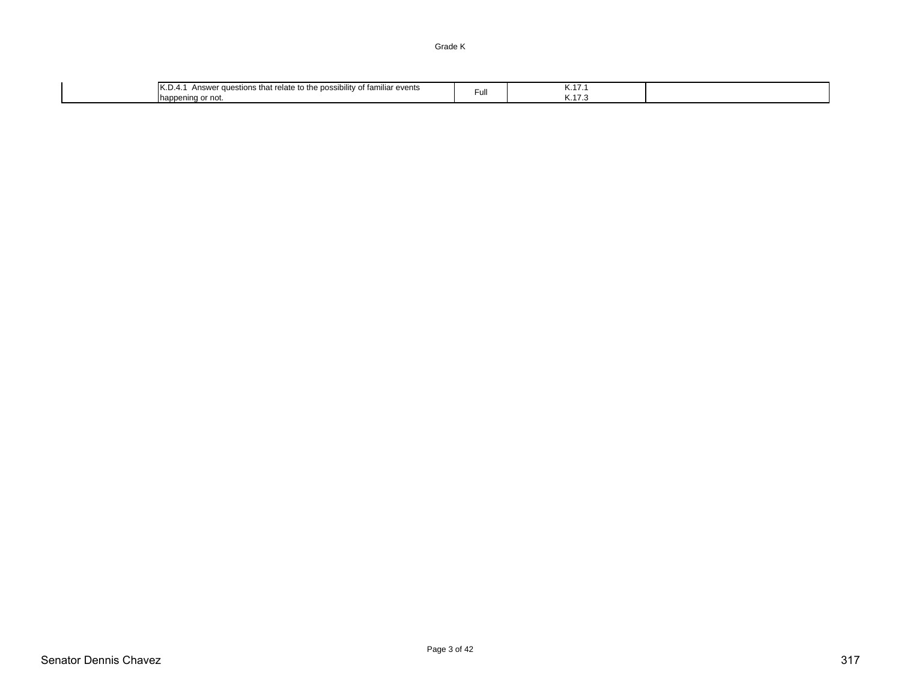Grade K

| 11/ F<br><br>oossibilitv<br>া familiar events<br>elate<br>$\sim$<br>' auestions<br>that re<br>$\cdots$<br>10.D<br>AIISWE<br>.<br>pening or not.<br><b>Inapp</b> | ⊢ull | <b>N.II.</b><br>. <b>N.</b><br>$\overline{1}$ |  |
|-----------------------------------------------------------------------------------------------------------------------------------------------------------------|------|-----------------------------------------------|--|
|-----------------------------------------------------------------------------------------------------------------------------------------------------------------|------|-----------------------------------------------|--|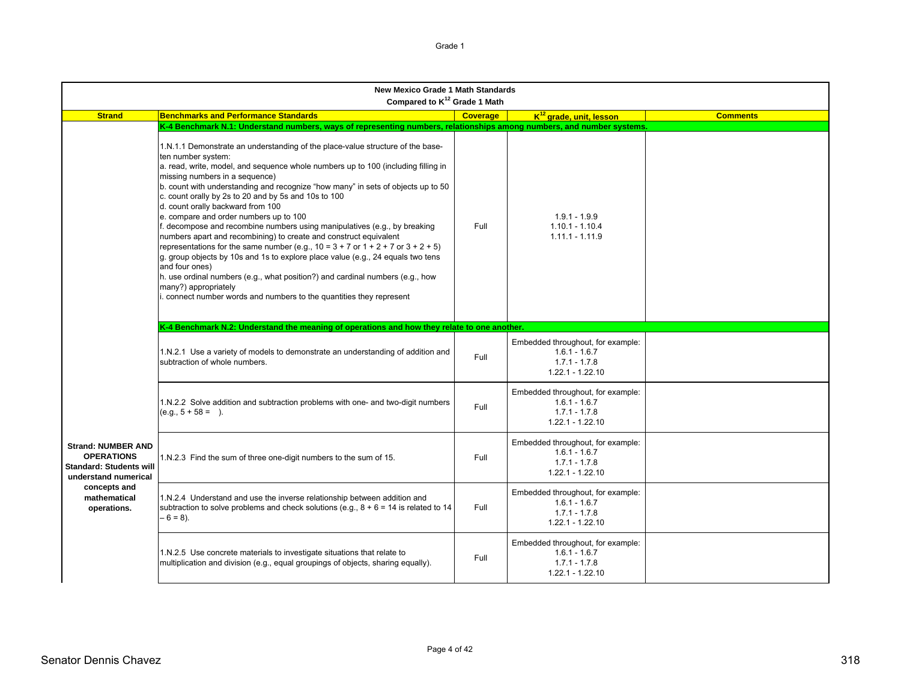| <b>New Mexico Grade 1 Math Standards</b><br>Compared to K <sup>12</sup> Grade 1 Math                     |                                                                                                                                                                                                                                                                                                                                                                                                                                                                                                                                                                                                                                                                                                                                                                                                                                                                                                                                                                                        |                 |                                                                                               |                 |  |
|----------------------------------------------------------------------------------------------------------|----------------------------------------------------------------------------------------------------------------------------------------------------------------------------------------------------------------------------------------------------------------------------------------------------------------------------------------------------------------------------------------------------------------------------------------------------------------------------------------------------------------------------------------------------------------------------------------------------------------------------------------------------------------------------------------------------------------------------------------------------------------------------------------------------------------------------------------------------------------------------------------------------------------------------------------------------------------------------------------|-----------------|-----------------------------------------------------------------------------------------------|-----------------|--|
| <b>Strand</b>                                                                                            | <b>Benchmarks and Performance Standards</b>                                                                                                                                                                                                                                                                                                                                                                                                                                                                                                                                                                                                                                                                                                                                                                                                                                                                                                                                            | <b>Coverage</b> | K <sup>12</sup> grade, unit, lesson                                                           | <b>Comments</b> |  |
|                                                                                                          | K-4 Benchmark N.1: Understand numbers, ways of representing numbers, relationships among numbers, and number systems.                                                                                                                                                                                                                                                                                                                                                                                                                                                                                                                                                                                                                                                                                                                                                                                                                                                                  |                 |                                                                                               |                 |  |
|                                                                                                          | 1.N.1.1 Demonstrate an understanding of the place-value structure of the base-<br>ten number system:<br>a. read, write, model, and sequence whole numbers up to 100 (including filling in<br>missing numbers in a sequence)<br>b. count with understanding and recognize "how many" in sets of objects up to 50<br>c. count orally by 2s to 20 and by 5s and 10s to 100<br>d. count orally backward from 100<br>e. compare and order numbers up to 100<br>f. decompose and recombine numbers using manipulatives (e.g., by breaking<br>numbers apart and recombining) to create and construct equivalent<br>representations for the same number (e.g., $10 = 3 + 7$ or $1 + 2 + 7$ or $3 + 2 + 5$ )<br>g. group objects by 10s and 1s to explore place value (e.g., 24 equals two tens<br>and four ones)<br>h. use ordinal numbers (e.g., what position?) and cardinal numbers (e.g., how<br>many?) appropriately<br>connect number words and numbers to the quantities they represent | Full            | $1.9.1 - 1.9.9$<br>$1.10.1 - 1.10.4$<br>$1.11.1 - 1.11.9$                                     |                 |  |
|                                                                                                          | K-4 Benchmark N.2: Understand the meaning of operations and how they relate to one another.                                                                                                                                                                                                                                                                                                                                                                                                                                                                                                                                                                                                                                                                                                                                                                                                                                                                                            |                 |                                                                                               |                 |  |
|                                                                                                          | 1.N.2.1 Use a variety of models to demonstrate an understanding of addition and<br>subtraction of whole numbers.                                                                                                                                                                                                                                                                                                                                                                                                                                                                                                                                                                                                                                                                                                                                                                                                                                                                       | Full            | Embedded throughout, for example:<br>$1.6.1 - 1.6.7$<br>$1.7.1 - 1.7.8$<br>$1.22.1 - 1.22.10$ |                 |  |
|                                                                                                          | 1.N.2.2 Solve addition and subtraction problems with one- and two-digit numbers<br>$(e.g., 5 + 58 = ).$                                                                                                                                                                                                                                                                                                                                                                                                                                                                                                                                                                                                                                                                                                                                                                                                                                                                                | Full            | Embedded throughout, for example:<br>$1.6.1 - 1.6.7$<br>$1.7.1 - 1.7.8$<br>$1.22.1 - 1.22.10$ |                 |  |
| <b>Strand: NUMBER AND</b><br><b>OPERATIONS</b><br><b>Standard: Students will</b><br>understand numerical | 1.N.2.3 Find the sum of three one-digit numbers to the sum of 15.                                                                                                                                                                                                                                                                                                                                                                                                                                                                                                                                                                                                                                                                                                                                                                                                                                                                                                                      | Full            | Embedded throughout, for example:<br>$1.6.1 - 1.6.7$<br>$1.7.1 - 1.7.8$<br>$1.22.1 - 1.22.10$ |                 |  |
| concepts and<br>mathematical<br>operations.                                                              | 1.N.2.4 Understand and use the inverse relationship between addition and<br>subtraction to solve problems and check solutions (e.g., $8 + 6 = 14$ is related to 14<br>$-6 = 8$ ).                                                                                                                                                                                                                                                                                                                                                                                                                                                                                                                                                                                                                                                                                                                                                                                                      | Full            | Embedded throughout, for example:<br>$1.6.1 - 1.6.7$<br>$1.7.1 - 1.7.8$<br>$1.22.1 - 1.22.10$ |                 |  |
|                                                                                                          | 1.N.2.5 Use concrete materials to investigate situations that relate to<br>multiplication and division (e.g., equal groupings of objects, sharing equally).                                                                                                                                                                                                                                                                                                                                                                                                                                                                                                                                                                                                                                                                                                                                                                                                                            | Full            | Embedded throughout, for example:<br>$1.6.1 - 1.6.7$<br>$1.7.1 - 1.7.8$<br>1.22.1 - 1.22.10   |                 |  |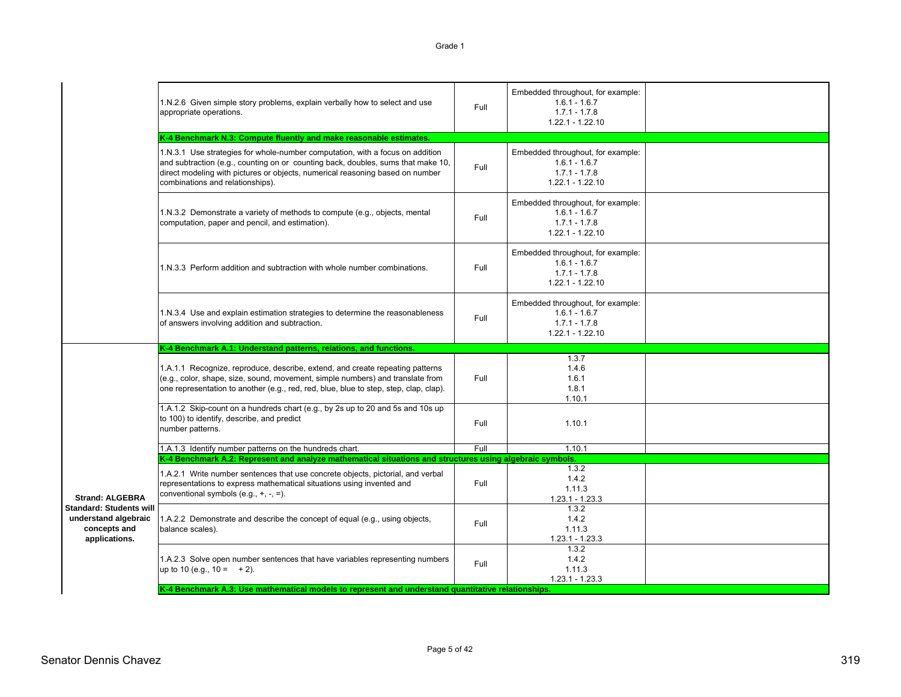|                                                                                         | 1.N.2.6 Given simple story problems, explain verbally how to select and use<br>appropriate operations.                                                                                                                                                                                 | Full | Embedded throughout, for example:<br>$1.6.1 - 1.6.7$<br>$1.7.1 - 1.7.8$<br>$1.22.1 - 1.22.10$ |  |
|-----------------------------------------------------------------------------------------|----------------------------------------------------------------------------------------------------------------------------------------------------------------------------------------------------------------------------------------------------------------------------------------|------|-----------------------------------------------------------------------------------------------|--|
|                                                                                         | K-4 Benchmark N.3: Compute fluently and make reasonable estimates.                                                                                                                                                                                                                     |      |                                                                                               |  |
|                                                                                         | 1.N.3.1 Use strategies for whole-number computation, with a focus on addition<br>and subtraction (e.g., counting on or counting back, doubles, sums that make 10,<br>direct modeling with pictures or objects, numerical reasoning based on number<br>combinations and relationships). | Full | Embedded throughout, for example:<br>$1.6.1 - 1.6.7$<br>$1.7.1 - 1.7.8$<br>$1.22.1 - 1.22.10$ |  |
|                                                                                         | 1.N.3.2 Demonstrate a variety of methods to compute (e.g., objects, mental<br>computation, paper and pencil, and estimation).                                                                                                                                                          | Full | Embedded throughout, for example:<br>$1.6.1 - 1.6.7$<br>$1.7.1 - 1.7.8$<br>$1.22.1 - 1.22.10$ |  |
|                                                                                         | 1.N.3.3 Perform addition and subtraction with whole number combinations.                                                                                                                                                                                                               | Full | Embedded throughout, for example:<br>$1.6.1 - 1.6.7$<br>$1.7.1 - 1.7.8$<br>$1.22.1 - 1.22.10$ |  |
|                                                                                         | 1.N.3.4 Use and explain estimation strategies to determine the reasonableness<br>of answers involving addition and subtraction.                                                                                                                                                        | Full | Embedded throughout, for example:<br>$1.6.1 - 1.6.7$<br>$1.7.1 - 1.7.8$<br>$1.22.1 - 1.22.10$ |  |
|                                                                                         | K-4 Benchmark A.1: Understand patterns, relations, and functions.                                                                                                                                                                                                                      |      |                                                                                               |  |
|                                                                                         | 1.A.1.1 Recognize, reproduce, describe, extend, and create repeating patterns<br>(e.g., color, shape, size, sound, movement, simple numbers) and translate from<br>one representation to another (e.g., red, red, blue, blue to step, step, clap, clap).                               | Full | 1.3.7<br>1.4.6<br>1.6.1<br>1.8.1<br>1.10.1                                                    |  |
|                                                                                         | 1.A.1.2 Skip-count on a hundreds chart (e.g., by 2s up to 20 and 5s and 10s up<br>to 100) to identify, describe, and predict<br>number patterns.                                                                                                                                       | Full | 1.10.1                                                                                        |  |
|                                                                                         | 1.A.1.3 Identify number patterns on the hundreds chart.                                                                                                                                                                                                                                | Full | 1.10.1                                                                                        |  |
|                                                                                         | K-4 Benchmark A.2: Represent and analyze mathematical situations and structures using algebraic symbols.                                                                                                                                                                               |      |                                                                                               |  |
| <b>Strand: ALGEBRA</b>                                                                  | 1.A.2.1 Write number sentences that use concrete objects, pictorial, and verbal<br>representations to express mathematical situations using invented and<br>conventional symbols (e.g., $+$ , $-$ , $=$ ).                                                                             | Full | 1.3.2<br>1.4.2<br>1.11.3<br>$1.23.1 - 1.23.3$                                                 |  |
| <b>Standard: Students will</b><br>understand algebraic<br>concepts and<br>applications. | 1.A.2.2 Demonstrate and describe the concept of equal (e.g., using objects,<br>balance scales).                                                                                                                                                                                        | Full | 1.3.2<br>1.4.2<br>1.11.3<br>$1.23.1 - 1.23.3$                                                 |  |
|                                                                                         | 1.A.2.3 Solve open number sentences that have variables representing numbers<br>up to 10 (e.g., $10 = +2$ ).                                                                                                                                                                           | Full | 1.3.2<br>1.4.2<br>1.11.3<br>$1.23.1 - 1.23.3$                                                 |  |

**K-4 Benchmark A.3: Use mathematical models to represent and understand quantitative relationships.**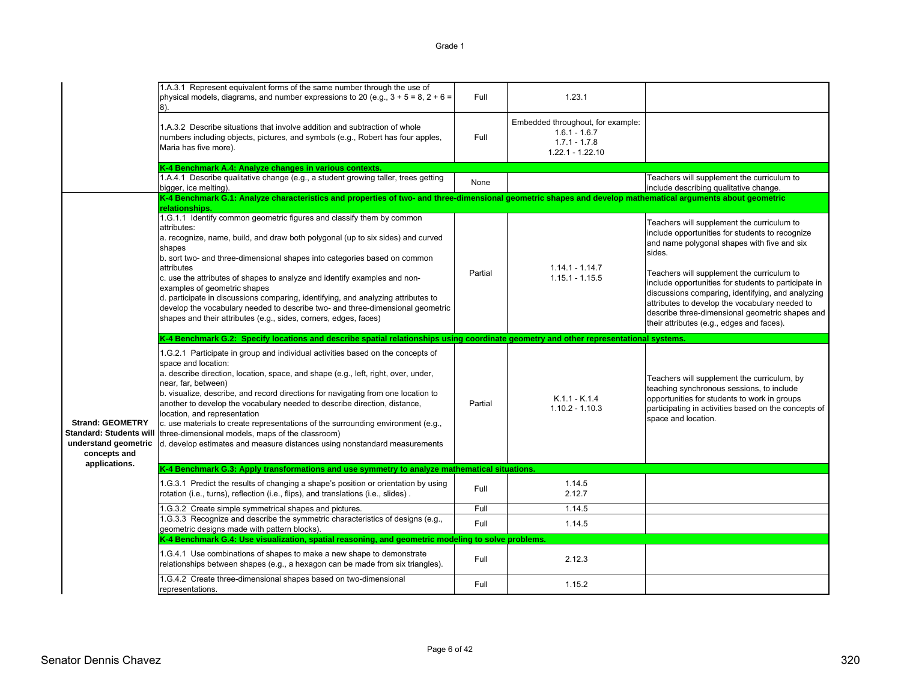|                                                                                                   | 1.A.3.1 Represent equivalent forms of the same number through the use of<br>physical models, diagrams, and number expressions to 20 (e.g., $3 + 5 = 8$ , $2 + 6 =$<br>18).                                                                                                                                                                                                                                                                                                                                                                                                                                                                 | Full    | 1.23.1                                                                                        |                                                                                                                                                                                                                                                                                                                                                                                                                                                                     |
|---------------------------------------------------------------------------------------------------|--------------------------------------------------------------------------------------------------------------------------------------------------------------------------------------------------------------------------------------------------------------------------------------------------------------------------------------------------------------------------------------------------------------------------------------------------------------------------------------------------------------------------------------------------------------------------------------------------------------------------------------------|---------|-----------------------------------------------------------------------------------------------|---------------------------------------------------------------------------------------------------------------------------------------------------------------------------------------------------------------------------------------------------------------------------------------------------------------------------------------------------------------------------------------------------------------------------------------------------------------------|
|                                                                                                   | 1.A.3.2 Describe situations that involve addition and subtraction of whole<br>numbers including objects, pictures, and symbols (e.g., Robert has four apples,<br>Maria has five more).                                                                                                                                                                                                                                                                                                                                                                                                                                                     | Full    | Embedded throughout, for example:<br>$1.6.1 - 1.6.7$<br>$1.7.1 - 1.7.8$<br>$1.22.1 - 1.22.10$ |                                                                                                                                                                                                                                                                                                                                                                                                                                                                     |
|                                                                                                   | K-4 Benchmark A.4: Analyze changes in various contexts.                                                                                                                                                                                                                                                                                                                                                                                                                                                                                                                                                                                    |         |                                                                                               |                                                                                                                                                                                                                                                                                                                                                                                                                                                                     |
|                                                                                                   | 1.A.4.1 Describe qualitative change (e.g., a student growing taller, trees getting<br>bigger, ice melting).                                                                                                                                                                                                                                                                                                                                                                                                                                                                                                                                | None    |                                                                                               | Teachers will supplement the curriculum to<br>include describing qualitative change.                                                                                                                                                                                                                                                                                                                                                                                |
|                                                                                                   | K-4 Benchmark G.1: Analyze characteristics and properties of two- and three-dimensional geometric shapes and develop mathematical arguments about geometric<br>relationships                                                                                                                                                                                                                                                                                                                                                                                                                                                               |         |                                                                                               |                                                                                                                                                                                                                                                                                                                                                                                                                                                                     |
|                                                                                                   | 1.G.1.1 Identify common geometric figures and classify them by common<br>attributes:<br>a. recognize, name, build, and draw both polygonal (up to six sides) and curved<br>shapes<br>b. sort two- and three-dimensional shapes into categories based on common<br>attributes<br>c. use the attributes of shapes to analyze and identify examples and non-<br>examples of geometric shapes<br>d. participate in discussions comparing, identifying, and analyzing attributes to<br>develop the vocabulary needed to describe two- and three-dimensional geometric<br>shapes and their attributes (e.g., sides, corners, edges, faces)       | Partial | $1.14.1 - 1.14.7$<br>$1.15.1 - 1.15.5$                                                        | Teachers will supplement the curriculum to<br>include opportunities for students to recognize<br>and name polygonal shapes with five and six<br>sides.<br>Teachers will supplement the curriculum to<br>include opportunities for students to participate in<br>discussions comparing, identifying, and analyzing<br>attributes to develop the vocabulary needed to<br>describe three-dimensional geometric shapes and<br>their attributes (e.g., edges and faces). |
|                                                                                                   |                                                                                                                                                                                                                                                                                                                                                                                                                                                                                                                                                                                                                                            |         |                                                                                               |                                                                                                                                                                                                                                                                                                                                                                                                                                                                     |
|                                                                                                   | K-4 Benchmark G.2: Specify locations and describe spatial relationships using coordinate geometry and other representational systems.                                                                                                                                                                                                                                                                                                                                                                                                                                                                                                      |         |                                                                                               |                                                                                                                                                                                                                                                                                                                                                                                                                                                                     |
| <b>Strand: GEOMETRY</b><br><b>Standard: Students will</b><br>understand geometric<br>concepts and | 1.G.2.1 Participate in group and individual activities based on the concepts of<br>space and location:<br>a. describe direction, location, space, and shape (e.g., left, right, over, under,<br>near, far, between)<br>b. visualize, describe, and record directions for navigating from one location to<br>another to develop the vocabulary needed to describe direction, distance,<br>location, and representation<br>c. use materials to create representations of the surrounding environment (e.g.,<br>three-dimensional models, maps of the classroom)<br>d. develop estimates and measure distances using nonstandard measurements | Partial | $K.1.1 - K.1.4$<br>$1.10.2 - 1.10.3$                                                          | Teachers will supplement the curriculum, by<br>teaching synchronous sessions, to include<br>opportunities for students to work in groups<br>participating in activities based on the concepts of<br>space and location.                                                                                                                                                                                                                                             |
| applications.                                                                                     | K-4 Benchmark G.3: Apply transformations and use symmetry to analyze mathematical situations.                                                                                                                                                                                                                                                                                                                                                                                                                                                                                                                                              |         |                                                                                               |                                                                                                                                                                                                                                                                                                                                                                                                                                                                     |
|                                                                                                   | 1.G.3.1 Predict the results of changing a shape's position or orientation by using<br>rotation (i.e., turns), reflection (i.e., flips), and translations (i.e., slides).                                                                                                                                                                                                                                                                                                                                                                                                                                                                   | Full    | 1.14.5<br>2.12.7                                                                              |                                                                                                                                                                                                                                                                                                                                                                                                                                                                     |
|                                                                                                   |                                                                                                                                                                                                                                                                                                                                                                                                                                                                                                                                                                                                                                            | Full    | 1.14.5                                                                                        |                                                                                                                                                                                                                                                                                                                                                                                                                                                                     |
|                                                                                                   | 1.G.3.2 Create simple symmetrical shapes and pictures.<br>1.G.3.3 Recognize and describe the symmetric characteristics of designs (e.g.,<br>geometric designs made with pattern blocks).                                                                                                                                                                                                                                                                                                                                                                                                                                                   | Full    | 1.14.5                                                                                        |                                                                                                                                                                                                                                                                                                                                                                                                                                                                     |
|                                                                                                   | K-4 Benchmark G.4: Use visualization, spatial reasoning, and geometric modeling to solve problems.                                                                                                                                                                                                                                                                                                                                                                                                                                                                                                                                         |         |                                                                                               |                                                                                                                                                                                                                                                                                                                                                                                                                                                                     |
|                                                                                                   | 1.G.4.1 Use combinations of shapes to make a new shape to demonstrate<br>relationships between shapes (e.g., a hexagon can be made from six triangles).                                                                                                                                                                                                                                                                                                                                                                                                                                                                                    | Full    | 2.12.3                                                                                        |                                                                                                                                                                                                                                                                                                                                                                                                                                                                     |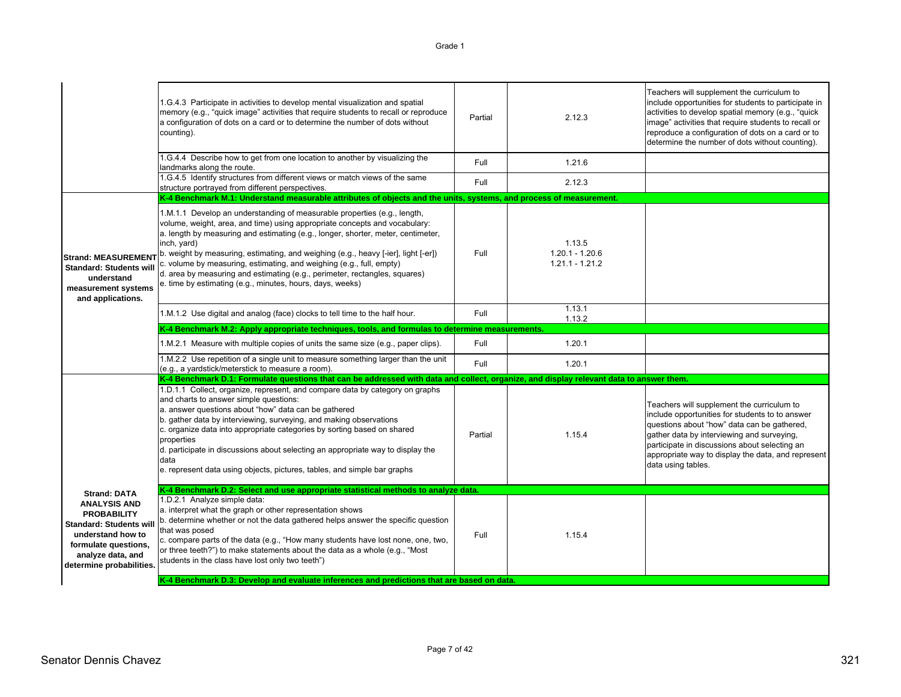|                                                                                                                                                                           | 1.G.4.3 Participate in activities to develop mental visualization and spatial<br>memory (e.g., "quick image" activities that require students to recall or reproduce<br>a configuration of dots on a card or to determine the number of dots without<br>counting).                                                                                                                                                                                                                                                                                                 | Partial | 2.12.3                                           | Teachers will supplement the curriculum to<br>include opportunities for students to participate in<br>activities to develop spatial memory (e.g., "quick"<br>image" activities that require students to recall or<br>reproduce a configuration of dots on a card or to<br>determine the number of dots without counting). |
|---------------------------------------------------------------------------------------------------------------------------------------------------------------------------|--------------------------------------------------------------------------------------------------------------------------------------------------------------------------------------------------------------------------------------------------------------------------------------------------------------------------------------------------------------------------------------------------------------------------------------------------------------------------------------------------------------------------------------------------------------------|---------|--------------------------------------------------|---------------------------------------------------------------------------------------------------------------------------------------------------------------------------------------------------------------------------------------------------------------------------------------------------------------------------|
|                                                                                                                                                                           | 1.G.4.4 Describe how to get from one location to another by visualizing the<br>landmarks along the route.                                                                                                                                                                                                                                                                                                                                                                                                                                                          | Full    | 1.21.6                                           |                                                                                                                                                                                                                                                                                                                           |
|                                                                                                                                                                           | 1.G.4.5 Identify structures from different views or match views of the same<br>structure portrayed from different perspectives.                                                                                                                                                                                                                                                                                                                                                                                                                                    | Full    | 2.12.3                                           |                                                                                                                                                                                                                                                                                                                           |
|                                                                                                                                                                           | K-4 Benchmark M.1: Understand measurable attributes of objects and the units, systems, and process of measurement.                                                                                                                                                                                                                                                                                                                                                                                                                                                 |         |                                                  |                                                                                                                                                                                                                                                                                                                           |
| <b>Strand: MEASUREMENT</b><br><b>Standard: Students will</b><br>understand<br>measurement systems<br>and applications.                                                    | 1.M.1.1 Develop an understanding of measurable properties (e.g., length,<br>volume, weight, area, and time) using appropriate concepts and vocabulary:<br>a. length by measuring and estimating (e.g., longer, shorter, meter, centimeter,<br>inch, yard)<br>b. weight by measuring, estimating, and weighing (e.g., heavy [-ier], light [-er])<br>c. volume by measuring, estimating, and weighing (e.g., full, empty)<br>d. area by measuring and estimating (e.g., perimeter, rectangles, squares)<br>e. time by estimating (e.g., minutes, hours, days, weeks) | Full    | 1.13.5<br>$1.20.1 - 1.20.6$<br>$1.21.1 - 1.21.2$ |                                                                                                                                                                                                                                                                                                                           |
|                                                                                                                                                                           | 1.M.1.2 Use digital and analog (face) clocks to tell time to the half hour.                                                                                                                                                                                                                                                                                                                                                                                                                                                                                        | Full    | 1.13.1<br>1.13.2                                 |                                                                                                                                                                                                                                                                                                                           |
|                                                                                                                                                                           | K-4 Benchmark M.2: Apply appropriate techniques, tools, and formulas to determine measurements.                                                                                                                                                                                                                                                                                                                                                                                                                                                                    |         |                                                  |                                                                                                                                                                                                                                                                                                                           |
|                                                                                                                                                                           | 1.M.2.1 Measure with multiple copies of units the same size (e.g., paper clips).                                                                                                                                                                                                                                                                                                                                                                                                                                                                                   | Full    | 1.20.1                                           |                                                                                                                                                                                                                                                                                                                           |
|                                                                                                                                                                           | 1.M.2.2 Use repetition of a single unit to measure something larger than the unit<br>(e.g., a vardstick/meterstick to measure a room).                                                                                                                                                                                                                                                                                                                                                                                                                             | Full    | 1.20.1                                           |                                                                                                                                                                                                                                                                                                                           |
|                                                                                                                                                                           | K-4 Benchmark D.1: Formulate questions that can be addressed with data and collect, organize, and display relevant data to answer them.                                                                                                                                                                                                                                                                                                                                                                                                                            |         |                                                  |                                                                                                                                                                                                                                                                                                                           |
|                                                                                                                                                                           | 1.D.1.1 Collect, organize, represent, and compare data by category on graphs<br>and charts to answer simple questions:<br>a. answer questions about "how" data can be gathered<br>b. gather data by interviewing, surveying, and making observations<br>c. organize data into appropriate categories by sorting based on shared<br>properties<br>d. participate in discussions about selecting an appropriate way to display the<br>data<br>e. represent data using objects, pictures, tables, and simple bar graphs                                               | Partial | 1.15.4                                           | Teachers will supplement the curriculum to<br>include opportunities for students to to answer<br>questions about "how" data can be gathered,<br>gather data by interviewing and surveying,<br>participate in discussions about selecting an<br>appropriate way to display the data, and represent<br>data using tables.   |
| <b>Strand: DATA</b>                                                                                                                                                       | K-4 Benchmark D.2: Select and use appropriate statistical methods to analyze data.                                                                                                                                                                                                                                                                                                                                                                                                                                                                                 |         |                                                  |                                                                                                                                                                                                                                                                                                                           |
| <b>ANALYSIS AND</b><br><b>PROBABILITY</b><br><b>Standard: Students will</b><br>understand how to<br>formulate questions,<br>analyze data, and<br>determine probabilities. | 1.D.2.1 Analyze simple data:<br>a. interpret what the graph or other representation shows<br>b. determine whether or not the data gathered helps answer the specific question<br>that was posed<br>c. compare parts of the data (e.g., "How many students have lost none, one, two,<br>or three teeth?") to make statements about the data as a whole (e.g., "Most<br>students in the class have lost only two teeth")                                                                                                                                             | Full    | 1.15.4                                           |                                                                                                                                                                                                                                                                                                                           |
|                                                                                                                                                                           | K-4 Benchmark D.3: Develop and evaluate inferences and predictions that are based on data.                                                                                                                                                                                                                                                                                                                                                                                                                                                                         |         |                                                  |                                                                                                                                                                                                                                                                                                                           |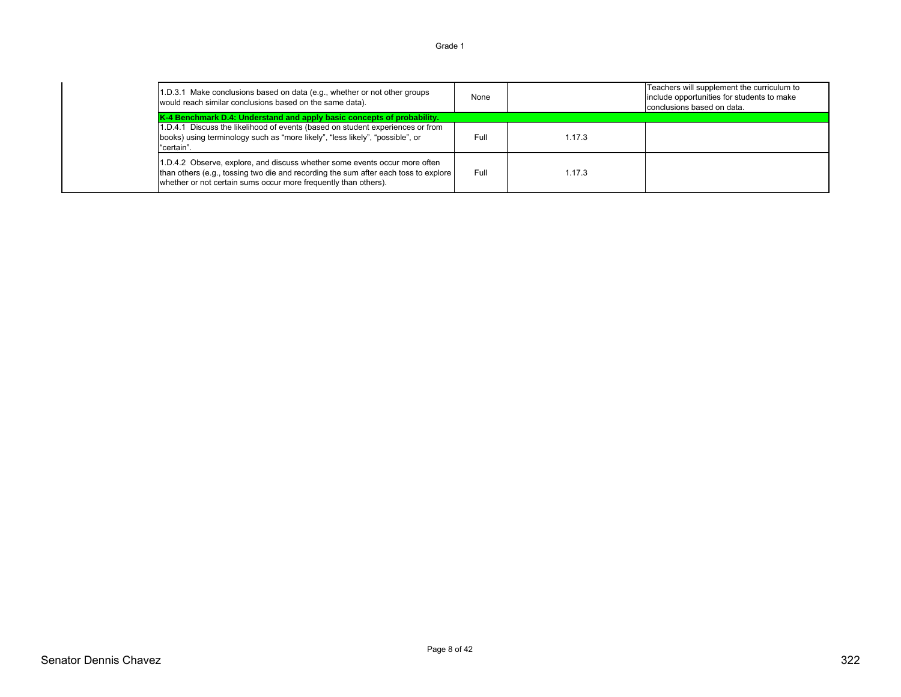#### 1.D.3.1 Make conclusions based on data (e.g., whether or not other groups 1.D.3.1 Make conclusions based on data (e.g., whether or not other groups<br>would reach similar conclusions based on the same data). Teachers will supplement the curriculum to include opportunities for students to make conclusions based on data. 1.D.4.1 Discuss the likelihood of events (based on student experiences or from books) using terminology such as "more likely", "less likely", "possible", or "certain". Full 1.17.31.D.4.2 Observe, explore, and discuss whether some events occur more often than others (e.g., tossing two die and recording the sum after each toss to explore whether or not certain sums occur more frequently than others). Full 1.17.3 **K-4 Benchmark D.4: Understand and apply basic concepts of probability.**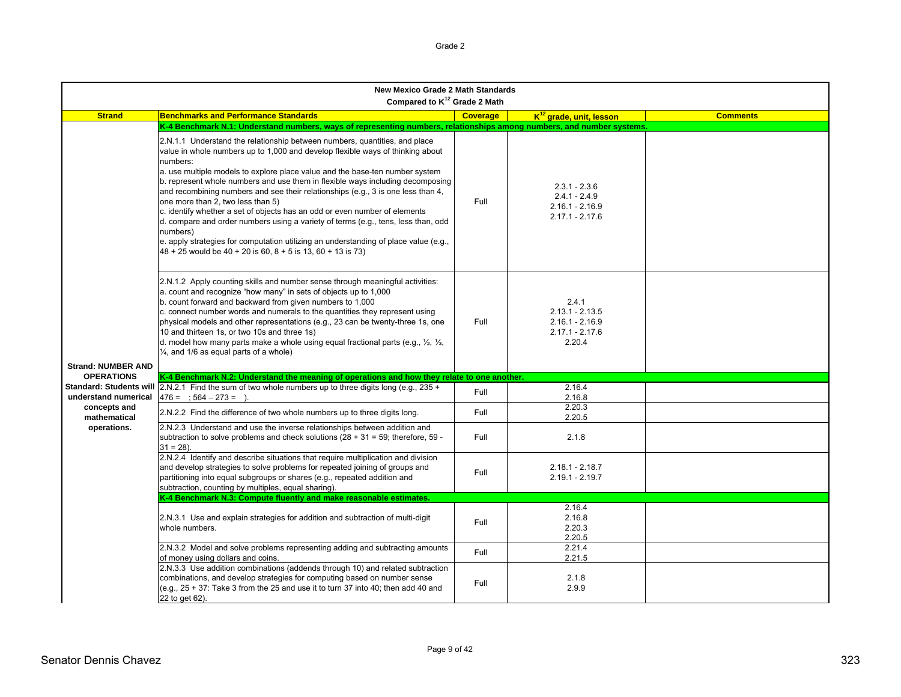|                                | <b>New Mexico Grade 2 Math Standards</b><br>Compared to K <sup>12</sup> Grade 2 Math                                                                                                                                                                                                                                                                                                                                                                                                                                                                                                                                                                                                                                                                                                                            |                 |                                                                                |                 |  |
|--------------------------------|-----------------------------------------------------------------------------------------------------------------------------------------------------------------------------------------------------------------------------------------------------------------------------------------------------------------------------------------------------------------------------------------------------------------------------------------------------------------------------------------------------------------------------------------------------------------------------------------------------------------------------------------------------------------------------------------------------------------------------------------------------------------------------------------------------------------|-----------------|--------------------------------------------------------------------------------|-----------------|--|
| <b>Strand</b>                  | <b>Benchmarks and Performance Standards</b>                                                                                                                                                                                                                                                                                                                                                                                                                                                                                                                                                                                                                                                                                                                                                                     | <b>Coverage</b> | K <sup>12</sup> grade, unit, lesson                                            | <b>Comments</b> |  |
|                                | K-4 Benchmark N.1: Understand numbers, ways of representing numbers, relationships among numbers, and number systems.                                                                                                                                                                                                                                                                                                                                                                                                                                                                                                                                                                                                                                                                                           |                 |                                                                                |                 |  |
|                                | 2.N.1.1 Understand the relationship between numbers, quantities, and place<br>value in whole numbers up to 1,000 and develop flexible ways of thinking about<br>numbers:<br>a. use multiple models to explore place value and the base-ten number system<br>b. represent whole numbers and use them in flexible ways including decomposing<br>and recombining numbers and see their relationships (e.g., 3 is one less than 4,<br>one more than 2, two less than 5)<br>c. identify whether a set of objects has an odd or even number of elements<br>d. compare and order numbers using a variety of terms (e.g., tens, less than, odd<br>numbers)<br>e. apply strategies for computation utilizing an understanding of place value (e.g.,<br>$48 + 25$ would be $40 + 20$ is 60, $8 + 5$ is 13, 60 + 13 is 73) | Full            | $2.3.1 - 2.3.6$<br>$2.4.1 - 2.4.9$<br>$2.16.1 - 2.16.9$<br>$2.17.1 - 2.17.6$   |                 |  |
| <b>Strand: NUMBER AND</b>      | 2.N.1.2 Apply counting skills and number sense through meaningful activities:<br>a. count and recognize "how many" in sets of objects up to 1,000<br>b. count forward and backward from given numbers to 1,000<br>c. connect number words and numerals to the quantities they represent using<br>physical models and other representations (e.g., 23 can be twenty-three 1s, one<br>10 and thirteen 1s, or two 10s and three 1s)<br>d. model how many parts make a whole using equal fractional parts (e.g., $\frac{1}{2}$ , $\frac{1}{3}$ ,<br>$\frac{1}{4}$ , and 1/6 as equal parts of a whole)                                                                                                                                                                                                              | Full            | 2.4.1<br>$2.13.1 - 2.13.5$<br>$2.16.1 - 2.16.9$<br>$2.17.1 - 2.17.6$<br>2.20.4 |                 |  |
| <b>OPERATIONS</b>              | K-4 Benchmark N.2: Understand the meaning of operations and how they relate to one another.                                                                                                                                                                                                                                                                                                                                                                                                                                                                                                                                                                                                                                                                                                                     |                 |                                                                                |                 |  |
| <b>Standard: Students will</b> | 2.N.2.1 Find the sum of two whole numbers up to three digits long (e.g., 235 +                                                                                                                                                                                                                                                                                                                                                                                                                                                                                                                                                                                                                                                                                                                                  |                 | 2.16.4                                                                         |                 |  |
| understand numerical           | $476 = 564 - 273 = 0$                                                                                                                                                                                                                                                                                                                                                                                                                                                                                                                                                                                                                                                                                                                                                                                           | Full            | 2.16.8                                                                         |                 |  |
| concepts and                   | 2.N.2.2 Find the difference of two whole numbers up to three digits long.                                                                                                                                                                                                                                                                                                                                                                                                                                                                                                                                                                                                                                                                                                                                       | Full            | 2.20.3                                                                         |                 |  |
| mathematical                   |                                                                                                                                                                                                                                                                                                                                                                                                                                                                                                                                                                                                                                                                                                                                                                                                                 |                 | 2.20.5                                                                         |                 |  |
| operations.                    | 2.N.2.3 Understand and use the inverse relationships between addition and<br>subtraction to solve problems and check solutions $(28 + 31 = 59$ ; therefore, 59 -<br>$31 = 28$ ).                                                                                                                                                                                                                                                                                                                                                                                                                                                                                                                                                                                                                                | Full            | 2.1.8                                                                          |                 |  |
|                                | 2.N.2.4 Identify and describe situations that require multiplication and division<br>and develop strategies to solve problems for repeated joining of groups and<br>partitioning into equal subgroups or shares (e.g., repeated addition and<br>subtraction, counting by multiples, equal sharing).                                                                                                                                                                                                                                                                                                                                                                                                                                                                                                             | Full            | $2.18.1 - 2.18.7$<br>$2.19.1 - 2.19.7$                                         |                 |  |
|                                | K-4 Benchmark N.3: Compute fluently and make reasonable estimates.                                                                                                                                                                                                                                                                                                                                                                                                                                                                                                                                                                                                                                                                                                                                              |                 |                                                                                |                 |  |
|                                | 2.N.3.1 Use and explain strategies for addition and subtraction of multi-digit<br>whole numbers.                                                                                                                                                                                                                                                                                                                                                                                                                                                                                                                                                                                                                                                                                                                | Full            | 2.16.4<br>2.16.8<br>2.20.3<br>2.20.5                                           |                 |  |
|                                | 2.N.3.2 Model and solve problems representing adding and subtracting amounts<br>of money using dollars and coins.                                                                                                                                                                                                                                                                                                                                                                                                                                                                                                                                                                                                                                                                                               | Full            | 2.21.4<br>2.21.5                                                               |                 |  |
|                                | 2.N.3.3 Use addition combinations (addends through 10) and related subtraction<br>combinations, and develop strategies for computing based on number sense<br>$(e.q., 25 + 37.$ Take 3 from the 25 and use it to turn 37 into 40; then add 40 and<br>22 to get 62).                                                                                                                                                                                                                                                                                                                                                                                                                                                                                                                                             | Full            | 2.1.8<br>2.9.9                                                                 |                 |  |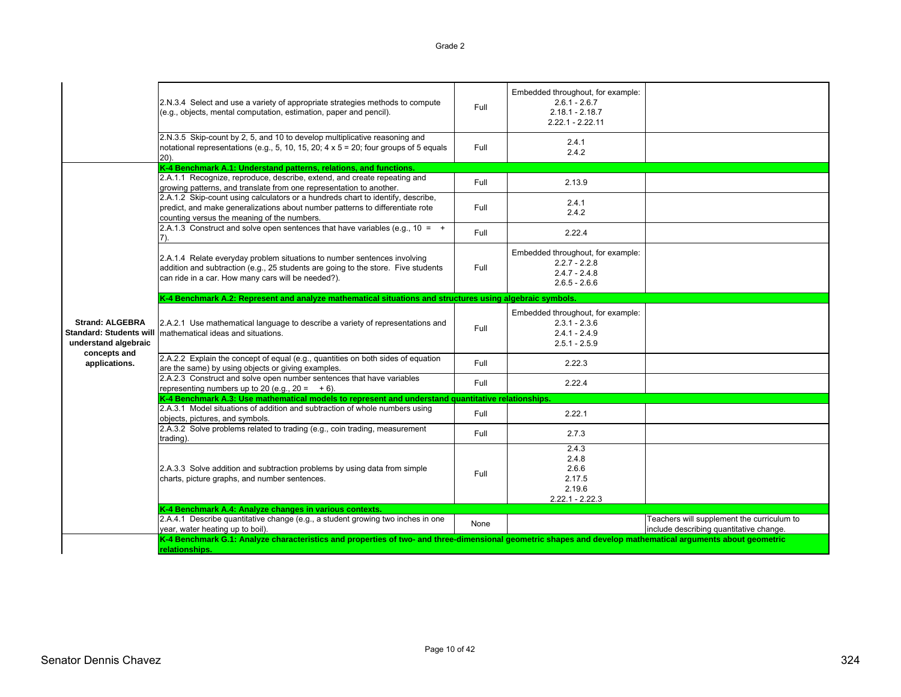|                                                                                  | 2.N.3.4 Select and use a variety of appropriate strategies methods to compute<br>(e.g., objects, mental computation, estimation, paper and pencil).                                                                 | Full | Embedded throughout, for example:<br>$2.6.1 - 2.6.7$<br>$2.18.1 - 2.18.7$<br>$2.22.1 - 2.22.11$ |                                                                                       |
|----------------------------------------------------------------------------------|---------------------------------------------------------------------------------------------------------------------------------------------------------------------------------------------------------------------|------|-------------------------------------------------------------------------------------------------|---------------------------------------------------------------------------------------|
|                                                                                  | 2.N.3.5 Skip-count by 2, 5, and 10 to develop multiplicative reasoning and<br>notational representations (e.g., 5, 10, 15, 20; 4 $\times$ 5 = 20; four groups of 5 equals<br>$20$ ).                                | Full | 2.4.1<br>2.4.2                                                                                  |                                                                                       |
|                                                                                  | K-4 Benchmark A.1: Understand patterns, relations, and functions.                                                                                                                                                   |      |                                                                                                 |                                                                                       |
|                                                                                  | 2.A.1.1 Recognize, reproduce, describe, extend, and create repeating and<br>growing patterns, and translate from one representation to another.                                                                     | Full | 2.13.9                                                                                          |                                                                                       |
|                                                                                  | 2.A.1.2 Skip-count using calculators or a hundreds chart to identify, describe,<br>predict, and make generalizations about number patterns to differentiate rote<br>counting versus the meaning of the numbers.     | Full | 2.4.1<br>2.4.2                                                                                  |                                                                                       |
|                                                                                  | 2.A.1.3 Construct and solve open sentences that have variables (e.g., $10 = +$                                                                                                                                      | Full | 2.22.4                                                                                          |                                                                                       |
|                                                                                  | 2.A.1.4 Relate everyday problem situations to number sentences involving<br>addition and subtraction (e.g., 25 students are going to the store. Five students<br>can ride in a car. How many cars will be needed?). | Full | Embedded throughout, for example:<br>$2.2.7 - 2.2.8$<br>$2.4.7 - 2.4.8$<br>$2.6.5 - 2.6.6$      |                                                                                       |
|                                                                                  | K-4 Benchmark A.2: Represent and analyze mathematical situations and structures using algebraic symbols.                                                                                                            |      |                                                                                                 |                                                                                       |
| <b>Strand: ALGEBRA</b><br><b>Standard: Students will</b><br>understand algebraic | 2.A.2.1 Use mathematical language to describe a variety of representations and<br>mathematical ideas and situations.                                                                                                | Full | Embedded throughout, for example:<br>$2.3.1 - 2.3.6$<br>$2.4.1 - 2.4.9$<br>$2.5.1 - 2.5.9$      |                                                                                       |
| concepts and<br>applications.                                                    | 2.A.2.2 Explain the concept of equal (e.g., quantities on both sides of equation<br>are the same) by using objects or giving examples.                                                                              | Full | 2.22.3                                                                                          |                                                                                       |
|                                                                                  | 2.A.2.3 Construct and solve open number sentences that have variables<br>representing numbers up to 20 (e.g., $20 = +6$ ).                                                                                          | Full | 2.22.4                                                                                          |                                                                                       |
|                                                                                  | K-4 Benchmark A.3: Use mathematical models to represent and understand quantitative relationships.                                                                                                                  |      |                                                                                                 |                                                                                       |
|                                                                                  | 2.A.3.1 Model situations of addition and subtraction of whole numbers using<br>objects, pictures, and symbols.                                                                                                      | Full | 2.22.1                                                                                          |                                                                                       |
|                                                                                  | 2.A.3.2 Solve problems related to trading (e.g., coin trading, measurement<br>trading).                                                                                                                             | Full | 2.7.3                                                                                           |                                                                                       |
|                                                                                  | 2.A.3.3 Solve addition and subtraction problems by using data from simple<br>charts, picture graphs, and number sentences.                                                                                          | Full | 2.4.3<br>2.4.8<br>2.6.6<br>2.17.5<br>2.19.6<br>$2.22.1 - 2.22.3$                                |                                                                                       |
|                                                                                  | K-4 Benchmark A.4: Analyze changes in various contexts.                                                                                                                                                             |      |                                                                                                 |                                                                                       |
|                                                                                  | 2.A.4.1 Describe quantitative change (e.g., a student growing two inches in one<br>year, water heating up to boil).                                                                                                 | None |                                                                                                 | Teachers will supplement the curriculum to<br>include describing quantitative change. |
|                                                                                  | K-4 Benchmark G.1: Analyze characteristics and properties of two- and three-dimensional geometric shapes and develop mathematical arguments about geometric<br>relationships.                                       |      |                                                                                                 |                                                                                       |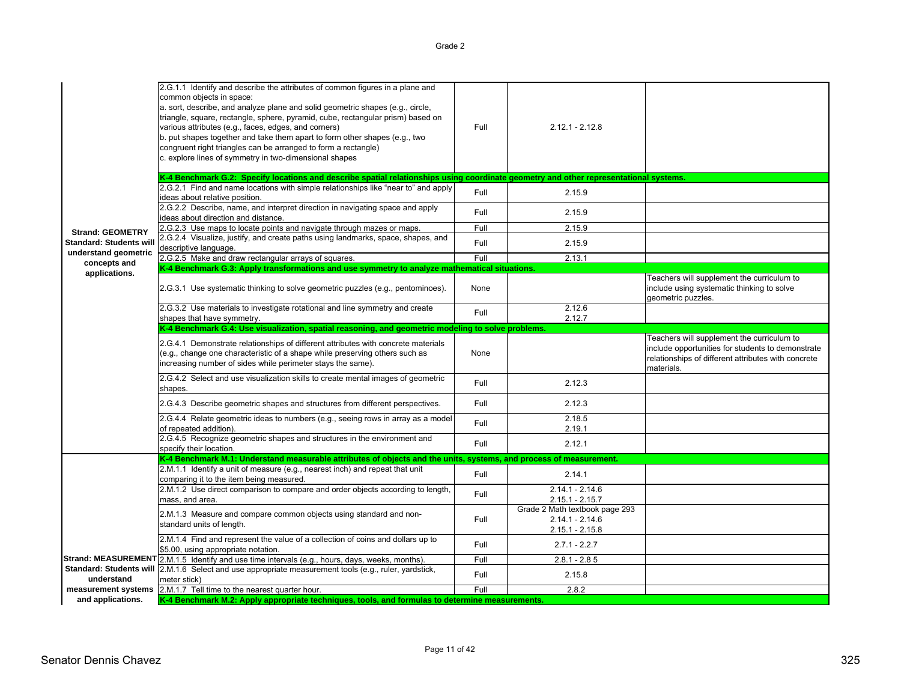|                                | 2.G.1.1 Identify and describe the attributes of common figures in a plane and<br>common objects in space:<br>a. sort, describe, and analyze plane and solid geometric shapes (e.g., circle,<br>triangle, square, rectangle, sphere, pyramid, cube, rectangular prism) based on<br>various attributes (e.g., faces, edges, and corners)<br>b. put shapes together and take them apart to form other shapes (e.g., two<br>congruent right triangles can be arranged to form a rectangle)<br>c. explore lines of symmetry in two-dimensional shapes | Full | $2.12.1 - 2.12.8$                                                        |                                                                                                                                                                      |
|--------------------------------|--------------------------------------------------------------------------------------------------------------------------------------------------------------------------------------------------------------------------------------------------------------------------------------------------------------------------------------------------------------------------------------------------------------------------------------------------------------------------------------------------------------------------------------------------|------|--------------------------------------------------------------------------|----------------------------------------------------------------------------------------------------------------------------------------------------------------------|
|                                | K-4 Benchmark G.2: Specify locations and describe spatial relationships using coordinate geometry and other representational systems.                                                                                                                                                                                                                                                                                                                                                                                                            |      |                                                                          |                                                                                                                                                                      |
|                                | 2.G.2.1 Find and name locations with simple relationships like "near to" and apply<br>ideas about relative position.                                                                                                                                                                                                                                                                                                                                                                                                                             | Full | 2.15.9                                                                   |                                                                                                                                                                      |
|                                | 2.G.2.2 Describe, name, and interpret direction in navigating space and apply<br>ideas about direction and distance.                                                                                                                                                                                                                                                                                                                                                                                                                             | Full | 2.15.9                                                                   |                                                                                                                                                                      |
| <b>Strand: GEOMETRY</b>        | 2.G.2.3 Use maps to locate points and navigate through mazes or maps.                                                                                                                                                                                                                                                                                                                                                                                                                                                                            | Full | 2.15.9                                                                   |                                                                                                                                                                      |
| <b>Standard: Students will</b> | 2.G.2.4 Visualize, justify, and create paths using landmarks, space, shapes, and<br>descriptive language.                                                                                                                                                                                                                                                                                                                                                                                                                                        | Full | 2.15.9                                                                   |                                                                                                                                                                      |
| understand geometric           | 2.G.2.5 Make and draw rectangular arrays of squares.                                                                                                                                                                                                                                                                                                                                                                                                                                                                                             | Full | 2.13.1                                                                   |                                                                                                                                                                      |
| concepts and<br>applications.  | K-4 Benchmark G.3: Apply transformations and use symmetry to analyze mathematical situations.                                                                                                                                                                                                                                                                                                                                                                                                                                                    |      |                                                                          |                                                                                                                                                                      |
|                                | 2.G.3.1 Use systematic thinking to solve geometric puzzles (e.g., pentominoes).                                                                                                                                                                                                                                                                                                                                                                                                                                                                  | None |                                                                          | Teachers will supplement the curriculum to<br>include using systematic thinking to solve<br>geometric puzzles.                                                       |
|                                | 2.G.3.2 Use materials to investigate rotational and line symmetry and create<br>shapes that have symmetry.                                                                                                                                                                                                                                                                                                                                                                                                                                       | Full | 2.12.6<br>2.12.7                                                         |                                                                                                                                                                      |
|                                | K-4 Benchmark G.4: Use visualization, spatial reasoning, and geometric modeling to solve problems.                                                                                                                                                                                                                                                                                                                                                                                                                                               |      |                                                                          |                                                                                                                                                                      |
|                                | 2.G.4.1 Demonstrate relationships of different attributes with concrete materials<br>(e.g., change one characteristic of a shape while preserving others such as<br>increasing number of sides while perimeter stays the same).                                                                                                                                                                                                                                                                                                                  | None |                                                                          | Teachers will supplement the curriculum to<br>include opportunities for students to demonstrate<br>relationships of different attributes with concrete<br>materials. |
|                                | 2.G.4.2 Select and use visualization skills to create mental images of geometric<br>shapes.                                                                                                                                                                                                                                                                                                                                                                                                                                                      | Full | 2.12.3                                                                   |                                                                                                                                                                      |
|                                | 2.G.4.3 Describe geometric shapes and structures from different perspectives.                                                                                                                                                                                                                                                                                                                                                                                                                                                                    | Full | 2.12.3                                                                   |                                                                                                                                                                      |
|                                | 2.G.4.4 Relate geometric ideas to numbers (e.g., seeing rows in array as a model<br>of repeated addition).                                                                                                                                                                                                                                                                                                                                                                                                                                       | Full | 2.18.5<br>2.19.1                                                         |                                                                                                                                                                      |
|                                | 2.G.4.5 Recognize geometric shapes and structures in the environment and<br>specify their location.                                                                                                                                                                                                                                                                                                                                                                                                                                              | Full | 2.12.1                                                                   |                                                                                                                                                                      |
|                                | K-4 Benchmark M.1: Understand measurable attributes of objects and the units, systems, and process of measurement.                                                                                                                                                                                                                                                                                                                                                                                                                               |      |                                                                          |                                                                                                                                                                      |
|                                | 2.M.1.1 Identify a unit of measure (e.g., nearest inch) and repeat that unit<br>comparing it to the item being measured.                                                                                                                                                                                                                                                                                                                                                                                                                         | Full | 2.14.1                                                                   |                                                                                                                                                                      |
|                                | 2.M.1.2 Use direct comparison to compare and order objects according to length,<br>mass, and area.                                                                                                                                                                                                                                                                                                                                                                                                                                               | Full | $2.14.1 - 2.14.6$<br>$2.15.1 - 2.15.7$                                   |                                                                                                                                                                      |
|                                | 2.M.1.3 Measure and compare common objects using standard and non-<br>standard units of length.                                                                                                                                                                                                                                                                                                                                                                                                                                                  | Full | Grade 2 Math textbook page 293<br>$2.14.1 - 2.14.6$<br>$2.15.1 - 2.15.8$ |                                                                                                                                                                      |
|                                | 2.M.1.4 Find and represent the value of a collection of coins and dollars up to<br>\$5.00, using appropriate notation.                                                                                                                                                                                                                                                                                                                                                                                                                           | Full | $2.7.1 - 2.2.7$                                                          |                                                                                                                                                                      |
|                                | Strand: MEASUREMENT 2.M.1.5 Identify and use time intervals (e.g., hours, days, weeks, months).                                                                                                                                                                                                                                                                                                                                                                                                                                                  | Full | $2.8.1 - 2.85$                                                           |                                                                                                                                                                      |
| understand                     | Standard: Students will 2.M.1.6 Select and use appropriate measurement tools (e.g., ruler, yardstick,<br>meter stick)                                                                                                                                                                                                                                                                                                                                                                                                                            | Full | 2.15.8                                                                   |                                                                                                                                                                      |
|                                | measurement systems 2.M.1.7 Tell time to the nearest quarter hour.                                                                                                                                                                                                                                                                                                                                                                                                                                                                               | Full | 2.8.2                                                                    |                                                                                                                                                                      |
| and applications.              | K-4 Benchmark M.2: Apply appropriate techniques, tools, and formulas to determine measurements.                                                                                                                                                                                                                                                                                                                                                                                                                                                  |      |                                                                          |                                                                                                                                                                      |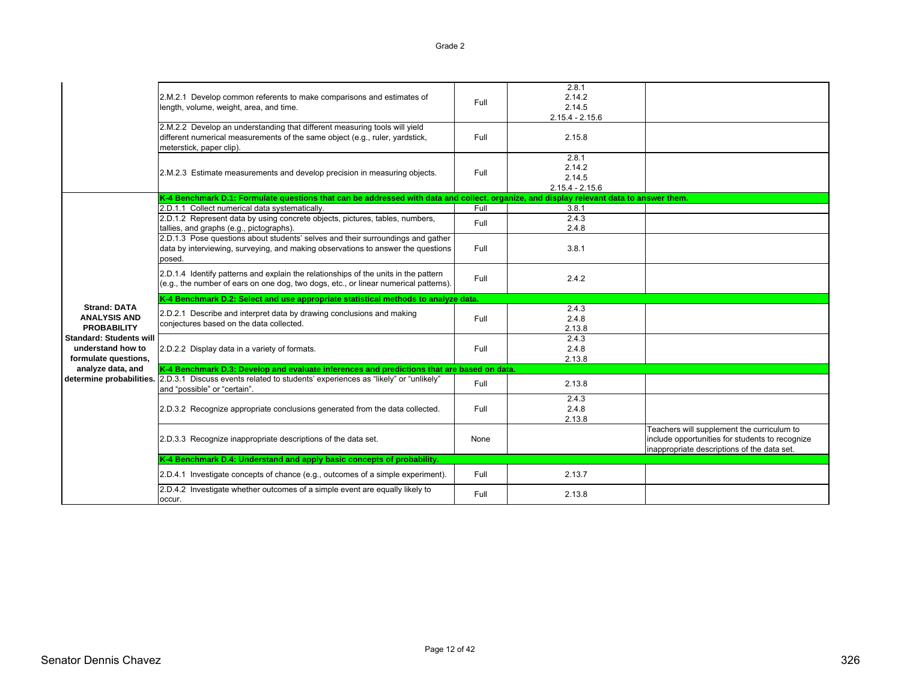2.M.2.1 Develop common referents to make comparisons and estimates of 2.M.2.T Develop common referents to make comparisons and estimates of Full<br>length, volume, weight, area, and time. 2.8.1 2.14.22.14.5 2.15.4 - 2.15.6 2.M.2.2 Develop an understanding that different measuring tools will yield different numerical measurements of the same object (e.g., ruler, yardstick, meterstick, paper clip). Full 2.15.82.M.2.3 Estimate measurements and develop precision in measuring objects. | Full 2.8.12.14.22.14.5 2.15.4 - 2.15.6 **K-4 Benchmark D.1: Formulate questions that can be addressed with data and collect, organize, and display relevant data to answer them.** 2.D.1.1 Collect numerical data systematically.<br>2.D.1.2 Represent data by using concrete objects, pictures, tables, numbers.<br>2.4.3 2.4.3 2.D.1.2 Represent data by using concrete objects, pictures, tables, numbers, tallies, and graphs (e.g., pictographs). Full 2.4.3 2.4.8 2.D.1.3 Pose questions about students' selves and their surroundings and gather data by interviewing, surveying, and making observations to answer the questions posed. Full 3.8.12.D.1.4 Identify patterns and explain the relationships of the units in the pattern (e.g., the number of ears on one dog, two dogs, etc., or linear numerical patterns). Full 2.4.2 2.D.2.1 Describe and interpret data by drawing conclusions and making z.D.z. The schoe and interpret data by drawing conclusions and making<br>conjectures based on the data collected. 2.4.32.4.82.13.82.D.2.2 Display data in a variety of formats. Full contained the state of the state of the state of the state of the state of the state of the state of the state of the state of the state of the state of the state of the s  $24.3$  2.4.8 2.13.8 determine probabilities. [2.D.3.1 Discuss events related to students' experiences as "likely" or "unlikely" 2.D.3.1 Discuss events related to students experiences as likely or unlikely<br>and "possible" or "certain". 2.13.8 2.D.3.2 Recognize appropriate conclusions generated from the data collected. Full 2.4.32.4.82.13.82.D.3.3 Recognize inappropriate descriptions of the data set. None Teachers will supplement the curriculum to include opportunities for students to recognize inappropriate descriptions of the data set. 2.D.4.1 Investigate concepts of chance (e.g., outcomes of a simple experiment). Full Full 2.13.7 2.D.4.2 Investigate whether outcomes of a simple event are equally likely to occur.Full 2.13.8**Strand: DATA ANALYSIS AND PROBABILITYStandard: Students will understand how to formulate questions, analyze data, and K-4 Benchmark D.2: Select and use appropriate statistical methods to analyze data. K-4 Benchmark D.3: Develop and evaluate inferences and predictions that are based on data. K-4 Benchmark D.4: Understand and apply basic concepts of probability.**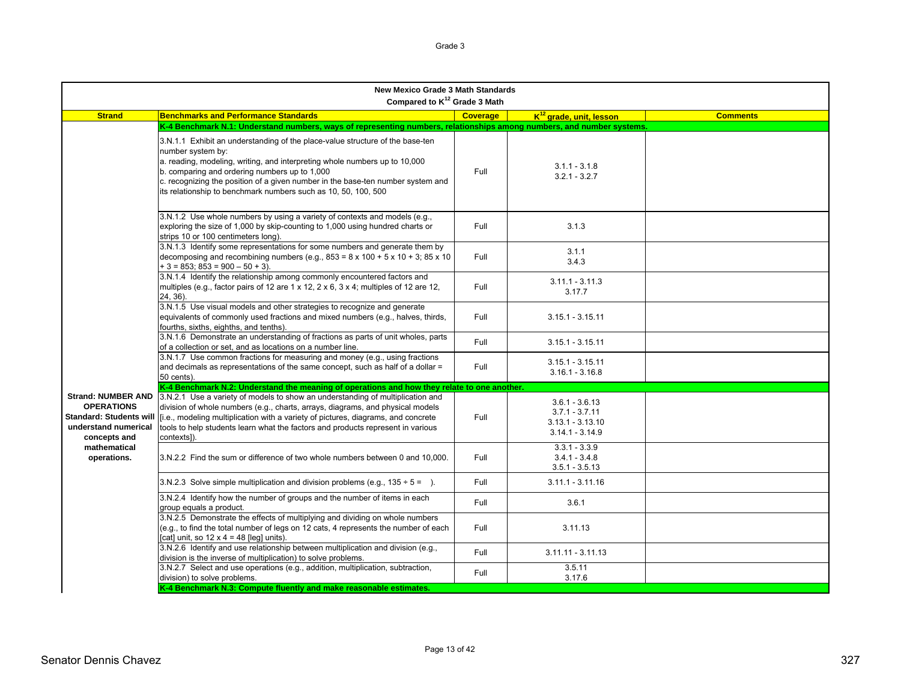| <b>New Mexico Grade 3 Math Standards</b><br>Compared to K <sup>12</sup> Grade 3 Math        |                                                                                                                                                                                                                                                                                                                                                                                        |                 |                                                                                 |                 |  |
|---------------------------------------------------------------------------------------------|----------------------------------------------------------------------------------------------------------------------------------------------------------------------------------------------------------------------------------------------------------------------------------------------------------------------------------------------------------------------------------------|-----------------|---------------------------------------------------------------------------------|-----------------|--|
| <b>Strand</b>                                                                               | <b>Benchmarks and Performance Standards</b>                                                                                                                                                                                                                                                                                                                                            | <b>Coverage</b> | K <sup>12</sup> grade, unit, lesson                                             | <b>Comments</b> |  |
|                                                                                             | K-4 Benchmark N.1: Understand numbers, ways of representing numbers, relationships among numbers, and number systems.                                                                                                                                                                                                                                                                  |                 |                                                                                 |                 |  |
|                                                                                             | 3.N.1.1 Exhibit an understanding of the place-value structure of the base-ten<br>number system by:<br>a. reading, modeling, writing, and interpreting whole numbers up to 10,000<br>b. comparing and ordering numbers up to 1,000<br>c. recognizing the position of a given number in the base-ten number system and<br>its relationship to benchmark numbers such as 10, 50, 100, 500 | Full            | $3.1.1 - 3.1.8$<br>$3.2.1 - 3.2.7$                                              |                 |  |
|                                                                                             | 3.N.1.2 Use whole numbers by using a variety of contexts and models (e.g.,<br>exploring the size of 1,000 by skip-counting to 1,000 using hundred charts or<br>strips 10 or 100 centimeters long).                                                                                                                                                                                     | Full            | 3.1.3                                                                           |                 |  |
|                                                                                             | 3.N.1.3 Identify some representations for some numbers and generate them by<br>decomposing and recombining numbers (e.g., $853 = 8 \times 100 + 5 \times 10 + 3$ ; $85 \times 10$<br>$+3 = 853$ ; $853 = 900 - 50 + 3$ ).                                                                                                                                                              | Full            | 3.1.1<br>3.4.3                                                                  |                 |  |
|                                                                                             | 3.N.1.4 Identify the relationship among commonly encountered factors and<br>multiples (e.g., factor pairs of 12 are 1 x 12, 2 x 6, 3 x 4; multiples of 12 are 12,<br>24, 36).                                                                                                                                                                                                          | Full            | $3.11.1 - 3.11.3$<br>3.17.7                                                     |                 |  |
|                                                                                             | 3.N.1.5 Use visual models and other strategies to recognize and generate<br>equivalents of commonly used fractions and mixed numbers (e.g., halves, thirds,<br>fourths, sixths, eighths, and tenths).                                                                                                                                                                                  | Full            | $3.15.1 - 3.15.11$                                                              |                 |  |
|                                                                                             | 3.N.1.6 Demonstrate an understanding of fractions as parts of unit wholes, parts<br>of a collection or set, and as locations on a number line.                                                                                                                                                                                                                                         | Full            | $3.15.1 - 3.15.11$                                                              |                 |  |
|                                                                                             | 3.N.1.7 Use common fractions for measuring and money (e.g., using fractions<br>and decimals as representations of the same concept, such as half of a dollar =<br>50 cents).                                                                                                                                                                                                           | Full            | $3.15.1 - 3.15.11$<br>$3.16.1 - 3.16.8$                                         |                 |  |
| <b>Strand: NUMBER AND</b>                                                                   | K-4 Benchmark N.2: Understand the meaning of operations and how they relate to one another.                                                                                                                                                                                                                                                                                            |                 |                                                                                 |                 |  |
| <b>OPERATIONS</b><br><b>Standard: Students will</b><br>understand numerical<br>concepts and | 3.N.2.1 Use a variety of models to show an understanding of multiplication and<br>division of whole numbers (e.g., charts, arrays, diagrams, and physical models<br>[i.e., modeling multiplication with a variety of pictures, diagrams, and concrete<br>tools to help students learn what the factors and products represent in various<br>contexts]).                                | Full            | $3.6.1 - 3.6.13$<br>$3.7.1 - 3.7.11$<br>$3.13.1 - 3.13.10$<br>$3.14.1 - 3.14.9$ |                 |  |
| mathematical<br>operations.                                                                 | 3.N.2.2 Find the sum or difference of two whole numbers between 0 and 10,000.                                                                                                                                                                                                                                                                                                          | Full            | $3.3.1 - 3.3.9$<br>$3.4.1 - 3.4.8$<br>$3.5.1 - 3.5.13$                          |                 |  |
|                                                                                             | 3.N.2.3 Solve simple multiplication and division problems (e.g., $135 \div 5 = 1$ ).                                                                                                                                                                                                                                                                                                   | Full            | $3.11.1 - 3.11.16$                                                              |                 |  |
|                                                                                             | 3.N.2.4 Identify how the number of groups and the number of items in each<br>group equals a product.                                                                                                                                                                                                                                                                                   | Full            | 3.6.1                                                                           |                 |  |
|                                                                                             | 3.N.2.5 Demonstrate the effects of multiplying and dividing on whole numbers<br>(e.g., to find the total number of legs on 12 cats, 4 represents the number of each<br>[cat] unit, so $12 \times 4 = 48$ [leg] units).                                                                                                                                                                 | Full            | 3.11.13                                                                         |                 |  |
|                                                                                             | 3.N.2.6 Identify and use relationship between multiplication and division (e.g.,<br>division is the inverse of multiplication) to solve problems.                                                                                                                                                                                                                                      | Full            | $3.11.11 - 3.11.13$                                                             |                 |  |
|                                                                                             | 3.N.2.7 Select and use operations (e.g., addition, multiplication, subtraction,<br>division) to solve problems.                                                                                                                                                                                                                                                                        | Full            | 3.5.11<br>3.17.6                                                                |                 |  |
|                                                                                             | K-4 Benchmark N.3: Compute fluently and make reasonable estimates.                                                                                                                                                                                                                                                                                                                     |                 |                                                                                 |                 |  |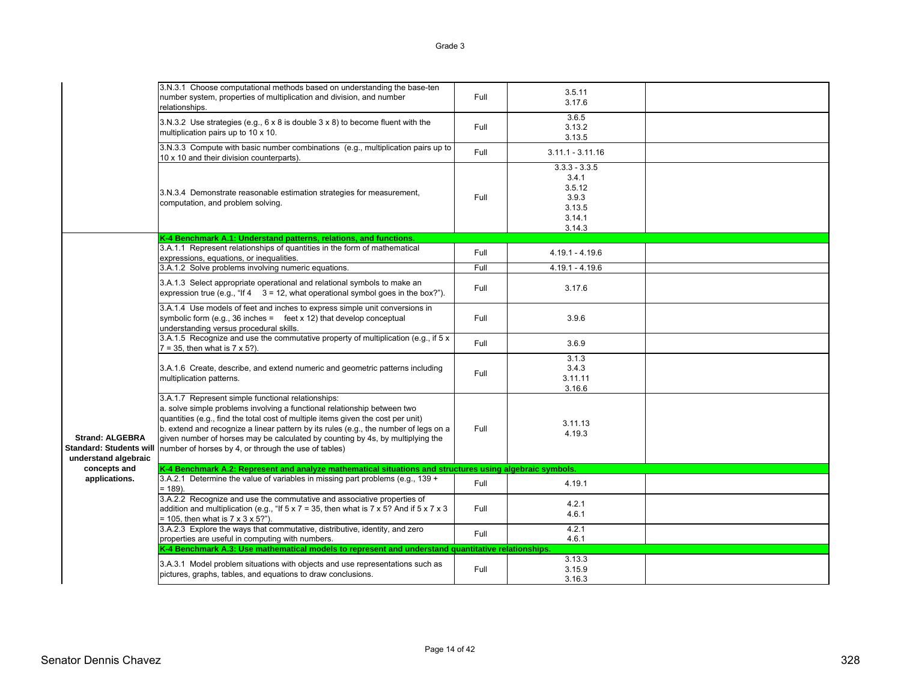|                                                                                  | 3.N.3.1 Choose computational methods based on understanding the base-ten<br>number system, properties of multiplication and division, and number<br>relationships.                                                                                                                                                                                                                                                                                   | Full | 3.5.11<br>3.17.6                                                          |  |
|----------------------------------------------------------------------------------|------------------------------------------------------------------------------------------------------------------------------------------------------------------------------------------------------------------------------------------------------------------------------------------------------------------------------------------------------------------------------------------------------------------------------------------------------|------|---------------------------------------------------------------------------|--|
|                                                                                  | 3.N.3.2 Use strategies (e.g., 6 x 8 is double 3 x 8) to become fluent with the<br>multiplication pairs up to 10 x 10.                                                                                                                                                                                                                                                                                                                                | Full | 3.6.5<br>3.13.2<br>3.13.5                                                 |  |
|                                                                                  | 3.N.3.3 Compute with basic number combinations (e.g., multiplication pairs up to<br>10 x 10 and their division counterparts).                                                                                                                                                                                                                                                                                                                        | Full | $3.11.1 - 3.11.16$                                                        |  |
|                                                                                  | 3.N.3.4 Demonstrate reasonable estimation strategies for measurement,<br>computation, and problem solving.                                                                                                                                                                                                                                                                                                                                           | Full | $3.3.3 - 3.3.5$<br>3.4.1<br>3.5.12<br>3.9.3<br>3.13.5<br>3.14.1<br>3.14.3 |  |
|                                                                                  | K-4 Benchmark A.1: Understand patterns, relations, and functions.                                                                                                                                                                                                                                                                                                                                                                                    |      |                                                                           |  |
|                                                                                  | 3.A.1.1 Represent relationships of quantities in the form of mathematical<br>expressions, equations, or inequalities.                                                                                                                                                                                                                                                                                                                                | Full | $4.19.1 - 4.19.6$                                                         |  |
|                                                                                  | 3.A.1.2 Solve problems involving numeric equations.                                                                                                                                                                                                                                                                                                                                                                                                  | Full | $4.19.1 - 4.19.6$                                                         |  |
|                                                                                  | 3.A.1.3 Select appropriate operational and relational symbols to make an<br>expression true (e.g., "If $4 \quad 3 = 12$ , what operational symbol goes in the box?").                                                                                                                                                                                                                                                                                | Full | 3.17.6                                                                    |  |
|                                                                                  | 3.A.1.4 Use models of feet and inches to express simple unit conversions in<br>symbolic form (e.g., 36 inches = feet $x$ 12) that develop conceptual<br>understanding versus procedural skills.                                                                                                                                                                                                                                                      | Full | 3.9.6                                                                     |  |
|                                                                                  | 3.A.1.5 Recognize and use the commutative property of multiplication (e.g., if 5 x<br>$7 = 35$ , then what is $7 \times 5$ ?).                                                                                                                                                                                                                                                                                                                       | Full | 3.6.9                                                                     |  |
|                                                                                  | 3.A.1.6 Create, describe, and extend numeric and geometric patterns including<br>multiplication patterns.                                                                                                                                                                                                                                                                                                                                            | Full | 3.1.3<br>3.4.3<br>3.11.11<br>3.16.6                                       |  |
| <b>Strand: ALGEBRA</b><br><b>Standard: Students will</b><br>understand algebraic | 3.A.1.7 Represent simple functional relationships:<br>a. solve simple problems involving a functional relationship between two<br>quantities (e.g., find the total cost of multiple items given the cost per unit)<br>b. extend and recognize a linear pattern by its rules (e.g., the number of legs on a<br>given number of horses may be calculated by counting by 4s, by multiplying the<br>number of horses by 4, or through the use of tables) | Full | 3.11.13<br>4.19.3                                                         |  |
| concepts and                                                                     | K-4 Benchmark A.2: Represent and analyze mathematical situations and structures using algebraic symbols.                                                                                                                                                                                                                                                                                                                                             |      |                                                                           |  |
| applications.                                                                    | 3.A.2.1 Determine the value of variables in missing part problems (e.g., 139 +<br>$= 189$ ).                                                                                                                                                                                                                                                                                                                                                         | Full | 4.19.1                                                                    |  |
|                                                                                  | 3.A.2.2 Recognize and use the commutative and associative properties of<br>addition and multiplication (e.g., "If $5 \times 7 = 35$ , then what is $7 \times 5$ ? And if $5 \times 7 \times 3$<br>$= 105$ , then what is $7 \times 3 \times 5$ ?").                                                                                                                                                                                                  | Full | 4.2.1<br>4.6.1                                                            |  |
|                                                                                  | 3.A.2.3 Explore the ways that commutative, distributive, identity, and zero<br>properties are useful in computing with numbers.                                                                                                                                                                                                                                                                                                                      | Full | 4.2.1<br>4.6.1                                                            |  |
|                                                                                  | K-4 Benchmark A.3: Use mathematical models to represent and understand quantitative relationships.                                                                                                                                                                                                                                                                                                                                                   |      |                                                                           |  |
|                                                                                  | 3.A.3.1 Model problem situations with objects and use representations such as<br>pictures, graphs, tables, and equations to draw conclusions.                                                                                                                                                                                                                                                                                                        | Full | 3.13.3<br>3.15.9<br>3.16.3                                                |  |
|                                                                                  |                                                                                                                                                                                                                                                                                                                                                                                                                                                      |      |                                                                           |  |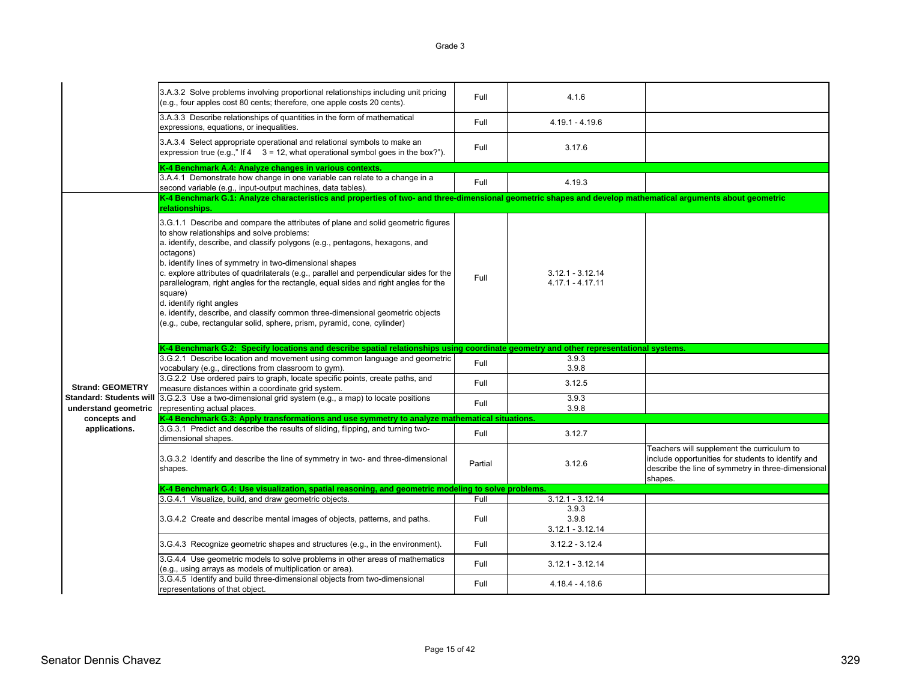|                                                        | 3.A.3.2 Solve problems involving proportional relationships including unit pricing<br>(e.g., four apples cost 80 cents; therefore, one apple costs 20 cents).                                                                                                                                                                                                                                                                                                                                                                                                                                                                                                               | Full    | 4.1.6                                    |                                                                                                                                                                   |
|--------------------------------------------------------|-----------------------------------------------------------------------------------------------------------------------------------------------------------------------------------------------------------------------------------------------------------------------------------------------------------------------------------------------------------------------------------------------------------------------------------------------------------------------------------------------------------------------------------------------------------------------------------------------------------------------------------------------------------------------------|---------|------------------------------------------|-------------------------------------------------------------------------------------------------------------------------------------------------------------------|
|                                                        | 3.A.3.3 Describe relationships of quantities in the form of mathematical<br>expressions, equations, or inequalities.                                                                                                                                                                                                                                                                                                                                                                                                                                                                                                                                                        | Full    | $4.19.1 - 4.19.6$                        |                                                                                                                                                                   |
|                                                        | 3.A.3.4 Select appropriate operational and relational symbols to make an<br>expression true (e.g.," If $4 \quad 3 = 12$ , what operational symbol goes in the box?").                                                                                                                                                                                                                                                                                                                                                                                                                                                                                                       | Full    | 3.17.6                                   |                                                                                                                                                                   |
|                                                        | K-4 Benchmark A.4: Analyze changes in various contexts.                                                                                                                                                                                                                                                                                                                                                                                                                                                                                                                                                                                                                     |         |                                          |                                                                                                                                                                   |
|                                                        | 3.A.4.1 Demonstrate how change in one variable can relate to a change in a<br>second variable (e.g., input-output machines, data tables).                                                                                                                                                                                                                                                                                                                                                                                                                                                                                                                                   | Full    | 4.19.3                                   |                                                                                                                                                                   |
|                                                        | K-4 Benchmark G.1: Analyze characteristics and properties of two- and three-dimensional geometric shapes and develop mathematical arguments about geometric<br>relationships.                                                                                                                                                                                                                                                                                                                                                                                                                                                                                               |         |                                          |                                                                                                                                                                   |
|                                                        | 3.G.1.1 Describe and compare the attributes of plane and solid geometric figures<br>to show relationships and solve problems:<br>a. identify, describe, and classify polygons (e.g., pentagons, hexagons, and<br>octagons)<br>b. identify lines of symmetry in two-dimensional shapes<br>c. explore attributes of quadrilaterals (e.g., parallel and perpendicular sides for the<br>parallelogram, right angles for the rectangle, equal sides and right angles for the<br>square)<br>d. identify right angles<br>e. identify, describe, and classify common three-dimensional geometric objects<br>(e.g., cube, rectangular solid, sphere, prism, pyramid, cone, cylinder) | Full    | $3.12.1 - 3.12.14$<br>$4.17.1 - 4.17.11$ |                                                                                                                                                                   |
|                                                        | K-4 Benchmark G.2: Specify locations and describe spatial relationships using coordinate geometry and other representational systems.                                                                                                                                                                                                                                                                                                                                                                                                                                                                                                                                       |         |                                          |                                                                                                                                                                   |
|                                                        |                                                                                                                                                                                                                                                                                                                                                                                                                                                                                                                                                                                                                                                                             |         |                                          |                                                                                                                                                                   |
|                                                        |                                                                                                                                                                                                                                                                                                                                                                                                                                                                                                                                                                                                                                                                             |         |                                          |                                                                                                                                                                   |
|                                                        | 3.G.2.1 Describe location and movement using common language and geometric                                                                                                                                                                                                                                                                                                                                                                                                                                                                                                                                                                                                  | Full    | 3.9.3                                    |                                                                                                                                                                   |
|                                                        | vocabulary (e.g., directions from classroom to gym).                                                                                                                                                                                                                                                                                                                                                                                                                                                                                                                                                                                                                        |         | 3.9.8                                    |                                                                                                                                                                   |
|                                                        | 3.G.2.2 Use ordered pairs to graph, locate specific points, create paths, and                                                                                                                                                                                                                                                                                                                                                                                                                                                                                                                                                                                               | Full    |                                          |                                                                                                                                                                   |
| <b>Strand: GEOMETRY</b>                                | measure distances within a coordinate grid system.                                                                                                                                                                                                                                                                                                                                                                                                                                                                                                                                                                                                                          |         | 3.12.5                                   |                                                                                                                                                                   |
| <b>Standard: Students will</b><br>understand geometric | 3.G.2.3 Use a two-dimensional grid system (e.g., a map) to locate positions<br>representing actual places.                                                                                                                                                                                                                                                                                                                                                                                                                                                                                                                                                                  | Full    | 3.9.3<br>3.9.8                           |                                                                                                                                                                   |
| concepts and                                           | K-4 Benchmark G.3: Apply transformations and use symmetry to analyze mathematical situations.                                                                                                                                                                                                                                                                                                                                                                                                                                                                                                                                                                               |         |                                          |                                                                                                                                                                   |
| applications.                                          | 3.G.3.1 Predict and describe the results of sliding, flipping, and turning two-<br>dimensional shapes.                                                                                                                                                                                                                                                                                                                                                                                                                                                                                                                                                                      | Full    | 3.12.7                                   |                                                                                                                                                                   |
|                                                        | 3.G.3.2 Identify and describe the line of symmetry in two- and three-dimensional<br>shapes.                                                                                                                                                                                                                                                                                                                                                                                                                                                                                                                                                                                 | Partial | 3.12.6                                   | Teachers will supplement the curriculum to<br>include opportunities for students to identify and<br>describe the line of symmetry in three-dimensional<br>shapes. |
|                                                        | K-4 Benchmark G.4: Use visualization, spatial reasoning, and geometric modeling to solve problems.                                                                                                                                                                                                                                                                                                                                                                                                                                                                                                                                                                          |         |                                          |                                                                                                                                                                   |
|                                                        |                                                                                                                                                                                                                                                                                                                                                                                                                                                                                                                                                                                                                                                                             | Full    |                                          |                                                                                                                                                                   |
|                                                        | 3.G.4.1 Visualize, build, and draw geometric objects.                                                                                                                                                                                                                                                                                                                                                                                                                                                                                                                                                                                                                       |         | $3.12.1 - 3.12.14$                       |                                                                                                                                                                   |
|                                                        | 3.G.4.2 Create and describe mental images of objects, patterns, and paths.                                                                                                                                                                                                                                                                                                                                                                                                                                                                                                                                                                                                  | Full    | 3.9.3<br>3.9.8<br>$3.12.1 - 3.12.14$     |                                                                                                                                                                   |
|                                                        | 3.G.4.3 Recognize geometric shapes and structures (e.g., in the environment).                                                                                                                                                                                                                                                                                                                                                                                                                                                                                                                                                                                               | Full    | $3.12.2 - 3.12.4$                        |                                                                                                                                                                   |
|                                                        | 3.G.4.4 Use geometric models to solve problems in other areas of mathematics<br>(e.g., using arrays as models of multiplication or area).<br>3.G.4.5 Identify and build three-dimensional objects from two-dimensional                                                                                                                                                                                                                                                                                                                                                                                                                                                      | Full    | $3.12.1 - 3.12.14$                       |                                                                                                                                                                   |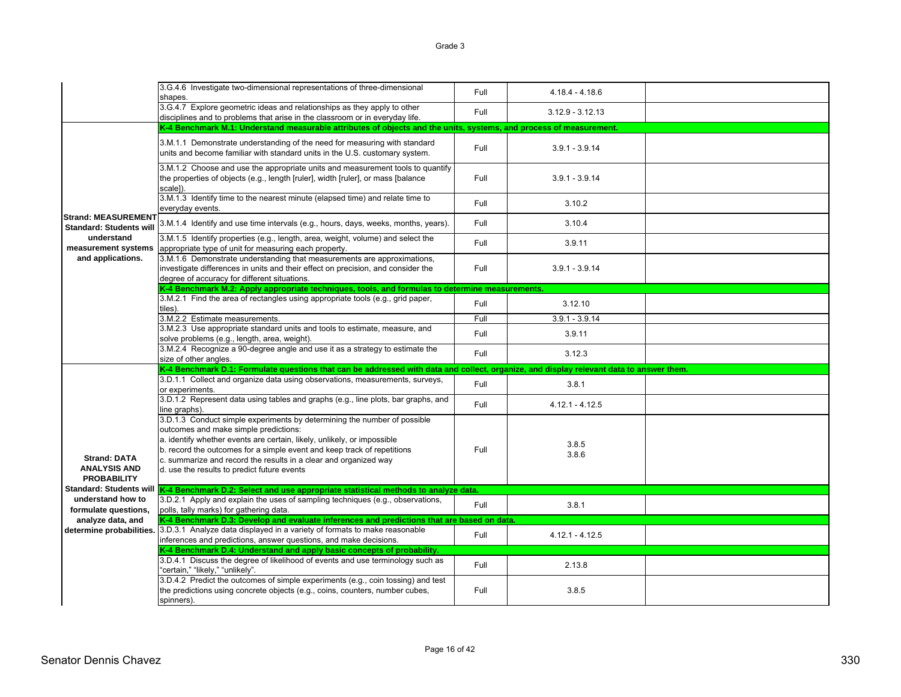|                                                                  | 3.G.4.6 Investigate two-dimensional representations of three-dimensional<br>shapes.                                                                                                                                                                                                                                                                                                        | Full | $4.18.4 - 4.18.6$  |  |
|------------------------------------------------------------------|--------------------------------------------------------------------------------------------------------------------------------------------------------------------------------------------------------------------------------------------------------------------------------------------------------------------------------------------------------------------------------------------|------|--------------------|--|
|                                                                  | 3.G.4.7 Explore geometric ideas and relationships as they apply to other<br>disciplines and to problems that arise in the classroom or in everyday life.                                                                                                                                                                                                                                   | Full | $3.12.9 - 3.12.13$ |  |
|                                                                  | K-4 Benchmark M.1: Understand measurable attributes of objects and the units, systems, and process of measurement.                                                                                                                                                                                                                                                                         |      |                    |  |
|                                                                  | 3.M.1.1 Demonstrate understanding of the need for measuring with standard<br>units and become familiar with standard units in the U.S. customary system.                                                                                                                                                                                                                                   | Full | $3.9.1 - 3.9.14$   |  |
|                                                                  | 3.M.1.2 Choose and use the appropriate units and measurement tools to quantify<br>the properties of objects (e.g., length [ruler], width [ruler], or mass [balance]<br>scale]).                                                                                                                                                                                                            | Full | $3.9.1 - 3.9.14$   |  |
|                                                                  | 3.M.1.3 Identify time to the nearest minute (elapsed time) and relate time to<br>everyday events.                                                                                                                                                                                                                                                                                          | Full | 3.10.2             |  |
| <b>Strand: MEASUREMENT</b><br><b>Standard: Students will</b>     | 3.M.1.4 Identify and use time intervals (e.g., hours, days, weeks, months, years).                                                                                                                                                                                                                                                                                                         | Full | 3.10.4             |  |
| understand<br>measurement systems                                | 3.M.1.5 Identify properties (e.g., length, area, weight, volume) and select the<br>appropriate type of unit for measuring each property.                                                                                                                                                                                                                                                   | Full | 3.9.11             |  |
| and applications.                                                | 3.M.1.6 Demonstrate understanding that measurements are approximations,<br>investigate differences in units and their effect on precision, and consider the<br>degree of accuracy for different situations.                                                                                                                                                                                | Full | $3.9.1 - 3.9.14$   |  |
|                                                                  | K-4 Benchmark M.2: Apply appropriate techniques, tools, and formulas to determine measurements.                                                                                                                                                                                                                                                                                            |      |                    |  |
|                                                                  | 3.M.2.1 Find the area of rectangles using appropriate tools (e.g., grid paper,<br>tiles).                                                                                                                                                                                                                                                                                                  | Full | 3.12.10            |  |
|                                                                  | 3.M.2.2 Estimate measurements.                                                                                                                                                                                                                                                                                                                                                             | Full | $3.9.1 - 3.9.14$   |  |
|                                                                  | 3.M.2.3 Use appropriate standard units and tools to estimate, measure, and<br>solve problems (e.g., length, area, weight).                                                                                                                                                                                                                                                                 | Full | 3.9.11             |  |
|                                                                  | 3.M.2.4 Recognize a 90-degree angle and use it as a strategy to estimate the                                                                                                                                                                                                                                                                                                               | Full | 3.12.3             |  |
|                                                                  | size of other angles.                                                                                                                                                                                                                                                                                                                                                                      |      |                    |  |
|                                                                  | K-4 Benchmark D.1: Formulate questions that can be addressed with data and collect, organize, and display relevant data to answer them.                                                                                                                                                                                                                                                    |      |                    |  |
|                                                                  | 3.D.1.1 Collect and organize data using observations, measurements, surveys,<br>or experiments.                                                                                                                                                                                                                                                                                            | Full | 3.8.1              |  |
|                                                                  | 3.D.1.2 Represent data using tables and graphs (e.g., line plots, bar graphs, and<br>line graphs).                                                                                                                                                                                                                                                                                         | Full | $4.12.1 - 4.12.5$  |  |
| <b>Strand: DATA</b><br><b>ANALYSIS AND</b><br><b>PROBABILITY</b> | 3.D.1.3 Conduct simple experiments by determining the number of possible<br>outcomes and make simple predictions:<br>a. identify whether events are certain, likely, unlikely, or impossible<br>b. record the outcomes for a simple event and keep track of repetitions<br>c. summarize and record the results in a clear and organized way<br>d. use the results to predict future events | Full | 3.8.5<br>3.8.6     |  |
| <b>Standard: Students will</b>                                   | K-4 Benchmark D.2: Select and use appropriate statistical methods to analyze data.                                                                                                                                                                                                                                                                                                         |      |                    |  |
| understand how to<br>formulate questions,                        | 3.D.2.1 Apply and explain the uses of sampling techniques (e.g., observations,<br>polls, tally marks) for gathering data.                                                                                                                                                                                                                                                                  | Full | 3.8.1              |  |
| analyze data, and                                                | K-4 Benchmark D.3: Develop and evaluate inferences and predictions that are based on data.                                                                                                                                                                                                                                                                                                 |      |                    |  |
|                                                                  | determine probabilities. 3.D.3.1 Analyze data displayed in a variety of formats to make reasonable<br>inferences and predictions, answer questions, and make decisions.                                                                                                                                                                                                                    | Full | $4.12.1 - 4.12.5$  |  |
|                                                                  | K-4 Benchmark D.4: Understand and apply basic concepts of probability.                                                                                                                                                                                                                                                                                                                     |      |                    |  |
|                                                                  | 3.D.4.1 Discuss the degree of likelihood of events and use terminology such as<br>"certain," "likely," "unlikely".<br>3.D.4.2 Predict the outcomes of simple experiments (e.g., coin tossing) and test                                                                                                                                                                                     | Full | 2.13.8             |  |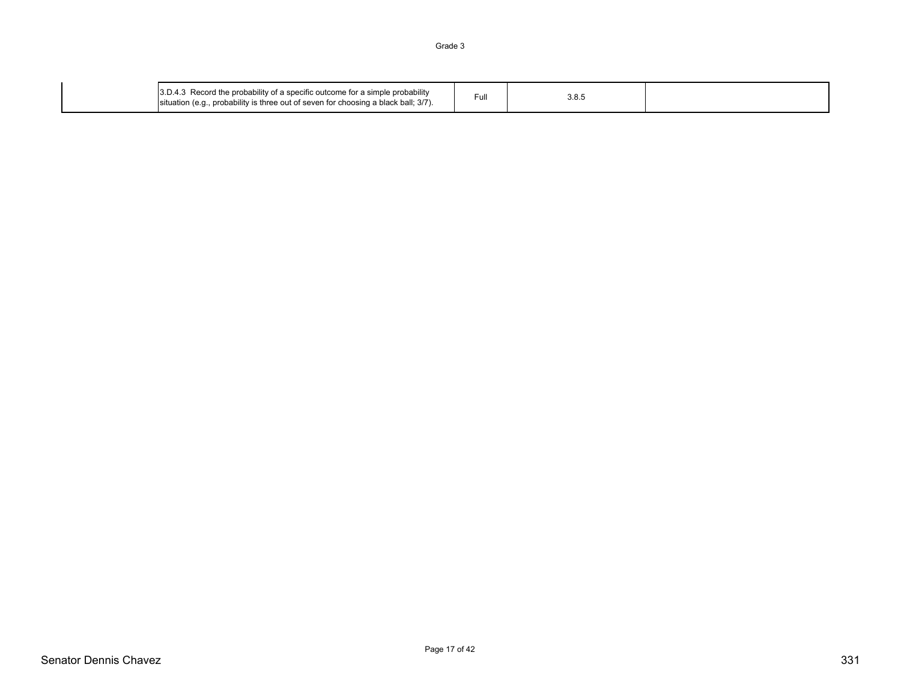| 3.D.4.3 Record the probability of a specific outcome for a simple probability<br>situation (e.g., probability is three out of seven for choosing a black ball; 3/7). | -uli | ວ.໐.ວ |  |
|----------------------------------------------------------------------------------------------------------------------------------------------------------------------|------|-------|--|
|----------------------------------------------------------------------------------------------------------------------------------------------------------------------|------|-------|--|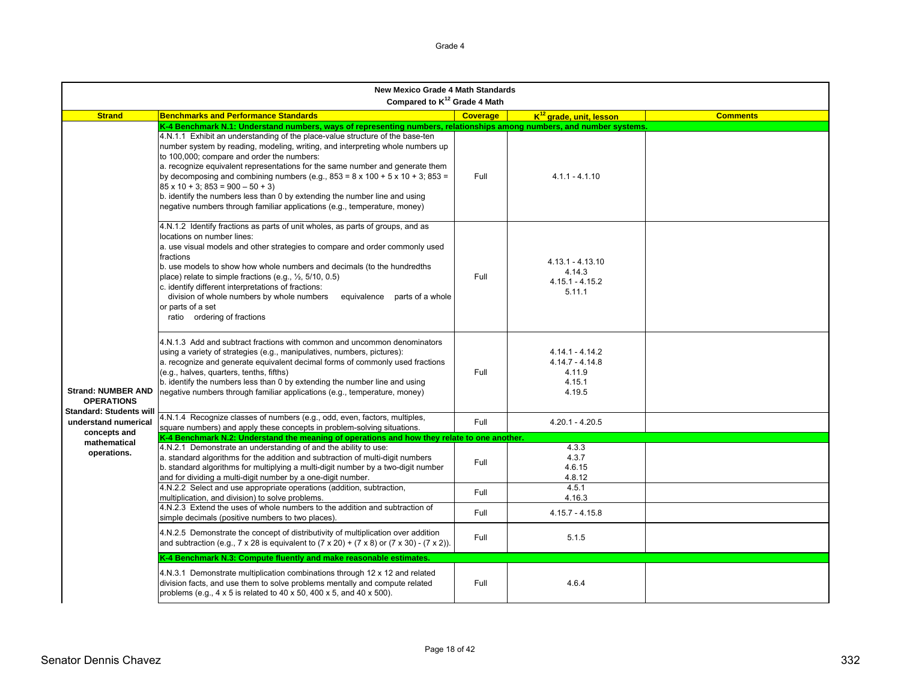|                                                                                  | <b>New Mexico Grade 4 Math Standards</b><br>Compared to K <sup>12</sup> Grade 4 Math                                                                                                                                                                                                                                                                                                                                                                                                                                                                                                                                                                                                                                              |                 |                                                                      |                 |
|----------------------------------------------------------------------------------|-----------------------------------------------------------------------------------------------------------------------------------------------------------------------------------------------------------------------------------------------------------------------------------------------------------------------------------------------------------------------------------------------------------------------------------------------------------------------------------------------------------------------------------------------------------------------------------------------------------------------------------------------------------------------------------------------------------------------------------|-----------------|----------------------------------------------------------------------|-----------------|
| <b>Strand</b>                                                                    | <b>Benchmarks and Performance Standards</b>                                                                                                                                                                                                                                                                                                                                                                                                                                                                                                                                                                                                                                                                                       | <b>Coverage</b> | $K^{12}$ arade, unit, lesson                                         | <b>Comments</b> |
|                                                                                  | K-4 Benchmark N.1: Understand numbers, ways of representing numbers, relationships among numbers, and number systems.<br>4.N.1.1 Exhibit an understanding of the place-value structure of the base-ten<br>number system by reading, modeling, writing, and interpreting whole numbers up<br>to 100,000; compare and order the numbers:<br>a. recognize equivalent representations for the same number and generate them<br>by decomposing and combining numbers (e.g., $853 = 8 \times 100 + 5 \times 10 + 3$ ; $853 =$<br>$85 \times 10 + 3$ ; $853 = 900 - 50 + 3$ )<br>b. identify the numbers less than 0 by extending the number line and using<br>negative numbers through familiar applications (e.g., temperature, money) | Full            | $4.1.1 - 4.1.10$                                                     |                 |
|                                                                                  | 4.N.1.2 Identify fractions as parts of unit wholes, as parts of groups, and as<br>locations on number lines:<br>a. use visual models and other strategies to compare and order commonly used<br>fractions<br>b. use models to show how whole numbers and decimals (to the hundredths<br>place) relate to simple fractions (e.g., $\frac{1}{2}$ , 5/10, 0.5)<br>c. identify different interpretations of fractions:<br>division of whole numbers by whole numbers equivalence parts of a whole<br>or parts of a set<br>ratio ordering of fractions                                                                                                                                                                                 | Full            | $4.13.1 - 4.13.10$<br>4.14.3<br>$4.15.1 - 4.15.2$<br>5.11.1          |                 |
| <b>Strand: NUMBER AND</b><br><b>OPERATIONS</b><br><b>Standard: Students will</b> | 4.N.1.3 Add and subtract fractions with common and uncommon denominators<br>using a variety of strategies (e.g., manipulatives, numbers, pictures):<br>a. recognize and generate equivalent decimal forms of commonly used fractions<br>(e.g., halves, quarters, tenths, fifths)<br>b. identify the numbers less than 0 by extending the number line and using<br>negative numbers through familiar applications (e.g., temperature, money)                                                                                                                                                                                                                                                                                       | Full            | $4.14.1 - 4.14.2$<br>$4.14.7 - 4.14.8$<br>4.11.9<br>4.15.1<br>4.19.5 |                 |
| understand numerical                                                             | 4.N.1.4 Recognize classes of numbers (e.g., odd, even, factors, multiples,<br>square numbers) and apply these concepts in problem-solving situations.                                                                                                                                                                                                                                                                                                                                                                                                                                                                                                                                                                             | Full            | $4.20.1 - 4.20.5$                                                    |                 |
| concepts and                                                                     | K-4 Benchmark N.2: Understand the meaning of operations and how they relate to one another.                                                                                                                                                                                                                                                                                                                                                                                                                                                                                                                                                                                                                                       |                 |                                                                      |                 |
| mathematical<br>operations.                                                      | 4.N.2.1 Demonstrate an understanding of and the ability to use:<br>a. standard algorithms for the addition and subtraction of multi-digit numbers<br>b. standard algorithms for multiplying a multi-digit number by a two-digit number<br>and for dividing a multi-digit number by a one-digit number.                                                                                                                                                                                                                                                                                                                                                                                                                            | Full            | 4.3.3<br>4.3.7<br>4.6.15<br>4.8.12                                   |                 |
|                                                                                  | 4.N.2.2 Select and use appropriate operations (addition, subtraction,<br>multiplication, and division) to solve problems.                                                                                                                                                                                                                                                                                                                                                                                                                                                                                                                                                                                                         | Full            | 4.5.1<br>4.16.3                                                      |                 |
|                                                                                  | 4.N.2.3 Extend the uses of whole numbers to the addition and subtraction of<br>simple decimals (positive numbers to two places).                                                                                                                                                                                                                                                                                                                                                                                                                                                                                                                                                                                                  | Full            | $4.15.7 - 4.15.8$                                                    |                 |
|                                                                                  | 4.N.2.5 Demonstrate the concept of distributivity of multiplication over addition<br>and subtraction (e.g., $7 \times 28$ is equivalent to $(7 \times 20) + (7 \times 8)$ or $(7 \times 30) - (7 \times 2)$ ).                                                                                                                                                                                                                                                                                                                                                                                                                                                                                                                    | Full            | 5.1.5                                                                |                 |
|                                                                                  | K-4 Benchmark N.3: Compute fluently and make reasonable estimates.                                                                                                                                                                                                                                                                                                                                                                                                                                                                                                                                                                                                                                                                |                 |                                                                      |                 |
|                                                                                  | 4.N.3.1 Demonstrate multiplication combinations through 12 x 12 and related<br>division facts, and use them to solve problems mentally and compute related<br>problems (e.g., $4 \times 5$ is related to $40 \times 50$ , $400 \times 5$ , and $40 \times 500$ ).                                                                                                                                                                                                                                                                                                                                                                                                                                                                 | Full            | 4.6.4                                                                |                 |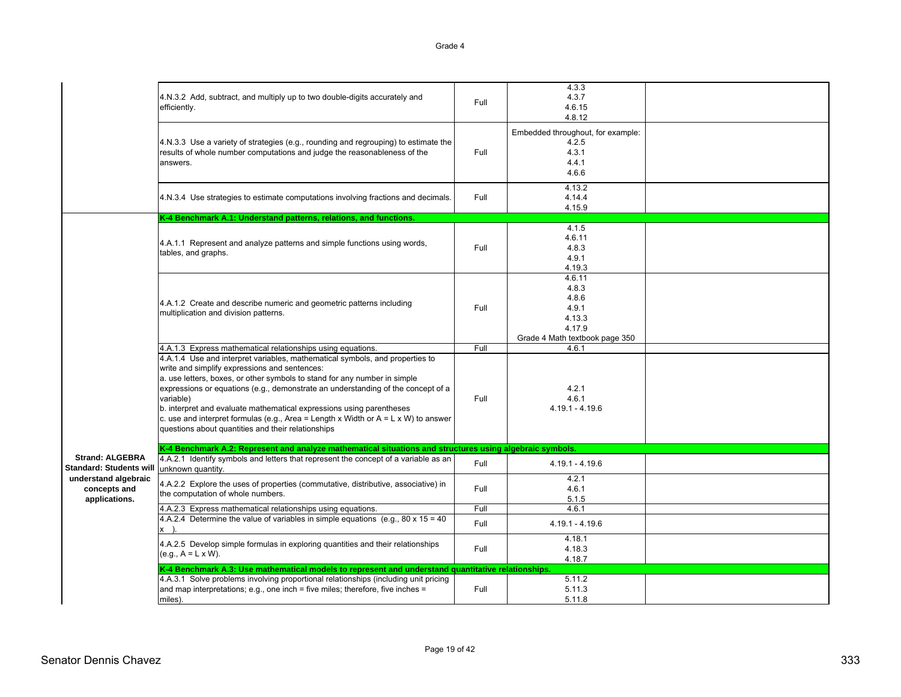|                                                          | 4.N.3.2 Add, subtract, and multiply up to two double-digits accurately and<br>efficiently.                                                                                                                                                                                                                                                                                                                                                                                                                                              | Full | 4.3.3<br>4.3.7<br>4.6.15<br>4.8.12<br>Embedded throughout, for example:                 |  |
|----------------------------------------------------------|-----------------------------------------------------------------------------------------------------------------------------------------------------------------------------------------------------------------------------------------------------------------------------------------------------------------------------------------------------------------------------------------------------------------------------------------------------------------------------------------------------------------------------------------|------|-----------------------------------------------------------------------------------------|--|
|                                                          | 4.N.3.3 Use a variety of strategies (e.g., rounding and regrouping) to estimate the<br>results of whole number computations and judge the reasonableness of the<br>answers.                                                                                                                                                                                                                                                                                                                                                             | Full | 4.2.5<br>4.3.1<br>4.4.1<br>4.6.6                                                        |  |
|                                                          | 4.N.3.4 Use strategies to estimate computations involving fractions and decimals.                                                                                                                                                                                                                                                                                                                                                                                                                                                       | Full | 4.13.2<br>4.14.4<br>4.15.9                                                              |  |
|                                                          | K-4 Benchmark A.1: Understand patterns, relations, and functions.                                                                                                                                                                                                                                                                                                                                                                                                                                                                       |      |                                                                                         |  |
|                                                          | 4.A.1.1 Represent and analyze patterns and simple functions using words,<br>tables, and graphs.                                                                                                                                                                                                                                                                                                                                                                                                                                         | Full | 4.1.5<br>4.6.11<br>4.8.3<br>4.9.1<br>4.19.3                                             |  |
|                                                          | 4.A.1.2 Create and describe numeric and geometric patterns including<br>multiplication and division patterns.                                                                                                                                                                                                                                                                                                                                                                                                                           | Full | 4.6.11<br>4.8.3<br>4.8.6<br>4.9.1<br>4.13.3<br>4.17.9<br>Grade 4 Math textbook page 350 |  |
|                                                          | 4.A.1.3 Express mathematical relationships using equations.                                                                                                                                                                                                                                                                                                                                                                                                                                                                             | Full | 4.6.1                                                                                   |  |
|                                                          | 4.A.1.4 Use and interpret variables, mathematical symbols, and properties to<br>write and simplify expressions and sentences:<br>a. use letters, boxes, or other symbols to stand for any number in simple<br>expressions or equations (e.g., demonstrate an understanding of the concept of a<br>variable)<br>b. interpret and evaluate mathematical expressions using parentheses<br>c. use and interpret formulas (e.g., Area = Length x Width or $A = L \times W$ ) to answer<br>questions about quantities and their relationships | Full | 4.2.1<br>4.6.1<br>$4.19.1 - 4.19.6$                                                     |  |
|                                                          | K-4 Benchmark A.2: Represent and analyze mathematical situations and structures using algebraic symbols.                                                                                                                                                                                                                                                                                                                                                                                                                                |      |                                                                                         |  |
| <b>Strand: ALGEBRA</b><br><b>Standard: Students will</b> | 4.A.2.1 Identify symbols and letters that represent the concept of a variable as an<br>unknown quantity.                                                                                                                                                                                                                                                                                                                                                                                                                                | Full | $4.19.1 - 4.19.6$                                                                       |  |
| understand algebraic<br>concepts and<br>applications.    | 4.A.2.2 Explore the uses of properties (commutative, distributive, associative) in<br>the computation of whole numbers.                                                                                                                                                                                                                                                                                                                                                                                                                 | Full | 4.2.1<br>4.6.1<br>5.1.5                                                                 |  |
|                                                          | 4.A.2.3 Express mathematical relationships using equations.                                                                                                                                                                                                                                                                                                                                                                                                                                                                             | Full | 4.6.1                                                                                   |  |
|                                                          | 4.A.2.4 Determine the value of variables in simple equations (e.g., 80 x 15 = 40                                                                                                                                                                                                                                                                                                                                                                                                                                                        | Full | $4.19.1 - 4.19.6$                                                                       |  |
|                                                          | 4.A.2.5 Develop simple formulas in exploring quantities and their relationships<br>$(e.g., A = L \times W).$                                                                                                                                                                                                                                                                                                                                                                                                                            | Full | 4.18.1<br>4.18.3<br>4.18.7                                                              |  |
|                                                          | K-4 Benchmark A.3: Use mathematical models to represent and understand quantitative relationships.                                                                                                                                                                                                                                                                                                                                                                                                                                      |      |                                                                                         |  |
|                                                          | 4.A.3.1 Solve problems involving proportional relationships (including unit pricing<br>and map interpretations; e.g., one inch = five miles; therefore, five inches =<br>miles).                                                                                                                                                                                                                                                                                                                                                        | Full | 5.11.2<br>5.11.3<br>5.11.8                                                              |  |
|                                                          |                                                                                                                                                                                                                                                                                                                                                                                                                                                                                                                                         |      |                                                                                         |  |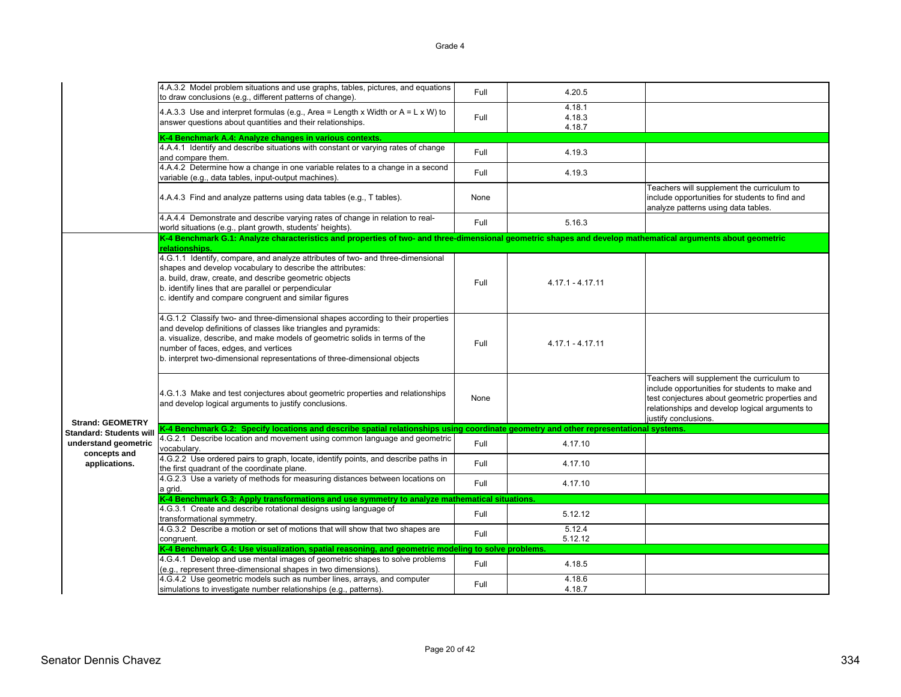|                                      | 4.A.3.2 Model problem situations and use graphs, tables, pictures, and equations<br>to draw conclusions (e.g., different patterns of change).                                                                                                                                                                                                           | Full | 4.20.5                     |                                                                                                                                                                                                                           |
|--------------------------------------|---------------------------------------------------------------------------------------------------------------------------------------------------------------------------------------------------------------------------------------------------------------------------------------------------------------------------------------------------------|------|----------------------------|---------------------------------------------------------------------------------------------------------------------------------------------------------------------------------------------------------------------------|
|                                      | 4.A.3.3 Use and interpret formulas (e.g., Area = Length x Width or $A = L \times W$ ) to<br>answer questions about quantities and their relationships.                                                                                                                                                                                                  | Full | 4.18.1<br>4.18.3<br>4.18.7 |                                                                                                                                                                                                                           |
|                                      | K-4 Benchmark A.4: Analyze changes in various contexts.                                                                                                                                                                                                                                                                                                 |      |                            |                                                                                                                                                                                                                           |
|                                      | 4.A.4.1 Identify and describe situations with constant or varying rates of change<br>and compare them.                                                                                                                                                                                                                                                  | Full | 4.19.3                     |                                                                                                                                                                                                                           |
|                                      | 4.A.4.2 Determine how a change in one variable relates to a change in a second<br>variable (e.g., data tables, input-output machines).                                                                                                                                                                                                                  | Full | 4.19.3                     |                                                                                                                                                                                                                           |
|                                      | 4.A.4.3 Find and analyze patterns using data tables (e.g., T tables).                                                                                                                                                                                                                                                                                   | None |                            | Teachers will supplement the curriculum to<br>include opportunities for students to find and<br>analyze patterns using data tables.                                                                                       |
|                                      | 4.A.4.4 Demonstrate and describe varying rates of change in relation to real-<br>world situations (e.g., plant growth, students' heights).                                                                                                                                                                                                              | Full | 5.16.3                     |                                                                                                                                                                                                                           |
|                                      | K-4 Benchmark G.1: Analyze characteristics and properties of two- and three-dimensional geometric shapes and develop mathematical arguments about geometric<br>relationships.                                                                                                                                                                           |      |                            |                                                                                                                                                                                                                           |
|                                      | 4.G.1.1 Identify, compare, and analyze attributes of two- and three-dimensional<br>shapes and develop vocabulary to describe the attributes:<br>a. build, draw, create, and describe geometric objects<br>b. identify lines that are parallel or perpendicular<br>c. identify and compare congruent and similar figures                                 | Full | $4.17.1 - 4.17.11$         |                                                                                                                                                                                                                           |
|                                      | 4.G.1.2 Classify two- and three-dimensional shapes according to their properties<br>and develop definitions of classes like triangles and pyramids:<br>a. visualize, describe, and make models of geometric solids in terms of the<br>number of faces, edges, and vertices<br>b. interpret two-dimensional representations of three-dimensional objects | Full | $4.17.1 - 4.17.11$         |                                                                                                                                                                                                                           |
| <b>Strand: GEOMETRY</b>              | 4.G.1.3 Make and test conjectures about geometric properties and relationships<br>and develop logical arguments to justify conclusions.                                                                                                                                                                                                                 | None |                            | Teachers will supplement the curriculum to<br>include opportunities for students to make and<br>test conjectures about geometric properties and<br>relationships and develop logical arguments to<br>justify conclusions. |
| <b>Standard: Students will</b>       | K-4 Benchmark G.2: Specify locations and describe spatial relationships using coordinate geometry and other representational systems.                                                                                                                                                                                                                   |      |                            |                                                                                                                                                                                                                           |
| understand geometric<br>concepts and | 4.G.2.1 Describe location and movement using common language and geometric<br>vocabulary.                                                                                                                                                                                                                                                               | Full | 4.17.10                    |                                                                                                                                                                                                                           |
| applications.                        | 4.G.2.2 Use ordered pairs to graph, locate, identify points, and describe paths in<br>the first quadrant of the coordinate plane.                                                                                                                                                                                                                       | Full | 4.17.10                    |                                                                                                                                                                                                                           |
|                                      | 4.G.2.3 Use a variety of methods for measuring distances between locations on<br>a grid.                                                                                                                                                                                                                                                                | Full | 4.17.10                    |                                                                                                                                                                                                                           |
|                                      | K-4 Benchmark G.3: Apply transformations and use symmetry to analyze mathematical situations.                                                                                                                                                                                                                                                           |      |                            |                                                                                                                                                                                                                           |
|                                      | 4.G.3.1 Create and describe rotational designs using language of<br>transformational symmetry.                                                                                                                                                                                                                                                          | Full | 5.12.12                    |                                                                                                                                                                                                                           |
|                                      | 4.G.3.2 Describe a motion or set of motions that will show that two shapes are<br>congruent.                                                                                                                                                                                                                                                            | Full | 5.12.4<br>5.12.12          |                                                                                                                                                                                                                           |
|                                      | K-4 Benchmark G.4: Use visualization, spatial reasoning, and geometric modeling to solve problems.                                                                                                                                                                                                                                                      |      |                            |                                                                                                                                                                                                                           |
|                                      | 4.G.4.1 Develop and use mental images of geometric shapes to solve problems<br>(e.g., represent three-dimensional shapes in two dimensions).                                                                                                                                                                                                            | Full | 4.18.5                     |                                                                                                                                                                                                                           |
|                                      | 4.G.4.2 Use geometric models such as number lines, arrays, and computer<br>simulations to investigate number relationships (e.g., patterns).                                                                                                                                                                                                            | Full | 4.18.6<br>4.18.7           |                                                                                                                                                                                                                           |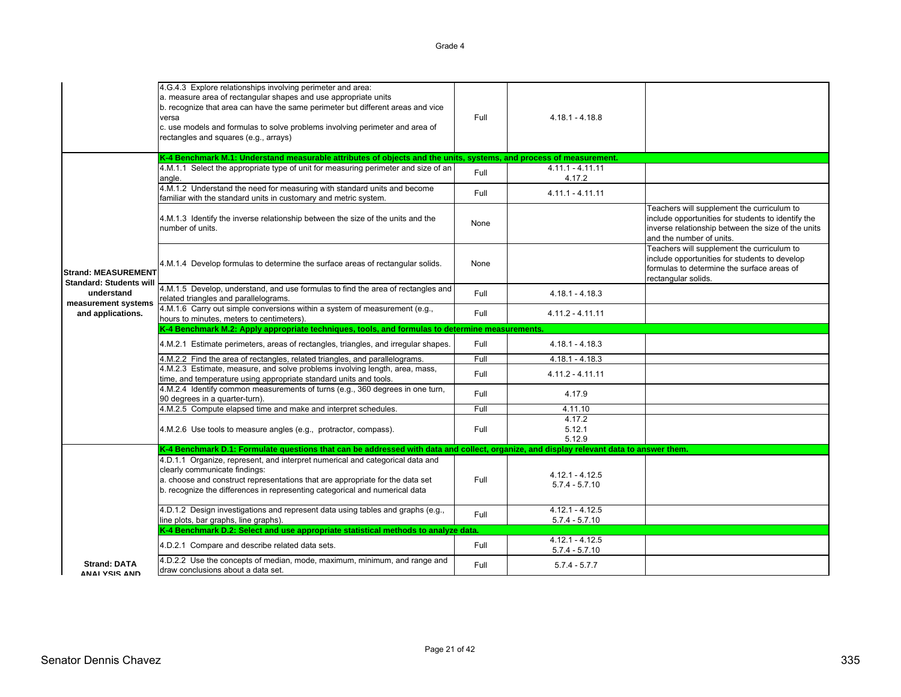|                                                              | 4.G.4.3 Explore relationships involving perimeter and area:<br>a. measure area of rectangular shapes and use appropriate units<br>b. recognize that area can have the same perimeter but different areas and vice<br>versa<br>c. use models and formulas to solve problems involving perimeter and area of<br>rectangles and squares (e.g., arrays) | Full | $4.18.1 - 4.18.8$                     |                                                                                                                                                                                    |
|--------------------------------------------------------------|-----------------------------------------------------------------------------------------------------------------------------------------------------------------------------------------------------------------------------------------------------------------------------------------------------------------------------------------------------|------|---------------------------------------|------------------------------------------------------------------------------------------------------------------------------------------------------------------------------------|
|                                                              | K-4 Benchmark M.1: Understand measurable attributes of objects and the units, systems, and process of measurement.                                                                                                                                                                                                                                  |      |                                       |                                                                                                                                                                                    |
|                                                              | 4.M.1.1 Select the appropriate type of unit for measuring perimeter and size of an<br>angle.                                                                                                                                                                                                                                                        | Full | $4.11.1 - 4.11.11$<br>4.17.2          |                                                                                                                                                                                    |
|                                                              | 4.M.1.2 Understand the need for measuring with standard units and become<br>familiar with the standard units in customary and metric system.                                                                                                                                                                                                        | Full | $4.11.1 - 4.11.11$                    |                                                                                                                                                                                    |
|                                                              | 4.M.1.3 Identify the inverse relationship between the size of the units and the<br>number of units.                                                                                                                                                                                                                                                 | None |                                       | Teachers will supplement the curriculum to<br>include opportunities for students to identify the<br>inverse relationship between the size of the units<br>and the number of units. |
| <b>Strand: MEASUREMENT</b><br><b>Standard: Students will</b> | 4.M.1.4 Develop formulas to determine the surface areas of rectangular solids.                                                                                                                                                                                                                                                                      | None |                                       | Teachers will supplement the curriculum to<br>include opportunities for students to develop<br>formulas to determine the surface areas of<br>rectangular solids.                   |
| understand<br>measurement systems                            | 4.M.1.5 Develop, understand, and use formulas to find the area of rectangles and<br>related triangles and parallelograms.                                                                                                                                                                                                                           | Full | $4.18.1 - 4.18.3$                     |                                                                                                                                                                                    |
| and applications.                                            | 4.M.1.6 Carry out simple conversions within a system of measurement (e.g.,<br>hours to minutes, meters to centimeters).                                                                                                                                                                                                                             | Full | 4.11.2 - 4.11.11                      |                                                                                                                                                                                    |
|                                                              | K-4 Benchmark M.2: Apply appropriate techniques, tools, and formulas to determine measurements.                                                                                                                                                                                                                                                     |      |                                       |                                                                                                                                                                                    |
|                                                              | 4.M.2.1 Estimate perimeters, areas of rectangles, triangles, and irregular shapes.                                                                                                                                                                                                                                                                  | Full | $4.18.1 - 4.18.3$                     |                                                                                                                                                                                    |
|                                                              | 4.M.2.2 Find the area of rectangles, related triangles, and parallelograms.                                                                                                                                                                                                                                                                         | Full | $4.18.1 - 4.18.3$                     |                                                                                                                                                                                    |
|                                                              | 4.M.2.3 Estimate, measure, and solve problems involving length, area, mass,                                                                                                                                                                                                                                                                         | Full |                                       |                                                                                                                                                                                    |
|                                                              | time, and temperature using appropriate standard units and tools.                                                                                                                                                                                                                                                                                   |      | $4.11.2 - 4.11.11$                    |                                                                                                                                                                                    |
|                                                              | 4.M.2.4 Identify common measurements of turns (e.g., 360 degrees in one turn,<br>90 degrees in a quarter-turn).                                                                                                                                                                                                                                     | Full | 4.17.9                                |                                                                                                                                                                                    |
|                                                              | 4.M.2.5 Compute elapsed time and make and interpret schedules.                                                                                                                                                                                                                                                                                      | Full | 4.11.10                               |                                                                                                                                                                                    |
|                                                              |                                                                                                                                                                                                                                                                                                                                                     |      | 4.17.2                                |                                                                                                                                                                                    |
|                                                              | 4.M.2.6 Use tools to measure angles (e.g., protractor, compass).                                                                                                                                                                                                                                                                                    | Full | 5.12.1                                |                                                                                                                                                                                    |
|                                                              |                                                                                                                                                                                                                                                                                                                                                     |      | 5.12.9                                |                                                                                                                                                                                    |
|                                                              | K-4 Benchmark D.1: Formulate questions that can be addressed with data and collect, organize, and display relevant data to answer them.                                                                                                                                                                                                             |      |                                       |                                                                                                                                                                                    |
|                                                              | 4.D.1.1 Organize, represent, and interpret numerical and categorical data and<br>clearly communicate findings:<br>a. choose and construct representations that are appropriate for the data set<br>b. recognize the differences in representing categorical and numerical data                                                                      | Full | $4.12.1 - 4.12.5$<br>$5.7.4 - 5.7.10$ |                                                                                                                                                                                    |
|                                                              | 4.D.1.2 Design investigations and represent data using tables and graphs (e.g.,<br>line plots, bar graphs, line graphs).                                                                                                                                                                                                                            | Full | $4.12.1 - 4.12.5$<br>$5.7.4 - 5.7.10$ |                                                                                                                                                                                    |
|                                                              | K-4 Benchmark D.2: Select and use appropriate statistical methods to analyze data.                                                                                                                                                                                                                                                                  |      |                                       |                                                                                                                                                                                    |
|                                                              | 4.D.2.1 Compare and describe related data sets.                                                                                                                                                                                                                                                                                                     | Full | $4.12.1 - 4.12.5$<br>$5.7.4 - 5.7.10$ |                                                                                                                                                                                    |
| <b>Strand: DATA</b><br>ANAI YSIS AND                         | 4.D.2.2 Use the concepts of median, mode, maximum, minimum, and range and<br>draw conclusions about a data set.                                                                                                                                                                                                                                     | Full | $5.7.4 - 5.7.7$                       |                                                                                                                                                                                    |
|                                                              |                                                                                                                                                                                                                                                                                                                                                     |      |                                       |                                                                                                                                                                                    |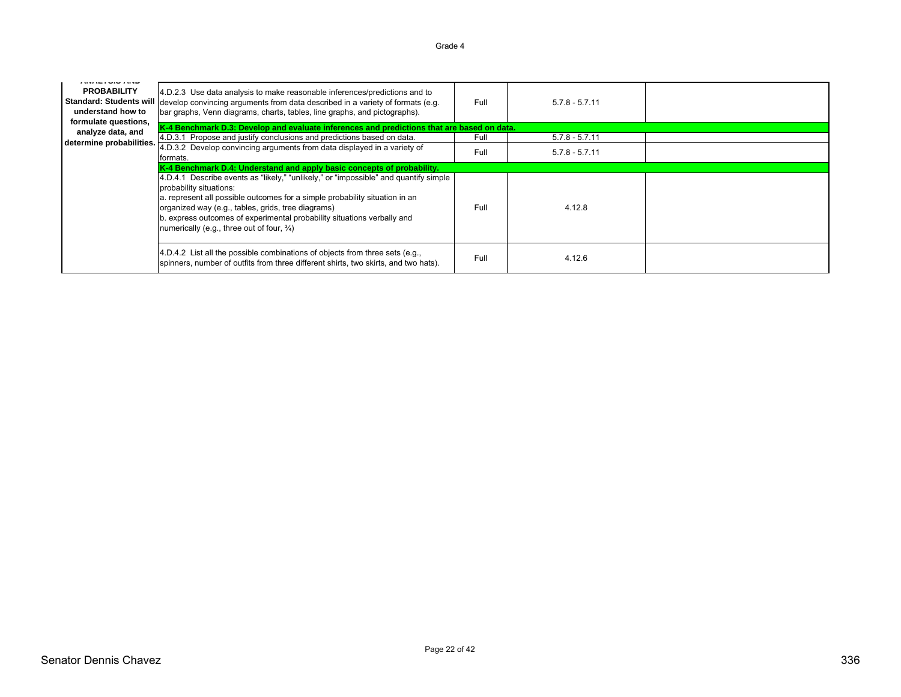| איות עוע ואמיות<br><b>PROBABILITY</b><br>understand how to<br>formulate questions, | 4.D.2.3 Use data analysis to make reasonable inferences/predictions and to<br>Standard: Students will develop convincing arguments from data described in a variety of formats (e.g.<br>bar graphs, Venn diagrams, charts, tables, line graphs, and pictographs).                                                                                                                        | Full | $5.7.8 - 5.7.11$ |  |  |
|------------------------------------------------------------------------------------|------------------------------------------------------------------------------------------------------------------------------------------------------------------------------------------------------------------------------------------------------------------------------------------------------------------------------------------------------------------------------------------|------|------------------|--|--|
| analyze data, and                                                                  | K-4 Benchmark D.3: Develop and evaluate inferences and predictions that are based on data.                                                                                                                                                                                                                                                                                               |      |                  |  |  |
|                                                                                    | 4.D.3.1 Propose and justify conclusions and predictions based on data.                                                                                                                                                                                                                                                                                                                   | Full | $5.7.8 - 5.7.11$ |  |  |
| determine probabilities.                                                           | 4.D.3.2 Develop convincing arguments from data displayed in a variety of<br>formats.                                                                                                                                                                                                                                                                                                     | Full | $5.7.8 - 5.7.11$ |  |  |
|                                                                                    | K-4 Benchmark D.4: Understand and apply basic concepts of probability.                                                                                                                                                                                                                                                                                                                   |      |                  |  |  |
|                                                                                    | 4.D.4.1 Describe events as "likely," "unlikely," or "impossible" and quantify simple<br>probability situations:<br>a. represent all possible outcomes for a simple probability situation in an<br>organized way (e.g., tables, grids, tree diagrams)<br>b. express outcomes of experimental probability situations verbally and<br>numerically (e.g., three out of four, $\frac{3}{4}$ ) | Full | 4.12.8           |  |  |
|                                                                                    | 4.D.4.2 List all the possible combinations of objects from three sets (e.g.,<br>spinners, number of outfits from three different shirts, two skirts, and two hats).                                                                                                                                                                                                                      | Full | 4.12.6           |  |  |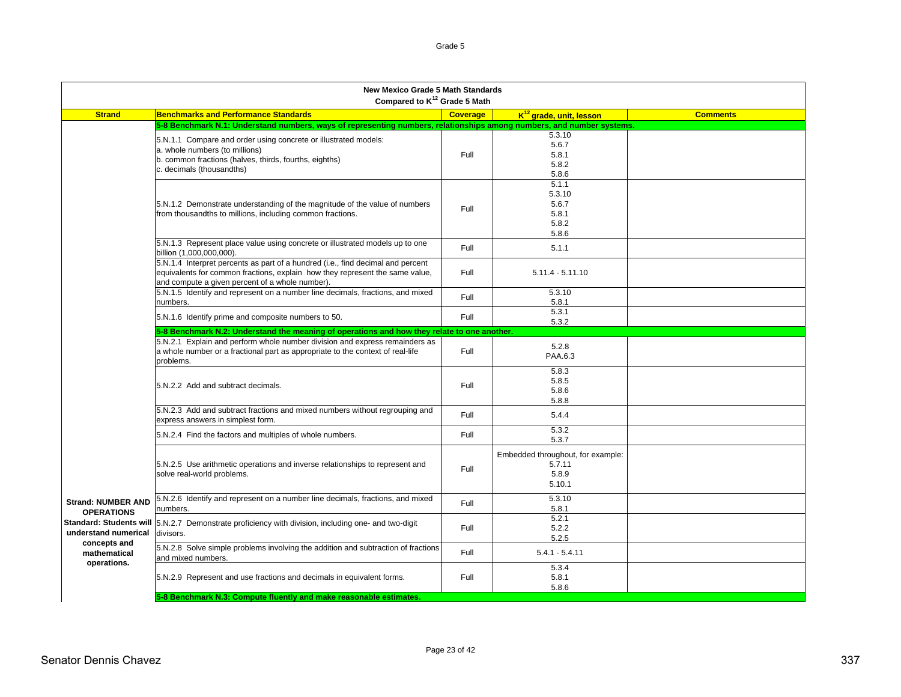|                                                                        | <b>New Mexico Grade 5 Math Standards</b><br>Compared to K <sup>12</sup> Grade 5 Math                                                                                                                               |                 |                                                                |                 |
|------------------------------------------------------------------------|--------------------------------------------------------------------------------------------------------------------------------------------------------------------------------------------------------------------|-----------------|----------------------------------------------------------------|-----------------|
| <b>Strand</b>                                                          | <b>Benchmarks and Performance Standards</b>                                                                                                                                                                        | <b>Coverage</b> | K <sup>12</sup> grade, unit, lesson                            | <b>Comments</b> |
|                                                                        | 5-8 Benchmark N.1: Understand numbers, ways of representing numbers, relationships among numbers, and number systems.                                                                                              |                 |                                                                |                 |
|                                                                        | 5.N.1.1 Compare and order using concrete or illustrated models:<br>a. whole numbers (to millions)                                                                                                                  | Full            | 5.3.10<br>5.6.7<br>5.8.1                                       |                 |
|                                                                        | b. common fractions (halves, thirds, fourths, eighths)<br>c. decimals (thousandths)                                                                                                                                |                 | 5.8.2<br>5.8.6                                                 |                 |
|                                                                        | 5.N.1.2 Demonstrate understanding of the magnitude of the value of numbers<br>from thousandths to millions, including common fractions.                                                                            | Full            | 5.1.1<br>5.3.10<br>5.6.7<br>5.8.1<br>5.8.2<br>5.8.6            |                 |
|                                                                        | 5.N.1.3 Represent place value using concrete or illustrated models up to one<br>billion (1,000,000,000).                                                                                                           | Full            | 5.1.1                                                          |                 |
|                                                                        | 5.N.1.4 Interpret percents as part of a hundred (i.e., find decimal and percent<br>equivalents for common fractions, explain how they represent the same value,<br>and compute a given percent of a whole number). | Full            | $5.11.4 - 5.11.10$                                             |                 |
|                                                                        | 5.N.1.5 Identify and represent on a number line decimals, fractions, and mixed<br>numbers.                                                                                                                         | Full            | 5.3.10<br>5.8.1                                                |                 |
|                                                                        | 5.N.1.6 Identify prime and composite numbers to 50.                                                                                                                                                                | Full            | 5.3.1<br>5.3.2                                                 |                 |
|                                                                        | 5-8 Benchmark N.2: Understand the meaning of operations and how they relate to one another.                                                                                                                        |                 |                                                                |                 |
|                                                                        | 5.N.2.1 Explain and perform whole number division and express remainders as<br>a whole number or a fractional part as appropriate to the context of real-life<br>problems.                                         | Full            | 5.2.8<br>PAA.6.3                                               |                 |
|                                                                        | 5.N.2.2 Add and subtract decimals.                                                                                                                                                                                 | Full            | 5.8.3<br>5.8.5<br>5.8.6<br>5.8.8                               |                 |
|                                                                        | 5.N.2.3 Add and subtract fractions and mixed numbers without regrouping and<br>express answers in simplest form.                                                                                                   | Full            | 5.4.4                                                          |                 |
|                                                                        | 5.N.2.4 Find the factors and multiples of whole numbers.                                                                                                                                                           | Full            | 5.3.2<br>5.3.7                                                 |                 |
|                                                                        | 5.N.2.5 Use arithmetic operations and inverse relationships to represent and<br>solve real-world problems.                                                                                                         | Full            | Embedded throughout, for example:<br>5.7.11<br>5.8.9<br>5.10.1 |                 |
| <b>Strand: NUMBER AND</b><br><b>OPERATIONS</b>                         | 5.N.2.6 Identify and represent on a number line decimals, fractions, and mixed<br>numbers.                                                                                                                         | Full            | 5.3.10<br>5.8.1                                                |                 |
| <b>Standard: Students will</b><br>understand numerical<br>concepts and | 5.N.2.7 Demonstrate proficiency with division, including one- and two-digit<br>divisors.                                                                                                                           | Full            | 5.2.1<br>5.2.2<br>5.2.5                                        |                 |
| mathematical<br>operations.                                            | 5.N.2.8 Solve simple problems involving the addition and subtraction of fractions<br>and mixed numbers.                                                                                                            | Full            | $5.4.1 - 5.4.11$                                               |                 |
|                                                                        | 5.N.2.9 Represent and use fractions and decimals in equivalent forms.                                                                                                                                              | Full            | 5.3.4<br>5.8.1<br>5.8.6                                        |                 |
|                                                                        | 5-8 Benchmark N.3: Compute fluently and make reasonable estimates.                                                                                                                                                 |                 |                                                                |                 |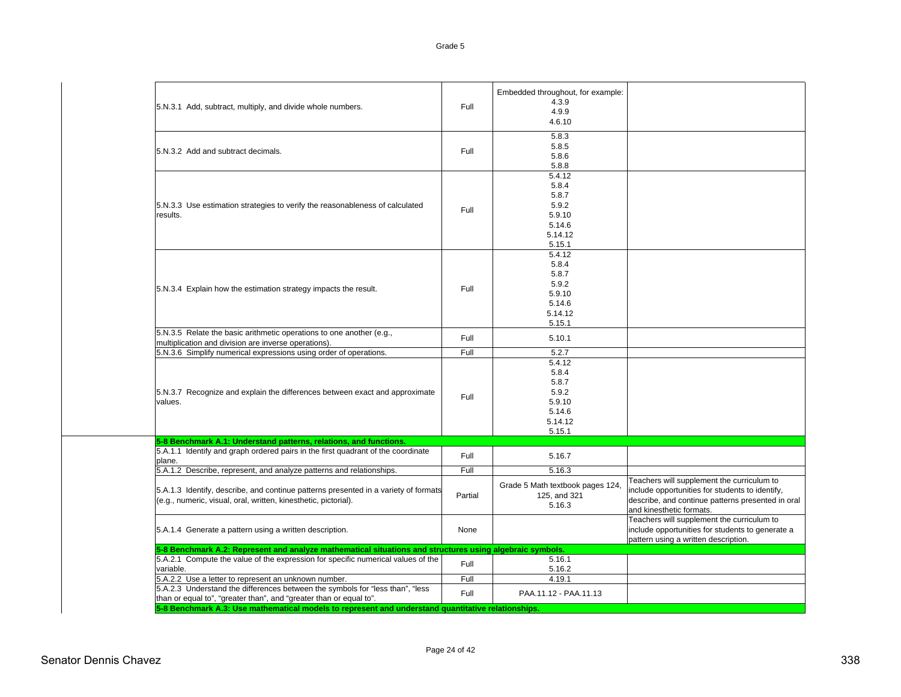| variable.<br>5.A.2.2 Use a letter to represent an unknown number.<br>5.A.2.3 Understand the differences between the symbols for "less than", "less     | Full    | 5.16.2<br>4.19.1                                           |                                                                                                                                                                                |
|--------------------------------------------------------------------------------------------------------------------------------------------------------|---------|------------------------------------------------------------|--------------------------------------------------------------------------------------------------------------------------------------------------------------------------------|
| 5.A.2.1 Compute the value of the expression for specific numerical values of the                                                                       | Full    | 5.16.1                                                     |                                                                                                                                                                                |
| 5-8 Benchmark A.2: Represent and analyze mathematical situations and structures using algebraic symbols.                                               |         |                                                            |                                                                                                                                                                                |
| 5.A.1.4 Generate a pattern using a written description.                                                                                                | None    |                                                            | Teachers will supplement the curriculum to<br>include opportunities for students to generate a<br>pattern using a written description.                                         |
| 5.A.1.3 Identify, describe, and continue patterns presented in a variety of formats<br>(e.g., numeric, visual, oral, written, kinesthetic, pictorial). | Partial | Grade 5 Math textbook pages 124,<br>125, and 321<br>5.16.3 | Teachers will supplement the curriculum to<br>include opportunities for students to identify,<br>describe, and continue patterns presented in oral<br>and kinesthetic formats. |
| 5.A.1.2 Describe, represent, and analyze patterns and relationships.                                                                                   | Full    | 5.16.3                                                     |                                                                                                                                                                                |
| 5.A.1.1 Identify and graph ordered pairs in the first quadrant of the coordinate<br>plane.                                                             | Full    | 5.16.7                                                     |                                                                                                                                                                                |
| 5-8 Benchmark A.1: Understand patterns, relations, and functions.                                                                                      |         |                                                            |                                                                                                                                                                                |
|                                                                                                                                                        |         | 5.15.1                                                     |                                                                                                                                                                                |
|                                                                                                                                                        |         | 5.14.12                                                    |                                                                                                                                                                                |
| values.                                                                                                                                                |         | 5.9.10<br>5.14.6                                           |                                                                                                                                                                                |
| 5.N.3.7 Recognize and explain the differences between exact and approximate                                                                            | Full    | 5.9.2                                                      |                                                                                                                                                                                |
|                                                                                                                                                        |         | 5.8.7                                                      |                                                                                                                                                                                |
|                                                                                                                                                        |         | 5.8.4                                                      |                                                                                                                                                                                |
|                                                                                                                                                        |         | 5.4.12                                                     |                                                                                                                                                                                |
| multiplication and division are inverse operations).<br>5.N.3.6 Simplify numerical expressions using order of operations.                              | Full    | 5.2.7                                                      |                                                                                                                                                                                |
| 5.N.3.5 Relate the basic arithmetic operations to one another (e.g.,                                                                                   | Full    | 5.10.1                                                     |                                                                                                                                                                                |
|                                                                                                                                                        |         | 5.15.1                                                     |                                                                                                                                                                                |
|                                                                                                                                                        |         | 5.14.12                                                    |                                                                                                                                                                                |
|                                                                                                                                                        |         | 5.14.6                                                     |                                                                                                                                                                                |
| 5.N.3.4 Explain how the estimation strategy impacts the result.                                                                                        | Full    | 5.9.10                                                     |                                                                                                                                                                                |
|                                                                                                                                                        |         | 5.9.2                                                      |                                                                                                                                                                                |
|                                                                                                                                                        |         | 5.8.4<br>5.8.7                                             |                                                                                                                                                                                |
|                                                                                                                                                        |         | 5.4.12                                                     |                                                                                                                                                                                |
|                                                                                                                                                        |         | 5.15.1                                                     |                                                                                                                                                                                |
|                                                                                                                                                        |         | 5.14.12                                                    |                                                                                                                                                                                |
|                                                                                                                                                        |         | 5.14.6                                                     |                                                                                                                                                                                |
| results.                                                                                                                                               | Full    | 5.9.10                                                     |                                                                                                                                                                                |
| 5.N.3.3 Use estimation strategies to verify the reasonableness of calculated                                                                           |         | 5.9.2                                                      |                                                                                                                                                                                |
|                                                                                                                                                        |         | 5.8.4<br>5.8.7                                             |                                                                                                                                                                                |
|                                                                                                                                                        |         | 5.4.12                                                     |                                                                                                                                                                                |
|                                                                                                                                                        |         | 5.8.8                                                      |                                                                                                                                                                                |
| 5.N.3.2 Add and subtract decimals.                                                                                                                     |         | 5.8.6                                                      |                                                                                                                                                                                |
|                                                                                                                                                        | Full    | 5.8.5                                                      |                                                                                                                                                                                |
|                                                                                                                                                        |         | 5.8.3                                                      |                                                                                                                                                                                |
|                                                                                                                                                        |         | 4.6.10                                                     |                                                                                                                                                                                |
| 5.N.3.1 Add, subtract, multiply, and divide whole numbers.                                                                                             | Full    | 4.9.9                                                      |                                                                                                                                                                                |
|                                                                                                                                                        |         | Embedded throughout, for example:<br>4.3.9                 |                                                                                                                                                                                |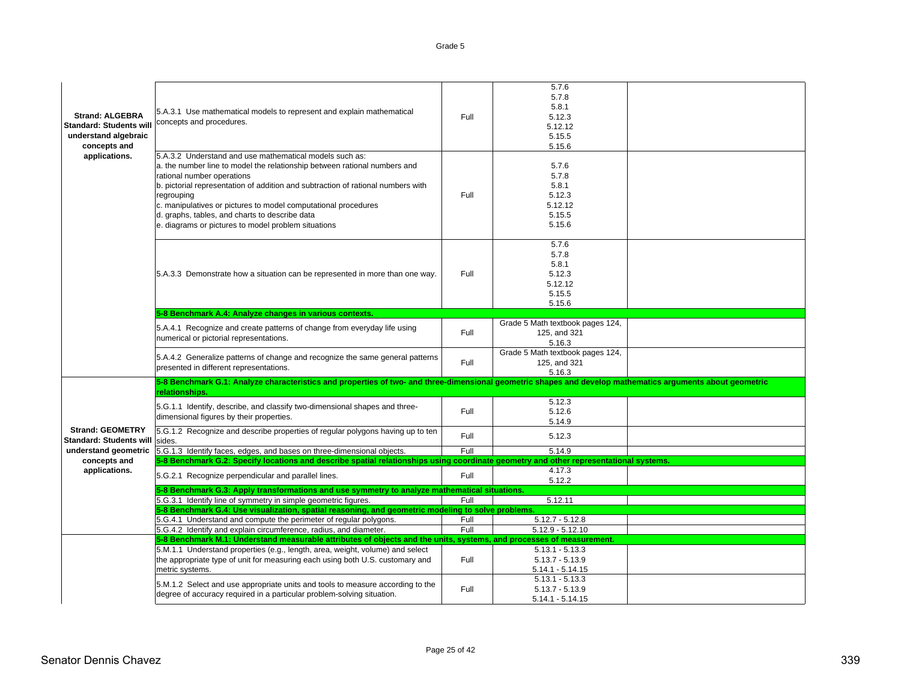| <b>Strand: ALGEBRA</b><br><b>Standard: Students will</b><br>understand algebraic<br>concepts and<br>applications. | 5.A.3.1 Use mathematical models to represent and explain mathematical<br>concepts and procedures.<br>5.A.3.2 Understand and use mathematical models such as:                                                                                                                                                                                                                         | Full | 5.7.6<br>5.7.8<br>5.8.1<br>5.12.3<br>5.12.12<br>5.15.5<br>5.15.6 |  |  |
|-------------------------------------------------------------------------------------------------------------------|--------------------------------------------------------------------------------------------------------------------------------------------------------------------------------------------------------------------------------------------------------------------------------------------------------------------------------------------------------------------------------------|------|------------------------------------------------------------------|--|--|
|                                                                                                                   | a. the number line to model the relationship between rational numbers and<br>rational number operations<br>b. pictorial representation of addition and subtraction of rational numbers with<br>regrouping<br>c. manipulatives or pictures to model computational procedures<br>d. graphs, tables, and charts to describe data<br>e. diagrams or pictures to model problem situations | Full | 5.7.6<br>5.7.8<br>5.8.1<br>5.12.3<br>5.12.12<br>5.15.5<br>5.15.6 |  |  |
|                                                                                                                   | 5.A.3.3 Demonstrate how a situation can be represented in more than one way.                                                                                                                                                                                                                                                                                                         | Full | 5.7.6<br>5.7.8<br>5.8.1<br>5.12.3<br>5.12.12<br>5.15.5<br>5.15.6 |  |  |
|                                                                                                                   | 5-8 Benchmark A.4: Analyze changes in various contexts.                                                                                                                                                                                                                                                                                                                              |      |                                                                  |  |  |
|                                                                                                                   | 5.A.4.1 Recognize and create patterns of change from everyday life using<br>numerical or pictorial representations.                                                                                                                                                                                                                                                                  | Full | Grade 5 Math textbook pages 124,<br>125, and 321<br>5.16.3       |  |  |
|                                                                                                                   | 5.A.4.2 Generalize patterns of change and recognize the same general patterns<br>presented in different representations.                                                                                                                                                                                                                                                             | Full | Grade 5 Math textbook pages 124,<br>125, and 321<br>5.16.3       |  |  |
|                                                                                                                   | 5-8 Benchmark G.1: Analyze characteristics and properties of two- and three-dimensional geometric shapes and develop mathematics arguments about geometric<br>relationships.                                                                                                                                                                                                         |      |                                                                  |  |  |
|                                                                                                                   | 5.G.1.1 Identify, describe, and classify two-dimensional shapes and three-<br>dimensional figures by their properties.                                                                                                                                                                                                                                                               | Full | 5.12.3<br>5.12.6<br>5.14.9                                       |  |  |
| <b>Strand: GEOMETRY</b><br><b>Standard: Students will</b>                                                         | 5.G.1.2 Recognize and describe properties of regular polygons having up to ten<br>sides.                                                                                                                                                                                                                                                                                             | Full | 5.12.3                                                           |  |  |
| understand geometric                                                                                              | 5.G.1.3 Identify faces, edges, and bases on three-dimensional objects.                                                                                                                                                                                                                                                                                                               | Full | 5.14.9                                                           |  |  |
| concepts and                                                                                                      | 5-8 Benchmark G.2: Specify locations and describe spatial relationships using coordinate geometry and other representational systems.                                                                                                                                                                                                                                                |      |                                                                  |  |  |
| applications.                                                                                                     | 5.G.2.1 Recognize perpendicular and parallel lines.                                                                                                                                                                                                                                                                                                                                  | Full | 4.17.3<br>5.12.2                                                 |  |  |
|                                                                                                                   | 5-8 Benchmark G.3: Apply transformations and use symmetry to analyze mathematical situations.                                                                                                                                                                                                                                                                                        |      |                                                                  |  |  |
|                                                                                                                   | 5.G.3.1 Identify line of symmetry in simple geometric figures.                                                                                                                                                                                                                                                                                                                       | Full | 5.12.11                                                          |  |  |
|                                                                                                                   | 5-8 Benchmark G.4: Use visualization, spatial reasoning, and geometric modeling to solve problems.                                                                                                                                                                                                                                                                                   |      |                                                                  |  |  |
|                                                                                                                   | 5.G.4.1 Understand and compute the perimeter of regular polygons.                                                                                                                                                                                                                                                                                                                    | Full | $5.12.7 - 5.12.8$                                                |  |  |
|                                                                                                                   | 5.G.4.2 Identify and explain circumference, radius, and diameter.                                                                                                                                                                                                                                                                                                                    | Full | $5.12.9 - 5.12.10$                                               |  |  |
|                                                                                                                   | 5-8 Benchmark M.1: Understand measurable attributes of objects and the units, systems, and processes of measurement.                                                                                                                                                                                                                                                                 |      |                                                                  |  |  |
|                                                                                                                   | 5.M.1.1 Understand properties (e.g., length, area, weight, volume) and select<br>the appropriate type of unit for measuring each using both U.S. customary and<br>metric systems.                                                                                                                                                                                                    | Full | $5.13.1 - 5.13.3$<br>$5.13.7 - 5.13.9$<br>$5.14.1 - 5.14.15$     |  |  |
|                                                                                                                   | 5.M.1.2 Select and use appropriate units and tools to measure according to the<br>degree of accuracy required in a particular problem-solving situation.                                                                                                                                                                                                                             | Full | $5.13.1 - 5.13.3$<br>$5.13.7 - 5.13.9$<br>$5.14.1 - 5.14.15$     |  |  |
|                                                                                                                   |                                                                                                                                                                                                                                                                                                                                                                                      |      |                                                                  |  |  |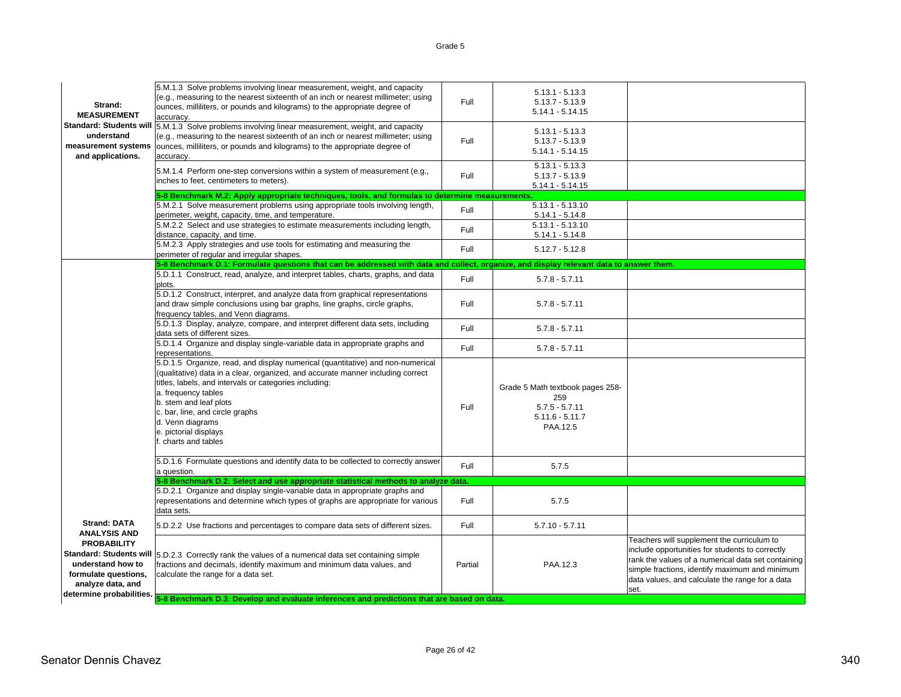| Strand:<br><b>MEASUREMENT</b>                                                                                    | 5.M.1.3 Solve problems involving linear measurement, weight, and capacity<br>(e.g., measuring to the nearest sixteenth of an inch or nearest millimeter; using<br>ounces, milliliters, or pounds and kilograms) to the appropriate degree of<br>accuracy.                                                                                                                            | Full    | $5.13.1 - 5.13.3$<br>$5.13.7 - 5.13.9$<br>$5.14.1 - 5.14.15$                                 |                                                                                                                                                                                                                                                                  |
|------------------------------------------------------------------------------------------------------------------|--------------------------------------------------------------------------------------------------------------------------------------------------------------------------------------------------------------------------------------------------------------------------------------------------------------------------------------------------------------------------------------|---------|----------------------------------------------------------------------------------------------|------------------------------------------------------------------------------------------------------------------------------------------------------------------------------------------------------------------------------------------------------------------|
| <b>Standard: Students will</b><br>understand<br>measurement systems<br>and applications.                         | 5.M.1.3 Solve problems involving linear measurement, weight, and capacity<br>(e.g., measuring to the nearest sixteenth of an inch or nearest millimeter; using<br>ounces, milliliters, or pounds and kilograms) to the appropriate degree of<br>accuracy.                                                                                                                            | Full    | $5.13.1 - 5.13.3$<br>$5.13.7 - 5.13.9$<br>$5.14.1 - 5.14.15$                                 |                                                                                                                                                                                                                                                                  |
|                                                                                                                  | 5.M.1.4 Perform one-step conversions within a system of measurement (e.g.,<br>inches to feet, centimeters to meters).                                                                                                                                                                                                                                                                | Full    | $5.13.1 - 5.13.3$<br>$5.13.7 - 5.13.9$<br>$5.14.1 - 5.14.15$                                 |                                                                                                                                                                                                                                                                  |
|                                                                                                                  | 5-8 Benchmark M.2: Apply appropriate techniques, tools, and formulas to determine measurements.                                                                                                                                                                                                                                                                                      |         |                                                                                              |                                                                                                                                                                                                                                                                  |
|                                                                                                                  | 5.M.2.1 Solve measurement problems using appropriate tools involving length,<br>perimeter, weight, capacity, time, and temperature.                                                                                                                                                                                                                                                  | Full    | $5.13.1 - 5.13.10$<br>$5.14.1 - 5.14.8$                                                      |                                                                                                                                                                                                                                                                  |
|                                                                                                                  | 5.M.2.2 Select and use strategies to estimate measurements including length,<br>distance, capacity, and time.                                                                                                                                                                                                                                                                        | Full    | $5.13.1 - 5.13.10$<br>$5.14.1 - 5.14.8$                                                      |                                                                                                                                                                                                                                                                  |
|                                                                                                                  | 5.M.2.3 Apply strategies and use tools for estimating and measuring the<br>perimeter of regular and irregular shapes.                                                                                                                                                                                                                                                                | Full    | $5.12.7 - 5.12.8$                                                                            |                                                                                                                                                                                                                                                                  |
|                                                                                                                  | 5-8 Benchmark D.1: Formulate questions that can be addressed with data and collect, organize, and display relevant data to answer them.                                                                                                                                                                                                                                              |         |                                                                                              |                                                                                                                                                                                                                                                                  |
|                                                                                                                  | 5.D.1.1 Construct, read, analyze, and interpret tables, charts, graphs, and data<br>plots.                                                                                                                                                                                                                                                                                           | Full    | $5.7.8 - 5.7.11$                                                                             |                                                                                                                                                                                                                                                                  |
|                                                                                                                  | 5.D.1.2 Construct, interpret, and analyze data from graphical representations<br>and draw simple conclusions using bar graphs, line graphs, circle graphs,<br>frequency tables, and Venn diagrams.                                                                                                                                                                                   | Full    | $5.7.8 - 5.7.11$                                                                             |                                                                                                                                                                                                                                                                  |
|                                                                                                                  | 5.D.1.3 Display, analyze, compare, and interpret different data sets, including<br>data sets of different sizes.                                                                                                                                                                                                                                                                     | Full    | $5.7.8 - 5.7.11$                                                                             |                                                                                                                                                                                                                                                                  |
|                                                                                                                  | 5.D.1.4 Organize and display single-variable data in appropriate graphs and<br>representations.                                                                                                                                                                                                                                                                                      | Full    | $5.7.8 - 5.7.11$                                                                             |                                                                                                                                                                                                                                                                  |
|                                                                                                                  | 5.D.1.5 Organize, read, and display numerical (quantitative) and non-numerical<br>(qualitative) data in a clear, organized, and accurate manner including correct<br>titles, labels, and intervals or categories including:<br>a. frequency tables<br>b. stem and leaf plots<br>c. bar, line, and circle graphs<br>d. Venn diagrams<br>e. pictorial displays<br>f. charts and tables | Full    | Grade 5 Math textbook pages 258-<br>259<br>$5.7.5 - 5.7.11$<br>$5.11.6 - 5.11.7$<br>PAA.12.5 |                                                                                                                                                                                                                                                                  |
|                                                                                                                  | 5.D.1.6 Formulate questions and identify data to be collected to correctly answer<br>a question.                                                                                                                                                                                                                                                                                     | Full    | 5.7.5                                                                                        |                                                                                                                                                                                                                                                                  |
|                                                                                                                  | 5-8 Benchmark D.2: Select and use appropriate statistical methods to analyze data.                                                                                                                                                                                                                                                                                                   |         |                                                                                              |                                                                                                                                                                                                                                                                  |
|                                                                                                                  | 5.D.2.1 Organize and display single-variable data in appropriate graphs and<br>representations and determine which types of graphs are appropriate for various                                                                                                                                                                                                                       | Full    | 5.7.5                                                                                        |                                                                                                                                                                                                                                                                  |
|                                                                                                                  | data sets.                                                                                                                                                                                                                                                                                                                                                                           |         |                                                                                              |                                                                                                                                                                                                                                                                  |
| <b>Strand: DATA</b><br><b>ANALYSIS AND</b>                                                                       | 5.D.2.2 Use fractions and percentages to compare data sets of different sizes.                                                                                                                                                                                                                                                                                                       | Full    | $5.7.10 - 5.7.11$                                                                            |                                                                                                                                                                                                                                                                  |
| <b>PROBABILITY</b><br>understand how to<br>formulate questions,<br>analyze data, and<br>determine probabilities. | Standard: Students will  5.D.2.3 Correctly rank the values of a numerical data set containing simple<br>fractions and decimals, identify maximum and minimum data values, and<br>calculate the range for a data set.                                                                                                                                                                 | Partial | PAA.12.3                                                                                     | Teachers will supplement the curriculum to<br>include opportunities for students to correctly<br>rank the values of a numerical data set containing<br>simple fractions, identify maximum and minimum<br>data values, and calculate the range for a data<br>set. |
|                                                                                                                  | 5-8 Benchmark D.3: Develop and evaluate inferences and predictions that are based on data.                                                                                                                                                                                                                                                                                           |         |                                                                                              |                                                                                                                                                                                                                                                                  |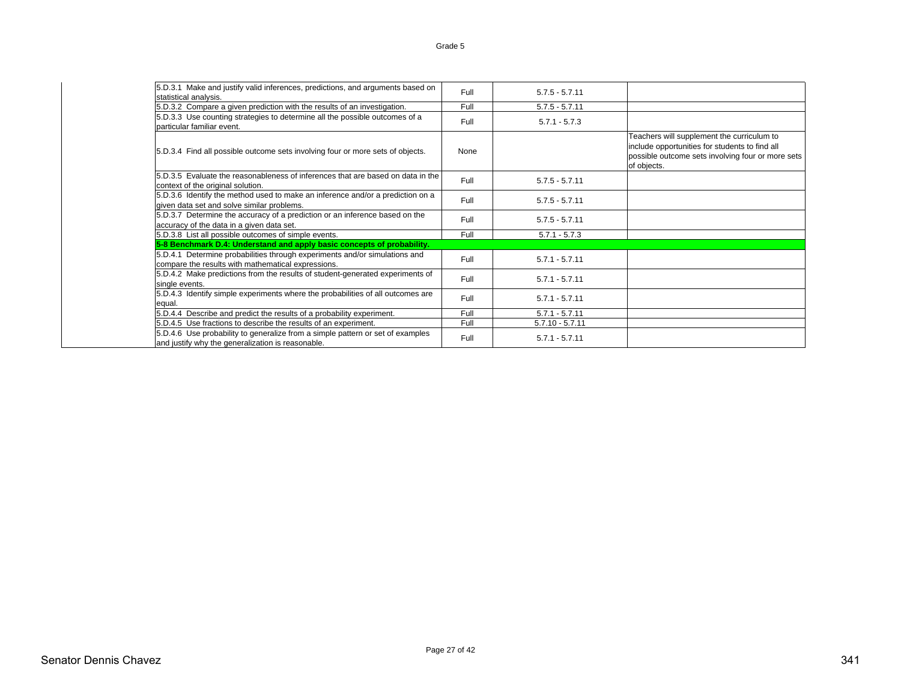| 5.D.3.1 Make and justify valid inferences, predictions, and arguments based on                                                      | Full | $5.7.5 - 5.7.11$  |                                                                                                                                                                  |
|-------------------------------------------------------------------------------------------------------------------------------------|------|-------------------|------------------------------------------------------------------------------------------------------------------------------------------------------------------|
| statistical analysis.<br>5.D.3.2 Compare a given prediction with the results of an investigation.                                   | Full | $5.7.5 - 5.7.11$  |                                                                                                                                                                  |
| 5.D.3.3 Use counting strategies to determine all the possible outcomes of a<br>particular familiar event.                           | Full | $5.7.1 - 5.7.3$   |                                                                                                                                                                  |
| 5.D.3.4 Find all possible outcome sets involving four or more sets of objects.                                                      | None |                   | Teachers will supplement the curriculum to<br>include opportunities for students to find all<br>possible outcome sets involving four or more sets<br>of objects. |
| 5.D.3.5 Evaluate the reasonableness of inferences that are based on data in the<br>context of the original solution.                | Full | $5.7.5 - 5.7.11$  |                                                                                                                                                                  |
| 5.D.3.6 Identify the method used to make an inference and/or a prediction on a<br>given data set and solve similar problems.        | Full | $5.7.5 - 5.7.11$  |                                                                                                                                                                  |
| 5.D.3.7 Determine the accuracy of a prediction or an inference based on the<br>accuracy of the data in a given data set.            | Full | $5.7.5 - 5.7.11$  |                                                                                                                                                                  |
| 5.D.3.8 List all possible outcomes of simple events.                                                                                | Full | $5.7.1 - 5.7.3$   |                                                                                                                                                                  |
| 5-8 Benchmark D.4: Understand and apply basic concepts of probability.                                                              |      |                   |                                                                                                                                                                  |
| 5.D.4.1 Determine probabilities through experiments and/or simulations and<br>compare the results with mathematical expressions.    | Full | $5.7.1 - 5.7.11$  |                                                                                                                                                                  |
| 5.D.4.2 Make predictions from the results of student-generated experiments of<br>single events.                                     | Full | $5.7.1 - 5.7.11$  |                                                                                                                                                                  |
| 5.D.4.3 Identify simple experiments where the probabilities of all outcomes are<br>equal.                                           | Full | $5.7.1 - 5.7.11$  |                                                                                                                                                                  |
| 5.D.4.4 Describe and predict the results of a probability experiment.                                                               | Full | $5.7.1 - 5.7.11$  |                                                                                                                                                                  |
| 5.D.4.5 Use fractions to describe the results of an experiment.                                                                     | Full | $5.7.10 - 5.7.11$ |                                                                                                                                                                  |
| 5.D.4.6 Use probability to generalize from a simple pattern or set of examples<br>and justify why the generalization is reasonable. | Full | $5.7.1 - 5.7.11$  |                                                                                                                                                                  |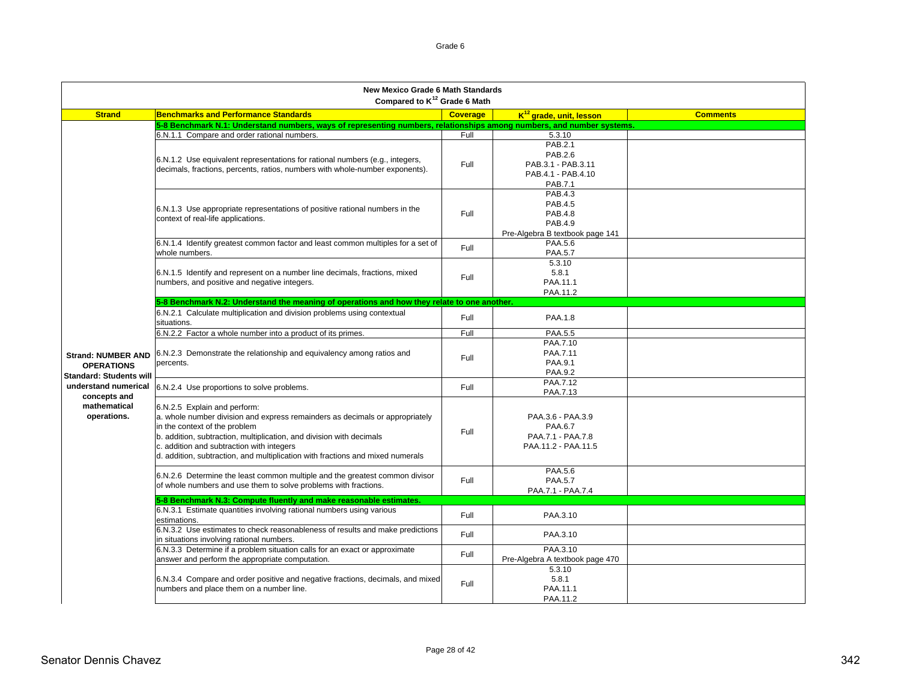| <b>New Mexico Grade 6 Math Standards</b><br>Compared to K <sup>12</sup> Grade 6 Math |                                                                                                                         |                 |                                     |                 |
|--------------------------------------------------------------------------------------|-------------------------------------------------------------------------------------------------------------------------|-----------------|-------------------------------------|-----------------|
| <b>Strand</b>                                                                        | <b>Benchmarks and Performance Standards</b>                                                                             | <b>Coverage</b> | $K^{12}$ grade, unit, lesson        | <b>Comments</b> |
|                                                                                      | 5-8 Benchmark N.1: Understand numbers, ways of representing numbers, relationships among numbers, and number systems.   |                 |                                     |                 |
|                                                                                      | 6.N.1.1 Compare and order rational numbers.                                                                             | Full            | 5.3.10                              |                 |
|                                                                                      |                                                                                                                         |                 | PAB.2.1                             |                 |
|                                                                                      | 6.N.1.2 Use equivalent representations for rational numbers (e.g., integers,                                            |                 | PAB.2.6                             |                 |
|                                                                                      | decimals, fractions, percents, ratios, numbers with whole-number exponents).                                            | Full            | PAB.3.1 - PAB.3.11                  |                 |
|                                                                                      |                                                                                                                         |                 | PAB.4.1 - PAB.4.10                  |                 |
|                                                                                      |                                                                                                                         |                 | PAB.7.1                             |                 |
|                                                                                      |                                                                                                                         |                 | PAB.4.3                             |                 |
|                                                                                      | 6.N.1.3 Use appropriate representations of positive rational numbers in the                                             |                 | PAB.4.5                             |                 |
|                                                                                      | context of real-life applications.                                                                                      | Full            | <b>PAB.4.8</b>                      |                 |
|                                                                                      |                                                                                                                         |                 | PAB.4.9                             |                 |
|                                                                                      |                                                                                                                         |                 | Pre-Algebra B textbook page 141     |                 |
|                                                                                      | 6.N.1.4 Identify greatest common factor and least common multiples for a set of                                         | Full            | PAA.5.6                             |                 |
|                                                                                      | whole numbers.                                                                                                          |                 | <b>PAA.5.7</b>                      |                 |
|                                                                                      |                                                                                                                         |                 | 5.3.10                              |                 |
|                                                                                      | 6.N.1.5 Identify and represent on a number line decimals, fractions, mixed                                              | Full            | 5.8.1<br>PAA.11.1                   |                 |
|                                                                                      | numbers, and positive and negative integers.                                                                            |                 | PAA.11.2                            |                 |
|                                                                                      | 5-8 Benchmark N.2: Understand the meaning of operations and how they relate to one another.                             |                 |                                     |                 |
|                                                                                      | 6.N.2.1 Calculate multiplication and division problems using contextual                                                 |                 |                                     |                 |
|                                                                                      | situations.                                                                                                             | Full            | PAA.1.8                             |                 |
|                                                                                      | 6.N.2.2 Factor a whole number into a product of its primes.                                                             | Full            | PAA.5.5                             |                 |
|                                                                                      |                                                                                                                         |                 | PAA.7.10                            |                 |
| <b>Strand: NUMBER AND</b>                                                            | 6.N.2.3 Demonstrate the relationship and equivalency among ratios and                                                   | Full            | PAA.7.11                            |                 |
| <b>OPERATIONS</b>                                                                    | percents.                                                                                                               |                 | PAA.9.1                             |                 |
| <b>Standard: Students will</b>                                                       |                                                                                                                         |                 | <b>PAA.9.2</b>                      |                 |
| understand numerical                                                                 | 6.N.2.4 Use proportions to solve problems.                                                                              | Full            | PAA.7.12<br>PAA.7.13                |                 |
| concepts and                                                                         |                                                                                                                         |                 |                                     |                 |
| mathematical                                                                         | 6.N.2.5 Explain and perform:                                                                                            |                 |                                     |                 |
| operations.                                                                          | a. whole number division and express remainders as decimals or appropriately<br>in the context of the problem           |                 | PAA.3.6 - PAA.3.9<br><b>PAA.6.7</b> |                 |
|                                                                                      | b. addition, subtraction, multiplication, and division with decimals                                                    | Full            | PAA.7.1 - PAA.7.8                   |                 |
|                                                                                      | c. addition and subtraction with integers                                                                               |                 | PAA.11.2 - PAA.11.5                 |                 |
|                                                                                      | d. addition, subtraction, and multiplication with fractions and mixed numerals                                          |                 |                                     |                 |
|                                                                                      |                                                                                                                         |                 |                                     |                 |
|                                                                                      | 6.N.2.6 Determine the least common multiple and the greatest common divisor                                             |                 | PAA.5.6                             |                 |
|                                                                                      | of whole numbers and use them to solve problems with fractions.                                                         | Full            | <b>PAA.5.7</b>                      |                 |
|                                                                                      |                                                                                                                         |                 | PAA.7.1 - PAA.7.4                   |                 |
|                                                                                      | 5-8 Benchmark N.3: Compute fluently and make reasonable estimates.                                                      |                 |                                     |                 |
|                                                                                      | 6.N.3.1 Estimate quantities involving rational numbers using various<br>estimations.                                    | Full            | PAA.3.10                            |                 |
|                                                                                      | 6.N.3.2 Use estimates to check reasonableness of results and make predictions                                           | Full            | PAA.3.10                            |                 |
|                                                                                      | in situations involving rational numbers.<br>6.N.3.3 Determine if a problem situation calls for an exact or approximate |                 | PAA.3.10                            |                 |
|                                                                                      | answer and perform the appropriate computation.                                                                         | Full            | Pre-Algebra A textbook page 470     |                 |
|                                                                                      |                                                                                                                         |                 | 5.3.10                              |                 |
|                                                                                      | 6.N.3.4 Compare and order positive and negative fractions, decimals, and mixed                                          |                 | 5.8.1                               |                 |
|                                                                                      | numbers and place them on a number line.                                                                                | Full            | PAA.11.1                            |                 |
|                                                                                      |                                                                                                                         |                 | PAA.11.2                            |                 |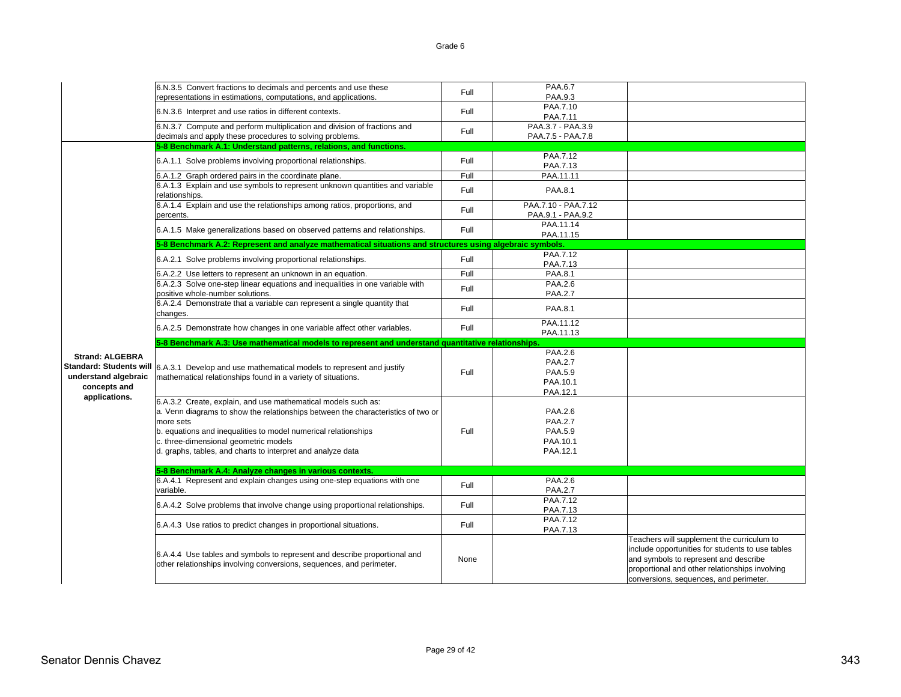|                                | 6.N.3.5 Convert fractions to decimals and percents and use these                                                                                  | Full | PAA.6.7                                  |                                                                                                                                                                                                                                     |
|--------------------------------|---------------------------------------------------------------------------------------------------------------------------------------------------|------|------------------------------------------|-------------------------------------------------------------------------------------------------------------------------------------------------------------------------------------------------------------------------------------|
|                                | representations in estimations, computations, and applications.                                                                                   |      | PAA.9.3                                  |                                                                                                                                                                                                                                     |
|                                | 6.N.3.6 Interpret and use ratios in different contexts.                                                                                           | Full | PAA.7.10<br>PAA.7.11                     |                                                                                                                                                                                                                                     |
|                                | 6.N.3.7 Compute and perform multiplication and division of fractions and<br>decimals and apply these procedures to solving problems.              | Full | PAA.3.7 - PAA.3.9<br>PAA.7.5 - PAA.7.8   |                                                                                                                                                                                                                                     |
|                                | 5-8 Benchmark A.1: Understand patterns, relations, and functions.                                                                                 |      |                                          |                                                                                                                                                                                                                                     |
|                                |                                                                                                                                                   |      | PAA.7.12                                 |                                                                                                                                                                                                                                     |
|                                | 6.A.1.1 Solve problems involving proportional relationships.                                                                                      | Full | PAA.7.13                                 |                                                                                                                                                                                                                                     |
|                                | 6.A.1.2 Graph ordered pairs in the coordinate plane.                                                                                              | Full | PAA.11.11                                |                                                                                                                                                                                                                                     |
|                                | 6.A.1.3 Explain and use symbols to represent unknown quantities and variable<br>relationships.                                                    | Full | PAA.8.1                                  |                                                                                                                                                                                                                                     |
|                                | 6.A.1.4 Explain and use the relationships among ratios, proportions, and<br>percents.                                                             | Full | PAA.7.10 - PAA.7.12<br>PAA.9.1 - PAA.9.2 |                                                                                                                                                                                                                                     |
|                                | 6.A.1.5 Make generalizations based on observed patterns and relationships.                                                                        | Full | PAA.11.14<br>PAA.11.15                   |                                                                                                                                                                                                                                     |
|                                | 5-8 Benchmark A.2: Represent and analyze mathematical situations and structures using algebraic symbols.                                          |      |                                          |                                                                                                                                                                                                                                     |
|                                | 6.A.2.1 Solve problems involving proportional relationships.                                                                                      | Full | PAA.7.12<br>PAA 7.13                     |                                                                                                                                                                                                                                     |
|                                | 6.A.2.2 Use letters to represent an unknown in an equation.                                                                                       | Full | PAA.8.1                                  |                                                                                                                                                                                                                                     |
|                                | 6.A.2.3 Solve one-step linear equations and inequalities in one variable with<br>positive whole-number solutions.                                 | Full | PAA.2.6<br><b>PAA.2.7</b>                |                                                                                                                                                                                                                                     |
|                                | 6.A.2.4 Demonstrate that a variable can represent a single quantity that<br>changes.                                                              | Full | PAA.8.1                                  |                                                                                                                                                                                                                                     |
|                                | 6.A.2.5 Demonstrate how changes in one variable affect other variables.                                                                           | Full | PAA.11.12<br>PAA.11.13                   |                                                                                                                                                                                                                                     |
|                                | 5-8 Benchmark A.3: Use mathematical models to represent and understand quantitative relationships.                                                |      |                                          |                                                                                                                                                                                                                                     |
|                                |                                                                                                                                                   |      |                                          |                                                                                                                                                                                                                                     |
|                                |                                                                                                                                                   |      | PAA.2.6                                  |                                                                                                                                                                                                                                     |
| <b>Strand: ALGEBRA</b>         |                                                                                                                                                   |      | <b>PAA.2.7</b>                           |                                                                                                                                                                                                                                     |
| <b>Standard: Students will</b> | 6.A.3.1 Develop and use mathematical models to represent and justify                                                                              |      |                                          |                                                                                                                                                                                                                                     |
| understand algebraic           | mathematical relationships found in a variety of situations.                                                                                      | Full | PAA.5.9                                  |                                                                                                                                                                                                                                     |
| concepts and                   |                                                                                                                                                   |      | PAA.10.1                                 |                                                                                                                                                                                                                                     |
| applications.                  | 6.A.3.2 Create, explain, and use mathematical models such as:                                                                                     |      | PAA.12.1                                 |                                                                                                                                                                                                                                     |
|                                |                                                                                                                                                   |      | PAA.2.6                                  |                                                                                                                                                                                                                                     |
|                                | a. Venn diagrams to show the relationships between the characteristics of two or                                                                  |      |                                          |                                                                                                                                                                                                                                     |
|                                | more sets                                                                                                                                         |      | <b>PAA.2.7</b>                           |                                                                                                                                                                                                                                     |
|                                | b. equations and inequalities to model numerical relationships                                                                                    | Full | PAA.5.9                                  |                                                                                                                                                                                                                                     |
|                                | c. three-dimensional geometric models<br>d. graphs, tables, and charts to interpret and analyze data                                              |      | PAA.10.1<br>PAA.12.1                     |                                                                                                                                                                                                                                     |
|                                |                                                                                                                                                   |      |                                          |                                                                                                                                                                                                                                     |
|                                | 5-8 Benchmark A.4: Analyze changes in various contexts.                                                                                           |      |                                          |                                                                                                                                                                                                                                     |
|                                | 6.A.4.1 Represent and explain changes using one-step equations with one<br>variable.                                                              | Full | PAA.2.6<br><b>PAA.2.7</b>                |                                                                                                                                                                                                                                     |
|                                | 6.A.4.2 Solve problems that involve change using proportional relationships.                                                                      | Full | PAA.7.12                                 |                                                                                                                                                                                                                                     |
|                                |                                                                                                                                                   |      | PAA.7.13                                 |                                                                                                                                                                                                                                     |
|                                | 6.A.4.3 Use ratios to predict changes in proportional situations.                                                                                 | Full | PAA.7.12<br>PAA.7.13                     |                                                                                                                                                                                                                                     |
|                                | 6.A.4.4 Use tables and symbols to represent and describe proportional and<br>other relationships involving conversions, sequences, and perimeter. | None |                                          | Teachers will supplement the curriculum to<br>include opportunities for students to use tables<br>and symbols to represent and describe<br>proportional and other relationships involving<br>conversions, sequences, and perimeter. |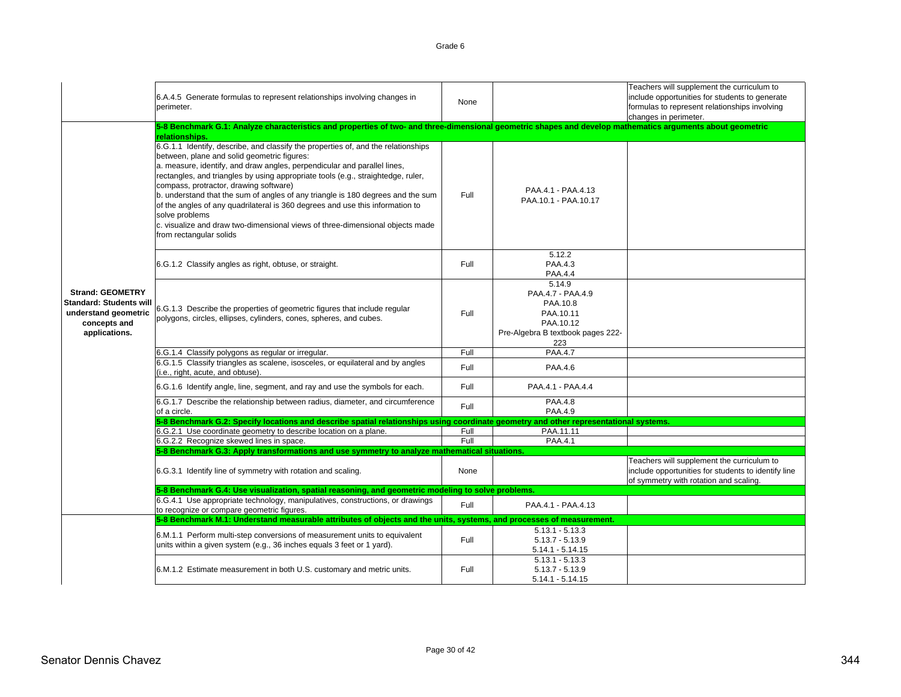|                                                                                                                    | 6.A.4.5 Generate formulas to represent relationships involving changes in<br>perimeter.                                                                                                                                                                                                                                                                                                                                                                                                                                                                                                                                                      | None |                                                                                                               | Teachers will supplement the curriculum to<br>include opportunities for students to generate<br>formulas to represent relationships involving<br>changes in perimeter. |
|--------------------------------------------------------------------------------------------------------------------|----------------------------------------------------------------------------------------------------------------------------------------------------------------------------------------------------------------------------------------------------------------------------------------------------------------------------------------------------------------------------------------------------------------------------------------------------------------------------------------------------------------------------------------------------------------------------------------------------------------------------------------------|------|---------------------------------------------------------------------------------------------------------------|------------------------------------------------------------------------------------------------------------------------------------------------------------------------|
|                                                                                                                    | 5-8 Benchmark G.1: Analyze characteristics and properties of two- and three-dimensional geometric shapes and develop mathematics arguments about geometric<br>relationships.                                                                                                                                                                                                                                                                                                                                                                                                                                                                 |      |                                                                                                               |                                                                                                                                                                        |
|                                                                                                                    | 6.G.1.1 Identify, describe, and classify the properties of, and the relationships<br>between, plane and solid geometric figures:<br>a. measure, identify, and draw angles, perpendicular and parallel lines,<br>rectangles, and triangles by using appropriate tools (e.g., straightedge, ruler,<br>compass, protractor, drawing software)<br>b. understand that the sum of angles of any triangle is 180 degrees and the sum<br>of the angles of any quadrilateral is 360 degrees and use this information to<br>solve problems<br>c. visualize and draw two-dimensional views of three-dimensional objects made<br>from rectangular solids | Full | PAA.4.1 - PAA.4.13<br>PAA.10.1 - PAA.10.17                                                                    |                                                                                                                                                                        |
|                                                                                                                    | 6.G.1.2 Classify angles as right, obtuse, or straight.                                                                                                                                                                                                                                                                                                                                                                                                                                                                                                                                                                                       | Full | 5.12.2<br>PAA.4.3<br><b>PAA.4.4</b>                                                                           |                                                                                                                                                                        |
| <b>Strand: GEOMETRY</b><br><b>Standard: Students will</b><br>understand geometric<br>concepts and<br>applications. | 6.G.1.3 Describe the properties of geometric figures that include regular<br>polygons, circles, ellipses, cylinders, cones, spheres, and cubes.                                                                                                                                                                                                                                                                                                                                                                                                                                                                                              | Full | 5.14.9<br>PAA.4.7 - PAA.4.9<br>PAA.10.8<br>PAA.10.11<br>PAA.10.12<br>Pre-Algebra B textbook pages 222-<br>223 |                                                                                                                                                                        |
|                                                                                                                    | 6.G.1.4 Classify polygons as regular or irregular.                                                                                                                                                                                                                                                                                                                                                                                                                                                                                                                                                                                           | Full | PAA.4.7                                                                                                       |                                                                                                                                                                        |
|                                                                                                                    | 6.G.1.5 Classify triangles as scalene, isosceles, or equilateral and by angles<br>(i.e., right, acute, and obtuse).                                                                                                                                                                                                                                                                                                                                                                                                                                                                                                                          | Full | PAA.4.6                                                                                                       |                                                                                                                                                                        |
|                                                                                                                    | 6.G.1.6 Identify angle, line, segment, and ray and use the symbols for each.                                                                                                                                                                                                                                                                                                                                                                                                                                                                                                                                                                 | Full | PAA.4.1 - PAA.4.4                                                                                             |                                                                                                                                                                        |
|                                                                                                                    | 6.G.1.7 Describe the relationship between radius, diameter, and circumference<br>of a circle.                                                                                                                                                                                                                                                                                                                                                                                                                                                                                                                                                | Full | PAA.4.8<br>PAA.4.9                                                                                            |                                                                                                                                                                        |
|                                                                                                                    | 5-8 Benchmark G.2: Specify locations and describe spatial relationships using coordinate geometry and other representational systems.                                                                                                                                                                                                                                                                                                                                                                                                                                                                                                        |      |                                                                                                               |                                                                                                                                                                        |
|                                                                                                                    | 6.G.2.1 Use coordinate geometry to describe location on a plane.                                                                                                                                                                                                                                                                                                                                                                                                                                                                                                                                                                             | Full | PAA.11.11                                                                                                     |                                                                                                                                                                        |
|                                                                                                                    | 6.G.2.2 Recognize skewed lines in space.<br>5-8 Benchmark G.3: Apply transformations and use symmetry to analyze mathematical situations.                                                                                                                                                                                                                                                                                                                                                                                                                                                                                                    | Full | PAA.4.1                                                                                                       |                                                                                                                                                                        |
|                                                                                                                    | 6.G.3.1 Identify line of symmetry with rotation and scaling.                                                                                                                                                                                                                                                                                                                                                                                                                                                                                                                                                                                 | None |                                                                                                               | Teachers will supplement the curriculum to<br>include opportunities for students to identify line<br>of symmetry with rotation and scaling.                            |
|                                                                                                                    | 5-8 Benchmark G.4: Use visualization, spatial reasoning, and geometric modeling to solve problems.<br>6.G.4.1 Use appropriate technology, manipulatives, constructions, or drawings<br>to recognize or compare geometric figures.                                                                                                                                                                                                                                                                                                                                                                                                            | Full | PAA.4.1 - PAA.4.13                                                                                            |                                                                                                                                                                        |
|                                                                                                                    | 5-8 Benchmark M.1: Understand measurable attributes of objects and the units, systems, and processes of measurement.                                                                                                                                                                                                                                                                                                                                                                                                                                                                                                                         |      |                                                                                                               |                                                                                                                                                                        |
|                                                                                                                    | 6.M.1.1 Perform multi-step conversions of measurement units to equivalent<br>units within a given system (e.g., 36 inches equals 3 feet or 1 yard).                                                                                                                                                                                                                                                                                                                                                                                                                                                                                          | Full | $5.13.1 - 5.13.3$<br>$5.13.7 - 5.13.9$<br>$5.14.1 - 5.14.15$                                                  |                                                                                                                                                                        |
|                                                                                                                    | 6.M.1.2 Estimate measurement in both U.S. customary and metric units.                                                                                                                                                                                                                                                                                                                                                                                                                                                                                                                                                                        | Full | $5.13.1 - 5.13.3$<br>$5.13.7 - 5.13.9$<br>$5.14.1 - 5.14.15$                                                  |                                                                                                                                                                        |
|                                                                                                                    |                                                                                                                                                                                                                                                                                                                                                                                                                                                                                                                                                                                                                                              |      |                                                                                                               |                                                                                                                                                                        |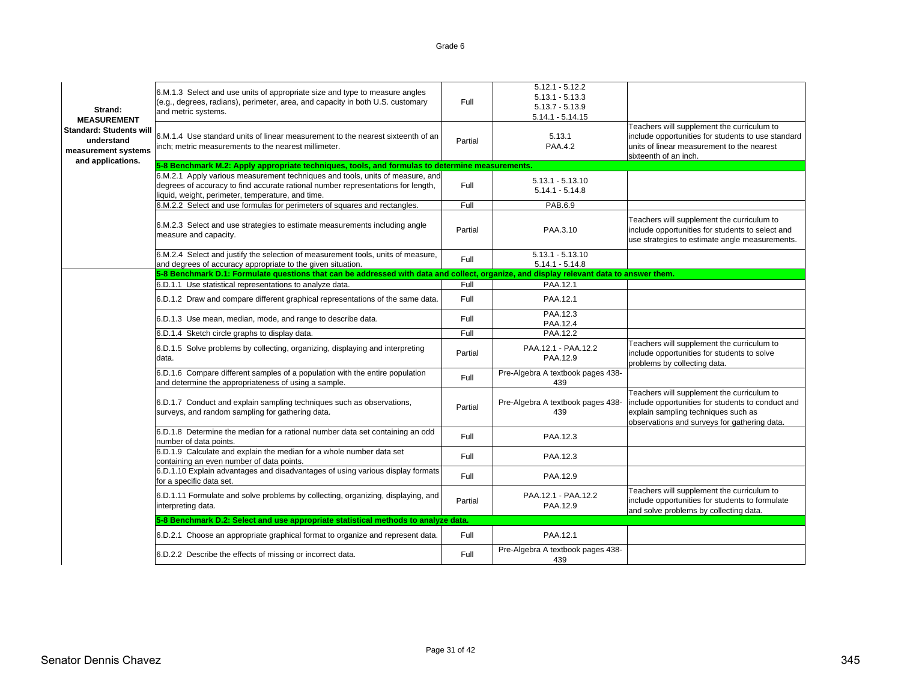| Strand:<br><b>MEASUREMENT</b><br><b>Standard: Students will</b><br>understand<br>measurement systems | 6.M.1.3 Select and use units of appropriate size and type to measure angles<br>(e.g., degrees, radians), perimeter, area, and capacity in both U.S. customary<br>and metric systems.<br>6.M.1.4 Use standard units of linear measurement to the nearest sixteenth of an<br>inch; metric measurements to the nearest millimeter. | Full<br>Partial | $5.12.1 - 5.12.2$<br>$5.13.1 - 5.13.3$<br>$5.13.7 - 5.13.9$<br>$5.14.1 - 5.14.15$<br>5.13.1<br><b>PAA.4.2</b> | Teachers will supplement the curriculum to<br>include opportunities for students to use standard<br>units of linear measurement to the nearest<br>sixteenth of an inch.                |
|------------------------------------------------------------------------------------------------------|---------------------------------------------------------------------------------------------------------------------------------------------------------------------------------------------------------------------------------------------------------------------------------------------------------------------------------|-----------------|---------------------------------------------------------------------------------------------------------------|----------------------------------------------------------------------------------------------------------------------------------------------------------------------------------------|
| and applications.                                                                                    | 5-8 Benchmark M.2: Apply appropriate techniques, tools, and formulas to determine measurements.                                                                                                                                                                                                                                 |                 |                                                                                                               |                                                                                                                                                                                        |
|                                                                                                      | 6.M.2.1 Apply various measurement techniques and tools, units of measure, and<br>degrees of accuracy to find accurate rational number representations for length,<br>liquid, weight, perimeter, temperature, and time.                                                                                                          | Full            | $5.13.1 - 5.13.10$<br>$5.14.1 - 5.14.8$                                                                       |                                                                                                                                                                                        |
|                                                                                                      | 6.M.2.2 Select and use formulas for perimeters of squares and rectangles.                                                                                                                                                                                                                                                       | Full            | PAB.6.9                                                                                                       |                                                                                                                                                                                        |
|                                                                                                      | 6.M.2.3 Select and use strategies to estimate measurements including angle<br>measure and capacity.                                                                                                                                                                                                                             | Partial         | PAA.3.10                                                                                                      | Teachers will supplement the curriculum to<br>include opportunities for students to select and<br>use strategies to estimate angle measurements.                                       |
|                                                                                                      | 6.M.2.4 Select and justify the selection of measurement tools, units of measure,<br>and degrees of accuracy appropriate to the given situation.                                                                                                                                                                                 | Full            | $5.13.1 - 5.13.10$<br>$5.14.1 - 5.14.8$                                                                       |                                                                                                                                                                                        |
|                                                                                                      | 5-8 Benchmark D.1: Formulate questions that can be addressed with data and collect, organize, and display relevant data to answer them.                                                                                                                                                                                         |                 |                                                                                                               |                                                                                                                                                                                        |
|                                                                                                      | 6.D.1.1 Use statistical representations to analyze data.                                                                                                                                                                                                                                                                        | Full            | PAA.12.1                                                                                                      |                                                                                                                                                                                        |
|                                                                                                      | 6.D.1.2 Draw and compare different graphical representations of the same data.                                                                                                                                                                                                                                                  | Full            | PAA.12.1                                                                                                      |                                                                                                                                                                                        |
|                                                                                                      | 6.D.1.3 Use mean, median, mode, and range to describe data.                                                                                                                                                                                                                                                                     | Full            | PAA.12.3<br>PAA.12.4                                                                                          |                                                                                                                                                                                        |
|                                                                                                      | 6.D.1.4 Sketch circle graphs to display data.                                                                                                                                                                                                                                                                                   | Full            | PAA.12.2                                                                                                      |                                                                                                                                                                                        |
|                                                                                                      | 6.D.1.5 Solve problems by collecting, organizing, displaying and interpreting<br>data.                                                                                                                                                                                                                                          | Partial         | PAA.12.1 - PAA.12.2<br>PAA.12.9                                                                               | Teachers will supplement the curriculum to<br>include opportunities for students to solve<br>problems by collecting data.                                                              |
|                                                                                                      | 6.D.1.6 Compare different samples of a population with the entire population<br>and determine the appropriateness of using a sample.                                                                                                                                                                                            | Full            | Pre-Algebra A textbook pages 438-<br>439                                                                      |                                                                                                                                                                                        |
|                                                                                                      | 6.D.1.7 Conduct and explain sampling techniques such as observations,<br>surveys, and random sampling for gathering data.                                                                                                                                                                                                       | Partial         | Pre-Algebra A textbook pages 438-<br>439                                                                      | Teachers will supplement the curriculum to<br>include opportunities for students to conduct and<br>explain sampling techniques such as<br>observations and surveys for gathering data. |
|                                                                                                      | 6.D.1.8 Determine the median for a rational number data set containing an odd<br>number of data points.                                                                                                                                                                                                                         | Full            | PAA.12.3                                                                                                      |                                                                                                                                                                                        |
|                                                                                                      | 6.D.1.9 Calculate and explain the median for a whole number data set<br>containing an even number of data points.                                                                                                                                                                                                               | Full            | PAA.12.3                                                                                                      |                                                                                                                                                                                        |
|                                                                                                      | 6.D.1.10 Explain advantages and disadvantages of using various display formats<br>for a specific data set.                                                                                                                                                                                                                      | Full            | PAA.12.9                                                                                                      |                                                                                                                                                                                        |
|                                                                                                      | 6.D.1.11 Formulate and solve problems by collecting, organizing, displaying, and<br>interpreting data.                                                                                                                                                                                                                          | Partial         | PAA.12.1 - PAA.12.2<br>PAA.12.9                                                                               | Teachers will supplement the curriculum to<br>include opportunities for students to formulate<br>and solve problems by collecting data.                                                |
|                                                                                                      | 5-8 Benchmark D.2: Select and use appropriate statistical methods to analyze data.                                                                                                                                                                                                                                              |                 |                                                                                                               |                                                                                                                                                                                        |
|                                                                                                      | 6.D.2.1 Choose an appropriate graphical format to organize and represent data.                                                                                                                                                                                                                                                  | Full            | PAA.12.1                                                                                                      |                                                                                                                                                                                        |
|                                                                                                      | 6.D.2.2 Describe the effects of missing or incorrect data.                                                                                                                                                                                                                                                                      | Full            | Pre-Algebra A textbook pages 438-<br>439                                                                      |                                                                                                                                                                                        |
|                                                                                                      |                                                                                                                                                                                                                                                                                                                                 |                 |                                                                                                               |                                                                                                                                                                                        |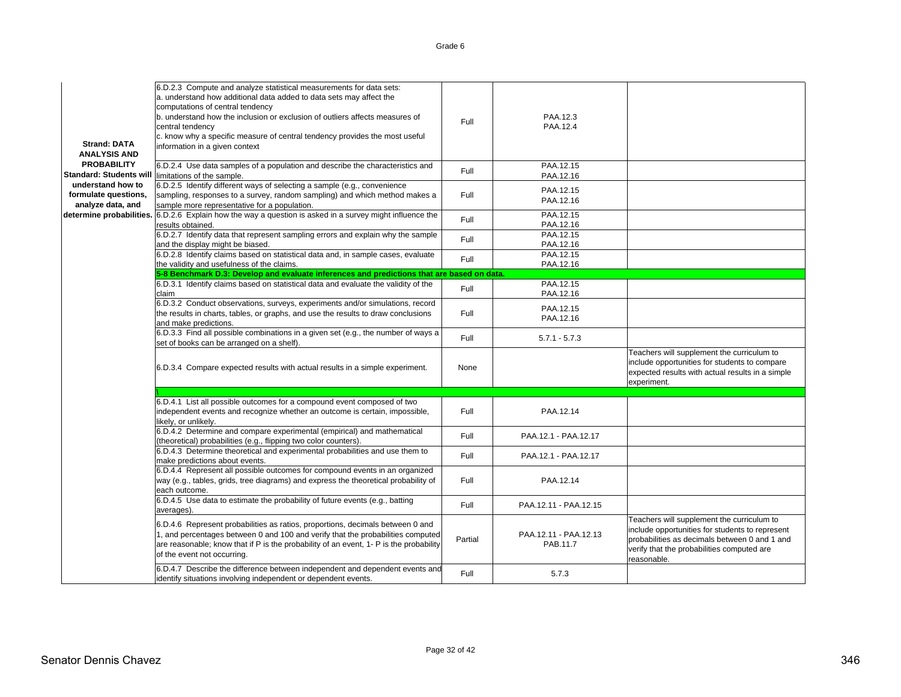| <b>Strand: DATA</b><br><b>ANALYSIS AND</b>                     | 6.D.2.3 Compute and analyze statistical measurements for data sets:<br>a. understand how additional data added to data sets may affect the<br>computations of central tendency<br>b. understand how the inclusion or exclusion of outliers affects measures of<br>central tendency<br>c. know why a specific measure of central tendency provides the most useful<br>information in a given context | Full    | PAA.12.3<br>PAA.12.4              |                                                                                                                                                                                                             |
|----------------------------------------------------------------|-----------------------------------------------------------------------------------------------------------------------------------------------------------------------------------------------------------------------------------------------------------------------------------------------------------------------------------------------------------------------------------------------------|---------|-----------------------------------|-------------------------------------------------------------------------------------------------------------------------------------------------------------------------------------------------------------|
| <b>PROBABILITY</b><br><b>Standard: Students will</b>           | 6.D.2.4 Use data samples of a population and describe the characteristics and<br>limitations of the sample.                                                                                                                                                                                                                                                                                         | Full    | PAA.12.15<br>PAA.12.16            |                                                                                                                                                                                                             |
| understand how to<br>formulate questions,<br>analyze data, and | 6.D.2.5 Identify different ways of selecting a sample (e.g., convenience<br>sampling, responses to a survey, random sampling) and which method makes a<br>sample more representative for a population.                                                                                                                                                                                              | Full    | PAA.12.15<br>PAA.12.16            |                                                                                                                                                                                                             |
| determine probabilities.                                       | 6.D.2.6 Explain how the way a question is asked in a survey might influence the<br>results obtained.                                                                                                                                                                                                                                                                                                | Full    | PAA.12.15<br>PAA.12.16            |                                                                                                                                                                                                             |
|                                                                | 6.D.2.7 Identify data that represent sampling errors and explain why the sample<br>and the display might be biased.                                                                                                                                                                                                                                                                                 | Full    | PAA.12.15<br>PAA.12.16            |                                                                                                                                                                                                             |
|                                                                | 6.D.2.8 Identify claims based on statistical data and, in sample cases, evaluate<br>the validity and usefulness of the claims.                                                                                                                                                                                                                                                                      | Full    | PAA.12.15<br>PAA.12.16            |                                                                                                                                                                                                             |
|                                                                | 5-8 Benchmark D.3: Develop and evaluate inferences and predictions that are based on data.                                                                                                                                                                                                                                                                                                          |         |                                   |                                                                                                                                                                                                             |
|                                                                | 6.D.3.1 Identify claims based on statistical data and evaluate the validity of the<br>claim                                                                                                                                                                                                                                                                                                         | Full    | PAA.12.15<br>PAA.12.16            |                                                                                                                                                                                                             |
|                                                                | 6.D.3.2 Conduct observations, surveys, experiments and/or simulations, record<br>the results in charts, tables, or graphs, and use the results to draw conclusions<br>and make predictions.                                                                                                                                                                                                         | Full    | PAA.12.15<br>PAA.12.16            |                                                                                                                                                                                                             |
|                                                                | 6.D.3.3 Find all possible combinations in a given set (e.g., the number of ways a<br>set of books can be arranged on a shelf).                                                                                                                                                                                                                                                                      | Full    | $5.7.1 - 5.7.3$                   |                                                                                                                                                                                                             |
|                                                                | 6.D.3.4 Compare expected results with actual results in a simple experiment.                                                                                                                                                                                                                                                                                                                        | None    |                                   | Teachers will supplement the curriculum to<br>include opportunities for students to compare<br>expected results with actual results in a simple<br>experiment.                                              |
|                                                                |                                                                                                                                                                                                                                                                                                                                                                                                     |         |                                   |                                                                                                                                                                                                             |
|                                                                | 6.D.4.1 List all possible outcomes for a compound event composed of two<br>independent events and recognize whether an outcome is certain, impossible,<br>likely, or unlikely.                                                                                                                                                                                                                      | Full    | PAA.12.14                         |                                                                                                                                                                                                             |
|                                                                | 6.D.4.2 Determine and compare experimental (empirical) and mathematical<br>(theoretical) probabilities (e.g., flipping two color counters).                                                                                                                                                                                                                                                         | Full    | PAA.12.1 - PAA.12.17              |                                                                                                                                                                                                             |
|                                                                | 6.D.4.3 Determine theoretical and experimental probabilities and use them to<br>make predictions about events.                                                                                                                                                                                                                                                                                      | Full    | PAA.12.1 - PAA.12.17              |                                                                                                                                                                                                             |
|                                                                | 6.D.4.4 Represent all possible outcomes for compound events in an organized<br>way (e.g., tables, grids, tree diagrams) and express the theoretical probability of<br>each outcome.                                                                                                                                                                                                                 | Full    | PAA.12.14                         |                                                                                                                                                                                                             |
|                                                                | 6.D.4.5 Use data to estimate the probability of future events (e.g., batting<br>averages).                                                                                                                                                                                                                                                                                                          | Full    | PAA.12.11 - PAA.12.15             |                                                                                                                                                                                                             |
|                                                                | 6.D.4.6 Represent probabilities as ratios, proportions, decimals between 0 and<br>1, and percentages between 0 and 100 and verify that the probabilities computed<br>are reasonable; know that if P is the probability of an event, 1- P is the probability<br>of the event not occurring.                                                                                                          | Partial | PAA.12.11 - PAA.12.13<br>PAB.11.7 | Teachers will supplement the curriculum to<br>include opportunities for students to represent<br>probabilities as decimals between 0 and 1 and<br>verify that the probabilities computed are<br>reasonable. |
|                                                                | 6.D.4.7 Describe the difference between independent and dependent events and<br>identify situations involving independent or dependent events.                                                                                                                                                                                                                                                      | Full    | 5.7.3                             |                                                                                                                                                                                                             |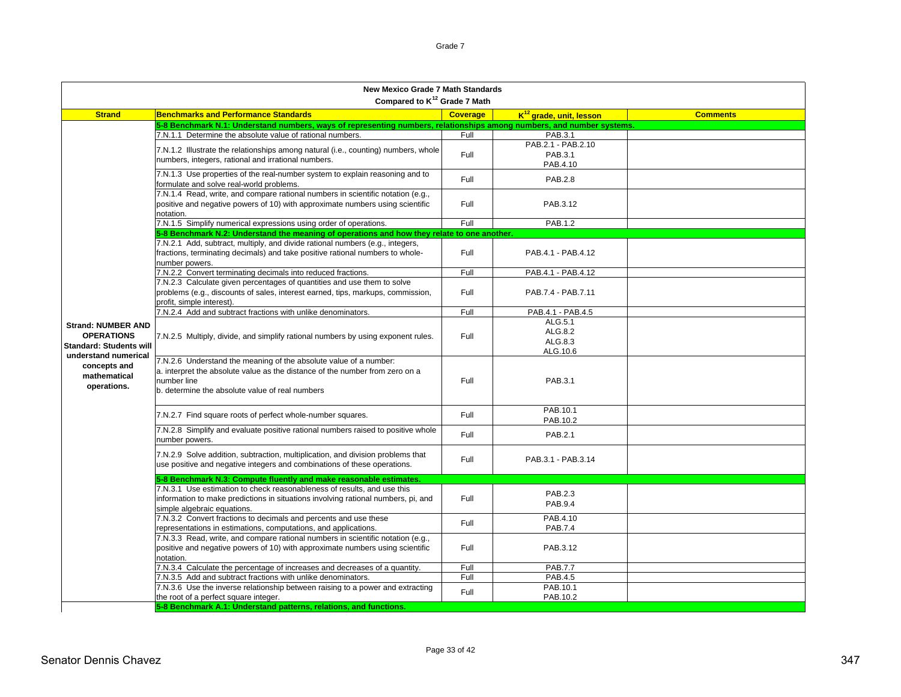|                                                        | <b>New Mexico Grade 7 Math Standards</b>                                                                                                                                                                            |                 |                              |                 |
|--------------------------------------------------------|---------------------------------------------------------------------------------------------------------------------------------------------------------------------------------------------------------------------|-----------------|------------------------------|-----------------|
|                                                        | Compared to K <sup>12</sup> Grade 7 Math                                                                                                                                                                            |                 |                              |                 |
| <b>Strand</b>                                          | <b>Benchmarks and Performance Standards</b>                                                                                                                                                                         | <b>Coverage</b> | $K^{12}$ grade, unit, lesson | <b>Comments</b> |
|                                                        | 5-8 Benchmark N.1: Understand numbers, ways of representing numbers, relationships among numbers, and number systems.<br>7.N.1.1 Determine the absolute value of rational numbers.                                  | Full            | PAB.3.1                      |                 |
|                                                        |                                                                                                                                                                                                                     |                 | PAB.2.1 - PAB.2.10           |                 |
|                                                        | 7.N.1.2 Illustrate the relationships among natural (i.e., counting) numbers, whole                                                                                                                                  | Full            | PAB.3.1                      |                 |
|                                                        | numbers, integers, rational and irrational numbers.                                                                                                                                                                 |                 | PAB.4.10                     |                 |
|                                                        | 7.N.1.3 Use properties of the real-number system to explain reasoning and to<br>formulate and solve real-world problems.                                                                                            | Full            | <b>PAB.2.8</b>               |                 |
|                                                        | 7.N.1.4 Read, write, and compare rational numbers in scientific notation (e.g.,                                                                                                                                     |                 |                              |                 |
|                                                        | positive and negative powers of 10) with approximate numbers using scientific                                                                                                                                       | Full            | PAB.3.12                     |                 |
|                                                        | notation.                                                                                                                                                                                                           | Full            | PAB.1.2                      |                 |
|                                                        | 7.N.1.5 Simplify numerical expressions using order of operations.                                                                                                                                                   |                 |                              |                 |
|                                                        | 5-8 Benchmark N.2: Understand the meaning of operations and how they relate to one another.<br>7.N.2.1 Add, subtract, multiply, and divide rational numbers (e.g., integers,                                        |                 |                              |                 |
|                                                        | fractions, terminating decimals) and take positive rational numbers to whole-                                                                                                                                       | Full            | PAB.4.1 - PAB.4.12           |                 |
|                                                        | number powers.                                                                                                                                                                                                      |                 |                              |                 |
|                                                        | 7.N.2.2 Convert terminating decimals into reduced fractions.                                                                                                                                                        | Full            | PAB.4.1 - PAB.4.12           |                 |
|                                                        | 7.N.2.3 Calculate given percentages of quantities and use them to solve                                                                                                                                             |                 |                              |                 |
|                                                        | problems (e.g., discounts of sales, interest earned, tips, markups, commission,<br>profit, simple interest).                                                                                                        | Full            | PAB.7.4 - PAB.7.11           |                 |
|                                                        | 7.N.2.4 Add and subtract fractions with unlike denominators.                                                                                                                                                        | Full            | PAB.4.1 - PAB.4.5            |                 |
|                                                        |                                                                                                                                                                                                                     |                 | ALG.5.1                      |                 |
| <b>Strand: NUMBER AND</b>                              |                                                                                                                                                                                                                     |                 | ALG.8.2                      |                 |
| <b>OPERATIONS</b>                                      | 7.N.2.5 Multiply, divide, and simplify rational numbers by using exponent rules.                                                                                                                                    | Full            | ALG.8.3                      |                 |
| <b>Standard: Students will</b><br>understand numerical |                                                                                                                                                                                                                     |                 | ALG.10.6                     |                 |
| concepts and<br>mathematical<br>operations.            | 7.N.2.6 Understand the meaning of the absolute value of a number:<br>a. interpret the absolute value as the distance of the number from zero on a<br>number line<br>b. determine the absolute value of real numbers | Full            | PAB.3.1                      |                 |
|                                                        | 7.N.2.7 Find square roots of perfect whole-number squares.                                                                                                                                                          | Full            | PAB.10.1<br>PAB.10.2         |                 |
|                                                        | 7.N.2.8 Simplify and evaluate positive rational numbers raised to positive whole<br>number powers.                                                                                                                  | Full            | PAB.2.1                      |                 |
|                                                        | 7.N.2.9 Solve addition, subtraction, multiplication, and division problems that<br>use positive and negative integers and combinations of these operations.                                                         | Full            | PAB.3.1 - PAB.3.14           |                 |
|                                                        | 5-8 Benchmark N.3: Compute fluently and make reasonable estimates.                                                                                                                                                  |                 |                              |                 |
|                                                        | 7.N.3.1 Use estimation to check reasonableness of results, and use this                                                                                                                                             |                 | PAB.2.3                      |                 |
|                                                        | information to make predictions in situations involving rational numbers, pi, and                                                                                                                                   | Full            | PAB.9.4                      |                 |
|                                                        | simple algebraic equations.                                                                                                                                                                                         |                 |                              |                 |
|                                                        | 7.N.3.2 Convert fractions to decimals and percents and use these                                                                                                                                                    | Full            | PAB.4.10                     |                 |
|                                                        | representations in estimations, computations, and applications.                                                                                                                                                     |                 | PAB.7.4                      |                 |
|                                                        | 7.N.3.3 Read, write, and compare rational numbers in scientific notation (e.g.,<br>positive and negative powers of 10) with approximate numbers using scientific<br>notation.                                       | Full            | PAB.3.12                     |                 |
|                                                        | 7.N.3.4 Calculate the percentage of increases and decreases of a quantity.                                                                                                                                          | Full            | <b>PAB.7.7</b>               |                 |
|                                                        | 7.N.3.5 Add and subtract fractions with unlike denominators.                                                                                                                                                        | Full            | PAB.4.5                      |                 |
|                                                        | 7.N.3.6 Use the inverse relationship between raising to a power and extracting                                                                                                                                      | Full            | PAB.10.1                     |                 |
|                                                        | the root of a perfect square integer.                                                                                                                                                                               |                 | PAB.10.2                     |                 |
|                                                        | 5-8 Benchmark A.1: Understand patterns, relations, and functions.                                                                                                                                                   |                 |                              |                 |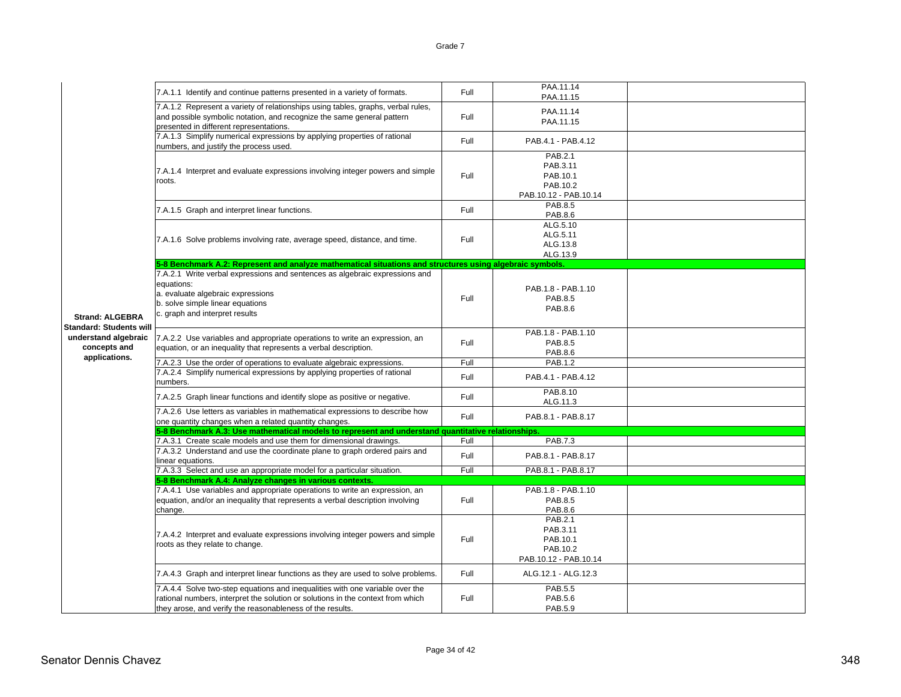|                                                                                                  |                                                                                                                                                                                                                              |      | PAA.11.14                                                            |  |
|--------------------------------------------------------------------------------------------------|------------------------------------------------------------------------------------------------------------------------------------------------------------------------------------------------------------------------------|------|----------------------------------------------------------------------|--|
|                                                                                                  | 7.A.1.1 Identify and continue patterns presented in a variety of formats.                                                                                                                                                    | Full | PAA.11.15                                                            |  |
|                                                                                                  | 7.A.1.2 Represent a variety of relationships using tables, graphs, verbal rules,<br>and possible symbolic notation, and recognize the same general pattern<br>presented in different representations.                        | Full | PAA.11.14<br>PAA.11.15                                               |  |
|                                                                                                  | 7.A.1.3 Simplify numerical expressions by applying properties of rational<br>numbers, and justify the process used.                                                                                                          | Full | PAB.4.1 - PAB.4.12                                                   |  |
|                                                                                                  | 7.A.1.4 Interpret and evaluate expressions involving integer powers and simple<br>roots.                                                                                                                                     | Full | PAB.2.1<br>PAB.3.11<br>PAB.10.1<br>PAB.10.2<br>PAB.10.12 - PAB.10.14 |  |
|                                                                                                  | 7.A.1.5 Graph and interpret linear functions.                                                                                                                                                                                | Full | PAB.8.5<br>PAB.8.6                                                   |  |
|                                                                                                  | 7.A.1.6 Solve problems involving rate, average speed, distance, and time.                                                                                                                                                    | Full | ALG.5.10<br>ALG.5.11<br>ALG.13.8<br>ALG.13.9                         |  |
|                                                                                                  | 5-8 Benchmark A.2: Represent and analyze mathematical situations and structures using algebraic symbols.                                                                                                                     |      |                                                                      |  |
| <b>Strand: ALGEBRA</b><br><b>Standard: Students will</b><br>understand algebraic<br>concepts and | 7.A.2.1 Write verbal expressions and sentences as algebraic expressions and<br>equations:<br>a. evaluate algebraic expressions<br>b. solve simple linear equations<br>c. graph and interpret results                         | Full | PAB.1.8 - PAB.1.10<br>PAB.8.5<br>PAB.8.6                             |  |
|                                                                                                  | 7.A.2.2 Use variables and appropriate operations to write an expression, an<br>equation, or an inequality that represents a verbal description.                                                                              | Full | PAB.1.8 - PAB.1.10<br>PAB.8.5<br>PAB.8.6                             |  |
| applications.                                                                                    | 7.A.2.3 Use the order of operations to evaluate algebraic expressions.                                                                                                                                                       | Full | PAB.1.2                                                              |  |
|                                                                                                  | 7.A.2.4 Simplify numerical expressions by applying properties of rational<br>numbers.                                                                                                                                        | Full | PAB.4.1 - PAB.4.12                                                   |  |
|                                                                                                  | 7.A.2.5 Graph linear functions and identify slope as positive or negative.                                                                                                                                                   | Full | PAB.8.10<br>ALG.11.3                                                 |  |
|                                                                                                  | 7.A.2.6 Use letters as variables in mathematical expressions to describe how<br>one quantity changes when a related quantity changes.                                                                                        | Full | PAB.8.1 - PAB.8.17                                                   |  |
|                                                                                                  | 5-8 Benchmark A.3: Use mathematical models to represent and understand quantitative relationships.                                                                                                                           |      |                                                                      |  |
|                                                                                                  | 7.A.3.1 Create scale models and use them for dimensional drawings.                                                                                                                                                           | Full | <b>PAB.7.3</b>                                                       |  |
|                                                                                                  | 7.A.3.2 Understand and use the coordinate plane to graph ordered pairs and<br>inear equations.                                                                                                                               | Full | PAB.8.1 - PAB.8.17                                                   |  |
|                                                                                                  | 7.A.3.3 Select and use an appropriate model for a particular situation.                                                                                                                                                      | Full | PAB.8.1 - PAB.8.17                                                   |  |
|                                                                                                  | 5-8 Benchmark A.4: Analyze changes in various contexts.                                                                                                                                                                      |      |                                                                      |  |
|                                                                                                  | 7.A.4.1 Use variables and appropriate operations to write an expression, an<br>equation, and/or an inequality that represents a verbal description involving<br>change.                                                      | Full | PAB.1.8 - PAB.1.10<br><b>PAB.8.5</b><br>PAB.8.6                      |  |
|                                                                                                  | 7.A.4.2 Interpret and evaluate expressions involving integer powers and simple<br>roots as they relate to change.                                                                                                            | Full | PAB.2.1<br>PAB.3.11<br>PAB.10.1<br>PAB.10.2<br>PAB.10.12 - PAB.10.14 |  |
|                                                                                                  | 7.A.4.3 Graph and interpret linear functions as they are used to solve problems.                                                                                                                                             | Full | ALG.12.1 - ALG.12.3                                                  |  |
|                                                                                                  | 7.A.4.4 Solve two-step equations and inequalities with one variable over the<br>rational numbers, interpret the solution or solutions in the context from which<br>they arose, and verify the reasonableness of the results. | Full | <b>PAB.5.5</b><br>PAB.5.6<br>PAB.5.9                                 |  |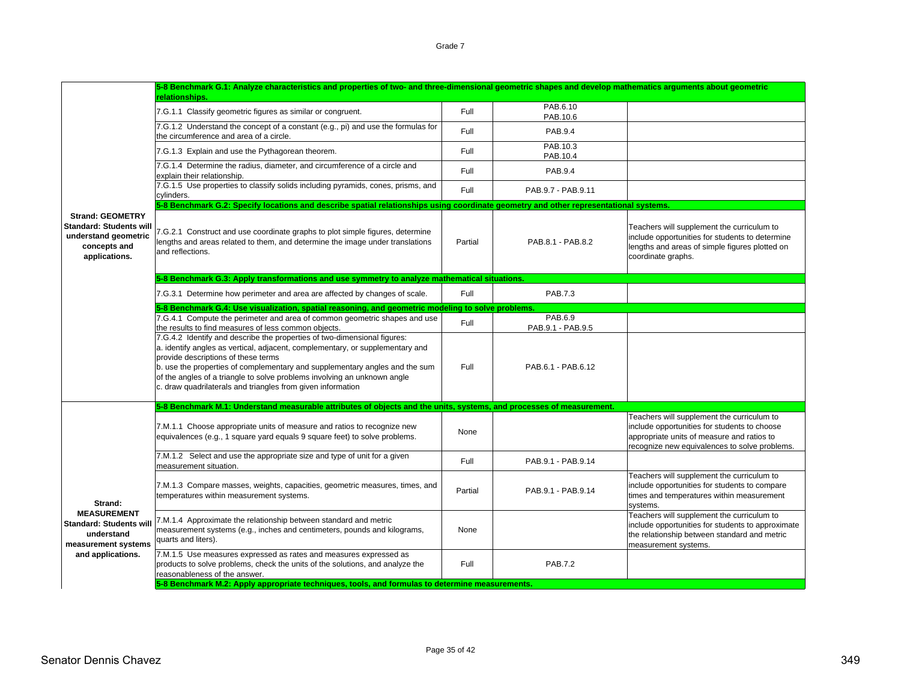7.G.1.1 Classify geometric figures as similar or congruent. <br>PAB.10.6 PAB.10.6 7.G.1.2 Understand the concept of a constant (e.g., pi) and use the formulas for the circumference and area of a circle.Full PAB.9.4 7.G.1.3 Explain and use the Pythagorean theorem. The Contract of PAB.10.3 PAB.10.3 PAB.10.4 7.G.1.4 Determine the radius, diameter, and circumference of a circle and explain their relationship. Consideration and concumentative of a circle and Full Full PAB.9.4 PAB.9.4 7.G.1.5 Use properties to classify solids including pyramids, cones, prisms, and cylinders. The proportion of classify collection including pyramide, corlect, phonic, and Full PAB.9.7 - PAB.9.11<br>Cylinders. 7.G.2.1 Construct and use coordinate graphs to plot simple figures, determine lengths and areas related to them, and determine the image under translations and reflections. Partial PAB.8.1 - PAB.8.2Teachers will supplement the curriculum to include opportunities for students to determine lengths and areas of simple figures plotted on coordinate graphs. 7.G.3.1 Determine how perimeter and area are affected by changes of scale. Full Full PAB.7.3 7.G.4.1 Compute the perimeter and area of common geometric shapes and use Full Pable 1988.6.9 PAB.6.9 PAB.6.9 PAB.6.9 PAB.6.9 PAB.6.9 PAB.9.1 - PAB.9.5 7.G.4.2 Identify and describe the properties of two-dimensional figures: a. identify angles as vertical, adjacent, complementary, or supplementary and provide descriptions of these terms b. use the properties of complementary and supplementary angles and the sum of the angles of a triangle to solve problems involving an unknown angle c. draw quadrilaterals and triangles from given information Full PAB.6.1 - PAB.6.127.M.1.1 Choose appropriate units of measure and ratios to recognize new z.m. r. r Choose appropriate units or measure and ratios to recognize new<br>equivalences (e.g., 1 square yard equals 9 square feet) to solve problems. Teachers will supplement the curriculum to include opportunities for students to choose appropriate units of measure and ratios to recognize new equivalences to solve problems. 7.M.1.2 Select and use the appropriate size and type of unit for a given measurement situation. Full PAB.9.1 - PAB.9.14 7.M.1.3 Compare masses, weights, capacities, geometric measures, times, and The first compare masses, weights, capacities, geometric measures, unles, and Partial PAB.9.1 - PAB.9.14<br>temperatures within measurement systems. Teachers will supplement the curriculum to include opportunities for students to compare times and temperatures within measurement systems. 7.M.1.4 Approximate the relationship between standard and metric measurement systems (e.g., inches and centimeters, pounds and kilograms, quarts and liters). NoneTeachers will supplement the curriculum to include opportunities for students to approximate the relationship between standard and metric measurement systems. 7.M.1.5 Use measures expressed as rates and measures expressed as products to solve problems, check the units of the solutions, and analyze the reasonableness of the answer.Full PAB.7.2**Strand: MEASUREMENTStandard: Students will understand measurement systems and applications. 5-8 Benchmark M.1: Understand measurable attributes of objects and the units, systems, and processes of measurement. 5-Benchmark M.2: Apply appropriate techniques, tools, and formulas to determine measure Strand: GEOMETRYStandard: Students will understand geometric concepts and applications. 5-8 Benchmark G.1: Analyze characteristics and properties of two- and three-dimensional geometric shapes and develop mathematics arguments about geometric relationships. 5-8 Benchmark G.2: Specify locations and describe spatial relationships using coordinate geometry and other representational systems. 5-8 Benchmark G.4: Use visualization, spatial reasoning, and geometric modeling to solve problems. 5-8 Benchmark G.3: Apply transformations and use symmetry to analyze mathematical situations.**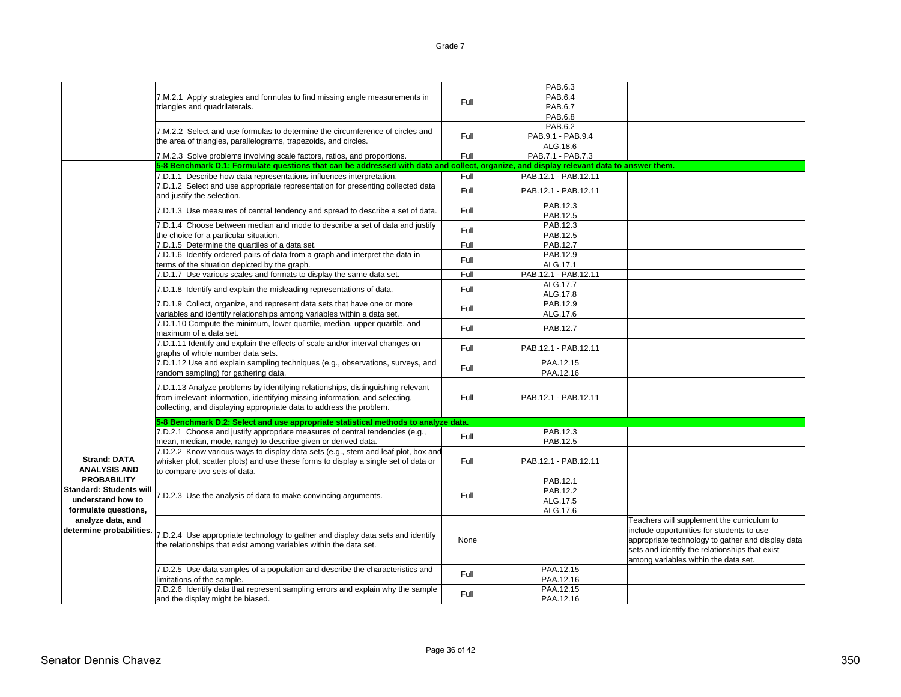|                                                                                                                                                 | 7.M.2.1 Apply strategies and formulas to find missing angle measurements in<br>triangles and quadrilaterals.                                                                                                                           | Full         | PAB.6.3<br>PAB.6.4<br><b>PAB.6.7</b><br>PAB.6.8 |                                                                                                                                                                                                                                        |
|-------------------------------------------------------------------------------------------------------------------------------------------------|----------------------------------------------------------------------------------------------------------------------------------------------------------------------------------------------------------------------------------------|--------------|-------------------------------------------------|----------------------------------------------------------------------------------------------------------------------------------------------------------------------------------------------------------------------------------------|
|                                                                                                                                                 | 7.M.2.2 Select and use formulas to determine the circumference of circles and<br>the area of triangles, parallelograms, trapezoids, and circles.                                                                                       | Full         | PAB.6.2<br>PAB.9.1 - PAB.9.4<br>ALG.18.6        |                                                                                                                                                                                                                                        |
|                                                                                                                                                 | 7.M.2.3 Solve problems involving scale factors, ratios, and proportions.<br>5-8 Benchmark D.1: Formulate questions that can be addressed with data and collect, organize, and display relevant data to answer them                     | Full         | PAB.7.1 - PAB.7.3                               |                                                                                                                                                                                                                                        |
|                                                                                                                                                 |                                                                                                                                                                                                                                        |              |                                                 |                                                                                                                                                                                                                                        |
|                                                                                                                                                 | 7.D.1.1 Describe how data representations influences interpretation.<br>7.D.1.2 Select and use appropriate representation for presenting collected data<br>and justify the selection.                                                  | Full<br>Full | PAB.12.1 - PAB.12.11<br>PAB.12.1 - PAB.12.11    |                                                                                                                                                                                                                                        |
|                                                                                                                                                 | 7.D.1.3 Use measures of central tendency and spread to describe a set of data.                                                                                                                                                         | Full         | PAB.12.3<br>PAB.12.5                            |                                                                                                                                                                                                                                        |
|                                                                                                                                                 | 7.D.1.4 Choose between median and mode to describe a set of data and justify<br>the choice for a particular situation.                                                                                                                 | Full         | PAB.12.3<br>PAB.12.5                            |                                                                                                                                                                                                                                        |
|                                                                                                                                                 | 7.D.1.5 Determine the quartiles of a data set.                                                                                                                                                                                         | Full         | PAB.12.7                                        |                                                                                                                                                                                                                                        |
|                                                                                                                                                 | 7.D.1.6 Identify ordered pairs of data from a graph and interpret the data in<br>terms of the situation depicted by the graph.                                                                                                         | Full         | PAB.12.9<br>ALG.17.1                            |                                                                                                                                                                                                                                        |
|                                                                                                                                                 | 7.D.1.7 Use various scales and formats to display the same data set.                                                                                                                                                                   | Full         | PAB.12.1 - PAB.12.11                            |                                                                                                                                                                                                                                        |
|                                                                                                                                                 | 7.D.1.8 Identify and explain the misleading representations of data.                                                                                                                                                                   | Full         | ALG.17.7<br>ALG.17.8                            |                                                                                                                                                                                                                                        |
|                                                                                                                                                 | 7.D.1.9 Collect, organize, and represent data sets that have one or more<br>variables and identify relationships among variables within a data set.                                                                                    | Full         | PAB.12.9<br>ALG.17.6                            |                                                                                                                                                                                                                                        |
|                                                                                                                                                 | 7.D.1.10 Compute the minimum, lower quartile, median, upper quartile, and<br>maximum of a data set.                                                                                                                                    | Full         | PAB.12.7                                        |                                                                                                                                                                                                                                        |
|                                                                                                                                                 | 7.D.1.11 Identify and explain the effects of scale and/or interval changes on<br>graphs of whole number data sets.                                                                                                                     | Full         | PAB.12.1 - PAB.12.11                            |                                                                                                                                                                                                                                        |
|                                                                                                                                                 | 7.D.1.12 Use and explain sampling techniques (e.g., observations, surveys, and<br>random sampling) for gathering data.                                                                                                                 | Full         | PAA.12.15<br>PAA.12.16                          |                                                                                                                                                                                                                                        |
|                                                                                                                                                 | 7.D.1.13 Analyze problems by identifying relationships, distinguishing relevant<br>from irrelevant information, identifying missing information, and selecting,<br>collecting, and displaying appropriate data to address the problem. | Full         | PAB.12.1 - PAB.12.11                            |                                                                                                                                                                                                                                        |
|                                                                                                                                                 | 5-8 Benchmark D.2: Select and use appropriate statistical methods to analyze data.                                                                                                                                                     |              |                                                 |                                                                                                                                                                                                                                        |
|                                                                                                                                                 | 7.D.2.1 Choose and justify appropriate measures of central tendencies (e.g.,<br>mean, median, mode, range) to describe given or derived data.                                                                                          | Full         | PAB.12.3<br>PAB.12.5                            |                                                                                                                                                                                                                                        |
| <b>Strand: DATA</b><br><b>ANALYSIS AND</b><br><b>PROBABILITY</b><br><b>Standard: Students will</b><br>understand how to<br>formulate questions, | 7.D.2.2 Know various ways to display data sets (e.g., stem and leaf plot, box and<br>whisker plot, scatter plots) and use these forms to display a single set of data or<br>to compare two sets of data.                               | Full         | PAB.12.1 - PAB.12.11                            |                                                                                                                                                                                                                                        |
|                                                                                                                                                 | 7.D.2.3 Use the analysis of data to make convincing arguments.                                                                                                                                                                         | Full         | PAB.12.1<br>PAB.12.2<br>ALG.17.5<br>ALG.17.6    |                                                                                                                                                                                                                                        |
| analyze data, and<br>determine probabilities.                                                                                                   | 7.D.2.4 Use appropriate technology to gather and display data sets and identify<br>the relationships that exist among variables within the data set.                                                                                   | None         |                                                 | Teachers will supplement the curriculum to<br>include opportunities for students to use<br>appropriate technology to gather and display data<br>sets and identify the relationships that exist<br>among variables within the data set. |
|                                                                                                                                                 | 7.D.2.5 Use data samples of a population and describe the characteristics and<br>limitations of the sample.                                                                                                                            | Full         | PAA.12.15<br>PAA.12.16                          |                                                                                                                                                                                                                                        |
|                                                                                                                                                 | 7.D.2.6 Identify data that represent sampling errors and explain why the sample<br>and the display might be biased.                                                                                                                    | Full         | PAA.12.15<br>PAA.12.16                          |                                                                                                                                                                                                                                        |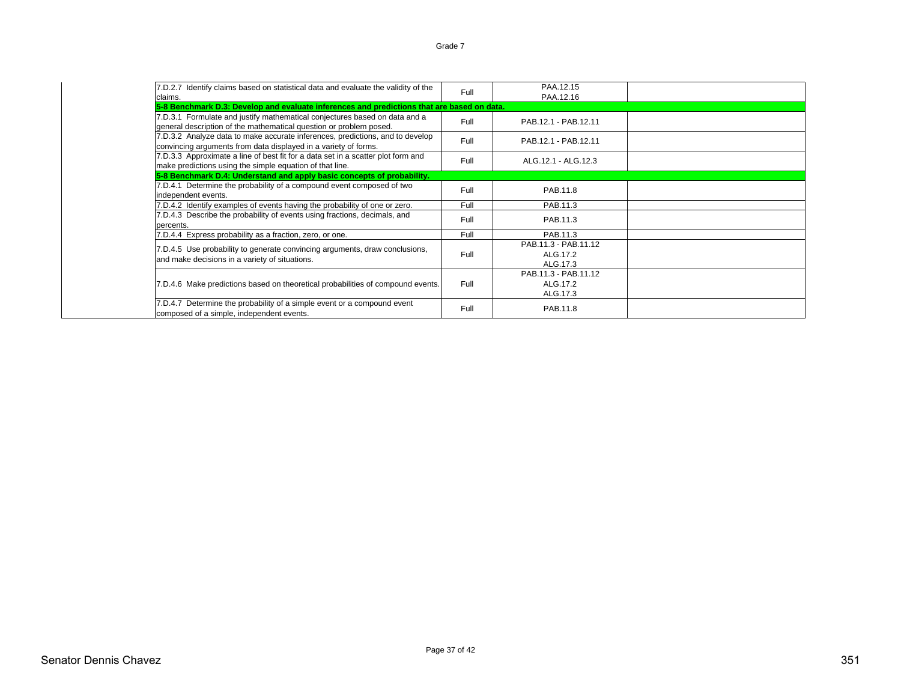| 7.D.2.7 Identify claims based on statistical data and evaluate the validity of the<br>claims.                                                    | Full | PAA.12.15<br>PAA.12.16                       |  |
|--------------------------------------------------------------------------------------------------------------------------------------------------|------|----------------------------------------------|--|
| 5-8 Benchmark D.3: Develop and evaluate inferences and predictions that are based on data.                                                       |      |                                              |  |
| 7.D.3.1 Formulate and justify mathematical conjectures based on data and a<br>general description of the mathematical question or problem posed. | Full | PAB.12.1 - PAB.12.11                         |  |
| 7.D.3.2 Analyze data to make accurate inferences, predictions, and to develop<br>convincing arguments from data displayed in a variety of forms. | Full | PAB.12.1 - PAB.12.11                         |  |
| 7.D.3.3 Approximate a line of best fit for a data set in a scatter plot form and<br>make predictions using the simple equation of that line.     | Full | ALG.12.1 - ALG.12.3                          |  |
| 5-8 Benchmark D.4: Understand and apply basic concepts of probability.                                                                           |      |                                              |  |
| 7.D.4.1 Determine the probability of a compound event composed of two<br>independent events.                                                     | Full | PAB 11.8                                     |  |
| 7.D.4.2 Identify examples of events having the probability of one or zero.                                                                       | Full | PAB.11.3                                     |  |
| 7.D.4.3 Describe the probability of events using fractions, decimals, and<br>percents.                                                           | Full | PAB.11.3                                     |  |
| 7.D.4.4 Express probability as a fraction, zero, or one.                                                                                         | Full | PAB.11.3                                     |  |
| 7.D.4.5 Use probability to generate convincing arguments, draw conclusions,<br>and make decisions in a variety of situations.                    | Full | PAB.11.3 - PAB.11.12<br>ALG.17.2<br>ALG.17.3 |  |
| 7.D.4.6 Make predictions based on theoretical probabilities of compound events.                                                                  | Full | PAB.11.3 - PAB.11.12<br>ALG.17.2<br>ALG.17.3 |  |
| 7.D.4.7 Determine the probability of a simple event or a compound event<br>composed of a simple, independent events.                             | Full | PAB.11.8                                     |  |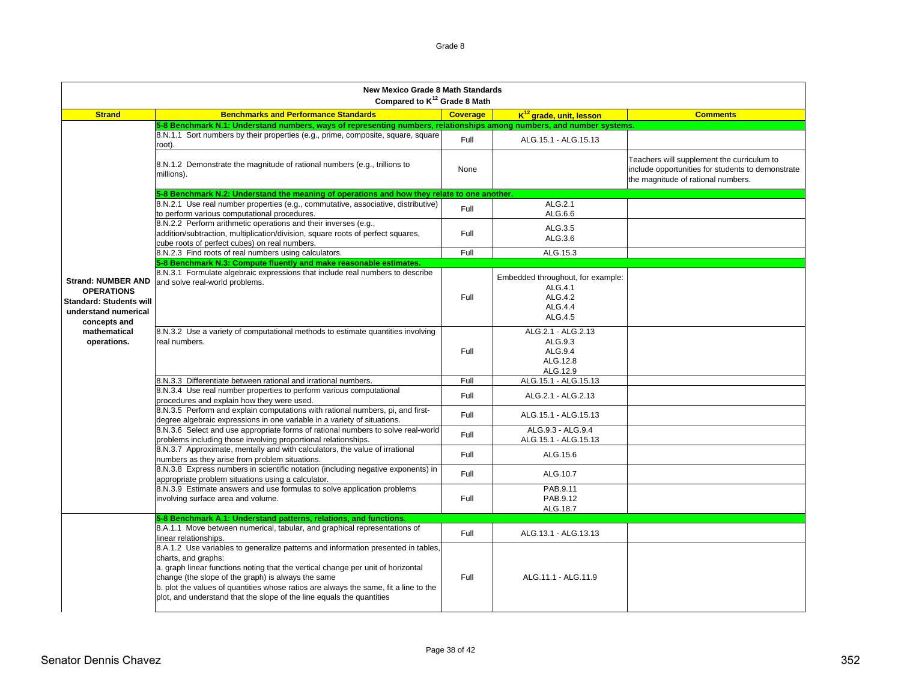|                                                                                                                                                         | <b>New Mexico Grade 8 Math Standards</b><br>Compared to K <sup>12</sup> Grade 8 Math                                                                                                                                                                                                                                                                                                                                |                 |                                                                               |                                                                                                                                       |  |
|---------------------------------------------------------------------------------------------------------------------------------------------------------|---------------------------------------------------------------------------------------------------------------------------------------------------------------------------------------------------------------------------------------------------------------------------------------------------------------------------------------------------------------------------------------------------------------------|-----------------|-------------------------------------------------------------------------------|---------------------------------------------------------------------------------------------------------------------------------------|--|
| <b>Strand</b>                                                                                                                                           | <b>Benchmarks and Performance Standards</b>                                                                                                                                                                                                                                                                                                                                                                         | <b>Coverage</b> | K <sup>12</sup> grade, unit, lesson                                           | <b>Comments</b>                                                                                                                       |  |
|                                                                                                                                                         | 5-8 Benchmark N.1: Understand numbers, ways of representing numbers, relationships among numbers, and number systems.                                                                                                                                                                                                                                                                                               |                 |                                                                               |                                                                                                                                       |  |
|                                                                                                                                                         | 8.N.1.1 Sort numbers by their properties (e.g., prime, composite, square, square<br>root).                                                                                                                                                                                                                                                                                                                          | Full            | ALG.15.1 - ALG.15.13                                                          |                                                                                                                                       |  |
|                                                                                                                                                         | 8.N.1.2 Demonstrate the magnitude of rational numbers (e.g., trillions to<br>millions).                                                                                                                                                                                                                                                                                                                             | None            |                                                                               | Teachers will supplement the curriculum to<br>include opportunities for students to demonstrate<br>the magnitude of rational numbers. |  |
|                                                                                                                                                         | 5-8 Benchmark N.2: Understand the meaning of operations and how they relate to one another.                                                                                                                                                                                                                                                                                                                         |                 |                                                                               |                                                                                                                                       |  |
|                                                                                                                                                         | 8.N.2.1 Use real number properties (e.g., commutative, associative, distributive)<br>to perform various computational procedures.                                                                                                                                                                                                                                                                                   | Full            | ALG.2.1<br>ALG.6.6                                                            |                                                                                                                                       |  |
|                                                                                                                                                         | 8.N.2.2 Perform arithmetic operations and their inverses (e.g.,<br>addition/subtraction, multiplication/division, square roots of perfect squares,<br>cube roots of perfect cubes) on real numbers.                                                                                                                                                                                                                 | Full            | ALG.3.5<br>ALG.3.6                                                            |                                                                                                                                       |  |
|                                                                                                                                                         | 8.N.2.3 Find roots of real numbers using calculators.                                                                                                                                                                                                                                                                                                                                                               | Full            | ALG.15.3                                                                      |                                                                                                                                       |  |
|                                                                                                                                                         | 5-8 Benchmark N.3: Compute fluently and make reasonable estimates.                                                                                                                                                                                                                                                                                                                                                  |                 |                                                                               |                                                                                                                                       |  |
| <b>Strand: NUMBER AND</b><br><b>OPERATIONS</b><br><b>Standard: Students will</b><br>understand numerical<br>concepts and<br>mathematical<br>operations. | 8.N.3.1 Formulate algebraic expressions that include real numbers to describe<br>and solve real-world problems.                                                                                                                                                                                                                                                                                                     | Full            | Embedded throughout, for example:<br>ALG.4.1<br>ALG.4.2<br>ALG.4.4<br>ALG.4.5 |                                                                                                                                       |  |
|                                                                                                                                                         | 8.N.3.2 Use a variety of computational methods to estimate quantities involving<br>real numbers.                                                                                                                                                                                                                                                                                                                    | Full            | ALG.2.1 - ALG.2.13<br>ALG.9.3<br>ALG.9.4<br>ALG.12.8<br>ALG.12.9              |                                                                                                                                       |  |
|                                                                                                                                                         | 8.N.3.3 Differentiate between rational and irrational numbers.                                                                                                                                                                                                                                                                                                                                                      | Full            | ALG.15.1 - ALG.15.13                                                          |                                                                                                                                       |  |
|                                                                                                                                                         | 8.N.3.4 Use real number properties to perform various computational<br>procedures and explain how they were used.                                                                                                                                                                                                                                                                                                   | Full            | ALG.2.1 - ALG.2.13                                                            |                                                                                                                                       |  |
|                                                                                                                                                         | 8.N.3.5 Perform and explain computations with rational numbers, pi, and first-<br>degree algebraic expressions in one variable in a variety of situations.                                                                                                                                                                                                                                                          | Full            | ALG.15.1 - ALG.15.13                                                          |                                                                                                                                       |  |
|                                                                                                                                                         | 8.N.3.6 Select and use appropriate forms of rational numbers to solve real-world<br>problems including those involving proportional relationships.                                                                                                                                                                                                                                                                  | Full            | ALG.9.3 - ALG.9.4<br>ALG.15.1 - ALG.15.13                                     |                                                                                                                                       |  |
|                                                                                                                                                         | 8.N.3.7 Approximate, mentally and with calculators, the value of irrational<br>numbers as they arise from problem situations.                                                                                                                                                                                                                                                                                       | Full            | ALG.15.6                                                                      |                                                                                                                                       |  |
|                                                                                                                                                         | 8.N.3.8 Express numbers in scientific notation (including negative exponents) in<br>appropriate problem situations using a calculator.                                                                                                                                                                                                                                                                              | Full            | ALG.10.7                                                                      |                                                                                                                                       |  |
|                                                                                                                                                         | 8.N.3.9 Estimate answers and use formulas to solve application problems<br>involving surface area and volume.                                                                                                                                                                                                                                                                                                       | Full            | PAB.9.11<br>PAB.9.12<br>ALG.18.7                                              |                                                                                                                                       |  |
|                                                                                                                                                         | 5-8 Benchmark A.1: Understand patterns, relations, and functions.                                                                                                                                                                                                                                                                                                                                                   |                 |                                                                               |                                                                                                                                       |  |
|                                                                                                                                                         | 8.A.1.1 Move between numerical, tabular, and graphical representations of<br>linear relationships.                                                                                                                                                                                                                                                                                                                  | Full            | ALG.13.1 - ALG.13.13                                                          |                                                                                                                                       |  |
|                                                                                                                                                         | 8.A.1.2 Use variables to generalize patterns and information presented in tables,<br>charts, and graphs:<br>a. graph linear functions noting that the vertical change per unit of horizontal<br>change (the slope of the graph) is always the same<br>b. plot the values of quantities whose ratios are always the same, fit a line to the<br>plot, and understand that the slope of the line equals the quantities | Full            | ALG.11.1 - ALG.11.9                                                           |                                                                                                                                       |  |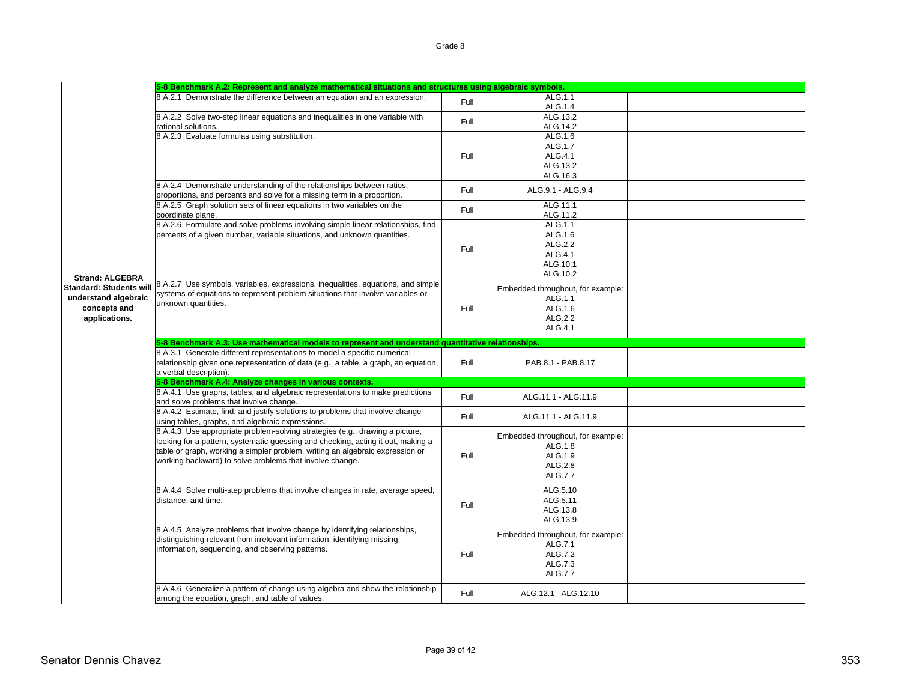|                                                                                                                   | 5-8 Benchmark A.2: Represent and analyze mathematical situations and structures using algebraic symbols.                                                                                                                                                                                                      |      |                                                                                      |  |  |
|-------------------------------------------------------------------------------------------------------------------|---------------------------------------------------------------------------------------------------------------------------------------------------------------------------------------------------------------------------------------------------------------------------------------------------------------|------|--------------------------------------------------------------------------------------|--|--|
|                                                                                                                   | 8.A.2.1 Demonstrate the difference between an equation and an expression.                                                                                                                                                                                                                                     | Full | ALG.1.1<br>ALG.1.4                                                                   |  |  |
|                                                                                                                   | 8.A.2.2 Solve two-step linear equations and inequalities in one variable with<br>rational solutions.                                                                                                                                                                                                          | Full | ALG.13.2<br>ALG.14.2                                                                 |  |  |
|                                                                                                                   | 8.A.2.3 Evaluate formulas using substitution.                                                                                                                                                                                                                                                                 | Full | ALG.1.6<br>ALG.1.7<br>ALG.4.1<br>ALG.13.2                                            |  |  |
|                                                                                                                   | 8.A.2.4 Demonstrate understanding of the relationships between ratios,                                                                                                                                                                                                                                        | Full | ALG.16.3<br>ALG.9.1 - ALG.9.4                                                        |  |  |
|                                                                                                                   | proportions, and percents and solve for a missing term in a proportion.<br>8.A.2.5 Graph solution sets of linear equations in two variables on the<br>coordinate plane.                                                                                                                                       | Full | ALG.11.1<br>ALG.11.2                                                                 |  |  |
| <b>Strand: ALGEBRA</b><br><b>Standard: Students will</b><br>understand algebraic<br>concepts and<br>applications. | 8.A.2.6 Formulate and solve problems involving simple linear relationships, find<br>percents of a given number, variable situations, and unknown quantities.                                                                                                                                                  | Full | ALG.1.1<br>ALG.1.6<br>ALG.2.2<br>ALG.4.1<br>ALG.10.1<br>ALG.10.2                     |  |  |
|                                                                                                                   | 8.A.2.7 Use symbols, variables, expressions, inequalities, equations, and simple<br>systems of equations to represent problem situations that involve variables or<br>unknown quantities.                                                                                                                     | Full | Embedded throughout, for example:<br>ALG.1.1<br>ALG.1.6<br>ALG.2.2<br>ALG.4.1        |  |  |
|                                                                                                                   | 5-8 Benchmark A.3: Use mathematical models to represent and understand quantitative relationships.                                                                                                                                                                                                            |      |                                                                                      |  |  |
|                                                                                                                   | 8.A.3.1 Generate different representations to model a specific numerical<br>relationship given one representation of data (e.g., a table, a graph, an equation,<br>a verbal description).                                                                                                                     | Full | PAB.8.1 - PAB.8.17                                                                   |  |  |
|                                                                                                                   | 5-8 Benchmark A.4: Analyze changes in various contexts.                                                                                                                                                                                                                                                       |      |                                                                                      |  |  |
|                                                                                                                   | 8.A.4.1 Use graphs, tables, and algebraic representations to make predictions<br>and solve problems that involve change.                                                                                                                                                                                      | Full | ALG.11.1 - ALG.11.9                                                                  |  |  |
|                                                                                                                   | 8.A.4.2 Estimate, find, and justify solutions to problems that involve change<br>using tables, graphs, and algebraic expressions.                                                                                                                                                                             | Full | ALG.11.1 - ALG.11.9                                                                  |  |  |
|                                                                                                                   | 8.A.4.3 Use appropriate problem-solving strategies (e.g., drawing a picture,<br>looking for a pattern, systematic guessing and checking, acting it out, making a<br>table or graph, working a simpler problem, writing an algebraic expression or<br>working backward) to solve problems that involve change. | Full | Embedded throughout, for example:<br>ALG.1.8<br>ALG.1.9<br>ALG.2.8<br>ALG.7.7        |  |  |
|                                                                                                                   | 8.A.4.4 Solve multi-step problems that involve changes in rate, average speed,<br>distance, and time.                                                                                                                                                                                                         | Full | ALG.5.10<br>ALG.5.11<br>ALG.13.8<br>ALG.13.9                                         |  |  |
|                                                                                                                   | 8.A.4.5 Analyze problems that involve change by identifying relationships,<br>distinguishing relevant from irrelevant information, identifying missing<br>information, sequencing, and observing patterns.                                                                                                    | Full | Embedded throughout, for example:<br>ALG.7.1<br>ALG.7.2<br>ALG.7.3<br><b>ALG.7.7</b> |  |  |
|                                                                                                                   | 8.A.4.6 Generalize a pattern of change using algebra and show the relationship<br>among the equation, graph, and table of values.                                                                                                                                                                             | Full | ALG.12.1 - ALG.12.10                                                                 |  |  |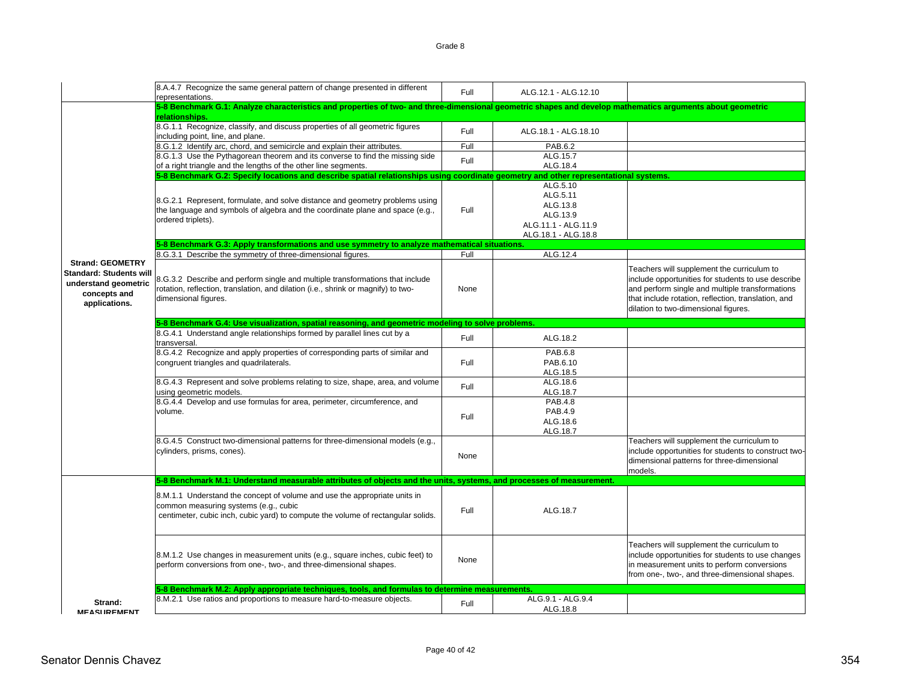|                                                                                         | 8.A.4.7 Recognize the same general pattern of change presented in different<br>representations.                                                                                                        | Full | ALG.12.1 - ALG.12.10                                                                       |                                                                                                                                                                                                                                                    |
|-----------------------------------------------------------------------------------------|--------------------------------------------------------------------------------------------------------------------------------------------------------------------------------------------------------|------|--------------------------------------------------------------------------------------------|----------------------------------------------------------------------------------------------------------------------------------------------------------------------------------------------------------------------------------------------------|
|                                                                                         | 5-8 Benchmark G.1: Analyze characteristics and properties of two- and three-dimensional geometric shapes and develop mathematics arguments about geometric                                             |      |                                                                                            |                                                                                                                                                                                                                                                    |
|                                                                                         | relationships.                                                                                                                                                                                         |      |                                                                                            |                                                                                                                                                                                                                                                    |
|                                                                                         | 8.G.1.1 Recognize, classify, and discuss properties of all geometric figures<br>including point, line, and plane.                                                                                      | Full | ALG.18.1 - ALG.18.10                                                                       |                                                                                                                                                                                                                                                    |
|                                                                                         | 8.G.1.2 Identify arc, chord, and semicircle and explain their attributes.                                                                                                                              | Full | <b>PAB.6.2</b>                                                                             |                                                                                                                                                                                                                                                    |
|                                                                                         | 8.G.1.3 Use the Pythagorean theorem and its converse to find the missing side                                                                                                                          |      | ALG.15.7                                                                                   |                                                                                                                                                                                                                                                    |
|                                                                                         | of a right triangle and the lengths of the other line segments.                                                                                                                                        | Full | ALG.18.4                                                                                   |                                                                                                                                                                                                                                                    |
|                                                                                         | 5-8 Benchmark G.2: Specify locations and describe spatial relationships using coordinate geometry and other representational systems.                                                                  |      |                                                                                            |                                                                                                                                                                                                                                                    |
|                                                                                         | 8.G.2.1 Represent, formulate, and solve distance and geometry problems using<br>the language and symbols of algebra and the coordinate plane and space (e.g.,<br>ordered triplets).                    | Full | ALG.5.10<br>ALG.5.11<br>ALG.13.8<br>ALG.13.9<br>ALG.11.1 - ALG.11.9<br>ALG.18.1 - ALG.18.8 |                                                                                                                                                                                                                                                    |
|                                                                                         | 5-8 Benchmark G.3: Apply transformations and use symmetry to analyze mathematical situations.                                                                                                          |      |                                                                                            |                                                                                                                                                                                                                                                    |
| <b>Strand: GEOMETRY</b>                                                                 | 8.G.3.1 Describe the symmetry of three-dimensional figures.                                                                                                                                            | Full | ALG.12.4                                                                                   |                                                                                                                                                                                                                                                    |
| <b>Standard: Students will</b><br>understand geometric<br>concepts and<br>applications. | 8.G.3.2 Describe and perform single and multiple transformations that include<br>rotation, reflection, translation, and dilation (i.e., shrink or magnify) to two-<br>dimensional figures.             | None |                                                                                            | Teachers will supplement the curriculum to<br>include opportunities for students to use describe<br>and perform single and multiple transformations<br>that include rotation, reflection, translation, and<br>dilation to two-dimensional figures. |
|                                                                                         | 5-8 Benchmark G.4: Use visualization, spatial reasoning, and geometric modeling to solve problems.                                                                                                     |      |                                                                                            |                                                                                                                                                                                                                                                    |
|                                                                                         | 8.G.4.1 Understand angle relationships formed by parallel lines cut by a<br>transversal.                                                                                                               | Full | ALG.18.2                                                                                   |                                                                                                                                                                                                                                                    |
|                                                                                         | 8.G.4.2 Recognize and apply properties of corresponding parts of similar and<br>congruent triangles and quadrilaterals.                                                                                | Full | PAB.6.8<br>PAB.6.10<br>ALG.18.5                                                            |                                                                                                                                                                                                                                                    |
|                                                                                         | 8.G.4.3 Represent and solve problems relating to size, shape, area, and volume<br>using geometric models.                                                                                              | Full | ALG.18.6<br>ALG.18.7                                                                       |                                                                                                                                                                                                                                                    |
|                                                                                         | 8.G.4.4 Develop and use formulas for area, perimeter, circumference, and<br>volume.                                                                                                                    | Full | <b>PAB.4.8</b><br>PAB.4.9<br>ALG.18.6<br>ALG.18.7                                          |                                                                                                                                                                                                                                                    |
|                                                                                         | 8.G.4.5 Construct two-dimensional patterns for three-dimensional models (e.g.,<br>cylinders, prisms, cones).                                                                                           | None |                                                                                            | Teachers will supplement the curriculum to<br>include opportunities for students to construct two-<br>dimensional patterns for three-dimensional<br>models.                                                                                        |
|                                                                                         | 5-8 Benchmark M.1: Understand measurable attributes of objects and the units, systems, and processes of measurement.                                                                                   |      |                                                                                            |                                                                                                                                                                                                                                                    |
|                                                                                         | 8.M.1.1 Understand the concept of volume and use the appropriate units in<br>common measuring systems (e.g., cubic<br>centimeter, cubic inch, cubic yard) to compute the volume of rectangular solids. | Full | ALG.18.7                                                                                   |                                                                                                                                                                                                                                                    |
|                                                                                         | 8.M.1.2 Use changes in measurement units (e.g., square inches, cubic feet) to<br>perform conversions from one-, two-, and three-dimensional shapes.                                                    | None |                                                                                            | Teachers will supplement the curriculum to<br>include opportunities for students to use changes<br>in measurement units to perform conversions<br>from one-, two-, and three-dimensional shapes.                                                   |
|                                                                                         | 5-8 Benchmark M.2: Apply appropriate techniques, tools, and formulas to determine measurements.                                                                                                        |      |                                                                                            |                                                                                                                                                                                                                                                    |
| Strand:<br><b>MFASUREMENT</b>                                                           | 8.M.2.1 Use ratios and proportions to measure hard-to-measure objects.                                                                                                                                 | Full | ALG.9.1 - ALG.9.4<br>ALG.18.8                                                              |                                                                                                                                                                                                                                                    |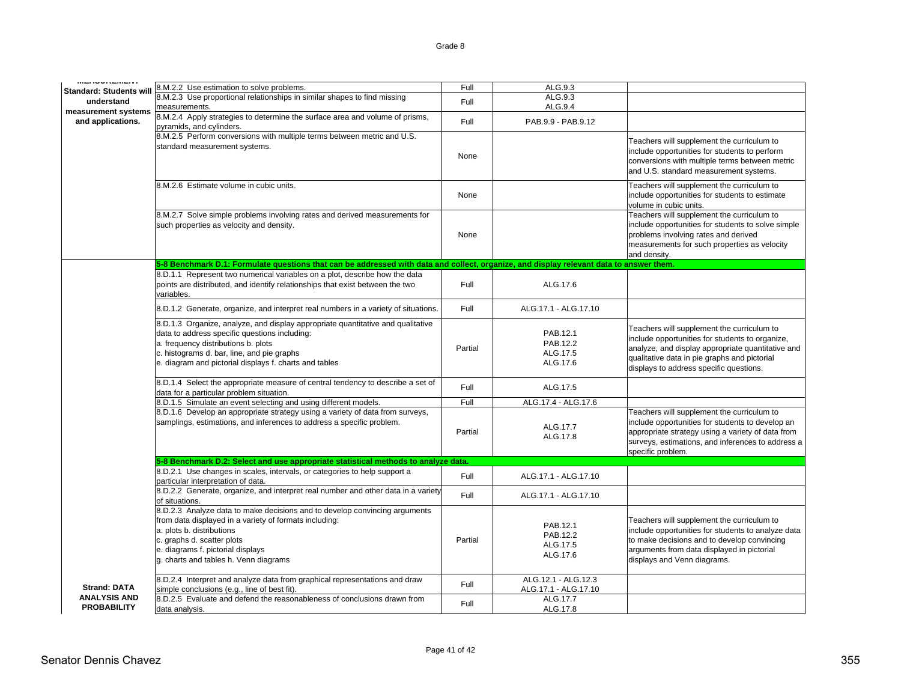| Standard: Students will                   | 8.M.2.2 Use estimation to solve problems.                                                                                                                                                                                                                                       | Full    | ALG.9.3                                      |                                                                                                                                                                                                                                               |
|-------------------------------------------|---------------------------------------------------------------------------------------------------------------------------------------------------------------------------------------------------------------------------------------------------------------------------------|---------|----------------------------------------------|-----------------------------------------------------------------------------------------------------------------------------------------------------------------------------------------------------------------------------------------------|
| understand                                | 8.M.2.3 Use proportional relationships in similar shapes to find missing                                                                                                                                                                                                        | Full    | ALG.9.3                                      |                                                                                                                                                                                                                                               |
| measurement systems                       | measurements.                                                                                                                                                                                                                                                                   |         | ALG.9.4                                      |                                                                                                                                                                                                                                               |
| and applications.                         | 8.M.2.4 Apply strategies to determine the surface area and volume of prisms,<br>pyramids, and cylinders.                                                                                                                                                                        | Full    | PAB.9.9 - PAB.9.12                           |                                                                                                                                                                                                                                               |
|                                           | 8.M.2.5 Perform conversions with multiple terms between metric and U.S.                                                                                                                                                                                                         |         |                                              | Teachers will supplement the curriculum to                                                                                                                                                                                                    |
|                                           | standard measurement systems.                                                                                                                                                                                                                                                   | None    |                                              | include opportunities for students to perform<br>conversions with multiple terms between metric<br>and U.S. standard measurement systems.                                                                                                     |
|                                           | 8.M.2.6 Estimate volume in cubic units.                                                                                                                                                                                                                                         | None    |                                              | Teachers will supplement the curriculum to<br>include opportunities for students to estimate<br>volume in cubic units.                                                                                                                        |
|                                           | 8.M.2.7 Solve simple problems involving rates and derived measurements for<br>such properties as velocity and density.                                                                                                                                                          | None    |                                              | Teachers will supplement the curriculum to<br>include opportunities for students to solve simple<br>problems involving rates and derived<br>measurements for such properties as velocity<br>and density.                                      |
|                                           | 5-8 Benchmark D.1: Formulate questions that can be addressed with data and collect, organize, and display relevant data to answer them.                                                                                                                                         |         |                                              |                                                                                                                                                                                                                                               |
|                                           | 8.D.1.1 Represent two numerical variables on a plot, describe how the data<br>points are distributed, and identify relationships that exist between the two<br>variables.                                                                                                       | Full    | ALG.17.6                                     |                                                                                                                                                                                                                                               |
|                                           | 8.D.1.2 Generate, organize, and interpret real numbers in a variety of situations.                                                                                                                                                                                              | Full    | ALG.17.1 - ALG.17.10                         |                                                                                                                                                                                                                                               |
|                                           | 8.D.1.3 Organize, analyze, and display appropriate quantitative and qualitative<br>data to address specific questions including:<br>a. frequency distributions b. plots<br>c. histograms d. bar, line, and pie graphs<br>e. diagram and pictorial displays f. charts and tables | Partial | PAB.12.1<br>PAB.12.2<br>ALG.17.5<br>ALG.17.6 | Teachers will supplement the curriculum to<br>include opportunities for students to organize,<br>analyze, and display appropriate quantitative and<br>qualitative data in pie graphs and pictorial<br>displays to address specific questions. |
|                                           | 8.D.1.4 Select the appropriate measure of central tendency to describe a set of<br>data for a particular problem situation.                                                                                                                                                     | Full    | ALG.17.5                                     |                                                                                                                                                                                                                                               |
|                                           | 8.D.1.5 Simulate an event selecting and using different models.                                                                                                                                                                                                                 | Full    | ALG.17.4 - ALG.17.6                          |                                                                                                                                                                                                                                               |
|                                           | 8.D.1.6 Develop an appropriate strategy using a variety of data from surveys,<br>samplings, estimations, and inferences to address a specific problem.                                                                                                                          | Partial | ALG.17.7<br>ALG.17.8                         | Teachers will supplement the curriculum to<br>include opportunities for students to develop an<br>appropriate strategy using a variety of data from<br>surveys, estimations, and inferences to address a<br>specific problem.                 |
|                                           | 5-8 Benchmark D.2: Select and use appropriate statistical methods to analyze data.                                                                                                                                                                                              |         |                                              |                                                                                                                                                                                                                                               |
|                                           | 8.D.2.1 Use changes in scales, intervals, or categories to help support a<br>particular interpretation of data.                                                                                                                                                                 | Full    | ALG.17.1 - ALG.17.10                         |                                                                                                                                                                                                                                               |
|                                           | 8.D.2.2 Generate, organize, and interpret real number and other data in a variety<br>of situations.                                                                                                                                                                             | Full    | ALG.17.1 - ALG.17.10                         |                                                                                                                                                                                                                                               |
|                                           | 8.D.2.3 Analyze data to make decisions and to develop convincing arguments<br>from data displayed in a variety of formats including:<br>a. plots b. distributions<br>c. graphs d. scatter plots<br>e. diagrams f. pictorial displays<br>g. charts and tables h. Venn diagrams   | Partial | PAB.12.1<br>PAB.12.2<br>ALG.17.5<br>ALG.17.6 | Teachers will supplement the curriculum to<br>include opportunities for students to analyze data<br>to make decisions and to develop convincing<br>arguments from data displayed in pictorial<br>displays and Venn diagrams.                  |
| <b>Strand: DATA</b>                       | 8.D.2.4 Interpret and analyze data from graphical representations and draw<br>simple conclusions (e.g., line of best fit).                                                                                                                                                      | Full    | ALG.12.1 - ALG.12.3<br>ALG.17.1 - ALG.17.10  |                                                                                                                                                                                                                                               |
| <b>ANALYSIS AND</b><br><b>PROBABILITY</b> | 8.D.2.5 Evaluate and defend the reasonableness of conclusions drawn from<br>data analysis.                                                                                                                                                                                      | Full    | ALG.17.7<br>ALG.17.8                         |                                                                                                                                                                                                                                               |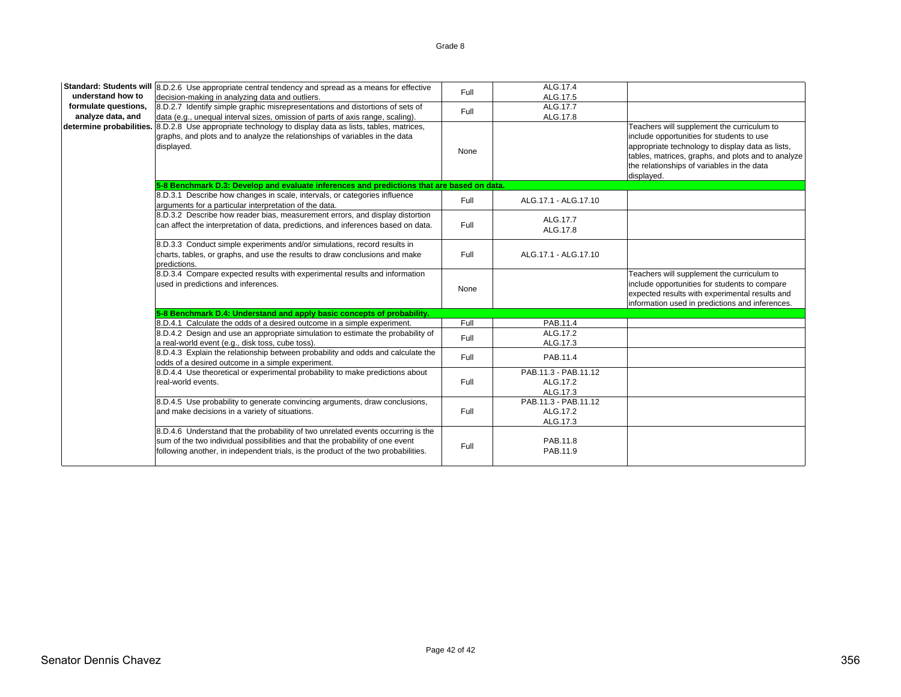|                      | Standard: Students will 8.D.2.6 Use appropriate central tendency and spread as a means for effective                                                                                                                                                    | Full | ALG.17.4                                     |                                                                                                                                                                                                                                                               |
|----------------------|---------------------------------------------------------------------------------------------------------------------------------------------------------------------------------------------------------------------------------------------------------|------|----------------------------------------------|---------------------------------------------------------------------------------------------------------------------------------------------------------------------------------------------------------------------------------------------------------------|
| understand how to    | decision-making in analyzing data and outliers.                                                                                                                                                                                                         |      | ALG.17.5                                     |                                                                                                                                                                                                                                                               |
| formulate questions, | 8.D.2.7 Identify simple graphic misrepresentations and distortions of sets of                                                                                                                                                                           | Full | ALG.17.7                                     |                                                                                                                                                                                                                                                               |
| analyze data, and    | data (e.g., unequal interval sizes, omission of parts of axis range, scaling).                                                                                                                                                                          |      | ALG.17.8                                     |                                                                                                                                                                                                                                                               |
|                      | determine probabilities. 8.D.2.8 Use appropriate technology to display data as lists, tables, matrices,<br>graphs, and plots and to analyze the relationships of variables in the data<br>displayed.                                                    | None |                                              | Teachers will supplement the curriculum to<br>include opportunities for students to use<br>appropriate technology to display data as lists,<br>tables, matrices, graphs, and plots and to analyze<br>the relationships of variables in the data<br>displayed. |
|                      | 5-8 Benchmark D.3: Develop and evaluate inferences and predictions that are based on data.                                                                                                                                                              |      |                                              |                                                                                                                                                                                                                                                               |
|                      | 8.D.3.1 Describe how changes in scale, intervals, or categories influence<br>arguments for a particular interpretation of the data.                                                                                                                     | Full | ALG.17.1 - ALG.17.10                         |                                                                                                                                                                                                                                                               |
|                      | 8.D.3.2 Describe how reader bias, measurement errors, and display distortion<br>can affect the interpretation of data, predictions, and inferences based on data.                                                                                       | Full | ALG.17.7<br>ALG.17.8                         |                                                                                                                                                                                                                                                               |
|                      | 8.D.3.3 Conduct simple experiments and/or simulations, record results in<br>charts, tables, or graphs, and use the results to draw conclusions and make<br>predictions.                                                                                 | Full | ALG.17.1 - ALG.17.10                         |                                                                                                                                                                                                                                                               |
|                      | 8.D.3.4 Compare expected results with experimental results and information<br>used in predictions and inferences.                                                                                                                                       | None |                                              | Teachers will supplement the curriculum to<br>include opportunities for students to compare<br>expected results with experimental results and<br>information used in predictions and inferences.                                                              |
|                      | 5-8 Benchmark D.4: Understand and apply basic concepts of probability.                                                                                                                                                                                  |      |                                              |                                                                                                                                                                                                                                                               |
|                      | 8.D.4.1 Calculate the odds of a desired outcome in a simple experiment.                                                                                                                                                                                 | Full | PAB.11.4                                     |                                                                                                                                                                                                                                                               |
|                      | 8.D.4.2 Design and use an appropriate simulation to estimate the probability of<br>a real-world event (e.g., disk toss, cube toss).                                                                                                                     | Full | ALG.17.2<br>ALG.17.3                         |                                                                                                                                                                                                                                                               |
|                      | 8.D.4.3 Explain the relationship between probability and odds and calculate the<br>odds of a desired outcome in a simple experiment.                                                                                                                    | Full | PAB.11.4                                     |                                                                                                                                                                                                                                                               |
|                      | 8.D.4.4 Use theoretical or experimental probability to make predictions about<br>real-world events.                                                                                                                                                     | Full | PAB.11.3 - PAB.11.12<br>ALG.17.2<br>ALG.17.3 |                                                                                                                                                                                                                                                               |
|                      | 8.D.4.5 Use probability to generate convincing arguments, draw conclusions,<br>and make decisions in a variety of situations.                                                                                                                           | Full | PAB.11.3 - PAB.11.12<br>ALG.17.2<br>ALG.17.3 |                                                                                                                                                                                                                                                               |
|                      | 8.D.4.6 Understand that the probability of two unrelated events occurring is the<br>sum of the two individual possibilities and that the probability of one event<br>following another, in independent trials, is the product of the two probabilities. | Full | PAB.11.8<br>PAB.11.9                         |                                                                                                                                                                                                                                                               |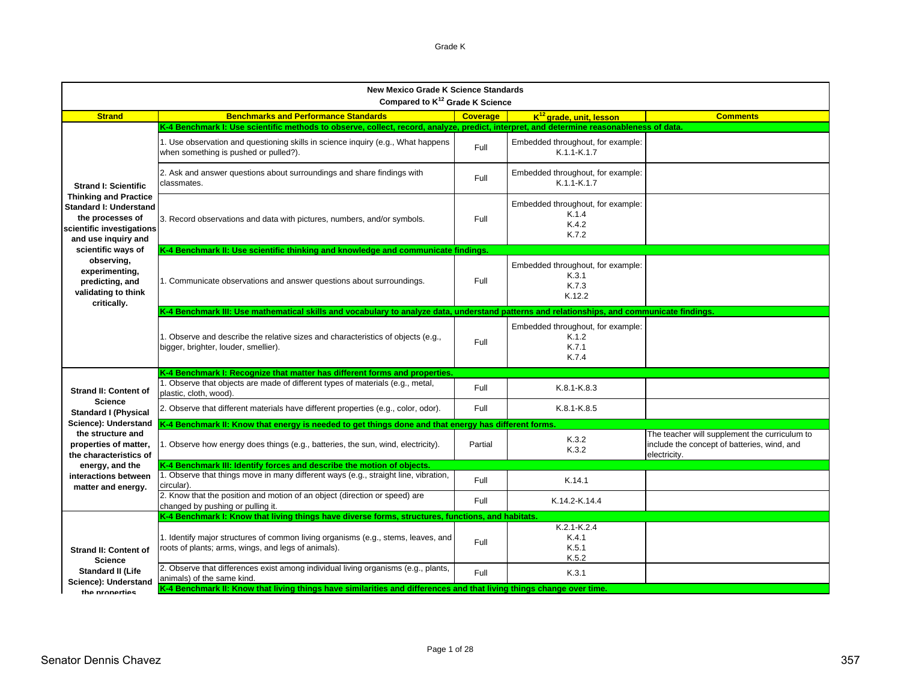| <b>New Mexico Grade K Science Standards</b><br>Compared to K <sup>12</sup> Grade K Science                                                                           |                                                                                                                                             |                 |                                                               |                                                                                                              |  |
|----------------------------------------------------------------------------------------------------------------------------------------------------------------------|---------------------------------------------------------------------------------------------------------------------------------------------|-----------------|---------------------------------------------------------------|--------------------------------------------------------------------------------------------------------------|--|
| <b>Strand</b>                                                                                                                                                        | <b>Benchmarks and Performance Standards</b>                                                                                                 | <b>Coverage</b> | $K^{12}$ grade, unit, lesson                                  | <b>Comments</b>                                                                                              |  |
|                                                                                                                                                                      | K-4 Benchmark I: Use scientific methods to observe, collect, record, analyze, predict, interpret, and determine reasonableness of data.     |                 |                                                               |                                                                                                              |  |
| <b>Strand I: Scientific</b><br><b>Thinking and Practice</b><br><b>Standard I: Understand</b><br>the processes of<br>scientific investigations<br>and use inquiry and | 1. Use observation and questioning skills in science inquiry (e.g., What happens<br>when something is pushed or pulled?).                   | Full            | Embedded throughout, for example:<br>$K.1.1-K.1.7$            |                                                                                                              |  |
|                                                                                                                                                                      | 2. Ask and answer questions about surroundings and share findings with<br>classmates.                                                       | Full            | Embedded throughout, for example:<br>$K.1.1-K.1.7$            |                                                                                                              |  |
|                                                                                                                                                                      | 3. Record observations and data with pictures, numbers, and/or symbols.                                                                     | Full            | Embedded throughout, for example:<br>K.1.4<br>K.4.2<br>K.7.2  |                                                                                                              |  |
| scientific ways of                                                                                                                                                   | K-4 Benchmark II: Use scientific thinking and knowledge and communicate findings.                                                           |                 |                                                               |                                                                                                              |  |
| observing,<br>experimenting,<br>predicting, and<br>validating to think                                                                                               | 1. Communicate observations and answer questions about surroundings.                                                                        | Full            | Embedded throughout, for example:<br>K.3.1<br>K.7.3<br>K.12.2 |                                                                                                              |  |
| critically.                                                                                                                                                          | K-4 Benchmark III: Use mathematical skills and vocabulary to analyze data, understand patterns and relationships, and communicate findings. |                 |                                                               |                                                                                                              |  |
|                                                                                                                                                                      | 1. Observe and describe the relative sizes and characteristics of objects (e.g.,<br>bigger, brighter, louder, smellier).                    | Full            | Embedded throughout, for example:<br>K.1.2<br>K.7.1<br>K.7.4  |                                                                                                              |  |
|                                                                                                                                                                      | K-4 Benchmark I: Recognize that matter has different forms and properties.                                                                  |                 |                                                               |                                                                                                              |  |
| <b>Strand II: Content of</b><br><b>Science</b>                                                                                                                       | 1. Observe that objects are made of different types of materials (e.g., metal,<br>plastic, cloth, wood).                                    | Full            | $K.8.1-K.8.3$                                                 |                                                                                                              |  |
| <b>Standard I (Physical</b>                                                                                                                                          | 2. Observe that different materials have different properties (e.g., color, odor).                                                          | Full            | $K.8.1-K.8.5$                                                 |                                                                                                              |  |
| Science): Understand<br>the structure and                                                                                                                            | K-4 Benchmark II: Know that energy is needed to get things done and that energy has different forms.                                        |                 |                                                               |                                                                                                              |  |
| properties of matter,<br>the characteristics of                                                                                                                      | 1. Observe how energy does things (e.g., batteries, the sun, wind, electricity).                                                            | Partial         | K.3.2<br>K.3.2                                                | The teacher will supplement the curriculum to<br>include the concept of batteries, wind, and<br>electricity. |  |
| energy, and the                                                                                                                                                      | K-4 Benchmark III: Identify forces and describe the motion of objects.                                                                      |                 |                                                               |                                                                                                              |  |
| interactions between<br>matter and energy.                                                                                                                           | 1. Observe that things move in many different ways (e.g., straight line, vibration,<br>circular).                                           | Full            | K.14.1                                                        |                                                                                                              |  |
|                                                                                                                                                                      | 2. Know that the position and motion of an object (direction or speed) are<br>changed by pushing or pulling it.                             | Full            | K.14.2-K.14.4                                                 |                                                                                                              |  |
|                                                                                                                                                                      | K-4 Benchmark I: Know that living things have diverse forms, structures, functions, and habitats.                                           |                 |                                                               |                                                                                                              |  |
| <b>Strand II: Content of</b><br><b>Science</b>                                                                                                                       | 1. Identify major structures of common living organisms (e.g., stems, leaves, and<br>roots of plants; arms, wings, and legs of animals).    | Full            | $K.2.1-K.2.4$<br>K.4.1<br>K.5.1<br>K.5.2                      |                                                                                                              |  |
| <b>Standard II (Life</b><br>Science): Understand                                                                                                                     | 2. Observe that differences exist among individual living organisms (e.g., plants,<br>animals) of the same kind.                            | Full            | K.3.1                                                         |                                                                                                              |  |
| the properties                                                                                                                                                       | K-4 Benchmark II: Know that living things have similarities and differences and that living things change over time.                        |                 |                                                               |                                                                                                              |  |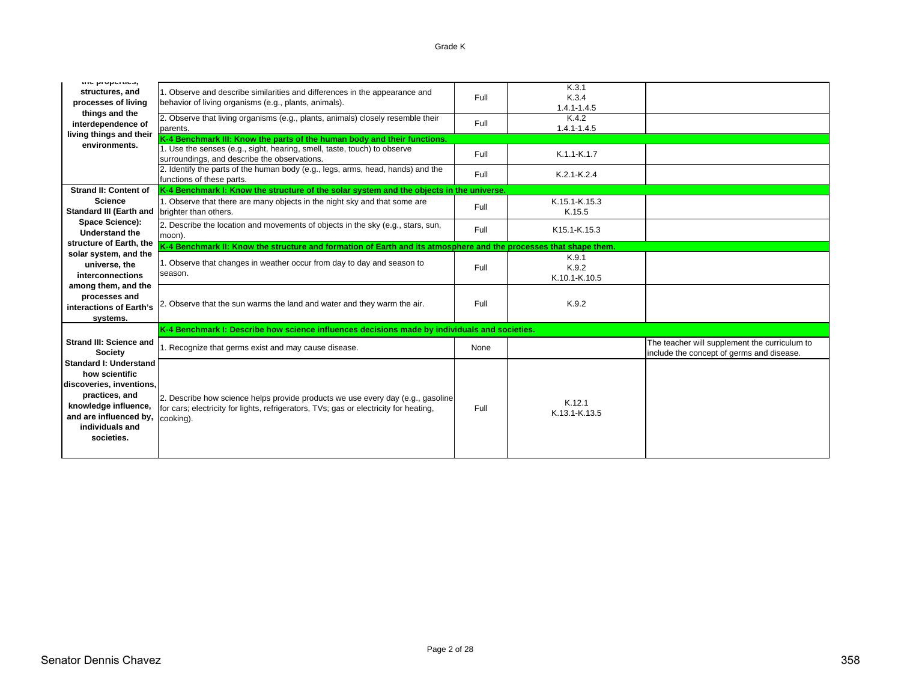# Grade K

| the properties,                                 |                                                                                                                       |      | K.3.1                                 |                                               |
|-------------------------------------------------|-----------------------------------------------------------------------------------------------------------------------|------|---------------------------------------|-----------------------------------------------|
| structures, and                                 | 1. Observe and describe similarities and differences in the appearance and                                            | Full | K.3.4                                 |                                               |
| processes of living                             | behavior of living organisms (e.g., plants, animals).                                                                 |      | $1.4.1 - 1.4.5$                       |                                               |
| things and the                                  | 2. Observe that living organisms (e.g., plants, animals) closely resemble their                                       | Full | K.4.2                                 |                                               |
| interdependence of                              | parents.                                                                                                              |      | $1.4.1 - 1.4.5$                       |                                               |
| living things and their<br>environments.        | K-4 Benchmark III: Know the parts of the human body and their functions.                                              |      |                                       |                                               |
|                                                 | 1. Use the senses (e.g., sight, hearing, smell, taste, touch) to observe                                              | Full | K.1.1-K.1.7                           |                                               |
|                                                 | surroundings, and describe the observations.                                                                          |      |                                       |                                               |
|                                                 | 2. Identify the parts of the human body (e.g., legs, arms, head, hands) and the                                       | Full | K.2.1-K.2.4                           |                                               |
| <b>Strand II: Content of</b>                    | functions of these parts.<br>K-4 Benchmark I: Know the structure of the solar system and the objects in the universe. |      |                                       |                                               |
| <b>Science</b>                                  |                                                                                                                       |      | K.15.1-K.15.3                         |                                               |
| <b>Standard III (Earth and</b>                  | 1. Observe that there are many objects in the night sky and that some are<br>brighter than others.                    | Full | K.15.5                                |                                               |
| Space Science):                                 |                                                                                                                       |      |                                       |                                               |
| <b>Understand the</b>                           | 2. Describe the location and movements of objects in the sky (e.g., stars, sun,<br>moon).                             | Full | K <sub>15.1</sub> -K <sub>.15.3</sub> |                                               |
| structure of Earth, the                         | K-4 Benchmark II: Know the structure and formation of Earth and its atmosphere and the processes that shape them.     |      |                                       |                                               |
| solar system, and the                           |                                                                                                                       |      | K.9.1                                 |                                               |
| universe, the                                   | 1. Observe that changes in weather occur from day to day and season to                                                | Full | K.9.2                                 |                                               |
| interconnections                                | season.                                                                                                               |      | K.10.1-K.10.5                         |                                               |
| among them, and the                             |                                                                                                                       |      |                                       |                                               |
| processes and                                   | 2. Observe that the sun warms the land and water and they warm the air.                                               | Full | K.9.2                                 |                                               |
| interactions of Earth's                         |                                                                                                                       |      |                                       |                                               |
| systems.                                        |                                                                                                                       |      |                                       |                                               |
|                                                 | K-4 Benchmark I: Describe how science influences decisions made by individuals and societies.                         |      |                                       |                                               |
| <b>Strand III: Science and</b>                  | 1. Recognize that germs exist and may cause disease.                                                                  | None |                                       | The teacher will supplement the curriculum to |
| <b>Society</b>                                  |                                                                                                                       |      |                                       | include the concept of germs and disease.     |
| <b>Standard I: Understand</b><br>how scientific |                                                                                                                       |      |                                       |                                               |
| discoveries, inventions,                        |                                                                                                                       |      |                                       |                                               |
| practices, and                                  |                                                                                                                       |      |                                       |                                               |
| knowledge influence,                            | 2. Describe how science helps provide products we use every day (e.g., gasoline                                       |      | K.12.1                                |                                               |
| and are influenced by,                          | for cars; electricity for lights, refrigerators, TVs; gas or electricity for heating,                                 | Full | K.13.1-K.13.5                         |                                               |
| individuals and                                 | cooking).                                                                                                             |      |                                       |                                               |
| societies.                                      |                                                                                                                       |      |                                       |                                               |
|                                                 |                                                                                                                       |      |                                       |                                               |
|                                                 |                                                                                                                       |      |                                       |                                               |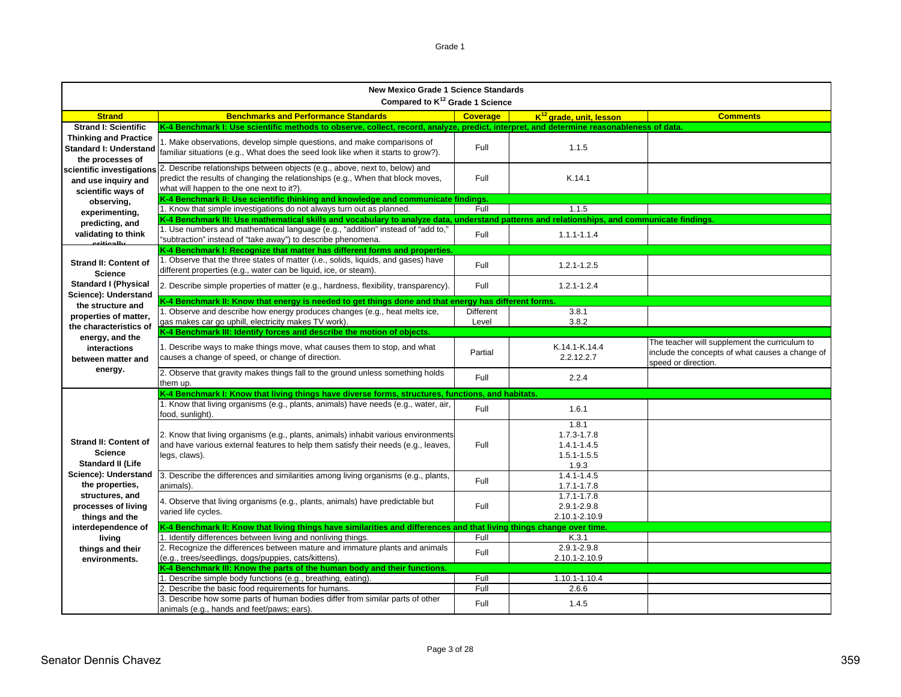| эι |  |
|----|--|
|----|--|

|                                                                                   | <b>New Mexico Grade 1 Science Standards</b><br>Compared to K <sup>12</sup> Grade 1 Science                                                                                                                  |                 |                                                                     |                                                                                                                         |  |  |
|-----------------------------------------------------------------------------------|-------------------------------------------------------------------------------------------------------------------------------------------------------------------------------------------------------------|-----------------|---------------------------------------------------------------------|-------------------------------------------------------------------------------------------------------------------------|--|--|
| <b>Strand</b>                                                                     | <b>Benchmarks and Performance Standards</b>                                                                                                                                                                 | <b>Coverage</b> | K <sup>12</sup> grade, unit, lesson                                 | <b>Comments</b>                                                                                                         |  |  |
| <b>Strand I: Scientific</b>                                                       | K-4 Benchmark I: Use scientific methods to observe, collect, record, analyze, predict, interpret, and determine reasonableness of data.                                                                     |                 |                                                                     |                                                                                                                         |  |  |
| <b>Thinking and Practice</b><br><b>Standard I: Understand</b><br>the processes of | I. Make observations, develop simple questions, and make comparisons of<br>familiar situations (e.g., What does the seed look like when it starts to grow?).                                                | Full            | 1.1.5                                                               |                                                                                                                         |  |  |
| scientific investigations<br>and use inquiry and<br>scientific ways of            | 2. Describe relationships between objects (e.g., above, next to, below) and<br>predict the results of changing the relationships (e.g., When that block moves,<br>what will happen to the one next to it?). | Full            | K.14.1                                                              |                                                                                                                         |  |  |
| observing,                                                                        | K-4 Benchmark II: Use scientific thinking and knowledge and communicate findings.                                                                                                                           |                 |                                                                     |                                                                                                                         |  |  |
| experimenting,                                                                    | 1. Know that simple investigations do not always turn out as planned.                                                                                                                                       | Full            | 1.1.5                                                               |                                                                                                                         |  |  |
| predicting, and                                                                   | K-4 Benchmark III: Use mathematical skills and vocabulary to analyze data, understand patterns and relationships, and communicate findings.                                                                 |                 |                                                                     |                                                                                                                         |  |  |
| validating to think<br>ببالممثنتيم                                                | 1. Use numbers and mathematical language (e.g., "addition" instead of "add to,"<br>"subtraction" instead of "take away") to describe phenomena.                                                             | Full            | $1.1.1 - 1.1.4$                                                     |                                                                                                                         |  |  |
|                                                                                   | K-4 Benchmark I: Recognize that matter has different forms and properties.                                                                                                                                  |                 |                                                                     |                                                                                                                         |  |  |
| <b>Strand II: Content of</b><br><b>Science</b>                                    | 1. Observe that the three states of matter (i.e., solids, liquids, and gases) have<br>different properties (e.g., water can be liquid, ice, or steam).                                                      | Full            | $1.2.1 - 1.2.5$                                                     |                                                                                                                         |  |  |
| <b>Standard I (Physical</b><br>Science): Understand                               | 2. Describe simple properties of matter (e.g., hardness, flexibility, transparency).                                                                                                                        | <b>Full</b>     | $1.2.1 - 1.2.4$                                                     |                                                                                                                         |  |  |
| the structure and                                                                 | K-4 Benchmark II: Know that energy is needed to get things done and that energy has different forms.                                                                                                        |                 |                                                                     |                                                                                                                         |  |  |
| properties of matter,                                                             | 1. Observe and describe how energy produces changes (e.g., heat melts ice,                                                                                                                                  | Different       | 38.1                                                                |                                                                                                                         |  |  |
| the characteristics of                                                            | gas makes car go uphill, electricity makes TV work).                                                                                                                                                        | Level           | 3.8.2                                                               |                                                                                                                         |  |  |
| energy, and the                                                                   | K-4 Benchmark III: Identify forces and describe the motion of objects.                                                                                                                                      |                 |                                                                     |                                                                                                                         |  |  |
| interactions<br>between matter and                                                | 1. Describe ways to make things move, what causes them to stop, and what<br>causes a change of speed, or change of direction.                                                                               | Partial         | K.14.1-K.14.4<br>2.2.12.2.7                                         | The teacher will supplement the curriculum to<br>include the concepts of what causes a change of<br>speed or direction. |  |  |
| energy.                                                                           | 2. Observe that gravity makes things fall to the ground unless something holds<br>them up.                                                                                                                  | Full            | 2.2.4                                                               |                                                                                                                         |  |  |
|                                                                                   | K-4 Benchmark I: Know that living things have diverse forms, structures, functions, and habitats.                                                                                                           |                 |                                                                     |                                                                                                                         |  |  |
|                                                                                   | 1. Know that living organisms (e.g., plants, animals) have needs (e.g., water, air,<br>food, sunlight).                                                                                                     | Full            | 1.6.1                                                               |                                                                                                                         |  |  |
| <b>Strand II: Content of</b><br><b>Science</b><br><b>Standard II (Life</b>        | 2. Know that living organisms (e.g., plants, animals) inhabit various environments<br>and have various external features to help them satisfy their needs (e.g., leaves,<br>legs, claws).                   | Full            | 1.8.1<br>$1.7.3 - 1.7.8$<br>1.4.1-1.4.5<br>$1.5.1 - 1.5.5$<br>1.9.3 |                                                                                                                         |  |  |
| Science): Understand<br>the properties.                                           | 3. Describe the differences and similarities among living organisms (e.g., plants,<br>animals).                                                                                                             | Full            | $1.4.1 - 1.4.5$<br>$1.7.1 - 1.7.8$                                  |                                                                                                                         |  |  |
| structures, and<br>processes of living<br>things and the                          | 4. Observe that living organisms (e.g., plants, animals) have predictable but<br>varied life cycles.                                                                                                        | Full            | $1.7.1 - 1.7.8$<br>2.9.1-2.9.8<br>2.10.1-2.10.9                     |                                                                                                                         |  |  |
| interdependence of                                                                | K-4 Benchmark II: Know that living things have similarities and differences and that living things change over time.                                                                                        |                 |                                                                     |                                                                                                                         |  |  |
| living                                                                            | 1. Identify differences between living and nonliving things.                                                                                                                                                | Full            | K.3.1                                                               |                                                                                                                         |  |  |
| things and their<br>environments.                                                 | 2. Recognize the differences between mature and immature plants and animals<br>(e.g., trees/seedlings, dogs/puppies, cats/kittens).                                                                         | Full            | $2.9.1 - 2.9.8$<br>2.10.1-2.10.9                                    |                                                                                                                         |  |  |
|                                                                                   | K-4 Benchmark III: Know the parts of the human body and their functions.                                                                                                                                    |                 |                                                                     |                                                                                                                         |  |  |
|                                                                                   | 1. Describe simple body functions (e.g., breathing, eating).                                                                                                                                                | Full            | 1.10.1-1.10.4                                                       |                                                                                                                         |  |  |
|                                                                                   | 2. Describe the basic food requirements for humans.                                                                                                                                                         | Full            | 2.6.6                                                               |                                                                                                                         |  |  |
|                                                                                   | 3. Describe how some parts of human bodies differ from similar parts of other<br>animals (e.g., hands and feet/paws; ears).                                                                                 | Full            | 1.4.5                                                               |                                                                                                                         |  |  |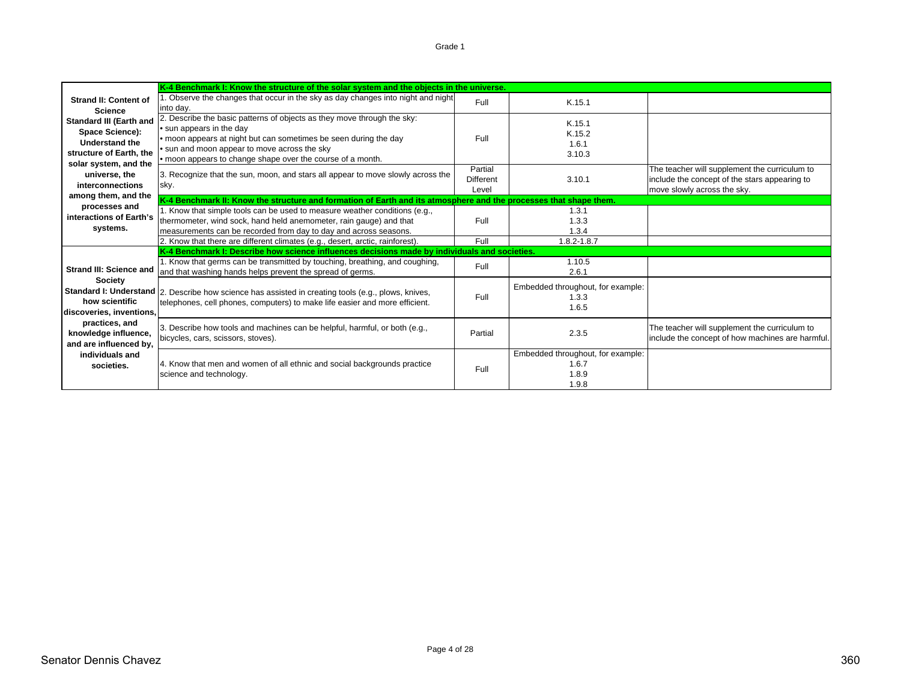|                                                                                                       | K-4 Benchmark I: Know the structure of the solar system and the objects in the universe.                                                                                                                                                                                              |                                      |                                                              |                                                                                                                               |
|-------------------------------------------------------------------------------------------------------|---------------------------------------------------------------------------------------------------------------------------------------------------------------------------------------------------------------------------------------------------------------------------------------|--------------------------------------|--------------------------------------------------------------|-------------------------------------------------------------------------------------------------------------------------------|
| <b>Strand II: Content of</b><br>Science                                                               | Observe the changes that occur in the sky as day changes into night and night<br>into day.                                                                                                                                                                                            | Full                                 | K.15.1                                                       |                                                                                                                               |
| <b>Standard III (Earth and</b><br>Space Science):<br><b>Understand the</b><br>structure of Earth, the | 2. Describe the basic patterns of objects as they move through the sky:<br>• sun appears in the day<br>• moon appears at night but can sometimes be seen during the day<br>. sun and moon appear to move across the sky<br>• moon appears to change shape over the course of a month. | Full                                 | K.15.1<br>K.15.2<br>1.6.1<br>3.10.3                          |                                                                                                                               |
| solar system, and the<br>universe, the<br>interconnections                                            | 3. Recognize that the sun, moon, and stars all appear to move slowly across the<br>sky.                                                                                                                                                                                               | Partial<br><b>Different</b><br>Level | 3.10.1                                                       | The teacher will supplement the curriculum to<br>include the concept of the stars appearing to<br>move slowly across the sky. |
| among them, and the<br>processes and                                                                  | K-4 Benchmark II: Know the structure and formation of Earth and its atmosphere and the processes that shape them.                                                                                                                                                                     |                                      |                                                              |                                                                                                                               |
| interactions of Earth's<br>systems.                                                                   | 1. Know that simple tools can be used to measure weather conditions (e.g.,<br>thermometer, wind sock, hand held anemometer, rain gauge) and that<br>measurements can be recorded from day to day and across seasons.                                                                  | Full                                 | 1.3.1<br>1.3.3<br>1.3.4                                      |                                                                                                                               |
|                                                                                                       | 2. Know that there are different climates (e.g., desert, arctic, rainforest).                                                                                                                                                                                                         | Full                                 | $1.8.2 - 1.8.7$                                              |                                                                                                                               |
|                                                                                                       | K-4 Benchmark I: Describe how science influences decisions made by individuals and societies.                                                                                                                                                                                         |                                      |                                                              |                                                                                                                               |
| <b>Strand III: Science and</b>                                                                        | 1. Know that germs can be transmitted by touching, breathing, and coughing,<br>and that washing hands helps prevent the spread of germs.                                                                                                                                              | Full                                 | 1.10.5<br>2.6.1                                              |                                                                                                                               |
| Society<br>how scientific<br>discoveries, inventions,                                                 | Standard I: Understand   2. Describe how science has assisted in creating tools (e.g., plows, knives,<br>telephones, cell phones, computers) to make life easier and more efficient.                                                                                                  | Full                                 | Embedded throughout, for example:<br>1.3.3<br>1.6.5          |                                                                                                                               |
| practices, and<br>knowledge influence,<br>and are influenced by,                                      | 3. Describe how tools and machines can be helpful, harmful, or both (e.g.,<br>bicycles, cars, scissors, stoves).                                                                                                                                                                      | Partial                              | 2.3.5                                                        | The teacher will supplement the curriculum to<br>include the concept of how machines are harmful.                             |
| individuals and<br>societies.                                                                         | 4. Know that men and women of all ethnic and social backgrounds practice<br>science and technology.                                                                                                                                                                                   | Full                                 | Embedded throughout, for example:<br>1.6.7<br>1.8.9<br>1.9.8 |                                                                                                                               |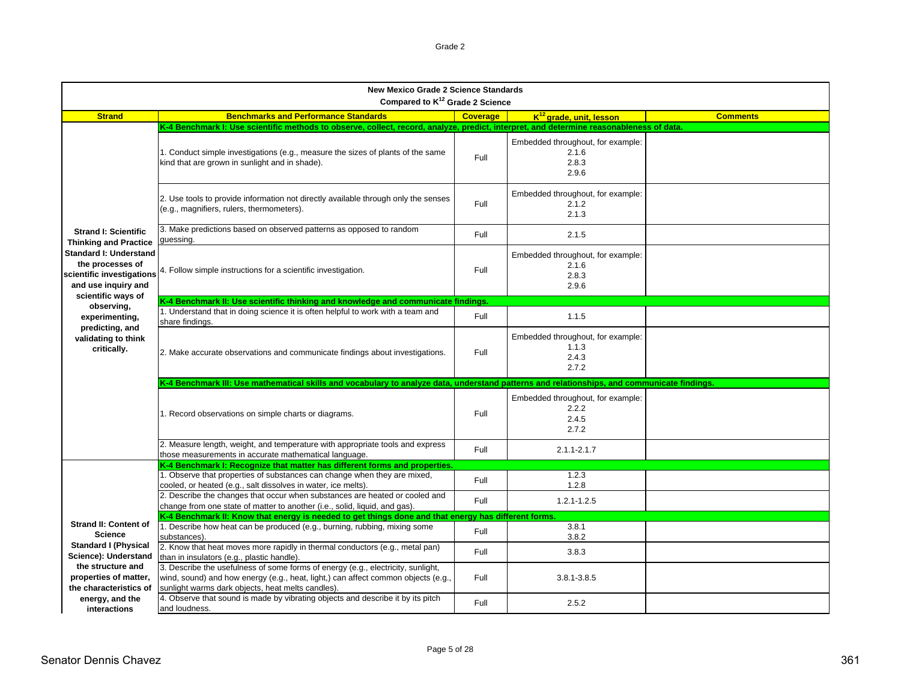| <b>New Mexico Grade 2 Science Standards</b><br>Compared to K <sup>12</sup> Grade 2 Science            |                                                                                                                                                                                                                            |                 |                                                              |                 |  |
|-------------------------------------------------------------------------------------------------------|----------------------------------------------------------------------------------------------------------------------------------------------------------------------------------------------------------------------------|-----------------|--------------------------------------------------------------|-----------------|--|
| <b>Strand</b>                                                                                         | <b>Benchmarks and Performance Standards</b>                                                                                                                                                                                | <b>Coverage</b> | K <sup>12</sup> grade, unit, lesson                          | <b>Comments</b> |  |
|                                                                                                       | K-4 Benchmark I: Use scientific methods to observe, collect, record, analyze, predict, interpret, and determine reasonableness of data.                                                                                    |                 |                                                              |                 |  |
|                                                                                                       | 1. Conduct simple investigations (e.g., measure the sizes of plants of the same<br>kind that are grown in sunlight and in shade).                                                                                          | Full            | Embedded throughout, for example:<br>2.1.6<br>2.8.3<br>2.9.6 |                 |  |
|                                                                                                       | 2. Use tools to provide information not directly available through only the senses<br>(e.g., magnifiers, rulers, thermometers).                                                                                            | Full            | Embedded throughout, for example:<br>2.1.2<br>2.1.3          |                 |  |
| <b>Strand I: Scientific</b><br><b>Thinking and Practice</b>                                           | 3. Make predictions based on observed patterns as opposed to random<br>guessing.                                                                                                                                           | Full            | 2.1.5                                                        |                 |  |
| <b>Standard I: Understand</b><br>the processes of<br>scientific investigations<br>and use inquiry and | 4. Follow simple instructions for a scientific investigation.                                                                                                                                                              | Full            | Embedded throughout, for example:<br>2.1.6<br>2.8.3<br>2.9.6 |                 |  |
| scientific ways of                                                                                    | K-4 Benchmark II: Use scientific thinking and knowledge and communicate findings.                                                                                                                                          |                 |                                                              |                 |  |
| observing,<br>experimenting,                                                                          | 1. Understand that in doing science it is often helpful to work with a team and<br>share findings.                                                                                                                         | Full            | 1.1.5                                                        |                 |  |
| predicting, and<br>validating to think<br>critically.                                                 | 2. Make accurate observations and communicate findings about investigations.                                                                                                                                               | Full            | Embedded throughout, for example:<br>1.1.3<br>2.4.3<br>2.7.2 |                 |  |
|                                                                                                       | K-4 Benchmark III: Use mathematical skills and vocabulary to analyze data, understand patterns and relationships, and communicate findings.                                                                                |                 |                                                              |                 |  |
|                                                                                                       | 1. Record observations on simple charts or diagrams.                                                                                                                                                                       | Full            | Embedded throughout, for example:<br>2.2.2<br>2.4.5<br>2.7.2 |                 |  |
|                                                                                                       | 2. Measure length, weight, and temperature with appropriate tools and express<br>those measurements in accurate mathematical language.                                                                                     | Full            | $2.1.1 - 2.1.7$                                              |                 |  |
|                                                                                                       | K-4 Benchmark I: Recognize that matter has different forms and properties.                                                                                                                                                 |                 |                                                              |                 |  |
|                                                                                                       | 1. Observe that properties of substances can change when they are mixed,<br>cooled, or heated (e.g., salt dissolves in water, ice melts).                                                                                  | Full            | 1.2.3<br>1.2.8                                               |                 |  |
|                                                                                                       | 2. Describe the changes that occur when substances are heated or cooled and<br>change from one state of matter to another (i.e., solid, liquid, and gas).                                                                  | Full            | $1.2.1 - 1.2.5$                                              |                 |  |
|                                                                                                       | K-4 Benchmark II: Know that energy is needed to get things done and that energy has different forms                                                                                                                        |                 |                                                              |                 |  |
| <b>Strand II: Content of</b><br><b>Science</b>                                                        | 1. Describe how heat can be produced (e.g., burning, rubbing, mixing some<br>substances).                                                                                                                                  | Full            | 3.8.1<br>3.8.2                                               |                 |  |
| <b>Standard I (Physical</b><br>Science): Understand                                                   | 2. Know that heat moves more rapidly in thermal conductors (e.g., metal pan)<br>than in insulators (e.g., plastic handle).                                                                                                 | Full            | 3.8.3                                                        |                 |  |
| the structure and<br>properties of matter,<br>the characteristics of                                  | 3. Describe the usefulness of some forms of energy (e.g., electricity, sunlight,<br>wind, sound) and how energy (e.g., heat, light,) can affect common objects (e.g.,<br>sunlight warms dark objects, heat melts candles). | Full            | 3.8.1-3.8.5                                                  |                 |  |
| energy, and the<br>interactions                                                                       | 4. Observe that sound is made by vibrating objects and describe it by its pitch<br>and loudness.                                                                                                                           | Full            | 2.5.2                                                        |                 |  |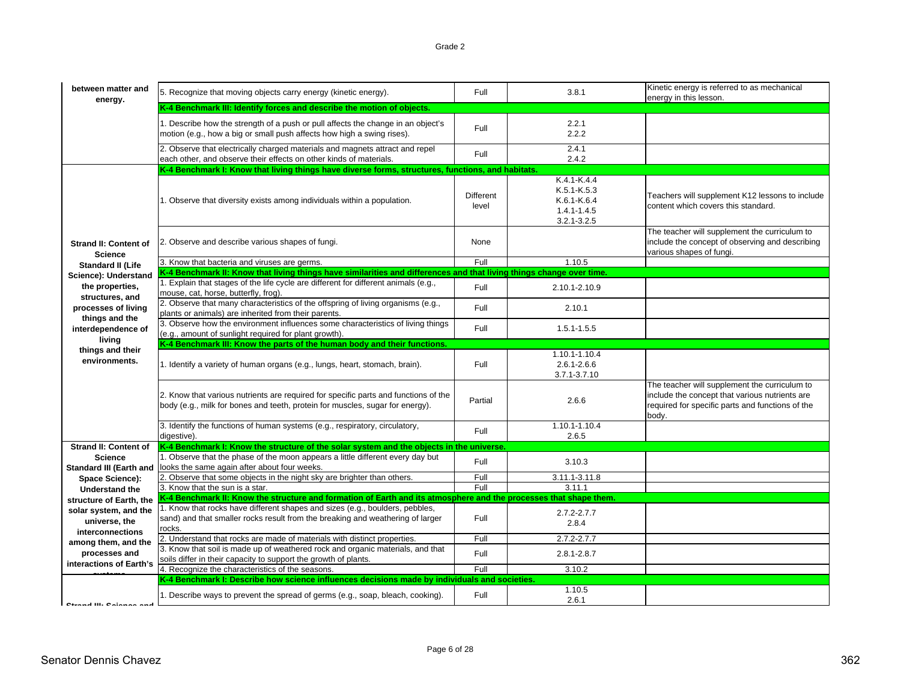| K-4 Benchmark III: Identify forces and describe the motion of objects.<br>1. Describe how the strength of a push or pull affects the change in an object's<br>2.2.1<br>Full<br>motion (e.g., how a big or small push affects how high a swing rises).<br>2.2.2<br>2. Observe that electrically charged materials and magnets attract and repel<br>2.4.1<br>Full<br>2.4.2<br>each other, and observe their effects on other kinds of materials.<br>K-4 Benchmark I: Know that living things have diverse forms, structures, functions, and habitats.<br>K.4.1-K.4.4<br>$K.5.1 - K.5.3$<br>Different<br>Teachers will supplement K12 lessons to include<br>1. Observe that diversity exists among individuals within a population.<br>$K.6.1-K.6.4$<br>content which covers this standard.<br>level<br>$1.4.1 - 1.4.5$<br>$3.2.1 - 3.2.5$<br>The teacher will supplement the curriculum to<br>include the concept of observing and describing<br>2. Observe and describe various shapes of fungi.<br>None<br><b>Strand II: Content of</b><br>various shapes of fungi.<br><b>Science</b><br>Full<br>1.10.5<br>3. Know that bacteria and viruses are germs.<br><b>Standard II (Life</b><br>K-4 Benchmark II: Know that living things have similarities and differences and that living things change over time.<br>Science): Understand<br>1. Explain that stages of the life cycle are different for different animals (e.g.,<br>the properties.<br>Full<br>2.10.1-2.10.9<br>mouse, cat, horse, butterfly, frog).<br>structures, and<br>2. Observe that many characteristics of the offspring of living organisms (e.g.,<br>processes of living<br>Full<br>2.10.1<br>plants or animals) are inherited from their parents.<br>things and the<br>3. Observe how the environment influences some characteristics of living things<br>interdependence of<br>Full<br>1.5.1-1.5.5<br>(e.g., amount of sunlight required for plant growth).<br>living<br>K-4 Benchmark III: Know the parts of the human body and their functions.<br>things and their<br>1.10.1-1.10.4<br>environments.<br>Full<br>$2.6.1 - 2.6.6$<br>1. Identify a variety of human organs (e.g., lungs, heart, stomach, brain).<br>3.7.1-3.7.10<br>The teacher will supplement the curriculum to<br>2. Know that various nutrients are required for specific parts and functions of the<br>include the concept that various nutrients are<br>2.6.6<br>Partial<br>body (e.g., milk for bones and teeth, protein for muscles, sugar for energy).<br>required for specific parts and functions of the<br>body.<br>1.10.1-1.10.4<br>3. Identify the functions of human systems (e.g., respiratory, circulatory,<br>Full<br>2.6.5<br>digestive).<br><b>Strand II: Content of</b><br>K-4 Benchmark I: Know the structure of the solar system and the objects in the universe<br>1. Observe that the phase of the moon appears a little different every day but<br><b>Science</b><br>3.10.3<br>Full<br>looks the same again after about four weeks.<br><b>Standard III (Earth and</b><br>2. Observe that some objects in the night sky are brighter than others.<br>Full<br>3.11.1-3.11.8<br>Space Science):<br>Full<br>3.11.1<br>3. Know that the sun is a star.<br><b>Understand the</b><br>K-4 Benchmark II: Know the structure and formation of Earth and its atmosphere and the processes that shape them<br>structure of Earth, the<br>1. Know that rocks have different shapes and sizes (e.g., boulders, pebbles,<br>solar system, and the<br>$2.7.2 - 2.7.7$<br>sand) and that smaller rocks result from the breaking and weathering of larger<br>Full<br>universe, the<br>2.8.4<br>rocks.<br>interconnections<br>Full<br>$2.7.2 - 2.7.7$<br>2. Understand that rocks are made of materials with distinct properties.<br>among them, and the<br>3. Know that soil is made up of weathered rock and organic materials, and that<br>processes and<br>Full<br>$2.8.1 - 2.8.7$<br>soils differ in their capacity to support the growth of plants.<br>interactions of Earth's<br>4. Recognize the characteristics of the seasons.<br>Full<br>3.10.2<br>K-4 Benchmark I: Describe how science influences decisions made by individuals and societies.<br>1.10.5<br>1. Describe ways to prevent the spread of germs (e.g., soap, bleach, cooking).<br>Full<br>2.6.1<br><b>Closed III</b> , Calendar and | between matter and<br>energy. | 5. Recognize that moving objects carry energy (kinetic energy). | Full | 3.8.1 | Kinetic energy is referred to as mechanical<br>energy in this lesson. |
|------------------------------------------------------------------------------------------------------------------------------------------------------------------------------------------------------------------------------------------------------------------------------------------------------------------------------------------------------------------------------------------------------------------------------------------------------------------------------------------------------------------------------------------------------------------------------------------------------------------------------------------------------------------------------------------------------------------------------------------------------------------------------------------------------------------------------------------------------------------------------------------------------------------------------------------------------------------------------------------------------------------------------------------------------------------------------------------------------------------------------------------------------------------------------------------------------------------------------------------------------------------------------------------------------------------------------------------------------------------------------------------------------------------------------------------------------------------------------------------------------------------------------------------------------------------------------------------------------------------------------------------------------------------------------------------------------------------------------------------------------------------------------------------------------------------------------------------------------------------------------------------------------------------------------------------------------------------------------------------------------------------------------------------------------------------------------------------------------------------------------------------------------------------------------------------------------------------------------------------------------------------------------------------------------------------------------------------------------------------------------------------------------------------------------------------------------------------------------------------------------------------------------------------------------------------------------------------------------------------------------------------------------------------------------------------------------------------------------------------------------------------------------------------------------------------------------------------------------------------------------------------------------------------------------------------------------------------------------------------------------------------------------------------------------------------------------------------------------------------------------------------------------------------------------------------------------------------------------------------------------------------------------------------------------------------------------------------------------------------------------------------------------------------------------------------------------------------------------------------------------------------------------------------------------------------------------------------------------------------------------------------------------------------------------------------------------------------------------------------------------------------------------------------------------------------------------------------------------------------------------------------------------------------------------------------------------------------------------------------------------------------------------------------------------------------------------------------------------------------------------------------------------------------------------------------------------------------------------------------------------------------------------------------------------------------------------------------------------------|-------------------------------|-----------------------------------------------------------------|------|-------|-----------------------------------------------------------------------|
|                                                                                                                                                                                                                                                                                                                                                                                                                                                                                                                                                                                                                                                                                                                                                                                                                                                                                                                                                                                                                                                                                                                                                                                                                                                                                                                                                                                                                                                                                                                                                                                                                                                                                                                                                                                                                                                                                                                                                                                                                                                                                                                                                                                                                                                                                                                                                                                                                                                                                                                                                                                                                                                                                                                                                                                                                                                                                                                                                                                                                                                                                                                                                                                                                                                                                                                                                                                                                                                                                                                                                                                                                                                                                                                                                                                                                                                                                                                                                                                                                                                                                                                                                                                                                                                                                                                                                            |                               |                                                                 |      |       |                                                                       |
|                                                                                                                                                                                                                                                                                                                                                                                                                                                                                                                                                                                                                                                                                                                                                                                                                                                                                                                                                                                                                                                                                                                                                                                                                                                                                                                                                                                                                                                                                                                                                                                                                                                                                                                                                                                                                                                                                                                                                                                                                                                                                                                                                                                                                                                                                                                                                                                                                                                                                                                                                                                                                                                                                                                                                                                                                                                                                                                                                                                                                                                                                                                                                                                                                                                                                                                                                                                                                                                                                                                                                                                                                                                                                                                                                                                                                                                                                                                                                                                                                                                                                                                                                                                                                                                                                                                                                            |                               |                                                                 |      |       |                                                                       |
|                                                                                                                                                                                                                                                                                                                                                                                                                                                                                                                                                                                                                                                                                                                                                                                                                                                                                                                                                                                                                                                                                                                                                                                                                                                                                                                                                                                                                                                                                                                                                                                                                                                                                                                                                                                                                                                                                                                                                                                                                                                                                                                                                                                                                                                                                                                                                                                                                                                                                                                                                                                                                                                                                                                                                                                                                                                                                                                                                                                                                                                                                                                                                                                                                                                                                                                                                                                                                                                                                                                                                                                                                                                                                                                                                                                                                                                                                                                                                                                                                                                                                                                                                                                                                                                                                                                                                            |                               |                                                                 |      |       |                                                                       |
|                                                                                                                                                                                                                                                                                                                                                                                                                                                                                                                                                                                                                                                                                                                                                                                                                                                                                                                                                                                                                                                                                                                                                                                                                                                                                                                                                                                                                                                                                                                                                                                                                                                                                                                                                                                                                                                                                                                                                                                                                                                                                                                                                                                                                                                                                                                                                                                                                                                                                                                                                                                                                                                                                                                                                                                                                                                                                                                                                                                                                                                                                                                                                                                                                                                                                                                                                                                                                                                                                                                                                                                                                                                                                                                                                                                                                                                                                                                                                                                                                                                                                                                                                                                                                                                                                                                                                            |                               |                                                                 |      |       |                                                                       |
|                                                                                                                                                                                                                                                                                                                                                                                                                                                                                                                                                                                                                                                                                                                                                                                                                                                                                                                                                                                                                                                                                                                                                                                                                                                                                                                                                                                                                                                                                                                                                                                                                                                                                                                                                                                                                                                                                                                                                                                                                                                                                                                                                                                                                                                                                                                                                                                                                                                                                                                                                                                                                                                                                                                                                                                                                                                                                                                                                                                                                                                                                                                                                                                                                                                                                                                                                                                                                                                                                                                                                                                                                                                                                                                                                                                                                                                                                                                                                                                                                                                                                                                                                                                                                                                                                                                                                            |                               |                                                                 |      |       |                                                                       |
|                                                                                                                                                                                                                                                                                                                                                                                                                                                                                                                                                                                                                                                                                                                                                                                                                                                                                                                                                                                                                                                                                                                                                                                                                                                                                                                                                                                                                                                                                                                                                                                                                                                                                                                                                                                                                                                                                                                                                                                                                                                                                                                                                                                                                                                                                                                                                                                                                                                                                                                                                                                                                                                                                                                                                                                                                                                                                                                                                                                                                                                                                                                                                                                                                                                                                                                                                                                                                                                                                                                                                                                                                                                                                                                                                                                                                                                                                                                                                                                                                                                                                                                                                                                                                                                                                                                                                            |                               |                                                                 |      |       |                                                                       |
|                                                                                                                                                                                                                                                                                                                                                                                                                                                                                                                                                                                                                                                                                                                                                                                                                                                                                                                                                                                                                                                                                                                                                                                                                                                                                                                                                                                                                                                                                                                                                                                                                                                                                                                                                                                                                                                                                                                                                                                                                                                                                                                                                                                                                                                                                                                                                                                                                                                                                                                                                                                                                                                                                                                                                                                                                                                                                                                                                                                                                                                                                                                                                                                                                                                                                                                                                                                                                                                                                                                                                                                                                                                                                                                                                                                                                                                                                                                                                                                                                                                                                                                                                                                                                                                                                                                                                            |                               |                                                                 |      |       |                                                                       |
|                                                                                                                                                                                                                                                                                                                                                                                                                                                                                                                                                                                                                                                                                                                                                                                                                                                                                                                                                                                                                                                                                                                                                                                                                                                                                                                                                                                                                                                                                                                                                                                                                                                                                                                                                                                                                                                                                                                                                                                                                                                                                                                                                                                                                                                                                                                                                                                                                                                                                                                                                                                                                                                                                                                                                                                                                                                                                                                                                                                                                                                                                                                                                                                                                                                                                                                                                                                                                                                                                                                                                                                                                                                                                                                                                                                                                                                                                                                                                                                                                                                                                                                                                                                                                                                                                                                                                            |                               |                                                                 |      |       |                                                                       |
|                                                                                                                                                                                                                                                                                                                                                                                                                                                                                                                                                                                                                                                                                                                                                                                                                                                                                                                                                                                                                                                                                                                                                                                                                                                                                                                                                                                                                                                                                                                                                                                                                                                                                                                                                                                                                                                                                                                                                                                                                                                                                                                                                                                                                                                                                                                                                                                                                                                                                                                                                                                                                                                                                                                                                                                                                                                                                                                                                                                                                                                                                                                                                                                                                                                                                                                                                                                                                                                                                                                                                                                                                                                                                                                                                                                                                                                                                                                                                                                                                                                                                                                                                                                                                                                                                                                                                            |                               |                                                                 |      |       |                                                                       |
|                                                                                                                                                                                                                                                                                                                                                                                                                                                                                                                                                                                                                                                                                                                                                                                                                                                                                                                                                                                                                                                                                                                                                                                                                                                                                                                                                                                                                                                                                                                                                                                                                                                                                                                                                                                                                                                                                                                                                                                                                                                                                                                                                                                                                                                                                                                                                                                                                                                                                                                                                                                                                                                                                                                                                                                                                                                                                                                                                                                                                                                                                                                                                                                                                                                                                                                                                                                                                                                                                                                                                                                                                                                                                                                                                                                                                                                                                                                                                                                                                                                                                                                                                                                                                                                                                                                                                            |                               |                                                                 |      |       |                                                                       |
|                                                                                                                                                                                                                                                                                                                                                                                                                                                                                                                                                                                                                                                                                                                                                                                                                                                                                                                                                                                                                                                                                                                                                                                                                                                                                                                                                                                                                                                                                                                                                                                                                                                                                                                                                                                                                                                                                                                                                                                                                                                                                                                                                                                                                                                                                                                                                                                                                                                                                                                                                                                                                                                                                                                                                                                                                                                                                                                                                                                                                                                                                                                                                                                                                                                                                                                                                                                                                                                                                                                                                                                                                                                                                                                                                                                                                                                                                                                                                                                                                                                                                                                                                                                                                                                                                                                                                            |                               |                                                                 |      |       |                                                                       |
|                                                                                                                                                                                                                                                                                                                                                                                                                                                                                                                                                                                                                                                                                                                                                                                                                                                                                                                                                                                                                                                                                                                                                                                                                                                                                                                                                                                                                                                                                                                                                                                                                                                                                                                                                                                                                                                                                                                                                                                                                                                                                                                                                                                                                                                                                                                                                                                                                                                                                                                                                                                                                                                                                                                                                                                                                                                                                                                                                                                                                                                                                                                                                                                                                                                                                                                                                                                                                                                                                                                                                                                                                                                                                                                                                                                                                                                                                                                                                                                                                                                                                                                                                                                                                                                                                                                                                            |                               |                                                                 |      |       |                                                                       |
|                                                                                                                                                                                                                                                                                                                                                                                                                                                                                                                                                                                                                                                                                                                                                                                                                                                                                                                                                                                                                                                                                                                                                                                                                                                                                                                                                                                                                                                                                                                                                                                                                                                                                                                                                                                                                                                                                                                                                                                                                                                                                                                                                                                                                                                                                                                                                                                                                                                                                                                                                                                                                                                                                                                                                                                                                                                                                                                                                                                                                                                                                                                                                                                                                                                                                                                                                                                                                                                                                                                                                                                                                                                                                                                                                                                                                                                                                                                                                                                                                                                                                                                                                                                                                                                                                                                                                            |                               |                                                                 |      |       |                                                                       |
|                                                                                                                                                                                                                                                                                                                                                                                                                                                                                                                                                                                                                                                                                                                                                                                                                                                                                                                                                                                                                                                                                                                                                                                                                                                                                                                                                                                                                                                                                                                                                                                                                                                                                                                                                                                                                                                                                                                                                                                                                                                                                                                                                                                                                                                                                                                                                                                                                                                                                                                                                                                                                                                                                                                                                                                                                                                                                                                                                                                                                                                                                                                                                                                                                                                                                                                                                                                                                                                                                                                                                                                                                                                                                                                                                                                                                                                                                                                                                                                                                                                                                                                                                                                                                                                                                                                                                            |                               |                                                                 |      |       |                                                                       |
|                                                                                                                                                                                                                                                                                                                                                                                                                                                                                                                                                                                                                                                                                                                                                                                                                                                                                                                                                                                                                                                                                                                                                                                                                                                                                                                                                                                                                                                                                                                                                                                                                                                                                                                                                                                                                                                                                                                                                                                                                                                                                                                                                                                                                                                                                                                                                                                                                                                                                                                                                                                                                                                                                                                                                                                                                                                                                                                                                                                                                                                                                                                                                                                                                                                                                                                                                                                                                                                                                                                                                                                                                                                                                                                                                                                                                                                                                                                                                                                                                                                                                                                                                                                                                                                                                                                                                            |                               |                                                                 |      |       |                                                                       |
|                                                                                                                                                                                                                                                                                                                                                                                                                                                                                                                                                                                                                                                                                                                                                                                                                                                                                                                                                                                                                                                                                                                                                                                                                                                                                                                                                                                                                                                                                                                                                                                                                                                                                                                                                                                                                                                                                                                                                                                                                                                                                                                                                                                                                                                                                                                                                                                                                                                                                                                                                                                                                                                                                                                                                                                                                                                                                                                                                                                                                                                                                                                                                                                                                                                                                                                                                                                                                                                                                                                                                                                                                                                                                                                                                                                                                                                                                                                                                                                                                                                                                                                                                                                                                                                                                                                                                            |                               |                                                                 |      |       |                                                                       |
|                                                                                                                                                                                                                                                                                                                                                                                                                                                                                                                                                                                                                                                                                                                                                                                                                                                                                                                                                                                                                                                                                                                                                                                                                                                                                                                                                                                                                                                                                                                                                                                                                                                                                                                                                                                                                                                                                                                                                                                                                                                                                                                                                                                                                                                                                                                                                                                                                                                                                                                                                                                                                                                                                                                                                                                                                                                                                                                                                                                                                                                                                                                                                                                                                                                                                                                                                                                                                                                                                                                                                                                                                                                                                                                                                                                                                                                                                                                                                                                                                                                                                                                                                                                                                                                                                                                                                            |                               |                                                                 |      |       |                                                                       |
|                                                                                                                                                                                                                                                                                                                                                                                                                                                                                                                                                                                                                                                                                                                                                                                                                                                                                                                                                                                                                                                                                                                                                                                                                                                                                                                                                                                                                                                                                                                                                                                                                                                                                                                                                                                                                                                                                                                                                                                                                                                                                                                                                                                                                                                                                                                                                                                                                                                                                                                                                                                                                                                                                                                                                                                                                                                                                                                                                                                                                                                                                                                                                                                                                                                                                                                                                                                                                                                                                                                                                                                                                                                                                                                                                                                                                                                                                                                                                                                                                                                                                                                                                                                                                                                                                                                                                            |                               |                                                                 |      |       |                                                                       |
|                                                                                                                                                                                                                                                                                                                                                                                                                                                                                                                                                                                                                                                                                                                                                                                                                                                                                                                                                                                                                                                                                                                                                                                                                                                                                                                                                                                                                                                                                                                                                                                                                                                                                                                                                                                                                                                                                                                                                                                                                                                                                                                                                                                                                                                                                                                                                                                                                                                                                                                                                                                                                                                                                                                                                                                                                                                                                                                                                                                                                                                                                                                                                                                                                                                                                                                                                                                                                                                                                                                                                                                                                                                                                                                                                                                                                                                                                                                                                                                                                                                                                                                                                                                                                                                                                                                                                            |                               |                                                                 |      |       |                                                                       |
|                                                                                                                                                                                                                                                                                                                                                                                                                                                                                                                                                                                                                                                                                                                                                                                                                                                                                                                                                                                                                                                                                                                                                                                                                                                                                                                                                                                                                                                                                                                                                                                                                                                                                                                                                                                                                                                                                                                                                                                                                                                                                                                                                                                                                                                                                                                                                                                                                                                                                                                                                                                                                                                                                                                                                                                                                                                                                                                                                                                                                                                                                                                                                                                                                                                                                                                                                                                                                                                                                                                                                                                                                                                                                                                                                                                                                                                                                                                                                                                                                                                                                                                                                                                                                                                                                                                                                            |                               |                                                                 |      |       |                                                                       |
|                                                                                                                                                                                                                                                                                                                                                                                                                                                                                                                                                                                                                                                                                                                                                                                                                                                                                                                                                                                                                                                                                                                                                                                                                                                                                                                                                                                                                                                                                                                                                                                                                                                                                                                                                                                                                                                                                                                                                                                                                                                                                                                                                                                                                                                                                                                                                                                                                                                                                                                                                                                                                                                                                                                                                                                                                                                                                                                                                                                                                                                                                                                                                                                                                                                                                                                                                                                                                                                                                                                                                                                                                                                                                                                                                                                                                                                                                                                                                                                                                                                                                                                                                                                                                                                                                                                                                            |                               |                                                                 |      |       |                                                                       |
|                                                                                                                                                                                                                                                                                                                                                                                                                                                                                                                                                                                                                                                                                                                                                                                                                                                                                                                                                                                                                                                                                                                                                                                                                                                                                                                                                                                                                                                                                                                                                                                                                                                                                                                                                                                                                                                                                                                                                                                                                                                                                                                                                                                                                                                                                                                                                                                                                                                                                                                                                                                                                                                                                                                                                                                                                                                                                                                                                                                                                                                                                                                                                                                                                                                                                                                                                                                                                                                                                                                                                                                                                                                                                                                                                                                                                                                                                                                                                                                                                                                                                                                                                                                                                                                                                                                                                            |                               |                                                                 |      |       |                                                                       |
|                                                                                                                                                                                                                                                                                                                                                                                                                                                                                                                                                                                                                                                                                                                                                                                                                                                                                                                                                                                                                                                                                                                                                                                                                                                                                                                                                                                                                                                                                                                                                                                                                                                                                                                                                                                                                                                                                                                                                                                                                                                                                                                                                                                                                                                                                                                                                                                                                                                                                                                                                                                                                                                                                                                                                                                                                                                                                                                                                                                                                                                                                                                                                                                                                                                                                                                                                                                                                                                                                                                                                                                                                                                                                                                                                                                                                                                                                                                                                                                                                                                                                                                                                                                                                                                                                                                                                            |                               |                                                                 |      |       |                                                                       |
|                                                                                                                                                                                                                                                                                                                                                                                                                                                                                                                                                                                                                                                                                                                                                                                                                                                                                                                                                                                                                                                                                                                                                                                                                                                                                                                                                                                                                                                                                                                                                                                                                                                                                                                                                                                                                                                                                                                                                                                                                                                                                                                                                                                                                                                                                                                                                                                                                                                                                                                                                                                                                                                                                                                                                                                                                                                                                                                                                                                                                                                                                                                                                                                                                                                                                                                                                                                                                                                                                                                                                                                                                                                                                                                                                                                                                                                                                                                                                                                                                                                                                                                                                                                                                                                                                                                                                            |                               |                                                                 |      |       |                                                                       |
|                                                                                                                                                                                                                                                                                                                                                                                                                                                                                                                                                                                                                                                                                                                                                                                                                                                                                                                                                                                                                                                                                                                                                                                                                                                                                                                                                                                                                                                                                                                                                                                                                                                                                                                                                                                                                                                                                                                                                                                                                                                                                                                                                                                                                                                                                                                                                                                                                                                                                                                                                                                                                                                                                                                                                                                                                                                                                                                                                                                                                                                                                                                                                                                                                                                                                                                                                                                                                                                                                                                                                                                                                                                                                                                                                                                                                                                                                                                                                                                                                                                                                                                                                                                                                                                                                                                                                            |                               |                                                                 |      |       |                                                                       |
|                                                                                                                                                                                                                                                                                                                                                                                                                                                                                                                                                                                                                                                                                                                                                                                                                                                                                                                                                                                                                                                                                                                                                                                                                                                                                                                                                                                                                                                                                                                                                                                                                                                                                                                                                                                                                                                                                                                                                                                                                                                                                                                                                                                                                                                                                                                                                                                                                                                                                                                                                                                                                                                                                                                                                                                                                                                                                                                                                                                                                                                                                                                                                                                                                                                                                                                                                                                                                                                                                                                                                                                                                                                                                                                                                                                                                                                                                                                                                                                                                                                                                                                                                                                                                                                                                                                                                            |                               |                                                                 |      |       |                                                                       |
|                                                                                                                                                                                                                                                                                                                                                                                                                                                                                                                                                                                                                                                                                                                                                                                                                                                                                                                                                                                                                                                                                                                                                                                                                                                                                                                                                                                                                                                                                                                                                                                                                                                                                                                                                                                                                                                                                                                                                                                                                                                                                                                                                                                                                                                                                                                                                                                                                                                                                                                                                                                                                                                                                                                                                                                                                                                                                                                                                                                                                                                                                                                                                                                                                                                                                                                                                                                                                                                                                                                                                                                                                                                                                                                                                                                                                                                                                                                                                                                                                                                                                                                                                                                                                                                                                                                                                            |                               |                                                                 |      |       |                                                                       |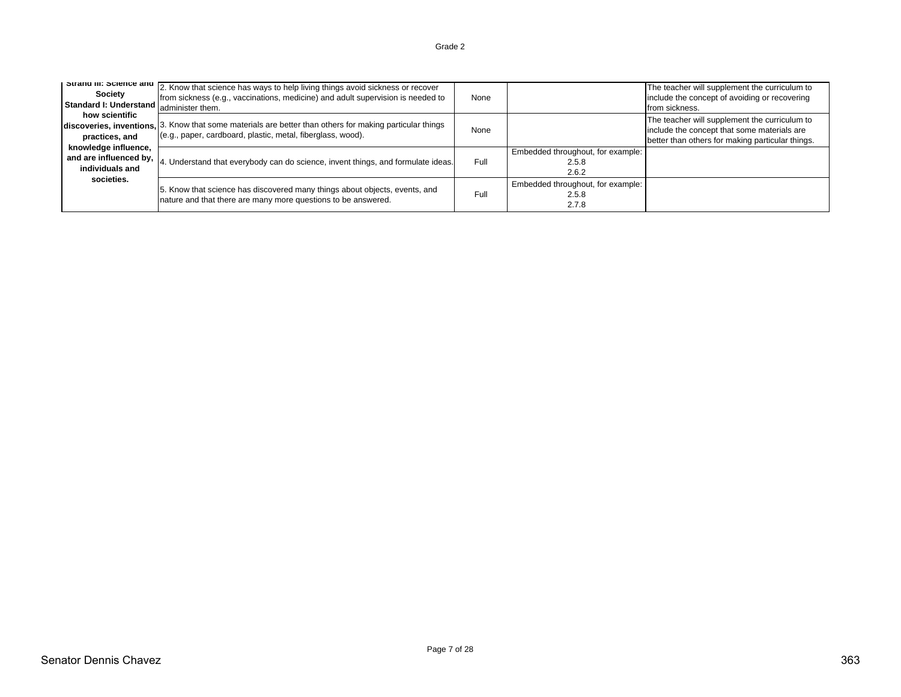#### 2. Know that science has ways to help living things avoid sickness or recover from sickness (e.g., vaccinations, medicine) and adult supervision is needed to administer them. NoneThe teacher will supplement the curriculum to include the concept of avoiding or recovering from sickness. 3. Know that some materials are better than others for making particular things (e.g., paper, cardboard, plastic, metal, fiberglass, wood). None The teacher will supplement the curriculum to include the concept that some materials are better than others for making particular things. 4. Understand that everybody can do science, invent things, and formulate ideas. Full Embedded throughout, for example: 2.5.82.6.25. Know that science has discovered many things about objects, events, and p. Know that science has discovered many things about objects, events, and Full<br>nature and that there are many more questions to be answered. Embedded throughout, for example: 2.5.8 2.7.8 **Strand III: Science and Society Standard I: Understand how scientific discoveries, inventions, practices, and knowledge influence, and are influenced by, individuals and societies.**

Page 7 of 28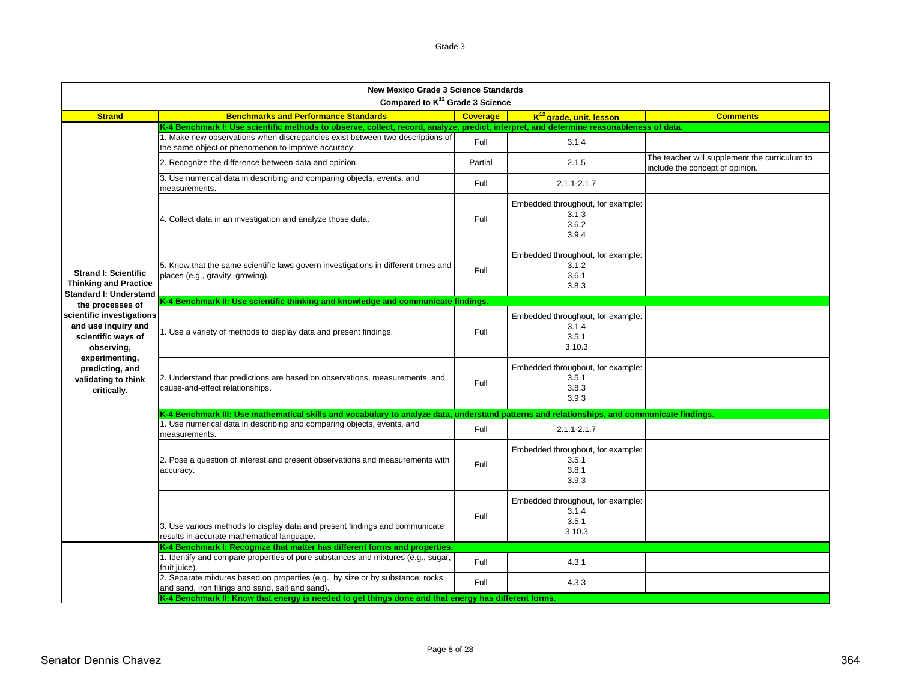| <b>New Mexico Grade 3 Science Standards</b><br>Compared to K <sup>12</sup> Grade 3 Science   |                                                                                                                                             |                 |                                                               |                                                                                  |  |
|----------------------------------------------------------------------------------------------|---------------------------------------------------------------------------------------------------------------------------------------------|-----------------|---------------------------------------------------------------|----------------------------------------------------------------------------------|--|
| <b>Strand</b>                                                                                | <b>Benchmarks and Performance Standards</b>                                                                                                 | <b>Coverage</b> | K <sup>12</sup> grade, unit, lesson                           | <b>Comments</b>                                                                  |  |
|                                                                                              | K-4 Benchmark I: Use scientific methods to observe, collect, record, analyze, predict, interpret, and determine reasonableness of data.     |                 |                                                               |                                                                                  |  |
|                                                                                              | 1. Make new observations when discrepancies exist between two descriptions of<br>the same object or phenomenon to improve accuracy.         | Full            | 3.1.4                                                         |                                                                                  |  |
|                                                                                              | 2. Recognize the difference between data and opinion.                                                                                       | Partial         | 2.1.5                                                         | The teacher will supplement the curriculum to<br>include the concept of opinion. |  |
|                                                                                              | 3. Use numerical data in describing and comparing objects, events, and<br>measurements.                                                     | Full            | $2.1.1 - 2.1.7$                                               |                                                                                  |  |
|                                                                                              | 4. Collect data in an investigation and analyze those data.                                                                                 | Full            | Embedded throughout, for example:<br>3.1.3<br>3.6.2<br>3.9.4  |                                                                                  |  |
| <b>Strand I: Scientific</b><br><b>Thinking and Practice</b><br><b>Standard I: Understand</b> | 5. Know that the same scientific laws govern investigations in different times and<br>places (e.g., gravity, growing).                      | Full            | Embedded throughout, for example:<br>3.1.2<br>3.6.1<br>3.8.3  |                                                                                  |  |
| the processes of                                                                             | K-4 Benchmark II: Use scientific thinking and knowledge and communicate findings.                                                           |                 |                                                               |                                                                                  |  |
| scientific investigations<br>and use inquiry and<br>scientific ways of<br>observing,         | 1. Use a variety of methods to display data and present findings.                                                                           | Full            | Embedded throughout, for example:<br>3.1.4<br>3.5.1<br>3.10.3 |                                                                                  |  |
| experimenting,<br>predicting, and<br>validating to think<br>critically.                      | 2. Understand that predictions are based on observations, measurements, and<br>cause-and-effect relationships.                              | Full            | Embedded throughout, for example:<br>3.5.1<br>3.8.3<br>3.9.3  |                                                                                  |  |
|                                                                                              | K-4 Benchmark III: Use mathematical skills and vocabulary to analyze data, understand patterns and relationships, and communicate findings. |                 |                                                               |                                                                                  |  |
|                                                                                              | 1. Use numerical data in describing and comparing objects, events, and<br>measurements.                                                     | Full            | $2.1.1 - 2.1.7$                                               |                                                                                  |  |
|                                                                                              | 2. Pose a question of interest and present observations and measurements with<br>accuracy.                                                  | Full            | Embedded throughout, for example:<br>3.5.1<br>3.8.1<br>3.9.3  |                                                                                  |  |
|                                                                                              | 3. Use various methods to display data and present findings and communicate<br>results in accurate mathematical language.                   | Full            | Embedded throughout, for example:<br>3.1.4<br>3.5.1<br>3.10.3 |                                                                                  |  |
|                                                                                              | K-4 Benchmark I: Recognize that matter has different forms and properties.                                                                  |                 |                                                               |                                                                                  |  |
|                                                                                              | 1. Identify and compare properties of pure substances and mixtures (e.g., sugar,<br>fruit juice).                                           | Full            | 4.3.1                                                         |                                                                                  |  |
|                                                                                              | 2. Separate mixtures based on properties (e.g., by size or by substance; rocks<br>and sand, iron filings and sand, salt and sand).          | Full            | 4.3.3                                                         |                                                                                  |  |
|                                                                                              | K-4 Benchmark II: Know that energy is needed to get things done and that energy has different forms.                                        |                 |                                                               |                                                                                  |  |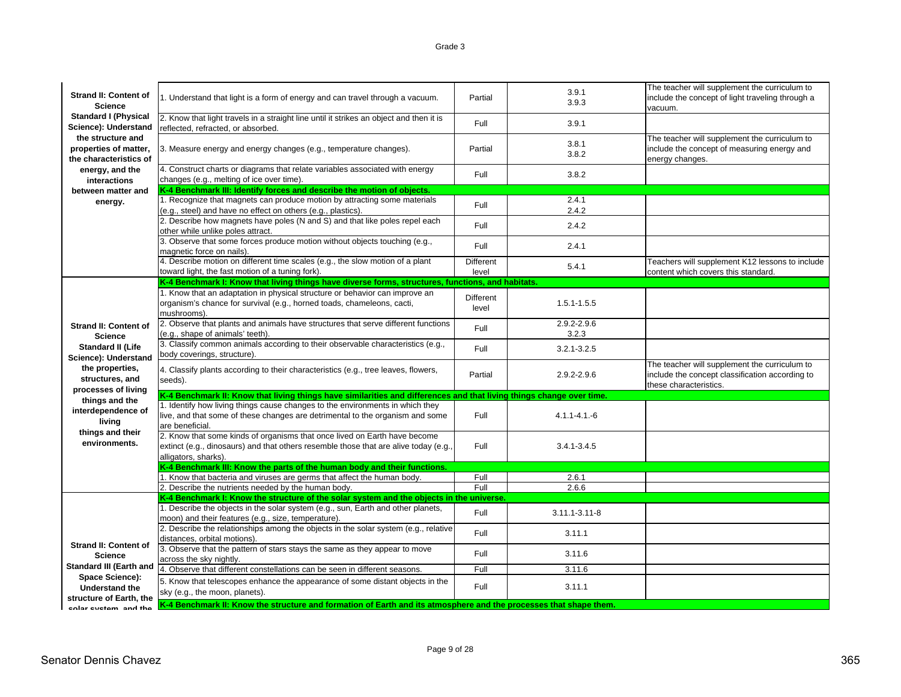| <b>Strand II: Content of</b><br><b>Science</b>                       | 1. Understand that light is a form of energy and can travel through a vacuum.                                                                                                             | Partial                   | 3.9.1<br>3.9.3       | The teacher will supplement the curriculum to<br>include the concept of light traveling through a<br>vacuum.               |
|----------------------------------------------------------------------|-------------------------------------------------------------------------------------------------------------------------------------------------------------------------------------------|---------------------------|----------------------|----------------------------------------------------------------------------------------------------------------------------|
| <b>Standard I (Physical</b><br>Science): Understand                  | 2. Know that light travels in a straight line until it strikes an object and then it is<br>reflected, refracted, or absorbed.                                                             | Full                      | 3.9.1                |                                                                                                                            |
| the structure and<br>properties of matter,<br>the characteristics of | 3. Measure energy and energy changes (e.g., temperature changes).                                                                                                                         | Partial                   | 3.8.1<br>3.8.2       | The teacher will supplement the curriculum to<br>include the concept of measuring energy and<br>energy changes.            |
| energy, and the<br>interactions                                      | 4. Construct charts or diagrams that relate variables associated with energy<br>changes (e.g., melting of ice over time).                                                                 | Full                      | 3.8.2                |                                                                                                                            |
| between matter and                                                   | K-4 Benchmark III: Identify forces and describe the motion of objects.                                                                                                                    |                           |                      |                                                                                                                            |
| energy.                                                              | 1. Recognize that magnets can produce motion by attracting some materials<br>(e.g., steel) and have no effect on others (e.g., plastics).                                                 | Full                      | 2.4.1<br>2.4.2       |                                                                                                                            |
|                                                                      | 2. Describe how magnets have poles (N and S) and that like poles repel each<br>other while unlike poles attract.                                                                          | Full                      | 2.4.2                |                                                                                                                            |
|                                                                      | 3. Observe that some forces produce motion without objects touching (e.g.,<br>magnetic force on nails).                                                                                   | Full                      | 2.4.1                |                                                                                                                            |
|                                                                      | 4. Describe motion on different time scales (e.g., the slow motion of a plant<br>toward light, the fast motion of a tuning fork).                                                         | <b>Different</b><br>level | 5.4.1                | Teachers will supplement K12 lessons to include<br>content which covers this standard.                                     |
|                                                                      | K-4 Benchmark I: Know that living things have diverse forms, structures, functions, and habitats.                                                                                         |                           |                      |                                                                                                                            |
|                                                                      | 1. Know that an adaptation in physical structure or behavior can improve an<br>organism's chance for survival (e.g., horned toads, chameleons, cacti,<br>mushrooms).                      | Different<br>level        | $1.5.1 - 1.5.5$      |                                                                                                                            |
| <b>Strand II: Content of</b><br><b>Science</b>                       | 2. Observe that plants and animals have structures that serve different functions<br>(e.g., shape of animals' teeth).                                                                     | Full                      | 2.9.2-2.9.6<br>3.2.3 |                                                                                                                            |
| <b>Standard II (Life</b><br>Science): Understand                     | 3. Classify common animals according to their observable characteristics (e.g.,<br>body coverings, structure).                                                                            | Full                      | $3.2.1 - 3.2.5$      |                                                                                                                            |
| the properties,<br>structures, and<br>processes of living            | 4. Classify plants according to their characteristics (e.g., tree leaves, flowers,<br>seeds).                                                                                             | Partial                   | 2.9.2-2.9.6          | The teacher will supplement the curriculum to<br>include the concept classification according to<br>these characteristics. |
| things and the                                                       | K-4 Benchmark II: Know that living things have similarities and differences and that living things change over time                                                                       |                           |                      |                                                                                                                            |
| interdependence of<br>living                                         | 1. Identify how living things cause changes to the environments in which they<br>live, and that some of these changes are detrimental to the organism and some<br>are beneficial.         | Full                      | $4.1.1 - 4.1 - 6$    |                                                                                                                            |
| things and their<br>environments.                                    | 2. Know that some kinds of organisms that once lived on Earth have become<br>extinct (e.g., dinosaurs) and that others resemble those that are alive today (e.g.,<br>alligators, sharks). | Full                      | $3.4.1 - 3.4.5$      |                                                                                                                            |
|                                                                      | K-4 Benchmark III: Know the parts of the human body and their functions.                                                                                                                  |                           |                      |                                                                                                                            |
|                                                                      | 1. Know that bacteria and viruses are germs that affect the human body.                                                                                                                   | Full                      | 2.6.1                |                                                                                                                            |
|                                                                      | 2. Describe the nutrients needed by the human body.                                                                                                                                       | Full                      | 2.6.6                |                                                                                                                            |
|                                                                      | K-4 Benchmark I: Know the structure of the solar system and the objects in the universe.                                                                                                  |                           |                      |                                                                                                                            |
|                                                                      | 1. Describe the objects in the solar system (e.g., sun, Earth and other planets,<br>moon) and their features (e.g., size, temperature).                                                   | Full                      | 3.11.1-3.11-8        |                                                                                                                            |
| <b>Strand II: Content of</b>                                         | 2. Describe the relationships among the objects in the solar system (e.g., relative<br>distances, orbital motions).                                                                       | Full                      | 3.11.1               |                                                                                                                            |
| <b>Science</b>                                                       | 3. Observe that the pattern of stars stays the same as they appear to move<br>across the sky nightly.                                                                                     | Full                      | 3.11.6               |                                                                                                                            |
| <b>Standard III (Earth and</b>                                       | 4. Observe that different constellations can be seen in different seasons.                                                                                                                | Full                      | 3.11.6               |                                                                                                                            |
| Space Science):<br><b>Understand the</b><br>structure of Earth, the  | 5. Know that telescopes enhance the appearance of some distant objects in the<br>sky (e.g., the moon, planets).                                                                           | Full                      | 3.11.1               |                                                                                                                            |
| enlar evetom and the                                                 | K-4 Benchmark II: Know the structure and formation of Earth and its atmosphere and the processes that shape them.                                                                         |                           |                      |                                                                                                                            |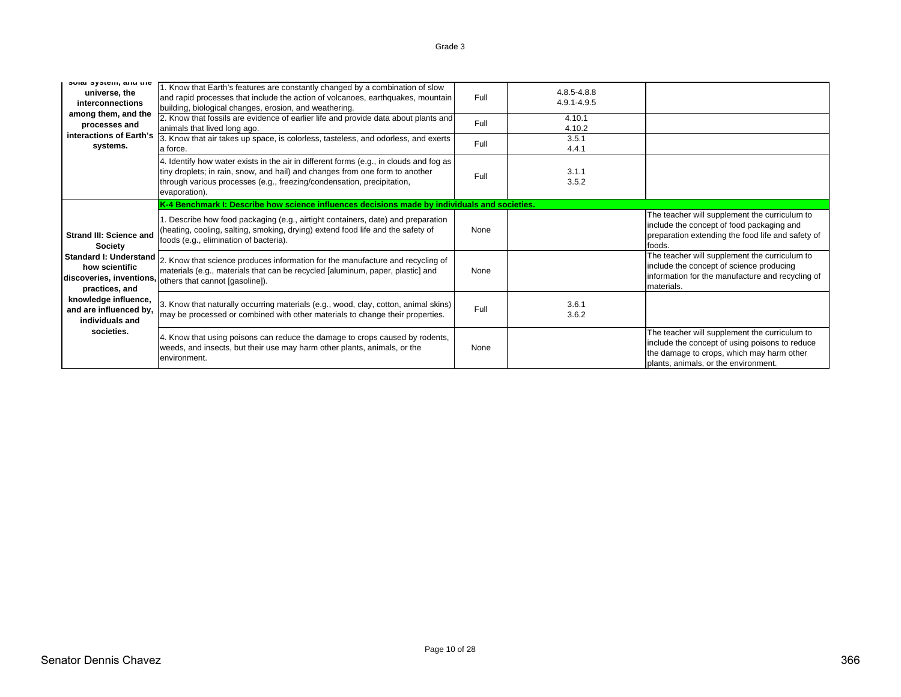| SUIDI SYSICIII, DIIU LIIC<br>universe, the<br>interconnections<br>among them, and the<br>processes and<br>interactions of Earth's<br>systems. | 1. Know that Earth's features are constantly changed by a combination of slow<br>and rapid processes that include the action of volcanoes, earthquakes, mountain<br>building, biological changes, erosion, and weathering.<br>2. Know that fossils are evidence of earlier life and provide data about plants and<br>animals that lived long ago.<br>3. Know that air takes up space, is colorless, tasteless, and odorless, and exerts | Full<br>Full<br>Full | 4.8.5-4.8.8<br>4.9.1-4.9.5<br>4.10.1<br>4.10.2<br>3.5.1 |                                                                                                                                                                                      |
|-----------------------------------------------------------------------------------------------------------------------------------------------|-----------------------------------------------------------------------------------------------------------------------------------------------------------------------------------------------------------------------------------------------------------------------------------------------------------------------------------------------------------------------------------------------------------------------------------------|----------------------|---------------------------------------------------------|--------------------------------------------------------------------------------------------------------------------------------------------------------------------------------------|
|                                                                                                                                               | a force.<br>4. Identify how water exists in the air in different forms (e.g., in clouds and fog as<br>tiny droplets; in rain, snow, and hail) and changes from one form to another<br>through various processes (e.g., freezing/condensation, precipitation,<br>evaporation).                                                                                                                                                           | Full                 | 4.4.1<br>3.1.1<br>3.5.2                                 |                                                                                                                                                                                      |
|                                                                                                                                               | K-4 Benchmark I: Describe how science influences decisions made by individuals and societies.                                                                                                                                                                                                                                                                                                                                           |                      |                                                         |                                                                                                                                                                                      |
| <b>Strand III: Science and</b><br><b>Society</b>                                                                                              | Describe how food packaging (e.g., airtight containers, date) and preparation<br>(heating, cooling, salting, smoking, drying) extend food life and the safety of<br>foods (e.g., elimination of bacteria).                                                                                                                                                                                                                              | None                 |                                                         | The teacher will supplement the curriculum to<br>include the concept of food packaging and<br>preparation extending the food life and safety of<br>foods.                            |
| <b>Standard I: Understand</b><br>how scientific<br>discoveries, inventions<br>practices, and                                                  | 2. Know that science produces information for the manufacture and recycling of<br>materials (e.g., materials that can be recycled [aluminum, paper, plastic] and<br>others that cannot [gasoline]).                                                                                                                                                                                                                                     | None                 |                                                         | The teacher will supplement the curriculum to<br>include the concept of science producing<br>information for the manufacture and recycling of<br>materials.                          |
| knowledge influence,<br>and are influenced by,<br>individuals and                                                                             | 3. Know that naturally occurring materials (e.g., wood, clay, cotton, animal skins)<br>may be processed or combined with other materials to change their properties.                                                                                                                                                                                                                                                                    | Full                 | 3.6.1<br>3.6.2                                          |                                                                                                                                                                                      |
| societies.                                                                                                                                    | 4. Know that using poisons can reduce the damage to crops caused by rodents,<br>weeds, and insects, but their use may harm other plants, animals, or the<br>environment.                                                                                                                                                                                                                                                                | None                 |                                                         | The teacher will supplement the curriculum to<br>include the concept of using poisons to reduce<br>the damage to crops, which may harm other<br>plants, animals, or the environment. |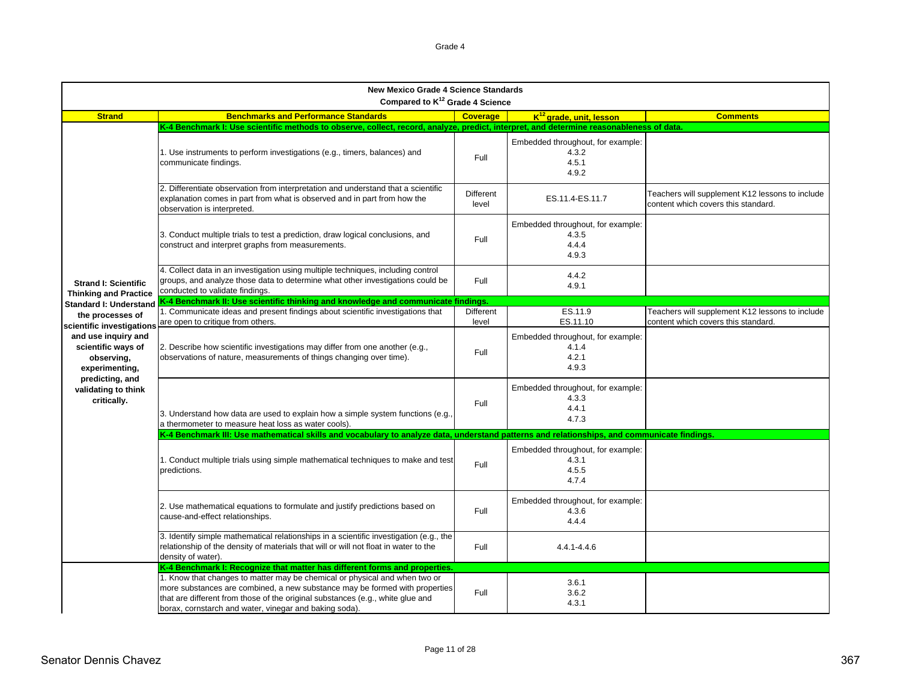| <b>New Mexico Grade 4 Science Standards</b><br>Compared to K <sup>12</sup> Grade 4 Science |                                                                                                                                                                                                                                                                                                       |                           |                                                              |                                                                                        |  |
|--------------------------------------------------------------------------------------------|-------------------------------------------------------------------------------------------------------------------------------------------------------------------------------------------------------------------------------------------------------------------------------------------------------|---------------------------|--------------------------------------------------------------|----------------------------------------------------------------------------------------|--|
| <b>Strand</b>                                                                              | <b>Benchmarks and Performance Standards</b>                                                                                                                                                                                                                                                           | <b>Coverage</b>           | K <sup>12</sup> grade, unit, lesson                          | <b>Comments</b>                                                                        |  |
|                                                                                            | K-4 Benchmark I: Use scientific methods to observe, collect, record, analyze, predict, interpret, and determine reasonableness of data.                                                                                                                                                               |                           |                                                              |                                                                                        |  |
|                                                                                            | 1. Use instruments to perform investigations (e.g., timers, balances) and<br>communicate findings.                                                                                                                                                                                                    | Full                      | Embedded throughout, for example:<br>4.3.2<br>4.5.1<br>4.9.2 |                                                                                        |  |
|                                                                                            | 2. Differentiate observation from interpretation and understand that a scientific<br>explanation comes in part from what is observed and in part from how the<br>observation is interpreted.                                                                                                          | <b>Different</b><br>level | ES.11.4-ES.11.7                                              | Teachers will supplement K12 lessons to include<br>content which covers this standard. |  |
|                                                                                            | 3. Conduct multiple trials to test a prediction, draw logical conclusions, and<br>construct and interpret graphs from measurements.                                                                                                                                                                   | Full                      | Embedded throughout, for example:<br>4.3.5<br>4.4.4<br>4.9.3 |                                                                                        |  |
| <b>Strand I: Scientific</b><br><b>Thinking and Practice</b>                                | 4. Collect data in an investigation using multiple techniques, including control<br>groups, and analyze those data to determine what other investigations could be<br>conducted to validate findings.                                                                                                 | Full                      | 4.4.2<br>4.9.1                                               |                                                                                        |  |
| <b>Standard I: Understand</b>                                                              | K-4 Benchmark II: Use scientific thinking and knowledge and communicate findings.                                                                                                                                                                                                                     |                           |                                                              |                                                                                        |  |
| the processes of<br>scientific investigation                                               | 1. Communicate ideas and present findings about scientific investigations that<br>are open to critique from others.                                                                                                                                                                                   | Different<br>level        | ES.11.9<br>ES.11.10                                          | Teachers will supplement K12 lessons to include<br>content which covers this standard. |  |
| and use inquiry and<br>scientific ways of<br>observing,<br>experimenting,                  | 2. Describe how scientific investigations may differ from one another (e.g.,<br>observations of nature, measurements of things changing over time).                                                                                                                                                   | Full                      | Embedded throughout, for example:<br>4.1.4<br>4.2.1<br>493   |                                                                                        |  |
| predicting, and<br>validating to think<br>critically.                                      | 3. Understand how data are used to explain how a simple system functions (e.g.,<br>a thermometer to measure heat loss as water cools).                                                                                                                                                                | Full                      | Embedded throughout, for example:<br>4.3.3<br>4.4.1<br>4.7.3 |                                                                                        |  |
|                                                                                            | K-4 Benchmark III: Use mathematical skills and vocabulary to analyze data, understand patterns and relationships, and communicate findings.                                                                                                                                                           |                           |                                                              |                                                                                        |  |
|                                                                                            | 1. Conduct multiple trials using simple mathematical techniques to make and test<br>predictions.                                                                                                                                                                                                      | Full                      | Embedded throughout, for example:<br>4.3.1<br>4.5.5<br>4.7.4 |                                                                                        |  |
|                                                                                            | 2. Use mathematical equations to formulate and justify predictions based on<br>cause-and-effect relationships.                                                                                                                                                                                        | Full                      | Embedded throughout, for example:<br>4.3.6<br>4.4.4          |                                                                                        |  |
|                                                                                            | 3. Identify simple mathematical relationships in a scientific investigation (e.g., the<br>relationship of the density of materials that will or will not float in water to the<br>density of water).                                                                                                  | Full                      | 4.4.1-4.4.6                                                  |                                                                                        |  |
|                                                                                            | K-4 Benchmark I: Recognize that matter has different forms and properties.                                                                                                                                                                                                                            |                           |                                                              |                                                                                        |  |
|                                                                                            | 1. Know that changes to matter may be chemical or physical and when two or<br>more substances are combined, a new substance may be formed with properties<br>that are different from those of the original substances (e.g., white glue and<br>borax, cornstarch and water, vinegar and baking soda). | Full                      | 3.6.1<br>3.6.2<br>4.3.1                                      |                                                                                        |  |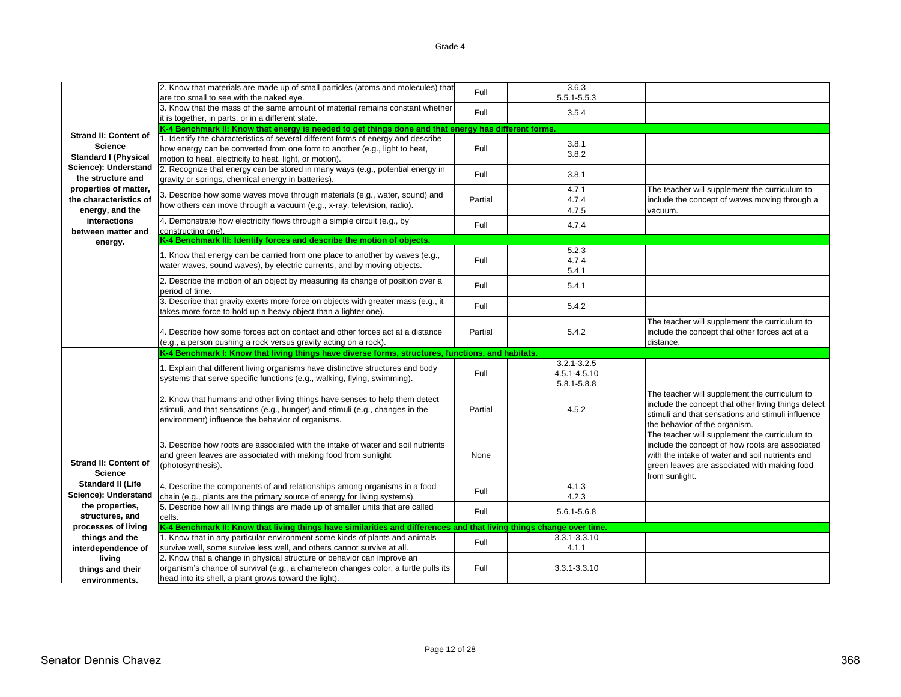|                                   | 2. Know that materials are made up of small particles (atoms and molecules) that                                                                             | Full    | 3.6.3           |                                                     |
|-----------------------------------|--------------------------------------------------------------------------------------------------------------------------------------------------------------|---------|-----------------|-----------------------------------------------------|
|                                   | are too small to see with the naked eye.                                                                                                                     |         | 5.5.1-5.5.3     |                                                     |
|                                   | 3. Know that the mass of the same amount of material remains constant whether                                                                                | Full    | 3.5.4           |                                                     |
|                                   | it is together, in parts, or in a different state.                                                                                                           |         |                 |                                                     |
| <b>Strand II: Content of</b>      | K-4 Benchmark II: Know that energy is needed to get things done and that energy has different forms.                                                         |         |                 |                                                     |
| <b>Science</b>                    | 1. Identify the characteristics of several different forms of energy and describe                                                                            |         | 3.8.1           |                                                     |
| <b>Standard I (Physical</b>       | how energy can be converted from one form to another (e.g., light to heat,<br>motion to heat, electricity to heat, light, or motion).                        | Full    | 3.8.2           |                                                     |
| Science): Understand              | 2. Recognize that energy can be stored in many ways (e.g., potential energy in                                                                               |         |                 |                                                     |
| the structure and                 | gravity or springs, chemical energy in batteries)                                                                                                            | Full    | 3.8.1           |                                                     |
| properties of matter,             |                                                                                                                                                              |         | 4.7.1           | The teacher will supplement the curriculum to       |
| the characteristics of            | 3. Describe how some waves move through materials (e.g., water, sound) and                                                                                   | Partial | 4.7.4           | include the concept of waves moving through a       |
| energy, and the                   | how others can move through a vacuum (e.g., x-ray, television, radio).                                                                                       |         | 4.7.5           | vacuum.                                             |
| interactions                      | 4. Demonstrate how electricity flows through a simple circuit (e.g., by                                                                                      | Full    | 4.7.4           |                                                     |
| between matter and                | constructing one).                                                                                                                                           |         |                 |                                                     |
| energy.                           | K-4 Benchmark III: Identify forces and describe the motion of objects.                                                                                       |         |                 |                                                     |
|                                   | 1. Know that energy can be carried from one place to another by waves (e.g.,                                                                                 |         | 5.2.3           |                                                     |
|                                   | water waves, sound waves), by electric currents, and by moving objects.                                                                                      | Full    | 4.7.4           |                                                     |
|                                   |                                                                                                                                                              |         | 5.4.1           |                                                     |
|                                   | 2. Describe the motion of an object by measuring its change of position over a                                                                               | Full    | 5.4.1           |                                                     |
|                                   | period of time.<br>3. Describe that gravity exerts more force on objects with greater mass (e.g., it                                                         |         |                 |                                                     |
|                                   | takes more force to hold up a heavy object than a lighter one).                                                                                              | Full    | 5.4.2           |                                                     |
|                                   |                                                                                                                                                              |         |                 | The teacher will supplement the curriculum to       |
|                                   | 4. Describe how some forces act on contact and other forces act at a distance                                                                                | Partial | 5.4.2           | include the concept that other forces act at a      |
|                                   |                                                                                                                                                              |         |                 |                                                     |
|                                   | (e.g., a person pushing a rock versus gravity acting on a rock).                                                                                             |         |                 | distance.                                           |
|                                   | K-4 Benchmark I: Know that living things have diverse forms, structures, functions, and habitats.                                                            |         |                 |                                                     |
|                                   |                                                                                                                                                              |         | $3.2.1 - 3.2.5$ |                                                     |
|                                   | 1. Explain that different living organisms have distinctive structures and body                                                                              | Full    | 4.5.1-4.5.10    |                                                     |
|                                   | systems that serve specific functions (e.g., walking, flying, swimming).                                                                                     |         | 5.8.1-5.8.8     |                                                     |
|                                   |                                                                                                                                                              |         |                 | The teacher will supplement the curriculum to       |
|                                   | 2. Know that humans and other living things have senses to help them detect<br>stimuli, and that sensations (e.g., hunger) and stimuli (e.g., changes in the | Partial | 4.5.2           | include the concept that other living things detect |
|                                   | environment) influence the behavior of organisms.                                                                                                            |         |                 | stimuli and that sensations and stimuli influence   |
|                                   |                                                                                                                                                              |         |                 | the behavior of the organism.                       |
|                                   |                                                                                                                                                              |         |                 | The teacher will supplement the curriculum to       |
|                                   | 3. Describe how roots are associated with the intake of water and soil nutrients                                                                             |         |                 | include the concept of how roots are associated     |
| <b>Strand II: Content of</b>      | and green leaves are associated with making food from sunlight                                                                                               | None    |                 | with the intake of water and soil nutrients and     |
| <b>Science</b>                    | (photosynthesis).                                                                                                                                            |         |                 | green leaves are associated with making food        |
| <b>Standard II (Life</b>          | 4. Describe the components of and relationships among organisms in a food                                                                                    |         | 4.1.3           | from sunlight.                                      |
| Science): Understand              | chain (e.g., plants are the primary source of energy for living systems).                                                                                    | Full    | 4.2.3           |                                                     |
| the properties,                   | 5. Describe how all living things are made up of smaller units that are called                                                                               |         |                 |                                                     |
| structures, and                   | cells.                                                                                                                                                       | Full    | 5.6.1-5.6.8     |                                                     |
| processes of living               | K-4 Benchmark II: Know that living things have similarities and differences and that living things change over time.                                         |         |                 |                                                     |
| things and the                    | 1. Know that in any particular environment some kinds of plants and animals                                                                                  | Full    | 3.3.1-3.3.10    |                                                     |
| interdependence of                | survive well, some survive less well, and others cannot survive at all.                                                                                      |         | 4.1.1           |                                                     |
| living                            | 2. Know that a change in physical structure or behavior can improve an                                                                                       |         |                 |                                                     |
| things and their<br>environments. | organism's chance of survival (e.g., a chameleon changes color, a turtle pulls its<br>head into its shell, a plant grows toward the light).                  | Full    | 3.3.1-3.3.10    |                                                     |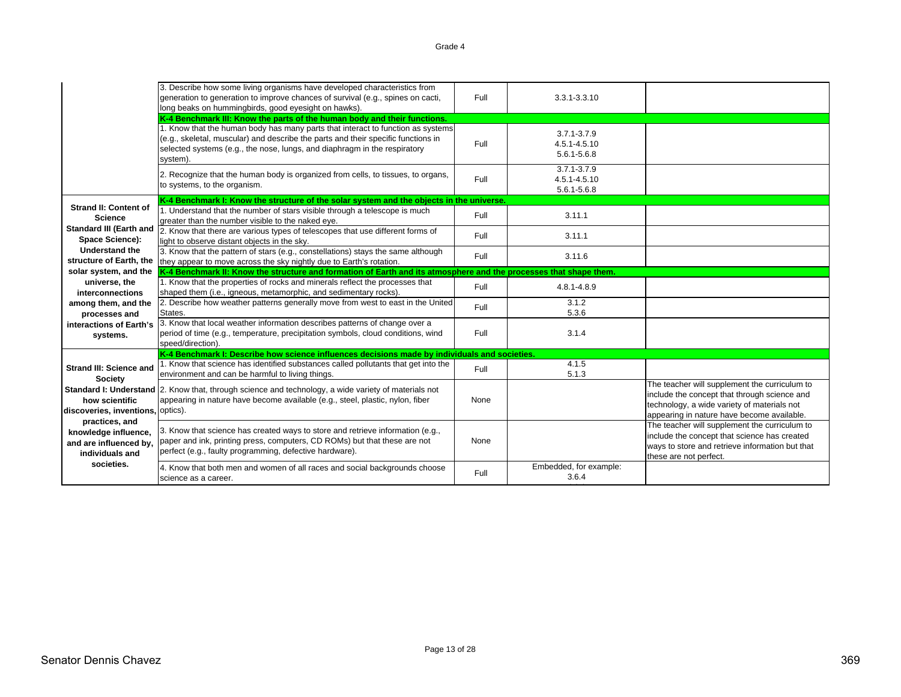|                                                                                     | 3. Describe how some living organisms have developed characteristics from<br>generation to generation to improve chances of survival (e.g., spines on cacti,<br>long beaks on hummingbirds, good eyesight on hawks).                                          | Full | 3.3.1-3.3.10                                   |                                                                                                                                                                                            |
|-------------------------------------------------------------------------------------|---------------------------------------------------------------------------------------------------------------------------------------------------------------------------------------------------------------------------------------------------------------|------|------------------------------------------------|--------------------------------------------------------------------------------------------------------------------------------------------------------------------------------------------|
|                                                                                     | K-4 Benchmark III: Know the parts of the human body and their functions.                                                                                                                                                                                      |      |                                                |                                                                                                                                                                                            |
|                                                                                     | 1. Know that the human body has many parts that interact to function as systems<br>(e.g., skeletal, muscular) and describe the parts and their specific functions in<br>selected systems (e.g., the nose, lungs, and diaphragm in the respiratory<br>system). | Full | $3.7.1 - 3.7.9$<br>4.5.1-4.5.10<br>5.6.1-5.6.8 |                                                                                                                                                                                            |
|                                                                                     | 2. Recognize that the human body is organized from cells, to tissues, to organs,<br>to systems, to the organism.                                                                                                                                              | Full | $3.7.1 - 3.7.9$<br>4.5.1-4.5.10<br>5.6.1-5.6.8 |                                                                                                                                                                                            |
|                                                                                     | K-4 Benchmark I: Know the structure of the solar system and the objects in the universe.                                                                                                                                                                      |      |                                                |                                                                                                                                                                                            |
| <b>Strand II: Content of</b><br><b>Science</b>                                      | 1. Understand that the number of stars visible through a telescope is much<br>greater than the number visible to the naked eye.                                                                                                                               | Full | 3.11.1                                         |                                                                                                                                                                                            |
| <b>Standard III (Earth and</b><br><b>Space Science):</b>                            | 2. Know that there are various types of telescopes that use different forms of<br>light to observe distant objects in the sky.                                                                                                                                | Full | 3.11.1                                         |                                                                                                                                                                                            |
| <b>Understand the</b><br>structure of Earth, the                                    | 3. Know that the pattern of stars (e.g., constellations) stays the same although<br>they appear to move across the sky nightly due to Earth's rotation.                                                                                                       | Full | 3.11.6                                         |                                                                                                                                                                                            |
| solar system, and the                                                               | K-4 Benchmark II: Know the structure and formation of Earth and its atmosphere and the processes that shape them.                                                                                                                                             |      |                                                |                                                                                                                                                                                            |
| universe, the<br>interconnections                                                   | 1. Know that the properties of rocks and minerals reflect the processes that<br>shaped them (i.e., igneous, metamorphic, and sedimentary rocks).                                                                                                              | Full | 4.8.1-4.8.9                                    |                                                                                                                                                                                            |
| among them, and the<br>processes and                                                | 2. Describe how weather patterns generally move from west to east in the United<br>States.                                                                                                                                                                    | Full | 3.1.2<br>5.3.6                                 |                                                                                                                                                                                            |
| interactions of Earth's<br>systems.                                                 | 3. Know that local weather information describes patterns of change over a<br>period of time (e.g., temperature, precipitation symbols, cloud conditions, wind<br>speed/direction).                                                                           | Full | 3.1.4                                          |                                                                                                                                                                                            |
|                                                                                     | K-4 Benchmark I: Describe how science influences decisions made by individuals and societies.                                                                                                                                                                 |      |                                                |                                                                                                                                                                                            |
| <b>Strand III: Science and</b><br><b>Society</b>                                    | 1. Know that science has identified substances called pollutants that get into the<br>environment and can be harmful to living things.                                                                                                                        | Full | 4.1.5<br>5.1.3                                 |                                                                                                                                                                                            |
| how scientific<br>discoveries, inventions, optics).                                 | <b>Standard I: Understand 2.</b> Know that, through science and technology, a wide variety of materials not<br>appearing in nature have become available (e.g., steel, plastic, nylon, fiber                                                                  | None |                                                | The teacher will supplement the curriculum to<br>include the concept that through science and<br>technology, a wide variety of materials not<br>appearing in nature have become available. |
| practices, and<br>knowledge influence,<br>and are influenced by,<br>individuals and | 3. Know that science has created ways to store and retrieve information (e.g.,<br>paper and ink, printing press, computers, CD ROMs) but that these are not<br>perfect (e.g., faulty programming, defective hardware).                                        | None |                                                | The teacher will supplement the curriculum to<br>include the concept that science has created<br>ways to store and retrieve information but that<br>these are not perfect.                 |
| societies.                                                                          | 4. Know that both men and women of all races and social backgrounds choose<br>science as a career.                                                                                                                                                            | Full | Embedded, for example:<br>3.6.4                |                                                                                                                                                                                            |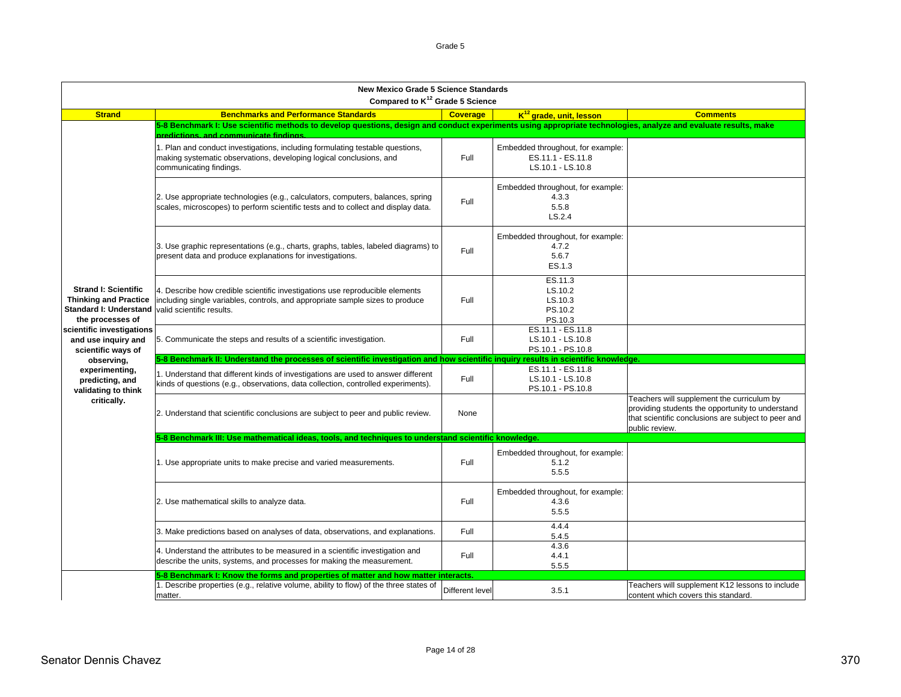| <b>New Mexico Grade 5 Science Standards</b><br>Compared to K <sup>12</sup> Grade 5 Science                |                                                                                                                                                                                                          |                 |                                                                             |                                                                                                                                                                         |  |  |
|-----------------------------------------------------------------------------------------------------------|----------------------------------------------------------------------------------------------------------------------------------------------------------------------------------------------------------|-----------------|-----------------------------------------------------------------------------|-------------------------------------------------------------------------------------------------------------------------------------------------------------------------|--|--|
| <b>Strand</b>                                                                                             | <b>Benchmarks and Performance Standards</b>                                                                                                                                                              | <b>Coverage</b> | $K^{12}$ arade, unit, lesson                                                | <b>Comments</b>                                                                                                                                                         |  |  |
|                                                                                                           | 5-8 Benchmark I: Use scientific methods to develop questions, design and conduct experiments using appropriate technologies, analyze and evaluate results, make<br>predictions, and communicate findings |                 |                                                                             |                                                                                                                                                                         |  |  |
|                                                                                                           | 1. Plan and conduct investigations, including formulating testable questions,<br>making systematic observations, developing logical conclusions, and<br>communicating findings.                          | Full            | Embedded throughout, for example:<br>ES.11.1 - ES.11.8<br>LS.10.1 - LS.10.8 |                                                                                                                                                                         |  |  |
|                                                                                                           | 2. Use appropriate technologies (e.g., calculators, computers, balances, spring<br>scales, microscopes) to perform scientific tests and to collect and display data.                                     | Full            | Embedded throughout, for example:<br>4.3.3<br>5.5.8<br>LS.2.4               |                                                                                                                                                                         |  |  |
|                                                                                                           | 3. Use graphic representations (e.g., charts, graphs, tables, labeled diagrams) to<br>present data and produce explanations for investigations.                                                          | Full            | Embedded throughout, for example:<br>4.7.2<br>5.6.7<br>ES.1.3               |                                                                                                                                                                         |  |  |
| <b>Strand I: Scientific</b><br><b>Thinking and Practice</b><br>Standard I: Understand<br>the processes of | 4. Describe how credible scientific investigations use reproducible elements<br>including single variables, controls, and appropriate sample sizes to produce<br>valid scientific results.               | Full            | ES.11.3<br>LS.10.2<br>LS.10.3<br>PS.10.2<br>PS.10.3                         |                                                                                                                                                                         |  |  |
| scientific investigations<br>and use inquiry and<br>scientific ways of                                    | 5. Communicate the steps and results of a scientific investigation.                                                                                                                                      | Full            | ES.11.1 - ES.11.8<br>LS.10.1 - LS.10.8<br>PS.10.1 - PS.10.8                 |                                                                                                                                                                         |  |  |
| observing,                                                                                                | 5-8 Benchmark II: Understand the processes of scientific investigation and how scientific inquiry                                                                                                        |                 | results in scientific knowledge.                                            |                                                                                                                                                                         |  |  |
| experimenting,<br>predicting, and<br>validating to think                                                  | 1. Understand that different kinds of investigations are used to answer different<br>kinds of questions (e.g., observations, data collection, controlled experiments).                                   | Full            | ES.11.1 - ES.11.8<br>LS.10.1 - LS.10.8<br>PS.10.1 - PS.10.8                 |                                                                                                                                                                         |  |  |
| critically.                                                                                               | 2. Understand that scientific conclusions are subject to peer and public review.                                                                                                                         | None            |                                                                             | Teachers will supplement the curriculum by<br>providing students the opportunity to understand<br>that scientific conclusions are subject to peer and<br>public review. |  |  |
|                                                                                                           | 5-8 Benchmark III: Use mathematical ideas, tools, and techniques to understand scientific knowledge.                                                                                                     |                 |                                                                             |                                                                                                                                                                         |  |  |
|                                                                                                           | 1. Use appropriate units to make precise and varied measurements.                                                                                                                                        | Full            | Embedded throughout, for example:<br>5.1.2<br>5.5.5                         |                                                                                                                                                                         |  |  |
|                                                                                                           | 2. Use mathematical skills to analyze data.                                                                                                                                                              | Full            | Embedded throughout, for example:<br>4.3.6<br>5.5.5                         |                                                                                                                                                                         |  |  |
|                                                                                                           | 3. Make predictions based on analyses of data, observations, and explanations.                                                                                                                           | Full            | 4.4.4<br>5.4.5                                                              |                                                                                                                                                                         |  |  |
|                                                                                                           | 4. Understand the attributes to be measured in a scientific investigation and<br>describe the units, systems, and processes for making the measurement.                                                  | Full            | 4.3.6<br>4.4.1<br>5.5.5                                                     |                                                                                                                                                                         |  |  |
|                                                                                                           | 5-8 Benchmark I: Know the forms and properties of matter and how matter interacts.                                                                                                                       |                 |                                                                             |                                                                                                                                                                         |  |  |
|                                                                                                           | 1. Describe properties (e.g., relative volume, ability to flow) of the three states of<br>matter.                                                                                                        | Different level | 3.5.1                                                                       | Teachers will supplement K12 lessons to include<br>content which covers this standard.                                                                                  |  |  |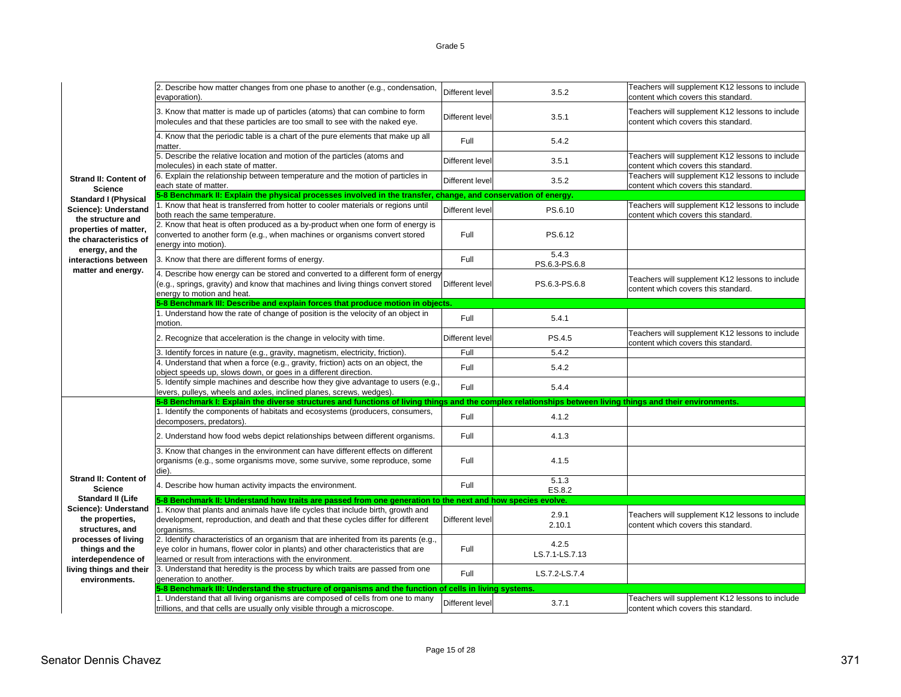2. Describe how matter changes from one phase to another (e.g., condensation, Nation Different level 1998) 2.5.2<br>Evaporation). Content which covers this standard. 3. Know that matter is made up of particles (atoms) that can combine to form 3. Know that matter is made up of particles (atoms) that can combine to form  $\vert$ Different level 3.5.1 Teachers will supplement K12 lessons to include content K12 lessons to include content which covers this standard. 4. Know that the periodic table is a chart of the pure elements that make up all matter.Full Full 5.4.2 5. Describe the relative location and motion of the particles (atoms and **Different level** Different level 3.5.1 Teachers will supplement K12 lessons to include content which covers this standard. 6. Explain the relationship between temperature and the motion of particles in Different level 3.5.2 Teachers will supplement K12 lessons to include content which covers this standard. each state of matter.1. Know that heat is transferred from hotter to cooler materials or regions until  $\begin{array}{|l|}$  Different level express to the S.6.10 Teachers will supplement K12 lessons to include content which covers this standard. 2. Know that heat is often produced as a by-product when one form of energy is converted to another form (e.g., when machines or organisms convert stored energy into motion). Full PS.6.123. Know that there are different forms of energy. Full 5.4.3 PS.6.3-PS.6.8 4. Describe how energy can be stored and converted to a different form of energy (e.g., springs, gravity) and know that machines and living things convert stored energy to motion and heat. Different level PS.6.3-PS.6.8 Teachers will supplement K12 lessons to include content which covers this standard. 1. Understand how the rate of change of position is the velocity of an object in motion. $\frac{1}{2}$  Full Full Between the set of the set of the set of the set of the set of the set of the set of the set of the set of the set of the set of the set of the set of the set of the set of the set of the set of the se 2. Recognize that acceleration is the change in velocity with time. <br>
Different level PS.4.5 Teachers will supplement K12 lessons to include content which covers this standard. 3. Identify forces in nature (e.g., gravity, magnetism, electricity, friction). Full Full Full 5.4.2 4. Understand that when a force (e.g., gravity, friction) acts on an object, the a. Understand that when a force (e.g., gravity, includity acts on an object, the Full Full 5.4.2<br>object speeds up, slows down, or goes in a different direction. 5. Identify simple machines and describe how they give advantage to users (e.g., b. Refinity simple machines and describe now they give advantage to users (e.g., Full Full Full 5.4.4<br>levers, pulleys, wheels and axles, inclined planes, screws, wedges). 1. Identify the components of habitats and ecosystems (producers, consumers, 1. identify the components of nabitats and ecosystems (producers, consumers, Full Full Full 4.1.2<br>decomposers, predators). 2. Understand how food webs depict relationships between different organisms. Full Full 4.1.3 3. Know that changes in the environment can have different effects on different organisms (e.g., some organisms move, some survive, some reproduce, some die). Full 4.1.54. Describe how human activity impacts the environment. The state of Full Full 5.1.3 ES.8.2 1. Know that plants and animals have life cycles that include birth, growth and development, reproduction, and death and that these cycles differ for different organisms. Different level 2.9.1 2.10.1Teachers will supplement K12 lessons to include<br>content which covers this standard. 2. Identify characteristics of an organism that are inherited from its parents (e.g., eye color in humans, flower color in plants) and other characteristics that are learned or result from interactions with the environment.Full4.2.5<br>LS.7.1-LS.7.13 3. Understand that heredity is the process by which traits are passed from one 3. Oriderstand that neredity is the process by writch traits are passed from one<br>generation to another. LG.7.2-LS.7.4 1. Understand that all living organisms are composed of cells from one to many 1. Understand that all living organisms are composed of cells from one to many Different level 3.7.1 Teachers will supplement K12 lessons to include content Milions, and that cells are usually only visible through a micros **Strand II: Content of ScienceStandard II (Life Science): Understand the properties, structures, and processes of living things and the interdependence of living things and their environments.5-8 Benchmark I: Explain the diverse structures and functions of living things and the complex relationships between living things and their environments. 5-8 Benchmark II: Understand how traits are passed from one generation to the next and how species evolve. Strand II: Content of ScienceStandard I (Physical Science): Understand the structure and properties of matter, the characteristics of energy, and the interactions between matter and energy. 5-8 Benchmark II: Explain the physical processes involved in the transfer, change, and conservation of energy. 5-8 Benchmark III: Describe and explain forces that produce motion in object: 5-8 Benchmark III: Understand the structure of organisms and the function of cells in living systems.**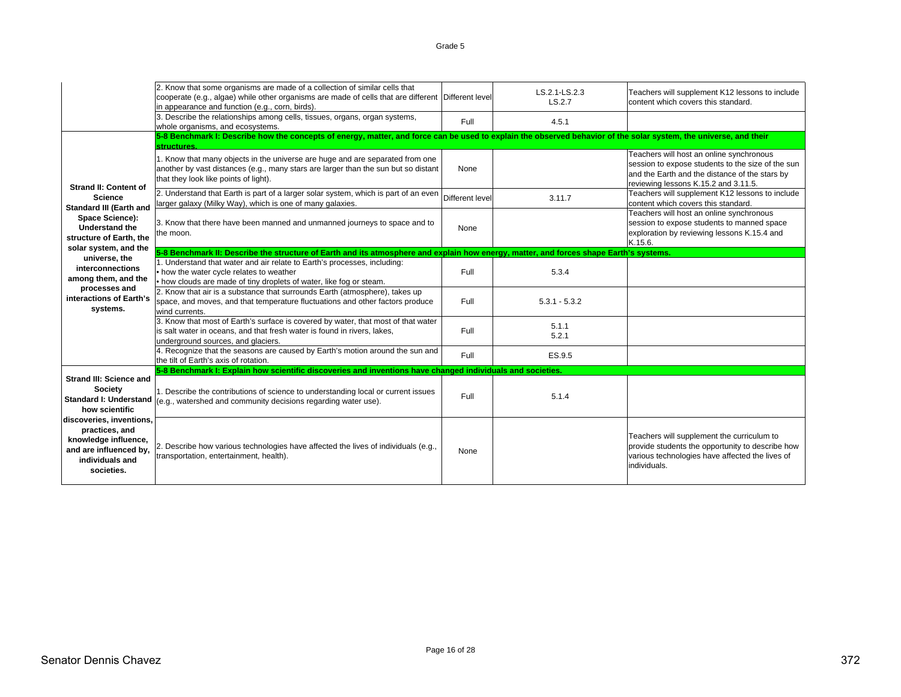|                                                                                                                                                                                                                               | 2. Know that some organisms are made of a collection of similar cells that<br>cooperate (e.g., algae) while other organisms are made of cells that are different Different level<br>in appearance and function (e.g., corn, birds). |                 | LS.2.1-LS.2.3<br>LS.2.7 | Teachers will supplement K12 lessons to include<br>content which covers this standard.                                                                                                  |
|-------------------------------------------------------------------------------------------------------------------------------------------------------------------------------------------------------------------------------|-------------------------------------------------------------------------------------------------------------------------------------------------------------------------------------------------------------------------------------|-----------------|-------------------------|-----------------------------------------------------------------------------------------------------------------------------------------------------------------------------------------|
|                                                                                                                                                                                                                               | 3. Describe the relationships among cells, tissues, organs, organ systems,<br>whole organisms, and ecosystems.                                                                                                                      | Full            | 4.5.1                   |                                                                                                                                                                                         |
|                                                                                                                                                                                                                               | 5-8 Benchmark I: Describe how the concepts of energy, matter, and force can be used to explain the observed behavior of the solar system, the universe, and their<br>structuras                                                     |                 |                         |                                                                                                                                                                                         |
| <b>Strand II: Content of</b>                                                                                                                                                                                                  | 1. Know that many objects in the universe are huge and are separated from one<br>another by vast distances (e.g., many stars are larger than the sun but so distant<br>that they look like points of light).                        | None            |                         | Teachers will host an online synchronous<br>session to expose students to the size of the sun<br>and the Earth and the distance of the stars by<br>reviewing lessons K.15.2 and 3.11.5. |
| <b>Science</b><br><b>Standard III (Earth and</b>                                                                                                                                                                              | 2. Understand that Earth is part of a larger solar system, which is part of an even<br>larger galaxy (Milky Way), which is one of many galaxies.                                                                                    | Different level | 3.11.7                  | Teachers will supplement K12 lessons to include<br>content which covers this standard.                                                                                                  |
| Space Science):<br><b>Understand the</b><br>structure of Earth, the<br>solar system, and the                                                                                                                                  | 3. Know that there have been manned and unmanned journeys to space and to<br>the moon.                                                                                                                                              | None            |                         | Teachers will host an online synchronous<br>session to expose students to manned space<br>exploration by reviewing lessons K.15.4 and<br>K.15.6.                                        |
|                                                                                                                                                                                                                               | 5-8 Benchmark II: Describe the structure of Earth and its atmosphere and explain how energy, matter, and forces shape Earth's systems.                                                                                              |                 |                         |                                                                                                                                                                                         |
| universe, the<br>interconnections<br>among them, and the                                                                                                                                                                      | 1. Understand that water and air relate to Earth's processes, including:<br>. how the water cycle relates to weather<br>• how clouds are made of tiny droplets of water, like fog or steam.                                         | Full            | 5.3.4                   |                                                                                                                                                                                         |
| processes and<br>interactions of Earth's<br>systems.                                                                                                                                                                          | 2. Know that air is a substance that surrounds Earth (atmosphere), takes up<br>space, and moves, and that temperature fluctuations and other factors produce<br>wind currents.                                                      | Full            | $5.3.1 - 5.3.2$         |                                                                                                                                                                                         |
|                                                                                                                                                                                                                               | 3. Know that most of Earth's surface is covered by water, that most of that water<br>is salt water in oceans, and that fresh water is found in rivers, lakes,<br>underground sources, and glaciers.                                 | Full            | 5.1.1<br>5.2.1          |                                                                                                                                                                                         |
|                                                                                                                                                                                                                               | 4. Recognize that the seasons are caused by Earth's motion around the sun and<br>the tilt of Earth's axis of rotation.                                                                                                              | Full            | ES.9.5                  |                                                                                                                                                                                         |
|                                                                                                                                                                                                                               | 5-8 Benchmark I: Explain how scientific discoveries and inventions have changed individuals and societies.                                                                                                                          |                 |                         |                                                                                                                                                                                         |
| <b>Strand III: Science and</b><br>Society<br><b>Standard I: Understand</b><br>how scientific<br>discoveries, inventions,<br>practices, and<br>knowledge influence,<br>and are influenced by,<br>individuals and<br>societies. | 1. Describe the contributions of science to understanding local or current issues<br>(e.g., watershed and community decisions regarding water use).                                                                                 | Full            | 5.1.4                   |                                                                                                                                                                                         |
|                                                                                                                                                                                                                               | 2. Describe how various technologies have affected the lives of individuals (e.g.,<br>transportation, entertainment, health).                                                                                                       | None            |                         | Teachers will supplement the curriculum to<br>provide students the opportunity to describe how<br>various technologies have affected the lives of<br>individuals.                       |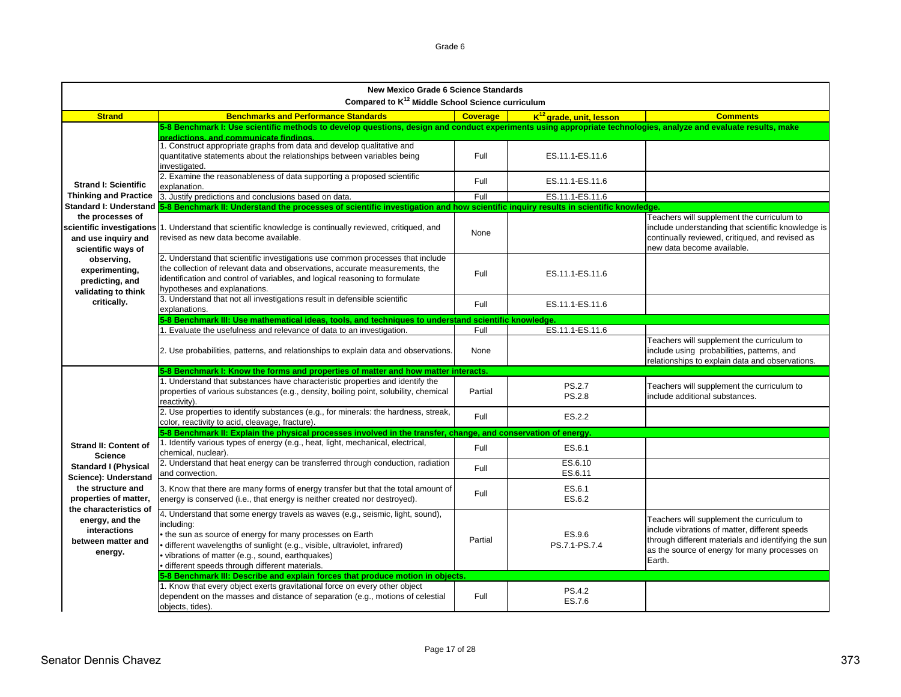|                                                                                                                                                                                                                                        | New Mexico Grade 6 Science Standards<br>Compared to K <sup>12</sup> Middle School Science curriculum                                                                                                                                                                                                                                                                           |                 |                                     |                                                                                                                                                                                               |
|----------------------------------------------------------------------------------------------------------------------------------------------------------------------------------------------------------------------------------------|--------------------------------------------------------------------------------------------------------------------------------------------------------------------------------------------------------------------------------------------------------------------------------------------------------------------------------------------------------------------------------|-----------------|-------------------------------------|-----------------------------------------------------------------------------------------------------------------------------------------------------------------------------------------------|
| <b>Strand</b>                                                                                                                                                                                                                          | <b>Benchmarks and Performance Standards</b>                                                                                                                                                                                                                                                                                                                                    | <b>Coverage</b> | K <sup>12</sup> grade, unit, lesson | <b>Comments</b>                                                                                                                                                                               |
|                                                                                                                                                                                                                                        | 5-8 Benchmark I: Use scientific methods to develop questions, design and conduct experiments using appropriate technologies, analyze and evaluate results, make<br>predictions, and communicate findings.<br>1. Construct appropriate graphs from data and develop qualitative and<br>quantitative statements about the relationships between variables being<br>investigated. | Full            | ES.11.1-ES.11.6                     |                                                                                                                                                                                               |
| <b>Strand I: Scientific</b><br><b>Thinking and Practice</b>                                                                                                                                                                            | 2. Examine the reasonableness of data supporting a proposed scientific<br>explanation.<br>3. Justify predictions and conclusions based on data.                                                                                                                                                                                                                                | Full<br>Full    | ES.11.1-ES.11.6<br>ES.11.1-ES.11.6  |                                                                                                                                                                                               |
|                                                                                                                                                                                                                                        | Standard I: Understand 5-8 Benchmark II: Understand the processes of scientific investigation and how scientific inquiry results in scientific knowledge.                                                                                                                                                                                                                      |                 |                                     |                                                                                                                                                                                               |
| the processes of<br>and use inquiry and<br>scientific ways of                                                                                                                                                                          | scientific investigations 1. Understand that scientific knowledge is continually reviewed, critiqued, and<br>revised as new data become available.                                                                                                                                                                                                                             | None            |                                     | Teachers will supplement the curriculum to<br>include understanding that scientific knowledge is<br>continually reviewed, critiqued, and revised as<br>new data become available.             |
| observing,<br>experimenting,<br>predicting, and<br>validating to think                                                                                                                                                                 | 2. Understand that scientific investigations use common processes that include<br>the collection of relevant data and observations, accurate measurements, the<br>identification and control of variables, and logical reasoning to formulate<br>hypotheses and explanations.                                                                                                  | Full            | ES.11.1-ES.11.6                     |                                                                                                                                                                                               |
| critically.                                                                                                                                                                                                                            | 3. Understand that not all investigations result in defensible scientific<br>explanations.                                                                                                                                                                                                                                                                                     | Full            | ES.11.1-ES.11.6                     |                                                                                                                                                                                               |
|                                                                                                                                                                                                                                        | 5-8 Benchmark III: Use mathematical ideas, tools, and techniques to understand scientific knowledge                                                                                                                                                                                                                                                                            |                 |                                     |                                                                                                                                                                                               |
|                                                                                                                                                                                                                                        | 1. Evaluate the usefulness and relevance of data to an investigation.                                                                                                                                                                                                                                                                                                          | Full            | ES.11.1-ES.11.6                     |                                                                                                                                                                                               |
|                                                                                                                                                                                                                                        | 2. Use probabilities, patterns, and relationships to explain data and observations.                                                                                                                                                                                                                                                                                            | None            |                                     | Teachers will supplement the curriculum to<br>include using probabilities, patterns, and<br>relationships to explain data and observations.                                                   |
|                                                                                                                                                                                                                                        | 5-8 Benchmark I: Know the forms and properties of matter and how matter interacts.                                                                                                                                                                                                                                                                                             |                 |                                     |                                                                                                                                                                                               |
|                                                                                                                                                                                                                                        | 1. Understand that substances have characteristic properties and identify the<br>properties of various substances (e.g., density, boiling point, solubility, chemical<br>reactivity).                                                                                                                                                                                          | Partial         | <b>PS.2.7</b><br><b>PS.2.8</b>      | Teachers will supplement the curriculum to<br>include additional substances.                                                                                                                  |
|                                                                                                                                                                                                                                        | 2. Use properties to identify substances (e.g., for minerals: the hardness, streak,<br>color, reactivity to acid, cleavage, fracture).                                                                                                                                                                                                                                         | Full            | ES.2.2                              |                                                                                                                                                                                               |
|                                                                                                                                                                                                                                        | 5-8 Benchmark II: Explain the physical processes involved in the transfer, change, and conservation of energy                                                                                                                                                                                                                                                                  |                 |                                     |                                                                                                                                                                                               |
| <b>Strand II: Content of</b><br><b>Science</b><br><b>Standard I (Physical</b><br>Science): Understand<br>the structure and<br>properties of matter,<br>the characteristics of<br>energy, and the<br>interactions<br>between matter and | 1. Identify various types of energy (e.g., heat, light, mechanical, electrical,<br>chemical, nuclear).                                                                                                                                                                                                                                                                         | Full            | ES.6.1                              |                                                                                                                                                                                               |
|                                                                                                                                                                                                                                        | 2. Understand that heat energy can be transferred through conduction, radiation<br>and convection.                                                                                                                                                                                                                                                                             | Full            | ES.6.10<br>ES.6.11                  |                                                                                                                                                                                               |
|                                                                                                                                                                                                                                        | 3. Know that there are many forms of energy transfer but that the total amount of<br>energy is conserved (i.e., that energy is neither created nor destroyed).                                                                                                                                                                                                                 | Full            | ES.6.1<br>ES.6.2                    |                                                                                                                                                                                               |
|                                                                                                                                                                                                                                        | 4. Understand that some energy travels as waves (e.g., seismic, light, sound),<br>including:<br>• the sun as source of energy for many processes on Earth<br>· different wavelengths of sunlight (e.g., visible, ultraviolet, infrared)                                                                                                                                        | Partial         | ES.9.6<br>PS.7.1-PS.7.4             | Teachers will supplement the curriculum to<br>include vibrations of matter, different speeds<br>through different materials and identifying the sun<br>the a marriage of managers for moments |

**between matter and energy.**

Full

PS.4.2<br>ES.7.6

1. Know that every object exerts gravitational force on every other object dependent on the masses and distance of separation (e.g., motions of celestial

**5-8 Benchmark III: Describe and explain forces that produce motion in objects.**

• vibrations of matter (e.g., sound, earthquakes) • different speeds through different materials.

objects, tides).

as the source of energy for many processes on

Earth.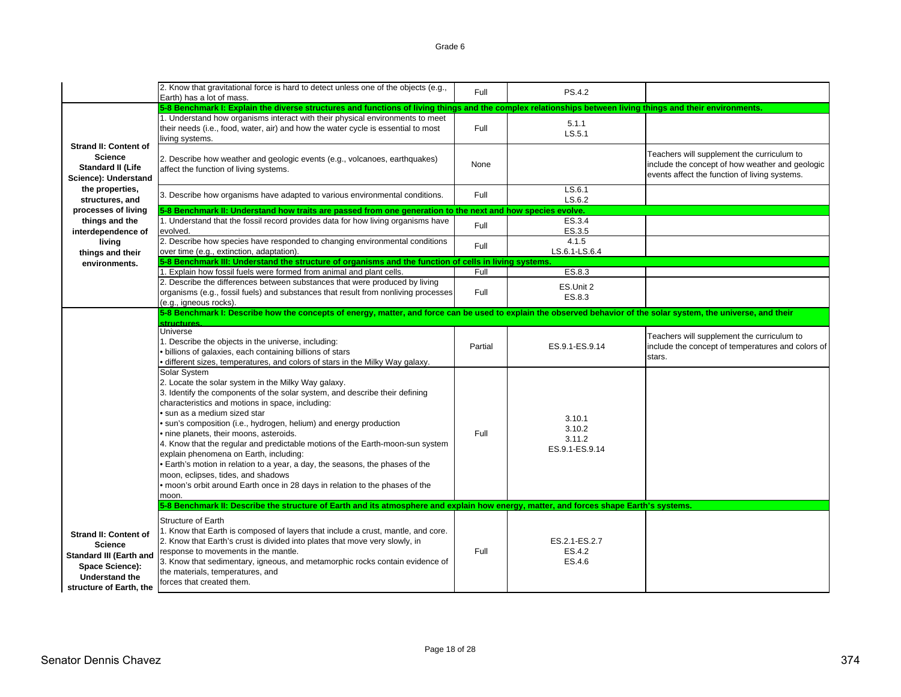|                                                                                                                                                         | 2. Know that gravitational force is hard to detect unless one of the objects (e.g.,<br>Earth) has a lot of mass.                                                                                                                                                                                                                                                                                                                                                                                                                                                                                                                                                                                   | Full    | PS.4.2                                       |                                                                                                                                                |
|---------------------------------------------------------------------------------------------------------------------------------------------------------|----------------------------------------------------------------------------------------------------------------------------------------------------------------------------------------------------------------------------------------------------------------------------------------------------------------------------------------------------------------------------------------------------------------------------------------------------------------------------------------------------------------------------------------------------------------------------------------------------------------------------------------------------------------------------------------------------|---------|----------------------------------------------|------------------------------------------------------------------------------------------------------------------------------------------------|
|                                                                                                                                                         | 5-8 Benchmark I: Explain the diverse structures and functions of living things and the complex relationships between living things and their environments.                                                                                                                                                                                                                                                                                                                                                                                                                                                                                                                                         |         |                                              |                                                                                                                                                |
|                                                                                                                                                         | 1. Understand how organisms interact with their physical environments to meet<br>their needs (i.e., food, water, air) and how the water cycle is essential to most<br>living systems.                                                                                                                                                                                                                                                                                                                                                                                                                                                                                                              | Full    | 5.1.1<br>LS.5.1                              |                                                                                                                                                |
| <b>Strand II: Content of</b><br><b>Science</b><br><b>Standard II (Life</b><br>Science): Understand                                                      | 2. Describe how weather and geologic events (e.g., volcanoes, earthquakes)<br>affect the function of living systems.                                                                                                                                                                                                                                                                                                                                                                                                                                                                                                                                                                               | None    |                                              | Teachers will supplement the curriculum to<br>include the concept of how weather and geologic<br>events affect the function of living systems. |
| the properties,<br>structures, and                                                                                                                      | 3. Describe how organisms have adapted to various environmental conditions.                                                                                                                                                                                                                                                                                                                                                                                                                                                                                                                                                                                                                        | Full    | LS.6.1<br>LS.6.2                             |                                                                                                                                                |
| processes of living                                                                                                                                     | 5-8 Benchmark II: Understand how traits are passed from one generation to the next and how species evolve.                                                                                                                                                                                                                                                                                                                                                                                                                                                                                                                                                                                         |         |                                              |                                                                                                                                                |
| things and the<br>interdependence of                                                                                                                    | 1. Understand that the fossil record provides data for how living organisms have<br>evolved.                                                                                                                                                                                                                                                                                                                                                                                                                                                                                                                                                                                                       | Full    | ES.3.4<br>ES.3.5                             |                                                                                                                                                |
| living<br>things and their                                                                                                                              | 2. Describe how species have responded to changing environmental conditions<br>over time (e.g., extinction, adaptation).                                                                                                                                                                                                                                                                                                                                                                                                                                                                                                                                                                           | Full    | 4.1.5<br>LS.6.1-LS.6.4                       |                                                                                                                                                |
| environments.                                                                                                                                           | 5-8 Benchmark III: Understand the structure of organisms and the function of cells in living systems.                                                                                                                                                                                                                                                                                                                                                                                                                                                                                                                                                                                              |         |                                              |                                                                                                                                                |
|                                                                                                                                                         | 1. Explain how fossil fuels were formed from animal and plant cells.                                                                                                                                                                                                                                                                                                                                                                                                                                                                                                                                                                                                                               | Full    | ES.8.3                                       |                                                                                                                                                |
|                                                                                                                                                         | 2. Describe the differences between substances that were produced by living<br>organisms (e.g., fossil fuels) and substances that result from nonliving processes<br>(e.g., igneous rocks).                                                                                                                                                                                                                                                                                                                                                                                                                                                                                                        | Full    | ES.Unit 2<br>ES.8.3                          |                                                                                                                                                |
|                                                                                                                                                         | 5-8 Benchmark I: Describe how the concepts of energy, matter, and force can be used to explain the observed behavior of the solar system, the universe, and their                                                                                                                                                                                                                                                                                                                                                                                                                                                                                                                                  |         |                                              |                                                                                                                                                |
|                                                                                                                                                         | structure                                                                                                                                                                                                                                                                                                                                                                                                                                                                                                                                                                                                                                                                                          |         |                                              |                                                                                                                                                |
|                                                                                                                                                         | <b>Universe</b><br>1. Describe the objects in the universe, including:<br>· billions of galaxies, each containing billions of stars<br>· different sizes, temperatures, and colors of stars in the Milky Way galaxy.                                                                                                                                                                                                                                                                                                                                                                                                                                                                               | Partial | ES.9.1-ES.9.14                               | Teachers will supplement the curriculum to<br>include the concept of temperatures and colors of<br>stars.                                      |
|                                                                                                                                                         | Solar System<br>2. Locate the solar system in the Milky Way galaxy.<br>3. Identify the components of the solar system, and describe their defining<br>characteristics and motions in space, including:<br>• sun as a medium sized star<br>· sun's composition (i.e., hydrogen, helium) and energy production<br>• nine planets, their moons, asteroids.<br>4. Know that the regular and predictable motions of the Earth-moon-sun system<br>explain phenomena on Earth, including:<br>• Earth's motion in relation to a year, a day, the seasons, the phases of the<br>moon, eclipses, tides, and shadows<br>• moon's orbit around Earth once in 28 days in relation to the phases of the<br>moon. | Full    | 3.10.1<br>3.10.2<br>3.11.2<br>ES.9.1-ES.9.14 |                                                                                                                                                |
|                                                                                                                                                         | 5-8 Benchmark II: Describe the structure of Earth and its atmosphere and explain how energy, matter, and forces shape Earth's systems.                                                                                                                                                                                                                                                                                                                                                                                                                                                                                                                                                             |         |                                              |                                                                                                                                                |
| <b>Strand II: Content of</b><br><b>Science</b><br><b>Standard III (Earth and</b><br>Space Science):<br><b>Understand the</b><br>structure of Earth, the | <b>Structure of Earth</b><br>1. Know that Earth is composed of layers that include a crust, mantle, and core.<br>2. Know that Earth's crust is divided into plates that move very slowly, in<br>response to movements in the mantle.<br>3. Know that sedimentary, igneous, and metamorphic rocks contain evidence of<br>the materials, temperatures, and<br>forces that created them.                                                                                                                                                                                                                                                                                                              | Full    | ES.2.1-ES.2.7<br>ES.4.2<br>ES.4.6            |                                                                                                                                                |
|                                                                                                                                                         |                                                                                                                                                                                                                                                                                                                                                                                                                                                                                                                                                                                                                                                                                                    |         |                                              |                                                                                                                                                |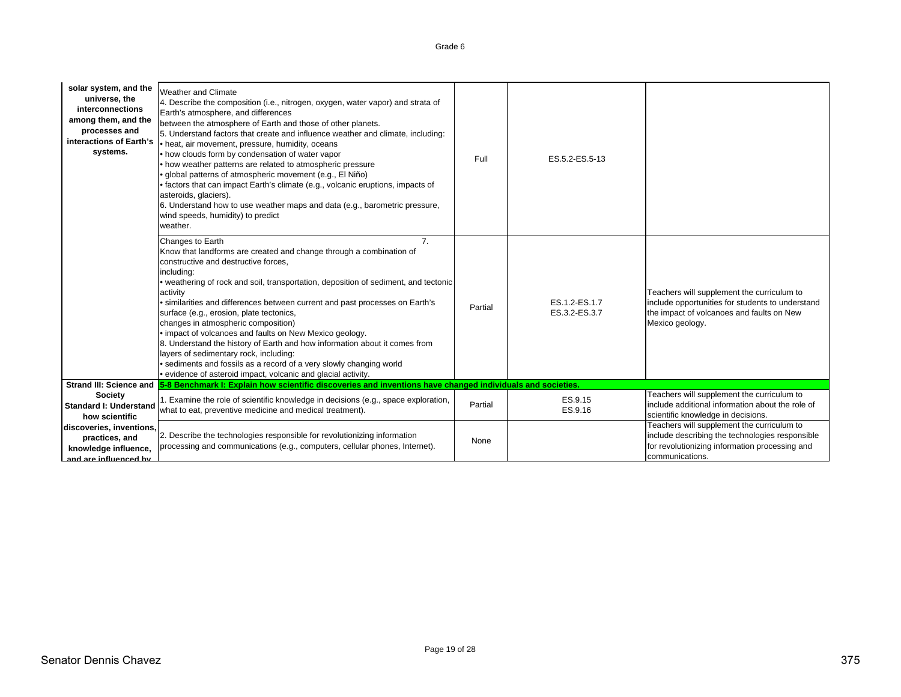| solar system, and the<br>universe, the<br>interconnections<br>among them, and the<br>processes and<br>interactions of Earth's<br>systems. | <b>Weather and Climate</b><br>4. Describe the composition (i.e., nitrogen, oxygen, water vapor) and strata of<br>Earth's atmosphere, and differences<br>between the atmosphere of Earth and those of other planets.<br>5. Understand factors that create and influence weather and climate, including:<br>• heat, air movement, pressure, humidity, oceans<br>• how clouds form by condensation of water vapor<br>• how weather patterns are related to atmospheric pressure<br>· global patterns of atmospheric movement (e.g., El Niño)<br>• factors that can impact Earth's climate (e.g., volcanic eruptions, impacts of<br>asteroids, glaciers).<br>6. Understand how to use weather maps and data (e.g., barometric pressure,<br>wind speeds, humidity) to predict<br>weather. | Full    | ES.5.2-ES.5-13                 |                                                                                                                                                                    |
|-------------------------------------------------------------------------------------------------------------------------------------------|--------------------------------------------------------------------------------------------------------------------------------------------------------------------------------------------------------------------------------------------------------------------------------------------------------------------------------------------------------------------------------------------------------------------------------------------------------------------------------------------------------------------------------------------------------------------------------------------------------------------------------------------------------------------------------------------------------------------------------------------------------------------------------------|---------|--------------------------------|--------------------------------------------------------------------------------------------------------------------------------------------------------------------|
|                                                                                                                                           | Changes to Earth<br>$\overline{7}$<br>Know that landforms are created and change through a combination of<br>constructive and destructive forces,<br>including:<br>• weathering of rock and soil, transportation, deposition of sediment, and tectonic<br>activity<br>· similarities and differences between current and past processes on Earth's<br>surface (e.g., erosion, plate tectonics,<br>changes in atmospheric composition)<br>. impact of volcanoes and faults on New Mexico geology.<br>8. Understand the history of Earth and how information about it comes from<br>layers of sedimentary rock, including:<br>· sediments and fossils as a record of a very slowly changing world<br>· evidence of asteroid impact, volcanic and glacial activity.                     | Partial | ES.1.2-ES.1.7<br>ES.3.2-ES.3.7 | Teachers will supplement the curriculum to<br>include opportunities for students to understand<br>the impact of volcanoes and faults on New<br>Mexico geology.     |
|                                                                                                                                           | Strand III: Science and 5-8 Benchmark I: Explain how scientific discoveries and inventions have changed individuals and societies.                                                                                                                                                                                                                                                                                                                                                                                                                                                                                                                                                                                                                                                   |         |                                |                                                                                                                                                                    |
| <b>Society</b><br><b>Standard I: Understand</b><br>how scientific                                                                         | 1. Examine the role of scientific knowledge in decisions (e.g., space exploration,<br>what to eat, preventive medicine and medical treatment).                                                                                                                                                                                                                                                                                                                                                                                                                                                                                                                                                                                                                                       | Partial | ES.9.15<br>ES.9.16             | Teachers will supplement the curriculum to<br>include additional information about the role of<br>scientific knowledge in decisions.                               |
| discoveries, inventions,<br>practices, and<br>knowledge influence,<br>and are influenced by                                               | 2. Describe the technologies responsible for revolutionizing information<br>processing and communications (e.g., computers, cellular phones, Internet).                                                                                                                                                                                                                                                                                                                                                                                                                                                                                                                                                                                                                              | None    |                                | Teachers will supplement the curriculum to<br>include describing the technologies responsible<br>for revolutionizing information processing and<br>communications. |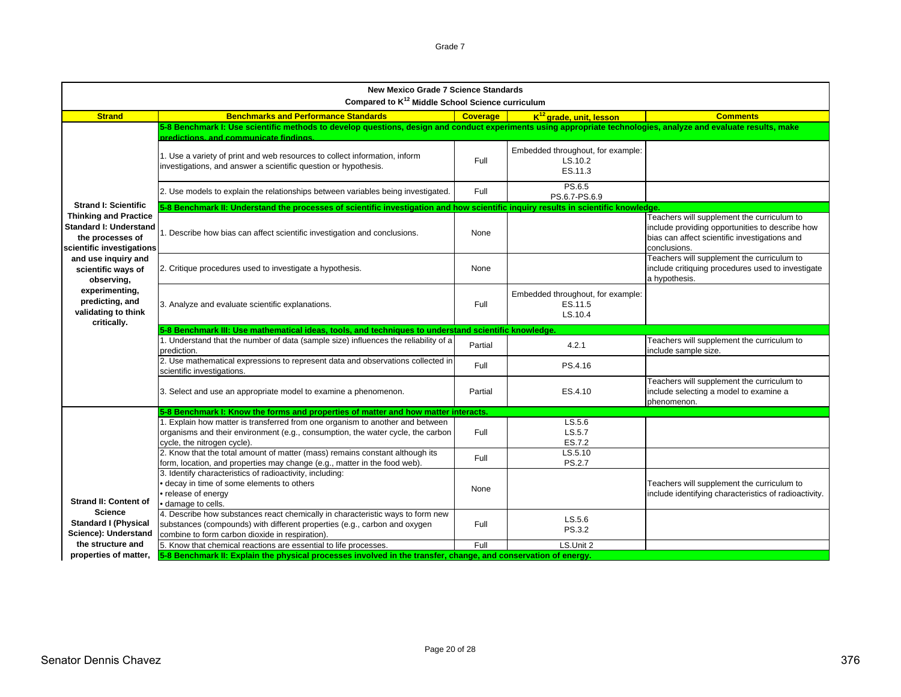| <b>New Mexico Grade 7 Science Standards</b><br>Compared to K <sup>12</sup> Middle School Science curriculum                                   |                                                                                                                                                                                                                                                                                                                                                            |                 |                                                         |                                                                                                                                                                |  |
|-----------------------------------------------------------------------------------------------------------------------------------------------|------------------------------------------------------------------------------------------------------------------------------------------------------------------------------------------------------------------------------------------------------------------------------------------------------------------------------------------------------------|-----------------|---------------------------------------------------------|----------------------------------------------------------------------------------------------------------------------------------------------------------------|--|
| <b>Strand</b>                                                                                                                                 | <b>Benchmarks and Performance Standards</b>                                                                                                                                                                                                                                                                                                                | <b>Coverage</b> | K <sup>12</sup> grade, unit, lesson                     | <b>Comments</b>                                                                                                                                                |  |
|                                                                                                                                               | 5-8 Benchmark I: Use scientific methods to develop questions, design and conduct experiments using appropriate technologies, analyze and evaluate results, make<br>predictions, and communicate findings.<br>1. Use a variety of print and web resources to collect information, inform<br>investigations, and answer a scientific question or hypothesis. | Full            | Embedded throughout, for example:<br>LS.10.2<br>ES.11.3 |                                                                                                                                                                |  |
|                                                                                                                                               | 2. Use models to explain the relationships between variables being investigated.                                                                                                                                                                                                                                                                           | Full            | PS.6.5<br>PS.6.7-PS.6.9                                 |                                                                                                                                                                |  |
| <b>Strand I: Scientific</b><br><b>Thinking and Practice</b><br><b>Standard I: Understand</b><br>the processes of<br>scientific investigations | 5-8 Benchmark II: Understand the processes of scientific investigation and how scientific inquiry results in scientific knowledge<br>1. Describe how bias can affect scientific investigation and conclusions.                                                                                                                                             | None            |                                                         | Teachers will supplement the curriculum to<br>include providing opportunities to describe how<br>bias can affect scientific investigations and<br>conclusions. |  |
| and use inquiry and<br>scientific ways of<br>observing,                                                                                       | 2. Critique procedures used to investigate a hypothesis.                                                                                                                                                                                                                                                                                                   | None            |                                                         | Teachers will supplement the curriculum to<br>include critiquing procedures used to investigate<br>a hypothesis.                                               |  |
| experimenting,<br>predicting, and<br>validating to think                                                                                      | 3. Analyze and evaluate scientific explanations.                                                                                                                                                                                                                                                                                                           | Full            | Embedded throughout, for example:<br>ES.11.5<br>LS.10.4 |                                                                                                                                                                |  |
| critically.                                                                                                                                   | 5-8 Benchmark III: Use mathematical ideas, tools, and techniques to understand scientific knowledge.                                                                                                                                                                                                                                                       |                 |                                                         |                                                                                                                                                                |  |
|                                                                                                                                               | 1. Understand that the number of data (sample size) influences the reliability of a<br>prediction.                                                                                                                                                                                                                                                         | Partial         | 4.2.1                                                   | Teachers will supplement the curriculum to<br>include sample size.                                                                                             |  |
|                                                                                                                                               | 2. Use mathematical expressions to represent data and observations collected in<br>scientific investigations.                                                                                                                                                                                                                                              | Full            | PS.4.16                                                 |                                                                                                                                                                |  |
|                                                                                                                                               | 3. Select and use an appropriate model to examine a phenomenon.                                                                                                                                                                                                                                                                                            | Partial         | ES.4.10                                                 | Teachers will supplement the curriculum to<br>include selecting a model to examine a<br>phenomenon.                                                            |  |
|                                                                                                                                               | 5-8 Benchmark I: Know the forms and properties of matter and how matter interacts.                                                                                                                                                                                                                                                                         |                 |                                                         |                                                                                                                                                                |  |
|                                                                                                                                               | 1. Explain how matter is transferred from one organism to another and between<br>organisms and their environment (e.g., consumption, the water cycle, the carbon<br>cycle, the nitrogen cycle).                                                                                                                                                            | Full            | LS.5.6<br>LS.5.7<br>ES.7.2                              |                                                                                                                                                                |  |
|                                                                                                                                               | 2. Know that the total amount of matter (mass) remains constant although its<br>form, location, and properties may change (e.g., matter in the food web).                                                                                                                                                                                                  | Full            | LS.5.10<br><b>PS.2.7</b>                                |                                                                                                                                                                |  |
| <b>Strand II: Content of</b>                                                                                                                  | 3. Identify characteristics of radioactivity, including:<br>· decay in time of some elements to others<br>• release of energy<br>· damage to cells.                                                                                                                                                                                                        | None            |                                                         | Teachers will supplement the curriculum to<br>include identifying characteristics of radioactivity.                                                            |  |
| <b>Science</b><br><b>Standard I (Physical</b><br>Science): Understand                                                                         | 4. Describe how substances react chemically in characteristic ways to form new<br>substances (compounds) with different properties (e.g., carbon and oxygen<br>combine to form carbon dioxide in respiration).                                                                                                                                             | Full            | LS.5.6<br>PS.3.2                                        |                                                                                                                                                                |  |
| the structure and                                                                                                                             | 5. Know that chemical reactions are essential to life processes.                                                                                                                                                                                                                                                                                           | Full            | LS.Unit 2                                               |                                                                                                                                                                |  |
| properties of matter,                                                                                                                         | 5-8 Benchmark II: Explain the physical processes involved in the transfer, change, and conservation of energy.                                                                                                                                                                                                                                             |                 |                                                         |                                                                                                                                                                |  |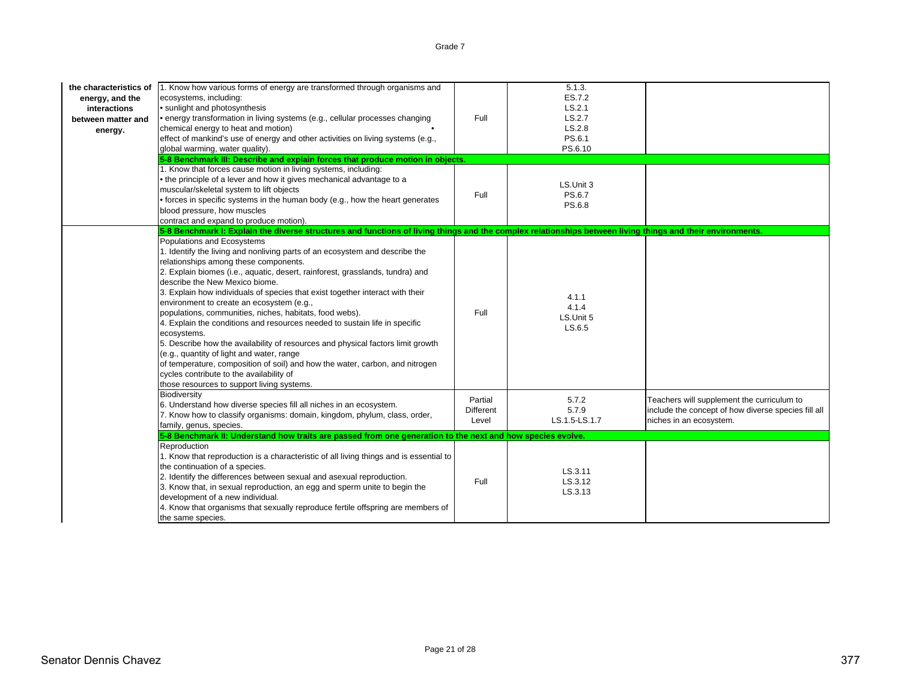| the characteristics of<br>energy, and the<br>interactions<br>between matter and<br>energy. | 1. Know how various forms of energy are transformed through organisms and<br>ecosystems, including:<br>• sunlight and photosynthesis<br>• energy transformation in living systems (e.g., cellular processes changing<br>chemical energy to heat and motion)<br>effect of mankind's use of energy and other activities on living systems (e.g.,<br>global warming, water quality).<br>5-8 Benchmark III: Describe and explain forces that produce motion in objects.<br>1. Know that forces cause motion in living systems, including:<br>• the principle of a lever and how it gives mechanical advantage to a<br>muscular/skeletal system to lift objects<br>• forces in specific systems in the human body (e.g., how the heart generates<br>blood pressure, how muscles<br>contract and expand to produce motion).                                                 | Full<br>Full                         | 5.1.3.<br>ES.7.2<br>LS.2.1<br>LS.2.7<br>LS.2.8<br>PS.6.1<br>PS.6.10<br>LS.Unit 3<br>PS.6.7<br>PS.6.8 |                                                                                                                              |
|--------------------------------------------------------------------------------------------|-----------------------------------------------------------------------------------------------------------------------------------------------------------------------------------------------------------------------------------------------------------------------------------------------------------------------------------------------------------------------------------------------------------------------------------------------------------------------------------------------------------------------------------------------------------------------------------------------------------------------------------------------------------------------------------------------------------------------------------------------------------------------------------------------------------------------------------------------------------------------|--------------------------------------|------------------------------------------------------------------------------------------------------|------------------------------------------------------------------------------------------------------------------------------|
|                                                                                            | 5-8 Benchmark I: Explain the diverse structures and functions of living things and the complex relationships between living things and their environments.                                                                                                                                                                                                                                                                                                                                                                                                                                                                                                                                                                                                                                                                                                            |                                      |                                                                                                      |                                                                                                                              |
|                                                                                            | Populations and Ecosystems<br>1. Identify the living and nonliving parts of an ecosystem and describe the<br>relationships among these components.<br>2. Explain biomes (i.e., aquatic, desert, rainforest, grasslands, tundra) and<br>describe the New Mexico biome.<br>3. Explain how individuals of species that exist together interact with their<br>environment to create an ecosystem (e.g.,<br>populations, communities, niches, habitats, food webs).<br>4. Explain the conditions and resources needed to sustain life in specific<br>ecosystems.<br>5. Describe how the availability of resources and physical factors limit growth<br>(e.g., quantity of light and water, range<br>of temperature, composition of soil) and how the water, carbon, and nitrogen<br>cycles contribute to the availability of<br>those resources to support living systems. | Full                                 | 4.1.1<br>4.1.4<br>LS.Unit 5<br>LS.6.5                                                                |                                                                                                                              |
|                                                                                            | Biodiversity<br>6. Understand how diverse species fill all niches in an ecosystem.<br>7. Know how to classify organisms: domain, kingdom, phylum, class, order,<br>family, genus, species.                                                                                                                                                                                                                                                                                                                                                                                                                                                                                                                                                                                                                                                                            | Partial<br><b>Different</b><br>Level | 5.7.2<br>5.7.9<br>LS.1.5-LS.1.7                                                                      | Teachers will supplement the curriculum to<br>include the concept of how diverse species fill all<br>niches in an ecosystem. |
|                                                                                            | 5-8 Benchmark II: Understand how traits are passed from one generation to the next and how species evolve.                                                                                                                                                                                                                                                                                                                                                                                                                                                                                                                                                                                                                                                                                                                                                            |                                      |                                                                                                      |                                                                                                                              |
|                                                                                            | Reproduction<br>1. Know that reproduction is a characteristic of all living things and is essential to<br>the continuation of a species.<br>2. Identify the differences between sexual and asexual reproduction.<br>3. Know that, in sexual reproduction, an egg and sperm unite to begin the<br>development of a new individual.<br>4. Know that organisms that sexually reproduce fertile offspring are members of<br>the same species.                                                                                                                                                                                                                                                                                                                                                                                                                             | Full                                 | LS.3.11<br>LS.3.12<br>LS.3.13                                                                        |                                                                                                                              |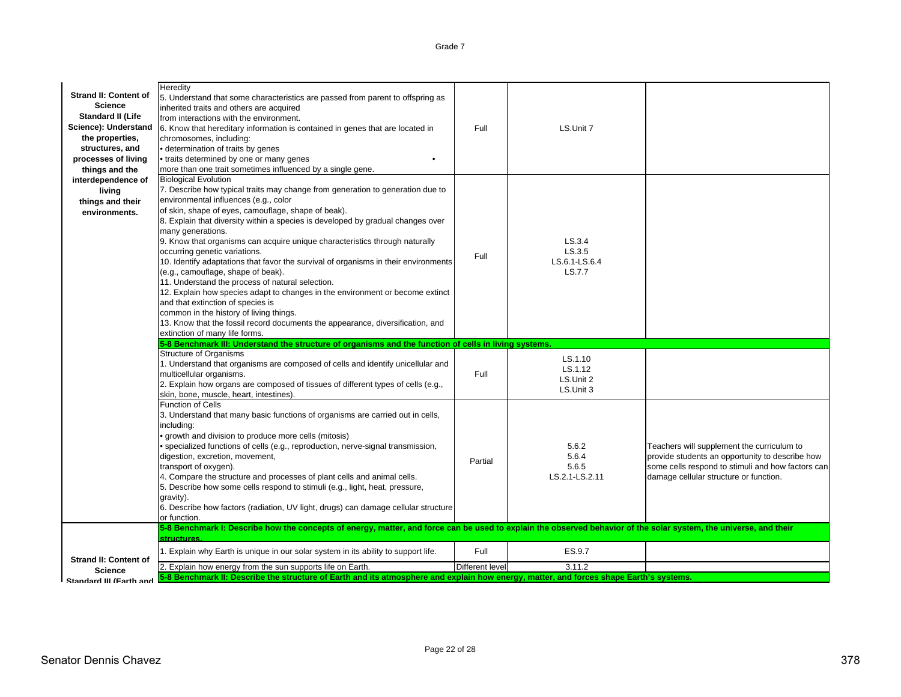**Heredity** 5. Understand that some characteristics are passed from parent to offspring as inherited traits and others are acquired from interactions with the environment.6. Know that hereditary information is contained in genes that are located in chromosomes, including: • determination of traits by genes • traits determined by one or many genes • more than one trait sometimes influenced by a single gene. Full  $\qquad$  IS Unit 7 Biological Evolution 7. Describe how typical traits may change from generation to generation due to environmental influences (e.g., color of skin, shape of eyes, camouflage, shape of beak). 8. Explain that diversity within a species is developed by gradual changes over many generations. 9. Know that organisms can acquire unique characteristics through naturally occurring genetic variations. 10. Identify adaptations that favor the survival of organisms in their environments (e.g., camouflage, shape of beak). 11. Understand the process of natural selection. 12. Explain how species adapt to changes in the environment or become extinct and that extinction of species is common in the history of living things. 13. Know that the fossil record documents the appearance, diversification, and extinction of many life forms. FullLS.3.4LS.3.5LS.6.1-LS.6.4LS.7.7Structure of Organisms 1. Understand that organisms are composed of cells and identify unicellular and multicellular organisms. 2. Explain how organs are composed of tissues of different types of cells (e.g., skin, bone, muscle, heart, intestines). FullLS.1.10LS.1.12LS.Unit 2LS.Unit 3Function of Cells3. Understand that many basic functions of organisms are carried out in cells, including: • growth and division to produce more cells (mitosis) • specialized functions of cells (e.g., reproduction, nerve-signal transmission, digestion, excretion, movement, transport of oxygen). 4. Compare the structure and processes of plant cells and animal cells. 5. Describe how some cells respond to stimuli (e.g., light, heat, pressure, gravity). 6. Describe how factors (radiation, UV light, drugs) can damage cellular structure or function.Partial5.6.25.6.45.6.5LS.2.1-LS.2.11Teachers will supplement the curriculum to provide students an opportunity to describe how some cells respond to stimuli and how factors can damage cellular structure or function. 1. Explain why Earth is unique in our solar system in its ability to support life. Full Full Full ES.9.7 2. Explain how energy from the sun supports life on Earth. Different level Different level 3.11.2 **Strand II: Content of ScienceStandard II (Life Science): Understand the properties, structures, and processes of living things and the interdependence of living things and their environments.5-8 Benchmark III: Understand the structure of organisms and the function of cells in living systems. Strand II: Content of Science5-8 Benchmark I: Describe how the concepts of energy, matter, and force can be used to explain the observed behavior of the solar system, the universe, and their structures.5-8 Benchmark II: Describe the structure of Earth and its atmosphere and explain how energy, matter, and forces shape Earth's systems.**

**Standard III (Earth and**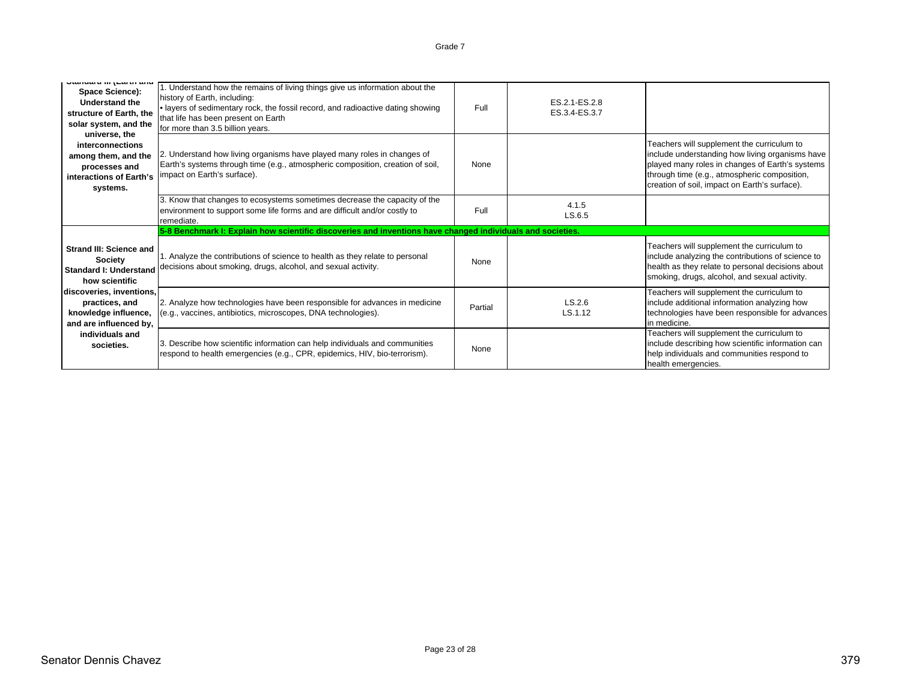| Vidinadia in juanui ana<br>Space Science):<br>Understand the<br>structure of Earth, the<br>solar system, and the<br>universe, the | 1. Understand how the remains of living things give us information about the<br>history of Earth, including:<br>. layers of sedimentary rock, the fossil record, and radioactive dating showing<br>that life has been present on Earth<br>for more than 3.5 billion years. | Full    | ES.2.1-ES.2.8<br>ES.3.4-ES.3.7 |                                                                                                                                                                                                                                                   |
|-----------------------------------------------------------------------------------------------------------------------------------|----------------------------------------------------------------------------------------------------------------------------------------------------------------------------------------------------------------------------------------------------------------------------|---------|--------------------------------|---------------------------------------------------------------------------------------------------------------------------------------------------------------------------------------------------------------------------------------------------|
| interconnections<br>among them, and the<br>processes and<br>interactions of Earth's<br>systems.                                   | 2. Understand how living organisms have played many roles in changes of<br>Earth's systems through time (e.g., atmospheric composition, creation of soil,<br>impact on Earth's surface).                                                                                   | None    |                                | Teachers will supplement the curriculum to<br>include understanding how living organisms have<br>played many roles in changes of Earth's systems<br>through time (e.g., atmospheric composition,<br>creation of soil, impact on Earth's surface). |
|                                                                                                                                   | 3. Know that changes to ecosystems sometimes decrease the capacity of the<br>environment to support some life forms and are difficult and/or costly to<br>remediate.                                                                                                       | Full    | 4.1.5<br>LS.6.5                |                                                                                                                                                                                                                                                   |
|                                                                                                                                   | 5-8 Benchmark I: Explain how scientific discoveries and inventions have changed individuals and societies.                                                                                                                                                                 |         |                                |                                                                                                                                                                                                                                                   |
| Strand III: Science and<br>Society<br><b>Standard I: Understand</b><br>how scientific                                             | 1. Analyze the contributions of science to health as they relate to personal<br>decisions about smoking, drugs, alcohol, and sexual activity.                                                                                                                              | None    |                                | Teachers will supplement the curriculum to<br>include analyzing the contributions of science to<br>health as they relate to personal decisions about<br>smoking, drugs, alcohol, and sexual activity.                                             |
| discoveries, inventions,<br>practices, and<br>knowledge influence,<br>and are influenced by,                                      | 2. Analyze how technologies have been responsible for advances in medicine<br>(e.g., vaccines, antibiotics, microscopes, DNA technologies).                                                                                                                                | Partial | LS.2.6<br>LS.1.12              | Teachers will supplement the curriculum to<br>include additional information analyzing how<br>technologies have been responsible for advances<br>in medicine.                                                                                     |
| individuals and<br>societies.                                                                                                     | 3. Describe how scientific information can help individuals and communities<br>respond to health emergencies (e.g., CPR, epidemics, HIV, bio-terrorism).                                                                                                                   | None    |                                | Teachers will supplement the curriculum to<br>include describing how scientific information can<br>help individuals and communities respond to<br>health emergencies.                                                                             |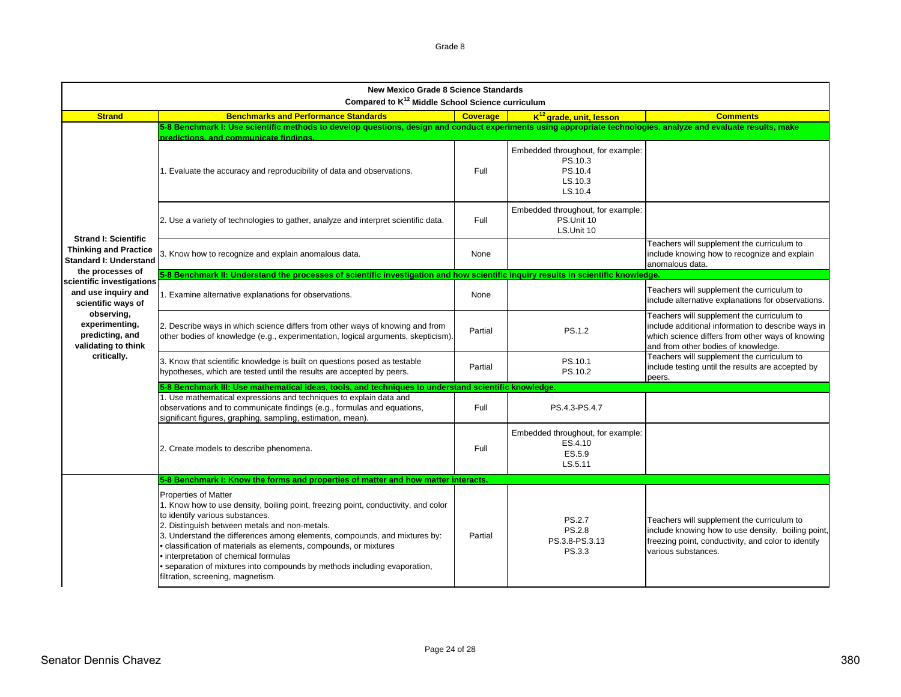| <b>New Mexico Grade 8 Science Standards</b><br>Compared to K <sup>12</sup> Middle School Science curriculum |                                                                                                                                                                                                                                                                                                                                                                                                                                                                                                                    |                 |                                                                               |                                                                                                                                                                                             |  |
|-------------------------------------------------------------------------------------------------------------|--------------------------------------------------------------------------------------------------------------------------------------------------------------------------------------------------------------------------------------------------------------------------------------------------------------------------------------------------------------------------------------------------------------------------------------------------------------------------------------------------------------------|-----------------|-------------------------------------------------------------------------------|---------------------------------------------------------------------------------------------------------------------------------------------------------------------------------------------|--|
| <b>Strand</b>                                                                                               | <b>Benchmarks and Performance Standards</b>                                                                                                                                                                                                                                                                                                                                                                                                                                                                        | <b>Coverage</b> | K <sup>12</sup> grade, unit, lesson                                           | <b>Comments</b>                                                                                                                                                                             |  |
|                                                                                                             | 5-8 Benchmark I: Use scientific methods to develop questions, design and conduct experiments using appropriate technologies, analyze and evaluate results, make<br>predictions, and communicate findings.                                                                                                                                                                                                                                                                                                          |                 |                                                                               |                                                                                                                                                                                             |  |
|                                                                                                             | 1. Evaluate the accuracy and reproducibility of data and observations.                                                                                                                                                                                                                                                                                                                                                                                                                                             | Full            | Embedded throughout, for example:<br>PS.10.3<br>PS.10.4<br>LS.10.3<br>LS.10.4 |                                                                                                                                                                                             |  |
|                                                                                                             | 2. Use a variety of technologies to gather, analyze and interpret scientific data.                                                                                                                                                                                                                                                                                                                                                                                                                                 | Full            | Embedded throughout, for example:<br>PS.Unit 10<br>LS Unit 10                 |                                                                                                                                                                                             |  |
| <b>Strand I: Scientific</b><br><b>Thinking and Practice</b><br><b>Standard I: Understand</b>                | 3. Know how to recognize and explain anomalous data.                                                                                                                                                                                                                                                                                                                                                                                                                                                               | None            |                                                                               | Teachers will supplement the curriculum to<br>include knowing how to recognize and explain<br>anomalous data.                                                                               |  |
| the processes of<br>scientific investigations                                                               | 5-8 Benchmark II: Understand the processes of scientific investigation and how scientific inquiry results in scientific knowledge.                                                                                                                                                                                                                                                                                                                                                                                 |                 |                                                                               |                                                                                                                                                                                             |  |
| and use inquiry and<br>scientific ways of                                                                   | 1. Examine alternative explanations for observations.                                                                                                                                                                                                                                                                                                                                                                                                                                                              | None            |                                                                               | Teachers will supplement the curriculum to<br>include alternative explanations for observations.                                                                                            |  |
| observing,<br>experimenting,<br>predicting, and<br>validating to think                                      | 2. Describe ways in which science differs from other ways of knowing and from<br>other bodies of knowledge (e.g., experimentation, logical arguments, skepticism).                                                                                                                                                                                                                                                                                                                                                 | Partial         | PS.1.2                                                                        | Teachers will supplement the curriculum to<br>include additional information to describe ways in<br>which science differs from other ways of knowing<br>and from other bodies of knowledge. |  |
| critically.                                                                                                 | 3. Know that scientific knowledge is built on questions posed as testable<br>hypotheses, which are tested until the results are accepted by peers.                                                                                                                                                                                                                                                                                                                                                                 | Partial         | PS.10.1<br>PS.10.2                                                            | Teachers will supplement the curriculum to<br>include testing until the results are accepted by<br>peers.                                                                                   |  |
|                                                                                                             | 5-8 Benchmark III: Use mathematical ideas, tools, and techniques to understand scientific knowledge.                                                                                                                                                                                                                                                                                                                                                                                                               |                 |                                                                               |                                                                                                                                                                                             |  |
|                                                                                                             | 1. Use mathematical expressions and techniques to explain data and<br>observations and to communicate findings (e.g., formulas and equations,<br>significant figures, graphing, sampling, estimation, mean).                                                                                                                                                                                                                                                                                                       | Full            | PS.4.3-PS.4.7                                                                 |                                                                                                                                                                                             |  |
|                                                                                                             | 2. Create models to describe phenomena.                                                                                                                                                                                                                                                                                                                                                                                                                                                                            | Full            | Embedded throughout, for example:<br>ES.4.10<br>ES.5.9<br>LS.5.11             |                                                                                                                                                                                             |  |
|                                                                                                             | 5-8 Benchmark I: Know the forms and properties of matter and how matter interacts.                                                                                                                                                                                                                                                                                                                                                                                                                                 |                 |                                                                               |                                                                                                                                                                                             |  |
|                                                                                                             | <b>Properties of Matter</b><br>1. Know how to use density, boiling point, freezing point, conductivity, and color<br>to identify various substances.<br>2. Distinguish between metals and non-metals.<br>3. Understand the differences among elements, compounds, and mixtures by:<br>· classification of materials as elements, compounds, or mixtures<br>· interpretation of chemical formulas<br>• separation of mixtures into compounds by methods including evaporation,<br>filtration, screening, magnetism. | Partial         | <b>PS.2.7</b><br><b>PS.2.8</b><br>PS.3.8-PS.3.13<br>PS.3.3                    | Teachers will supplement the curriculum to<br>include knowing how to use density, boiling point,<br>freezing point, conductivity, and color to identify<br>various substances.              |  |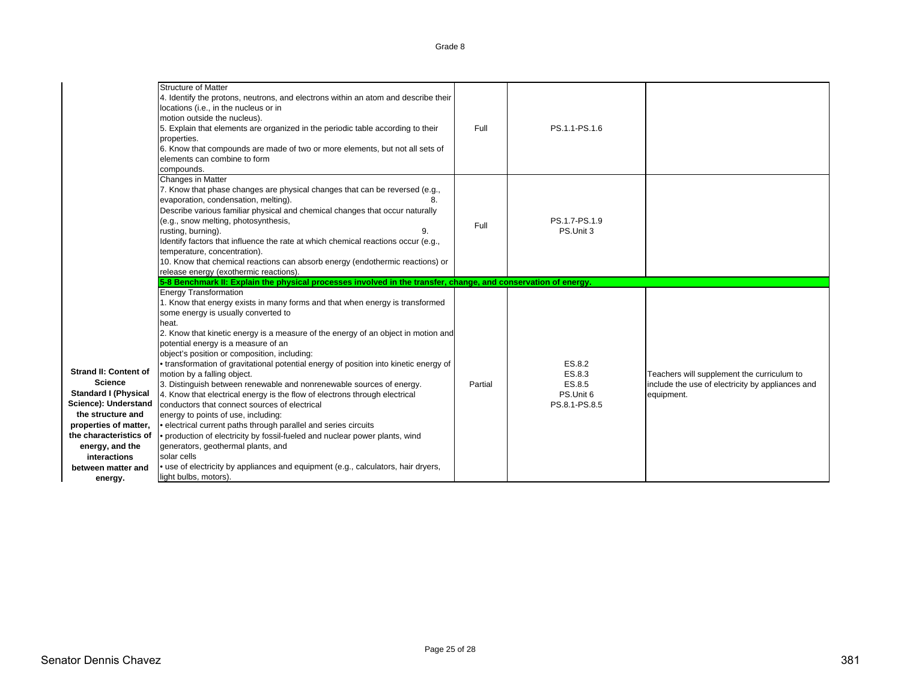|                                                                                                                                                                                                                                                   | <b>Structure of Matter</b><br>4. Identify the protons, neutrons, and electrons within an atom and describe their<br>locations (i.e., in the nucleus or in<br>motion outside the nucleus).<br>5. Explain that elements are organized in the periodic table according to their<br>properties.<br>6. Know that compounds are made of two or more elements, but not all sets of<br>elements can combine to form<br>compounds.                                                                                                                                                                                                                                                                                                                                                                                                                                                                                                                                                                           | Full    | PS.1.1-PS.1.6                                            |                                                                                                              |
|---------------------------------------------------------------------------------------------------------------------------------------------------------------------------------------------------------------------------------------------------|-----------------------------------------------------------------------------------------------------------------------------------------------------------------------------------------------------------------------------------------------------------------------------------------------------------------------------------------------------------------------------------------------------------------------------------------------------------------------------------------------------------------------------------------------------------------------------------------------------------------------------------------------------------------------------------------------------------------------------------------------------------------------------------------------------------------------------------------------------------------------------------------------------------------------------------------------------------------------------------------------------|---------|----------------------------------------------------------|--------------------------------------------------------------------------------------------------------------|
|                                                                                                                                                                                                                                                   | Changes in Matter<br>7. Know that phase changes are physical changes that can be reversed (e.g.,<br>evaporation, condensation, melting).<br>8.<br>Describe various familiar physical and chemical changes that occur naturally<br>(e.g., snow melting, photosynthesis,<br>rusting, burning).<br>9.<br>Identify factors that influence the rate at which chemical reactions occur (e.g.,<br>temperature, concentration).<br>10. Know that chemical reactions can absorb energy (endothermic reactions) or<br>release energy (exothermic reactions).                                                                                                                                                                                                                                                                                                                                                                                                                                                  | Full    | PS.1.7-PS.1.9<br>PS.Unit 3                               |                                                                                                              |
|                                                                                                                                                                                                                                                   | 5-8 Benchmark II: Explain the physical processes involved in the transfer, change, and conservation of energy.<br><b>Energy Transformation</b>                                                                                                                                                                                                                                                                                                                                                                                                                                                                                                                                                                                                                                                                                                                                                                                                                                                      |         |                                                          |                                                                                                              |
| <b>Strand II: Content of</b><br><b>Science</b><br><b>Standard I (Physical</b><br>Science): Understand<br>the structure and<br>properties of matter,<br>the characteristics of<br>energy, and the<br>interactions<br>between matter and<br>energy. | 1. Know that energy exists in many forms and that when energy is transformed<br>some energy is usually converted to<br>heat.<br>2. Know that kinetic energy is a measure of the energy of an object in motion and<br>potential energy is a measure of an<br>object's position or composition, including:<br>• transformation of gravitational potential energy of position into kinetic energy of<br>motion by a falling object.<br>3. Distinguish between renewable and nonrenewable sources of energy.<br>4. Know that electrical energy is the flow of electrons through electrical<br>conductors that connect sources of electrical<br>energy to points of use, including:<br>· electrical current paths through parallel and series circuits<br>• production of electricity by fossil-fueled and nuclear power plants, wind<br>generators, geothermal plants, and<br>solar cells<br>• use of electricity by appliances and equipment (e.g., calculators, hair dryers,<br>light bulbs, motors). | Partial | ES.8.2<br>ES.8.3<br>ES.8.5<br>PS.Unit 6<br>PS.8.1-PS.8.5 | Teachers will supplement the curriculum to<br>include the use of electricity by appliances and<br>equipment. |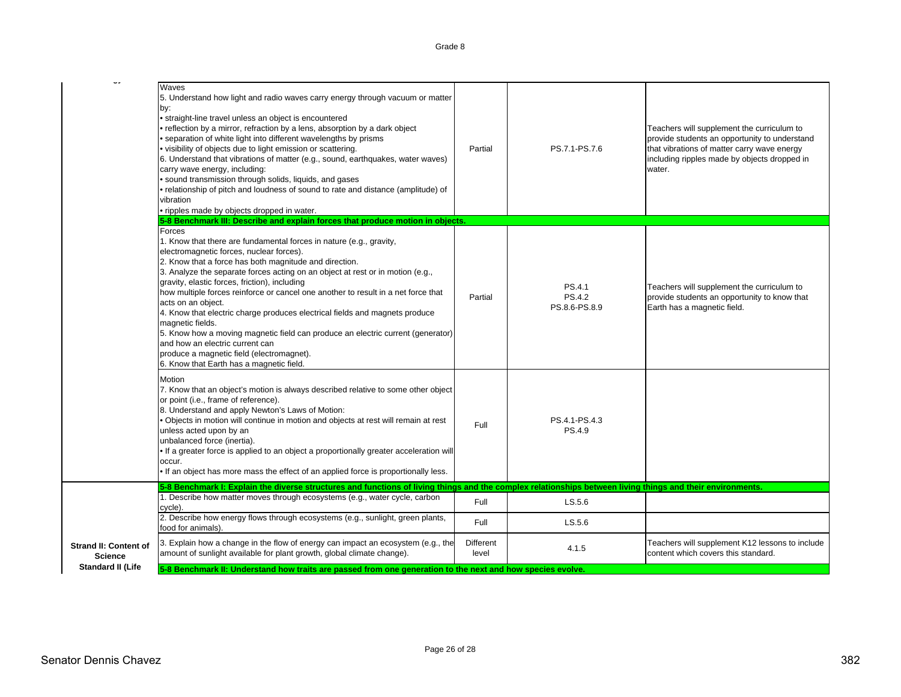|                                                | Waves<br>5. Understand how light and radio waves carry energy through vacuum or matter<br>by:<br>• straight-line travel unless an object is encountered<br>• reflection by a mirror, refraction by a lens, absorption by a dark object<br>• separation of white light into different wavelengths by prisms<br>• visibility of objects due to light emission or scattering.<br>6. Understand that vibrations of matter (e.g., sound, earthquakes, water waves)<br>carry wave energy, including:<br>• sound transmission through solids, liquids, and gases<br>· relationship of pitch and loudness of sound to rate and distance (amplitude) of<br>vibration<br>• ripples made by objects dropped in water.<br>5-8 Benchmark III: Describe and explain forces that produce motion in objects. | Partial                   | PS.7.1-PS.7.6                     | Teachers will supplement the curriculum to<br>provide students an opportunity to understand<br>that vibrations of matter carry wave energy<br>including ripples made by objects dropped in<br>water. |
|------------------------------------------------|----------------------------------------------------------------------------------------------------------------------------------------------------------------------------------------------------------------------------------------------------------------------------------------------------------------------------------------------------------------------------------------------------------------------------------------------------------------------------------------------------------------------------------------------------------------------------------------------------------------------------------------------------------------------------------------------------------------------------------------------------------------------------------------------|---------------------------|-----------------------------------|------------------------------------------------------------------------------------------------------------------------------------------------------------------------------------------------------|
|                                                | Forces<br>1. Know that there are fundamental forces in nature (e.g., gravity,<br>electromagnetic forces, nuclear forces).<br>2. Know that a force has both magnitude and direction.<br>3. Analyze the separate forces acting on an object at rest or in motion (e.g.,<br>gravity, elastic forces, friction), including<br>how multiple forces reinforce or cancel one another to result in a net force that<br>acts on an object.<br>4. Know that electric charge produces electrical fields and magnets produce<br>magnetic fields.<br>5. Know how a moving magnetic field can produce an electric current (generator)<br>and how an electric current can<br>produce a magnetic field (electromagnet).<br>6. Know that Earth has a magnetic field.                                          | Partial                   | PS.4.1<br>PS.4.2<br>PS.8.6-PS.8.9 | Teachers will supplement the curriculum to<br>provide students an opportunity to know that<br>Earth has a magnetic field.                                                                            |
|                                                | Motion<br>7. Know that an object's motion is always described relative to some other object<br>or point (i.e., frame of reference).<br>8. Understand and apply Newton's Laws of Motion:<br>. Objects in motion will continue in motion and objects at rest will remain at rest<br>unless acted upon by an<br>unbalanced force (inertia).<br>• If a greater force is applied to an object a proportionally greater acceleration will<br>occur.<br>. If an object has more mass the effect of an applied force is proportionally less.                                                                                                                                                                                                                                                         | Full                      | PS.4.1-PS.4.3<br>PS.4.9           |                                                                                                                                                                                                      |
|                                                | 5-8 Benchmark I: Explain the diverse structures and functions of living things and the complex relationships between living things and their environments.                                                                                                                                                                                                                                                                                                                                                                                                                                                                                                                                                                                                                                   |                           |                                   |                                                                                                                                                                                                      |
|                                                | 1. Describe how matter moves through ecosystems (e.g., water cycle, carbon<br>cycle).                                                                                                                                                                                                                                                                                                                                                                                                                                                                                                                                                                                                                                                                                                        | Full                      | LS.5.6                            |                                                                                                                                                                                                      |
|                                                | 2. Describe how energy flows through ecosystems (e.g., sunlight, green plants,<br>food for animals).                                                                                                                                                                                                                                                                                                                                                                                                                                                                                                                                                                                                                                                                                         | Full                      | LS.5.6                            |                                                                                                                                                                                                      |
| <b>Strand II: Content of</b><br><b>Science</b> | 3. Explain how a change in the flow of energy can impact an ecosystem (e.g., the<br>amount of sunlight available for plant growth, global climate change).                                                                                                                                                                                                                                                                                                                                                                                                                                                                                                                                                                                                                                   | <b>Different</b><br>level | 4.1.5                             | Teachers will supplement K12 lessons to include<br>content which covers this standard.                                                                                                               |
| <b>Standard II (Life</b>                       | 5-8 Benchmark II: Understand how traits are passed from one generation to the next and how species evolve.                                                                                                                                                                                                                                                                                                                                                                                                                                                                                                                                                                                                                                                                                   |                           |                                   |                                                                                                                                                                                                      |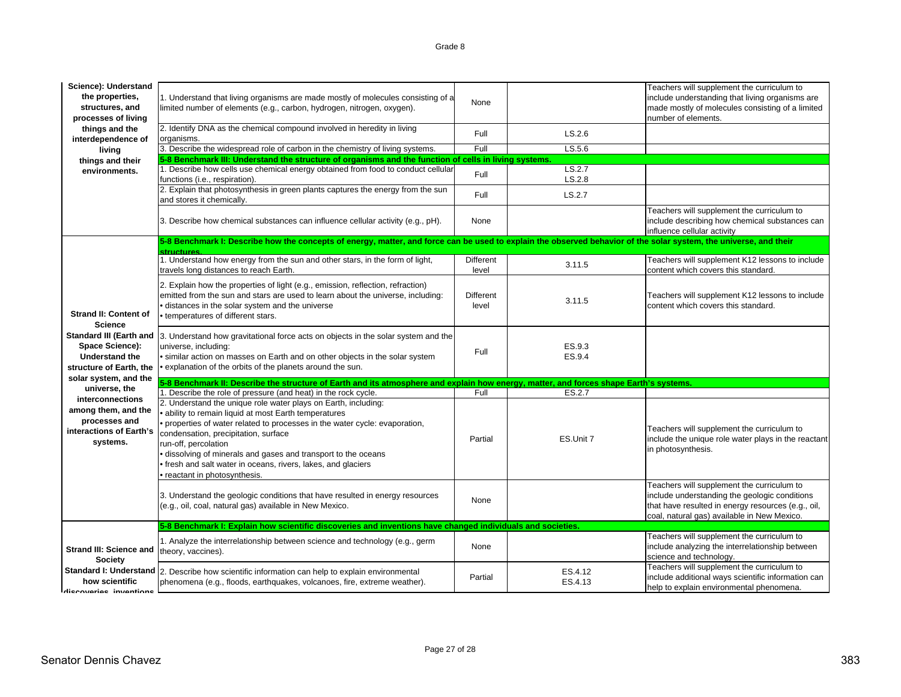| Science): Understand<br>the properties,<br>structures, and<br>processes of living<br>things and the<br>interdependence of    | 1. Understand that living organisms are made mostly of molecules consisting of a<br>limited number of elements (e.g., carbon, hydrogen, nitrogen, oxygen).<br>2. Identify DNA as the chemical compound involved in heredity in living<br>organisms.                              | None<br>Full       | LS.2.6             | Teachers will supplement the curriculum to<br>include understanding that living organisms are<br>made mostly of molecules consisting of a limited<br>number of elements.                         |
|------------------------------------------------------------------------------------------------------------------------------|----------------------------------------------------------------------------------------------------------------------------------------------------------------------------------------------------------------------------------------------------------------------------------|--------------------|--------------------|--------------------------------------------------------------------------------------------------------------------------------------------------------------------------------------------------|
| living                                                                                                                       | 3. Describe the widespread role of carbon in the chemistry of living systems.                                                                                                                                                                                                    | Full               | LS.5.6             |                                                                                                                                                                                                  |
| things and their                                                                                                             | 5-8 Benchmark III: Understand the structure of organisms and the function of cells in living systems.                                                                                                                                                                            |                    |                    |                                                                                                                                                                                                  |
| environments.                                                                                                                | 1. Describe how cells use chemical energy obtained from food to conduct cellular<br>functions (i.e., respiration).                                                                                                                                                               | Full               | LS.2.7<br>LS.2.8   |                                                                                                                                                                                                  |
|                                                                                                                              | 2. Explain that photosynthesis in green plants captures the energy from the sun<br>and stores it chemically.                                                                                                                                                                     | Full               | LS.2.7             |                                                                                                                                                                                                  |
|                                                                                                                              | 3. Describe how chemical substances can influence cellular activity (e.g., pH).                                                                                                                                                                                                  | None               |                    | Teachers will supplement the curriculum to<br>include describing how chemical substances can<br>influence cellular activity                                                                      |
|                                                                                                                              | 5-8 Benchmark I: Describe how the concepts of energy, matter, and force can be used to explain the observed behavior of the solar system, the universe, and their<br>structures                                                                                                  |                    |                    |                                                                                                                                                                                                  |
|                                                                                                                              | 1. Understand how energy from the sun and other stars, in the form of light,<br>travels long distances to reach Earth.                                                                                                                                                           | Different<br>level | 3.11.5             | Teachers will supplement K12 lessons to include<br>content which covers this standard.                                                                                                           |
| <b>Strand II: Content of</b><br><b>Science</b><br><b>Space Science):</b><br><b>Understand the</b><br>structure of Earth, the | 2. Explain how the properties of light (e.g., emission, reflection, refraction)<br>emitted from the sun and stars are used to learn about the universe, including:<br>· distances in the solar system and the universe<br>• temperatures of different stars.                     | Different<br>level | 3.11.5             | Teachers will supplement K12 lessons to include<br>content which covers this standard.                                                                                                           |
|                                                                                                                              | Standard III (Earth and  3. Understand how gravitational force acts on objects in the solar system and the<br>universe, including:<br>• similar action on masses on Earth and on other objects in the solar system<br>• explanation of the orbits of the planets around the sun. | Full               | ES.9.3<br>ES.9.4   |                                                                                                                                                                                                  |
| solar system, and the<br>universe, the                                                                                       | 5-8 Benchmark II: Describe the structure of Earth and its atmosphere and explain how energy, matter, and forces shape Earth's systems.                                                                                                                                           |                    |                    |                                                                                                                                                                                                  |
|                                                                                                                              | 1. Describe the role of pressure (and heat) in the rock cycle.                                                                                                                                                                                                                   | Full               | ES.2.7             |                                                                                                                                                                                                  |
| interconnections<br>among them, and the<br>processes and<br>interactions of Earth's<br>systems.                              | 2. Understand the unique role water plays on Earth, including:<br>· ability to remain liquid at most Earth temperatures<br>· properties of water related to processes in the water cycle: evaporation,<br>condensation, precipitation, surface<br>run-off, percolation           | Partial            | ES.Unit 7          | Teachers will supplement the curriculum to<br>include the unique role water plays in the reactant                                                                                                |
|                                                                                                                              | • dissolving of minerals and gases and transport to the oceans<br>· fresh and salt water in oceans, rivers, lakes, and glaciers<br>• reactant in photosynthesis.                                                                                                                 |                    |                    | in photosynthesis.                                                                                                                                                                               |
|                                                                                                                              | 3. Understand the geologic conditions that have resulted in energy resources<br>(e.g., oil, coal, natural gas) available in New Mexico.                                                                                                                                          | None               |                    | Teachers will supplement the curriculum to<br>include understanding the geologic conditions<br>that have resulted in energy resources (e.g., oil,<br>coal, natural gas) available in New Mexico. |
|                                                                                                                              | 5-8 Benchmark I: Explain how scientific discoveries and inventions have changed individuals and societies.                                                                                                                                                                       |                    |                    |                                                                                                                                                                                                  |
| Strand III: Science and                                                                                                      | 1. Analyze the interrelationship between science and technology (e.g., germ<br>theory, vaccines).                                                                                                                                                                                | None               |                    | Teachers will supplement the curriculum to<br>include analyzing the interrelationship between<br>science and technology.                                                                         |
| <b>Society</b><br>how scientific<br>diecovariae invantione                                                                   | Standard I: Understand 2. Describe how scientific information can help to explain environmental<br>phenomena (e.g., floods, earthquakes, volcanoes, fire, extreme weather).                                                                                                      | Partial            | ES.4.12<br>ES.4.13 | Teachers will supplement the curriculum to<br>include additional ways scientific information can<br>help to explain environmental phenomena.                                                     |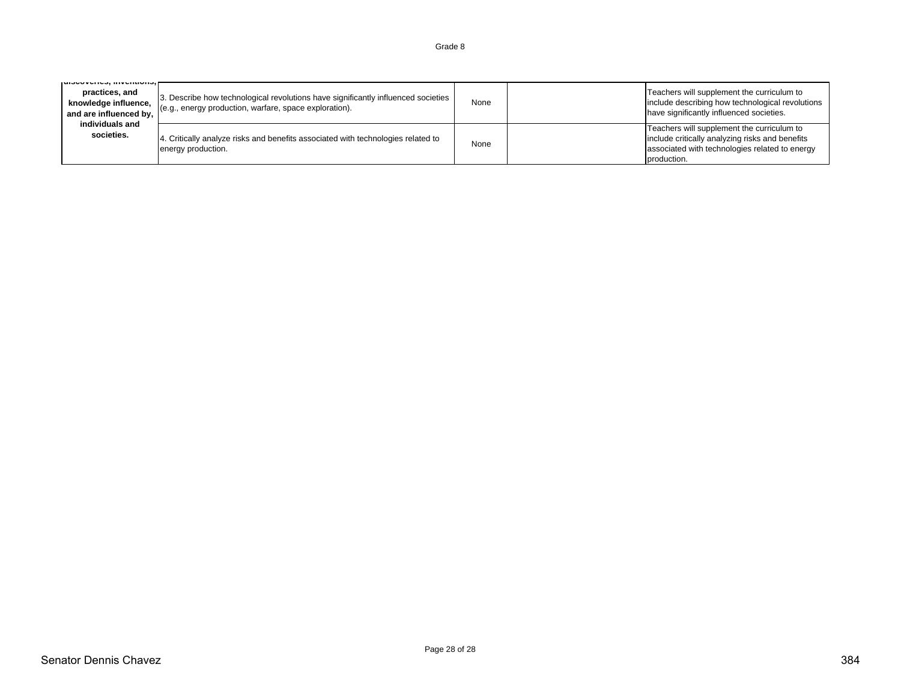| ן עוסטט וקט, ווו ויקוונוטווס,<br>practices, and<br>knowledge influence,<br>and are influenced by, | 3. Describe how technological revolutions have significantly influenced societies<br>(e.g., energy production, warfare, space exploration). | None | Teachers will supplement the curriculum to<br>include describing how technological revolutions<br>have significantly influenced societies.                     |
|---------------------------------------------------------------------------------------------------|---------------------------------------------------------------------------------------------------------------------------------------------|------|----------------------------------------------------------------------------------------------------------------------------------------------------------------|
| individuals and<br>societies.                                                                     | 4. Critically analyze risks and benefits associated with technologies related to<br>energy production.                                      | None | Teachers will supplement the curriculum to<br>include critically analyzing risks and benefits<br>associated with technologies related to energy<br>production. |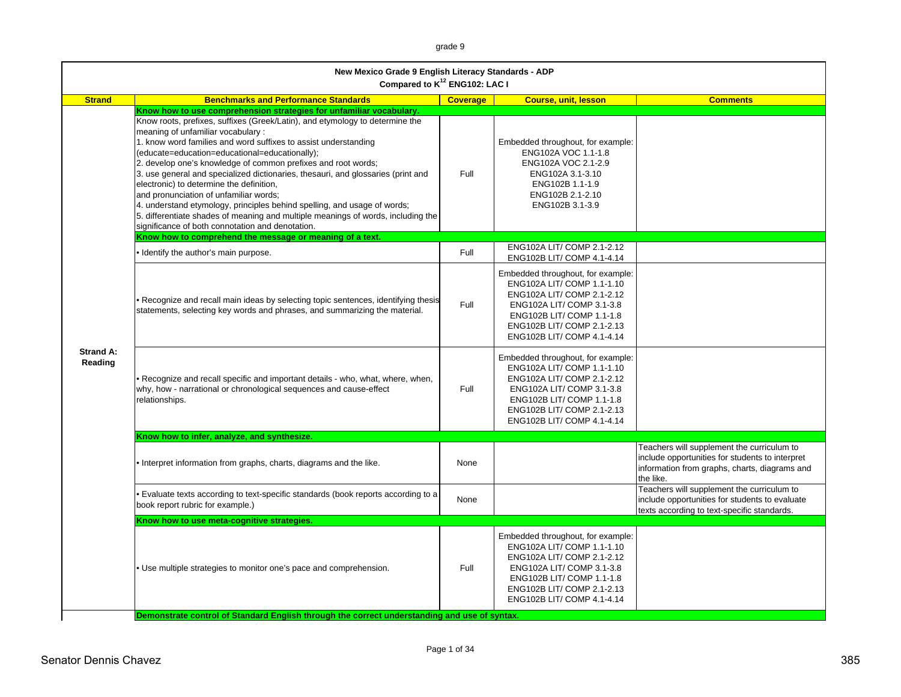grade 9

|                             | New Mexico Grade 9 English Literacy Standards - ADP<br>Compared to K <sup>12</sup> ENG102: LAC I                                                                                                                                                                                                                                                                                                                                                                                                                                                                                                                                                                                                                                                                                                                                         |                 |                                                                                                                                                                                                                     |                                                                                                                                                             |
|-----------------------------|------------------------------------------------------------------------------------------------------------------------------------------------------------------------------------------------------------------------------------------------------------------------------------------------------------------------------------------------------------------------------------------------------------------------------------------------------------------------------------------------------------------------------------------------------------------------------------------------------------------------------------------------------------------------------------------------------------------------------------------------------------------------------------------------------------------------------------------|-----------------|---------------------------------------------------------------------------------------------------------------------------------------------------------------------------------------------------------------------|-------------------------------------------------------------------------------------------------------------------------------------------------------------|
| <b>Strand</b>               | <b>Benchmarks and Performance Standards</b>                                                                                                                                                                                                                                                                                                                                                                                                                                                                                                                                                                                                                                                                                                                                                                                              | <b>Coverage</b> | <b>Course, unit, lesson</b>                                                                                                                                                                                         | <b>Comments</b>                                                                                                                                             |
|                             | Know how to use comprehension strategies for unfamiliar vocabulary.<br>Know roots, prefixes, suffixes (Greek/Latin), and etymology to determine the<br>meaning of unfamiliar vocabulary:<br>1. know word families and word suffixes to assist understanding<br>(educate=education=educational=educationally);<br>2. develop one's knowledge of common prefixes and root words;<br>3. use general and specialized dictionaries, thesauri, and glossaries (print and<br>electronic) to determine the definition,<br>and pronunciation of unfamiliar words;<br>4. understand etymology, principles behind spelling, and usage of words;<br>5. differentiate shades of meaning and multiple meanings of words, including the<br>significance of both connotation and denotation.<br>Know how to comprehend the message or meaning of a text. | Full            | Embedded throughout, for example:<br>ENG102A VOC 1.1-1.8<br>ENG102A VOC 2.1-2.9<br>ENG102A 3.1-3.10<br>ENG102B 1.1-1.9<br>ENG102B 2.1-2.10<br>ENG102B 3.1-3.9                                                       |                                                                                                                                                             |
|                             | Identify the author's main purpose.                                                                                                                                                                                                                                                                                                                                                                                                                                                                                                                                                                                                                                                                                                                                                                                                      | Full            | ENG102A LIT/ COMP 2.1-2.12<br>ENG102B LIT/ COMP 4.1-4.14                                                                                                                                                            |                                                                                                                                                             |
|                             | Recognize and recall main ideas by selecting topic sentences, identifying thesis<br>statements, selecting key words and phrases, and summarizing the material.                                                                                                                                                                                                                                                                                                                                                                                                                                                                                                                                                                                                                                                                           | Full            | Embedded throughout, for example:<br>ENG102A LIT/ COMP 1.1-1.10<br>ENG102A LIT/ COMP 2.1-2.12<br>ENG102A LIT/ COMP 3.1-3.8<br>ENG102B LIT/ COMP 1.1-1.8<br>ENG102B LIT/ COMP 2.1-2.13<br>ENG102B LIT/ COMP 4.1-4.14 |                                                                                                                                                             |
| <b>Strand A:</b><br>Reading | • Recognize and recall specific and important details - who, what, where, when,<br>why, how - narrational or chronological sequences and cause-effect<br>relationships.                                                                                                                                                                                                                                                                                                                                                                                                                                                                                                                                                                                                                                                                  | Full            | Embedded throughout, for example:<br>ENG102A LIT/ COMP 1.1-1.10<br>ENG102A LIT/ COMP 2.1-2.12<br>ENG102A LIT/ COMP 3.1-3.8<br>ENG102B LIT/ COMP 1.1-1.8<br>ENG102B LIT/ COMP 2.1-2.13<br>ENG102B LIT/ COMP 4.1-4.14 |                                                                                                                                                             |
|                             | Know how to infer, analyze, and synthesize.                                                                                                                                                                                                                                                                                                                                                                                                                                                                                                                                                                                                                                                                                                                                                                                              |                 |                                                                                                                                                                                                                     |                                                                                                                                                             |
|                             | • Interpret information from graphs, charts, diagrams and the like.                                                                                                                                                                                                                                                                                                                                                                                                                                                                                                                                                                                                                                                                                                                                                                      | None            |                                                                                                                                                                                                                     | Teachers will supplement the curriculum to<br>include opportunities for students to interpret<br>information from graphs, charts, diagrams and<br>the like. |
|                             | • Evaluate texts according to text-specific standards (book reports according to a<br>book report rubric for example.)                                                                                                                                                                                                                                                                                                                                                                                                                                                                                                                                                                                                                                                                                                                   | None            |                                                                                                                                                                                                                     | Teachers will supplement the curriculum to<br>include opportunities for students to evaluate<br>texts according to text-specific standards.                 |
|                             | Know how to use meta-cognitive strategies.                                                                                                                                                                                                                                                                                                                                                                                                                                                                                                                                                                                                                                                                                                                                                                                               |                 |                                                                                                                                                                                                                     |                                                                                                                                                             |
|                             | . Use multiple strategies to monitor one's pace and comprehension.                                                                                                                                                                                                                                                                                                                                                                                                                                                                                                                                                                                                                                                                                                                                                                       | Full            | Embedded throughout, for example:<br>ENG102A LIT/ COMP 1.1-1.10<br>ENG102A LIT/ COMP 2.1-2.12<br>ENG102A LIT/ COMP 3.1-3.8<br>ENG102B LIT/ COMP 1.1-1.8<br>ENG102B LIT/ COMP 2.1-2.13<br>ENG102B LIT/ COMP 4.1-4.14 |                                                                                                                                                             |
|                             | Demonstrate control of Standard English through the correct understanding and use of syntax.                                                                                                                                                                                                                                                                                                                                                                                                                                                                                                                                                                                                                                                                                                                                             |                 |                                                                                                                                                                                                                     |                                                                                                                                                             |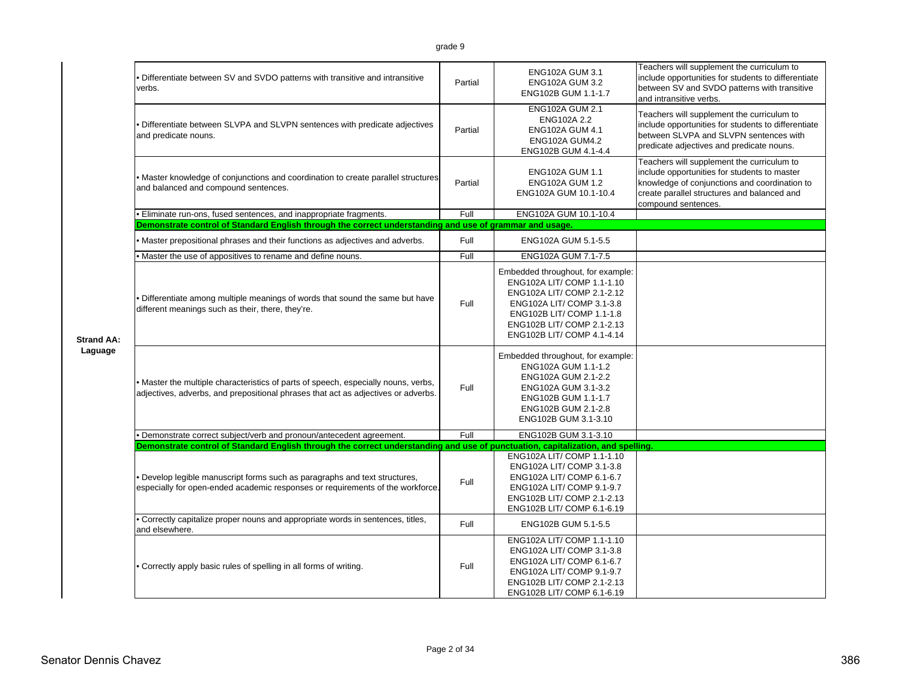|                   | Differentiate between SV and SVDO patterns with transitive and intransitive<br>verbs.                                                                                   | Partial | ENG102A GUM 3.1<br><b>ENG102A GUM 3.2</b><br>ENG102B GUM 1.1-1.7<br><b>ENG102A GUM 2.1</b>                                                                                                                          | Teachers will supplement the curriculum to<br>include opportunities for students to differentiate<br>between SV and SVDO patterns with transitive<br>and intransitive verbs.                                      |
|-------------------|-------------------------------------------------------------------------------------------------------------------------------------------------------------------------|---------|---------------------------------------------------------------------------------------------------------------------------------------------------------------------------------------------------------------------|-------------------------------------------------------------------------------------------------------------------------------------------------------------------------------------------------------------------|
|                   | • Differentiate between SLVPA and SLVPN sentences with predicate adjectives<br>and predicate nouns.                                                                     | Partial | ENG102A 2.2<br><b>ENG102A GUM 4.1</b><br><b>ENG102A GUM4.2</b><br>ENG102B GUM 4.1-4.4                                                                                                                               | Teachers will supplement the curriculum to<br>include opportunities for students to differentiate<br>between SLVPA and SLVPN sentences with<br>predicate adjectives and predicate nouns.                          |
|                   | . Master knowledge of conjunctions and coordination to create parallel structures<br>and balanced and compound sentences.                                               | Partial | <b>ENG102A GUM 1.1</b><br><b>ENG102A GUM 1.2</b><br>ENG102A GUM 10.1-10.4                                                                                                                                           | Teachers will supplement the curriculum to<br>include opportunities for students to master<br>knowledge of conjunctions and coordination to<br>create parallel structures and balanced and<br>compound sentences. |
|                   | · Eliminate run-ons, fused sentences, and inappropriate fragments.                                                                                                      | Full    | ENG102A GUM 10.1-10.4                                                                                                                                                                                               |                                                                                                                                                                                                                   |
|                   | Demonstrate control of Standard English through the correct understanding and use of grammar and usage.                                                                 |         |                                                                                                                                                                                                                     |                                                                                                                                                                                                                   |
|                   | Master prepositional phrases and their functions as adjectives and adverbs.                                                                                             | Full    | ENG102A GUM 5.1-5.5                                                                                                                                                                                                 |                                                                                                                                                                                                                   |
|                   | Master the use of appositives to rename and define nouns.                                                                                                               | Full    | ENG102A GUM 7.1-7.5                                                                                                                                                                                                 |                                                                                                                                                                                                                   |
| <b>Strand AA:</b> | Differentiate among multiple meanings of words that sound the same but have<br>different meanings such as their, there, they're.                                        | Full    | Embedded throughout, for example:<br>ENG102A LIT/ COMP 1.1-1.10<br>ENG102A LIT/ COMP 2.1-2.12<br>ENG102A LIT/ COMP 3.1-3.8<br>ENG102B LIT/ COMP 1.1-1.8<br>ENG102B LIT/ COMP 2.1-2.13<br>ENG102B LIT/ COMP 4.1-4.14 |                                                                                                                                                                                                                   |
| Laguage           | • Master the multiple characteristics of parts of speech, especially nouns, verbs,<br>adjectives, adverbs, and prepositional phrases that act as adjectives or adverbs. | Full    | Embedded throughout, for example:<br>ENG102A GUM 1.1-1.2<br>ENG102A GUM 2.1-2.2<br>ENG102A GUM 3.1-3.2<br>ENG102B GUM 1.1-1.7<br>ENG102B GUM 2.1-2.8<br>ENG102B GUM 3.1-3.10                                        |                                                                                                                                                                                                                   |
|                   | Demonstrate correct subject/verb and pronoun/antecedent agreement.                                                                                                      | Full    | ENG102B GUM 3.1-3.10                                                                                                                                                                                                |                                                                                                                                                                                                                   |
|                   | Demonstrate control of Standard English through the correct understanding and use of punctuation, capitalization, and spelling.                                         |         |                                                                                                                                                                                                                     |                                                                                                                                                                                                                   |
|                   | Develop legible manuscript forms such as paragraphs and text structures,<br>especially for open-ended academic responses or requirements of the workforce.              | Full    | ENG102A LIT/ COMP 1.1-1.10<br>ENG102A LIT/ COMP 3.1-3.8<br>ENG102A LIT/ COMP 6.1-6.7<br>ENG102A LIT/ COMP 9.1-9.7<br>ENG102B LIT/ COMP 2.1-2.13<br>ENG102B LIT/ COMP 6.1-6.19                                       |                                                                                                                                                                                                                   |
|                   | . Correctly capitalize proper nouns and appropriate words in sentences, titles,<br>and elsewhere.                                                                       | Full    | ENG102B GUM 5.1-5.5                                                                                                                                                                                                 |                                                                                                                                                                                                                   |
|                   | • Correctly apply basic rules of spelling in all forms of writing.                                                                                                      | Full    | ENG102A LIT/ COMP 1.1-1.10<br>ENG102A LIT/ COMP 3.1-3.8<br>ENG102A LIT/ COMP 6.1-6.7<br>ENG102A LIT/ COMP 9.1-9.7<br>ENG102B LIT/ COMP 2.1-2.13<br>ENG102B LIT/ COMP 6.1-6.19                                       |                                                                                                                                                                                                                   |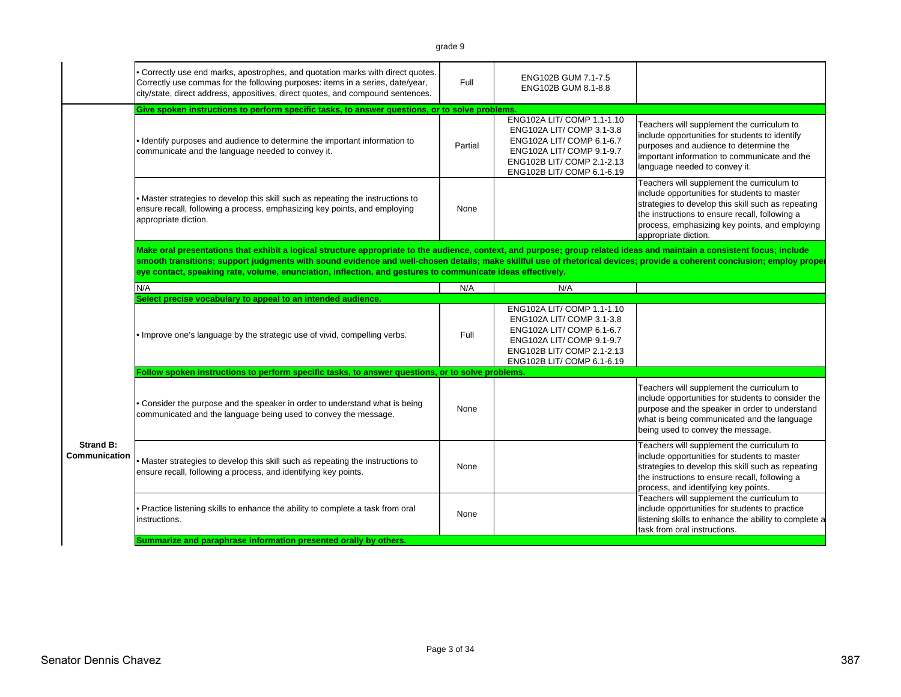|                                   | • Correctly use end marks, apostrophes, and quotation marks with direct quotes.<br>Correctly use commas for the following purposes: items in a series, date/year,<br>city/state, direct address, appositives, direct quotes, and compound sentences.                                                                                                                                                                                                                | Full    | ENG102B GUM 7.1-7.5<br>ENG102B GUM 8.1-8.8                                                                                                                                    |                                                                                                                                                                                                                                                                              |
|-----------------------------------|---------------------------------------------------------------------------------------------------------------------------------------------------------------------------------------------------------------------------------------------------------------------------------------------------------------------------------------------------------------------------------------------------------------------------------------------------------------------|---------|-------------------------------------------------------------------------------------------------------------------------------------------------------------------------------|------------------------------------------------------------------------------------------------------------------------------------------------------------------------------------------------------------------------------------------------------------------------------|
|                                   | Give spoken instructions to perform specific tasks, to answer questions, or to solve problems.                                                                                                                                                                                                                                                                                                                                                                      |         |                                                                                                                                                                               |                                                                                                                                                                                                                                                                              |
|                                   | . Identify purposes and audience to determine the important information to<br>communicate and the language needed to convey it.                                                                                                                                                                                                                                                                                                                                     | Partial | ENG102A LIT/ COMP 1.1-1.10<br>ENG102A LIT/ COMP 3.1-3.8<br>ENG102A LIT/ COMP 6.1-6.7<br>ENG102A LIT/ COMP 9.1-9.7<br>ENG102B LIT/ COMP 2.1-2.13<br>ENG102B LIT/ COMP 6.1-6.19 | Teachers will supplement the curriculum to<br>include opportunities for students to identify<br>purposes and audience to determine the<br>important information to communicate and the<br>language needed to convey it.                                                      |
|                                   | . Master strategies to develop this skill such as repeating the instructions to<br>ensure recall, following a process, emphasizing key points, and employing<br>appropriate diction.                                                                                                                                                                                                                                                                                | None    |                                                                                                                                                                               | Teachers will supplement the curriculum to<br>include opportunities for students to master<br>strategies to develop this skill such as repeating<br>the instructions to ensure recall, following a<br>process, emphasizing key points, and employing<br>appropriate diction. |
|                                   | Make oral presentations that exhibit a logical structure appropriate to the audience, context, and purpose; group related ideas and maintain a consistent focus; include<br>smooth transitions; support judgments with sound evidence and well-chosen details; make skillful use of rhetorical devices; provide a coherent conclusion; employ proper<br>eye contact, speaking rate, volume, enunciation, inflection, and gestures to communicate ideas effectively. |         |                                                                                                                                                                               |                                                                                                                                                                                                                                                                              |
|                                   | N/A                                                                                                                                                                                                                                                                                                                                                                                                                                                                 | N/A     | N/A                                                                                                                                                                           |                                                                                                                                                                                                                                                                              |
|                                   | Select precise vocabulary to appeal to an intended audience.                                                                                                                                                                                                                                                                                                                                                                                                        |         |                                                                                                                                                                               |                                                                                                                                                                                                                                                                              |
|                                   | . Improve one's language by the strategic use of vivid, compelling verbs.                                                                                                                                                                                                                                                                                                                                                                                           | Full    | ENG102A LIT/COMP 1.1-1.10<br>ENG102A LIT/ COMP 3.1-3.8<br>ENG102A LIT/ COMP 6.1-6.7<br>ENG102A LIT/ COMP 9.1-9.7<br>ENG102B LIT/ COMP 2.1-2.13<br>ENG102B LIT/ COMP 6.1-6.19  |                                                                                                                                                                                                                                                                              |
|                                   | Follow spoken instructions to perform specific tasks, to answer questions, or to solve problems.                                                                                                                                                                                                                                                                                                                                                                    |         |                                                                                                                                                                               |                                                                                                                                                                                                                                                                              |
|                                   | • Consider the purpose and the speaker in order to understand what is being<br>communicated and the language being used to convey the message.                                                                                                                                                                                                                                                                                                                      | None    |                                                                                                                                                                               | Teachers will supplement the curriculum to<br>include opportunities for students to consider the<br>purpose and the speaker in order to understand<br>what is being communicated and the language<br>being used to convey the message.                                       |
| <b>Strand B:</b><br>Communication | . Master strategies to develop this skill such as repeating the instructions to<br>ensure recall, following a process, and identifying key points.                                                                                                                                                                                                                                                                                                                  | None    |                                                                                                                                                                               | Teachers will supplement the curriculum to<br>include opportunities for students to master<br>strategies to develop this skill such as repeating<br>the instructions to ensure recall, following a<br>process, and identifying key points.                                   |
|                                   | . Practice listening skills to enhance the ability to complete a task from oral<br>instructions.                                                                                                                                                                                                                                                                                                                                                                    | None    |                                                                                                                                                                               | Teachers will supplement the curriculum to<br>include opportunities for students to practice<br>listening skills to enhance the ability to complete a<br>task from oral instructions.                                                                                        |
|                                   | Summarize and paraphrase information presented orally by others.                                                                                                                                                                                                                                                                                                                                                                                                    |         |                                                                                                                                                                               |                                                                                                                                                                                                                                                                              |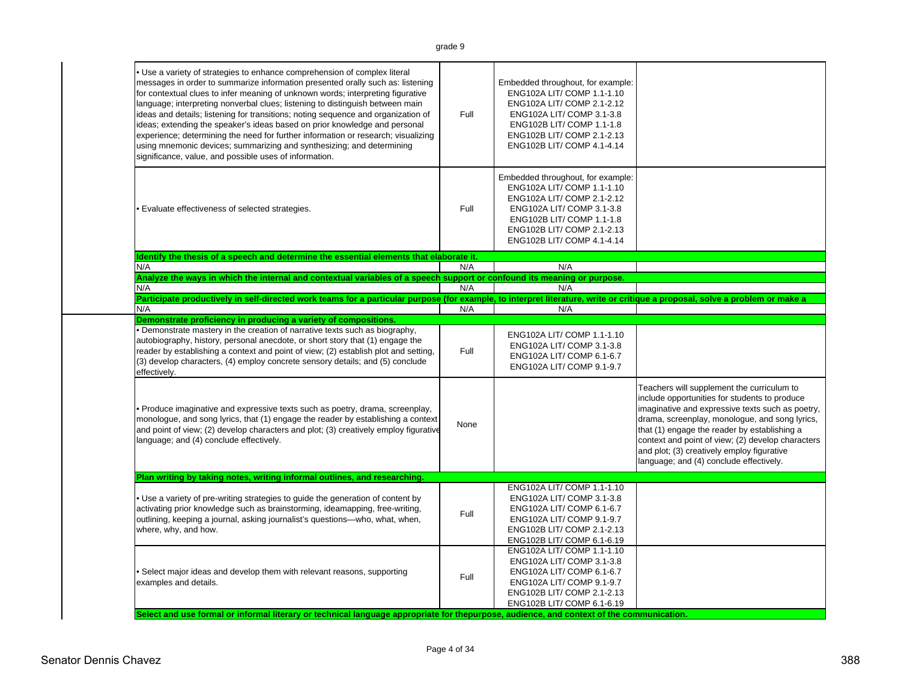| Use a variety of strategies to enhance comprehension of complex literal<br>messages in order to summarize information presented orally such as: listening<br>for contextual clues to infer meaning of unknown words; interpreting figurative<br>language; interpreting nonverbal clues; listening to distinguish between main<br>ideas and details; listening for transitions; noting sequence and organization of<br>ideas; extending the speaker's ideas based on prior knowledge and personal<br>experience; determining the need for further information or research; visualizing<br>using mnemonic devices; summarizing and synthesizing; and determining<br>significance, value, and possible uses of information. | Full | Embedded throughout, for example:<br>ENG102A LIT/ COMP 1.1-1.10<br>ENG102A LIT/ COMP 2.1-2.12<br>ENG102A LIT/ COMP 3.1-3.8<br>ENG102B LIT/ COMP 1.1-1.8<br>ENG102B LIT/ COMP 2.1-2.13<br>ENG102B LIT/ COMP 4.1-4.14 |                                                                                                                                                                                                                                                                                                                                                                                                 |
|--------------------------------------------------------------------------------------------------------------------------------------------------------------------------------------------------------------------------------------------------------------------------------------------------------------------------------------------------------------------------------------------------------------------------------------------------------------------------------------------------------------------------------------------------------------------------------------------------------------------------------------------------------------------------------------------------------------------------|------|---------------------------------------------------------------------------------------------------------------------------------------------------------------------------------------------------------------------|-------------------------------------------------------------------------------------------------------------------------------------------------------------------------------------------------------------------------------------------------------------------------------------------------------------------------------------------------------------------------------------------------|
| Evaluate effectiveness of selected strategies.                                                                                                                                                                                                                                                                                                                                                                                                                                                                                                                                                                                                                                                                           | Full | Embedded throughout, for example:<br>ENG102A LIT/ COMP 1.1-1.10<br>ENG102A LIT/ COMP 2.1-2.12<br>ENG102A LIT/ COMP 3.1-3.8<br>ENG102B LIT/ COMP 1.1-1.8<br>ENG102B LIT/ COMP 2.1-2.13<br>ENG102B LIT/ COMP 4.1-4.14 |                                                                                                                                                                                                                                                                                                                                                                                                 |
| Identify the thesis of a speech and determine the essential elements that elaborate it.                                                                                                                                                                                                                                                                                                                                                                                                                                                                                                                                                                                                                                  |      |                                                                                                                                                                                                                     |                                                                                                                                                                                                                                                                                                                                                                                                 |
| N/A<br>Analyze the ways in which the internal and contextual variables of a speech support or confound its meaning or purpose.                                                                                                                                                                                                                                                                                                                                                                                                                                                                                                                                                                                           | N/A  | N/A                                                                                                                                                                                                                 |                                                                                                                                                                                                                                                                                                                                                                                                 |
| N/A                                                                                                                                                                                                                                                                                                                                                                                                                                                                                                                                                                                                                                                                                                                      | N/A  | N/A                                                                                                                                                                                                                 |                                                                                                                                                                                                                                                                                                                                                                                                 |
| Participate productively in self-directed work teams for a particular purpose (for example, to interpret literature, write or critique a proposal, solve a problem or make a                                                                                                                                                                                                                                                                                                                                                                                                                                                                                                                                             |      |                                                                                                                                                                                                                     |                                                                                                                                                                                                                                                                                                                                                                                                 |
| N/A                                                                                                                                                                                                                                                                                                                                                                                                                                                                                                                                                                                                                                                                                                                      | N/A  | N/A                                                                                                                                                                                                                 |                                                                                                                                                                                                                                                                                                                                                                                                 |
| Demonstrate proficiency in producing a variety of compositions.                                                                                                                                                                                                                                                                                                                                                                                                                                                                                                                                                                                                                                                          |      |                                                                                                                                                                                                                     |                                                                                                                                                                                                                                                                                                                                                                                                 |
| • Demonstrate mastery in the creation of narrative texts such as biography,<br>autobiography, history, personal anecdote, or short story that (1) engage the<br>reader by establishing a context and point of view; (2) establish plot and setting,<br>(3) develop characters, (4) employ concrete sensory details; and (5) conclude<br>effectively.                                                                                                                                                                                                                                                                                                                                                                     | Full | ENG102A LIT/ COMP 1.1-1.10<br>ENG102A LIT/ COMP 3.1-3.8<br>ENG102A LIT/ COMP 6.1-6.7<br>ENG102A LIT/ COMP 9.1-9.7                                                                                                   |                                                                                                                                                                                                                                                                                                                                                                                                 |
| • Produce imaginative and expressive texts such as poetry, drama, screenplay,<br>monologue, and song lyrics, that (1) engage the reader by establishing a context<br>and point of view; (2) develop characters and plot; (3) creatively employ figurative<br>language; and (4) conclude effectively.                                                                                                                                                                                                                                                                                                                                                                                                                     | None |                                                                                                                                                                                                                     | Teachers will supplement the curriculum to<br>include opportunities for students to produce<br>imaginative and expressive texts such as poetry,<br>drama, screenplay, monologue, and song lyrics,<br>that (1) engage the reader by establishing a<br>context and point of view; (2) develop characters<br>and plot; (3) creatively employ figurative<br>language; and (4) conclude effectively. |
| Plan writing by taking notes, writing informal outlines, and researching.                                                                                                                                                                                                                                                                                                                                                                                                                                                                                                                                                                                                                                                |      |                                                                                                                                                                                                                     |                                                                                                                                                                                                                                                                                                                                                                                                 |
| . Use a variety of pre-writing strategies to guide the generation of content by<br>activating prior knowledge such as brainstorming, ideamapping, free-writing,                                                                                                                                                                                                                                                                                                                                                                                                                                                                                                                                                          | Full | ENG102A LIT/ COMP 1.1-1.10<br>ENG102A LIT/ COMP 3.1-3.8<br>ENG102A LIT/ COMP 6.1-6.7<br>ENG102A LIT/ COMP 9.1-9.7                                                                                                   |                                                                                                                                                                                                                                                                                                                                                                                                 |
| outlining, keeping a journal, asking journalist's questions-who, what, when,<br>where, why, and how.                                                                                                                                                                                                                                                                                                                                                                                                                                                                                                                                                                                                                     |      | ENG102B LIT/ COMP 2.1-2.13<br>ENG102B LIT/ COMP 6.1-6.19                                                                                                                                                            |                                                                                                                                                                                                                                                                                                                                                                                                 |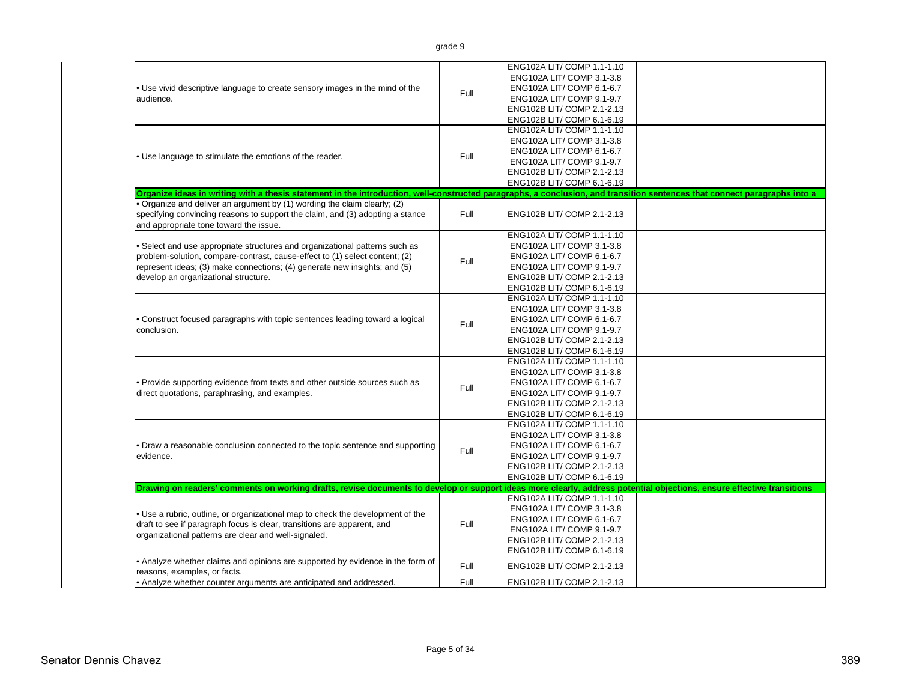|                                                                                                                                                                           |      | ENG102A LIT/ COMP 1.1-1.10 |  |
|---------------------------------------------------------------------------------------------------------------------------------------------------------------------------|------|----------------------------|--|
|                                                                                                                                                                           |      | ENG102A LIT/ COMP 3.1-3.8  |  |
| • Use vivid descriptive language to create sensory images in the mind of the                                                                                              | Full | ENG102A LIT/ COMP 6.1-6.7  |  |
| audience.                                                                                                                                                                 |      | ENG102A LIT/ COMP 9.1-9.7  |  |
|                                                                                                                                                                           |      | ENG102B LIT/ COMP 2.1-2.13 |  |
|                                                                                                                                                                           |      | ENG102B LIT/ COMP 6.1-6.19 |  |
|                                                                                                                                                                           |      | ENG102A LIT/ COMP 1.1-1.10 |  |
|                                                                                                                                                                           |      | ENG102A LIT/ COMP 3.1-3.8  |  |
|                                                                                                                                                                           |      | ENG102A LIT/ COMP 6.1-6.7  |  |
| . Use language to stimulate the emotions of the reader.                                                                                                                   | Full | ENG102A LIT/ COMP 9.1-9.7  |  |
|                                                                                                                                                                           |      | ENG102B LIT/ COMP 2.1-2.13 |  |
|                                                                                                                                                                           |      | ENG102B LIT/ COMP 6.1-6.19 |  |
| Organize ideas in writing with a thesis statement in the introduction, well-constructed paragraphs, a conclusion, and transition sentences that connect paragraphs into a |      |                            |  |
| . Organize and deliver an argument by (1) wording the claim clearly; (2)                                                                                                  |      |                            |  |
| specifying convincing reasons to support the claim, and (3) adopting a stance                                                                                             | Full | ENG102B LIT/ COMP 2.1-2.13 |  |
| and appropriate tone toward the issue.                                                                                                                                    |      |                            |  |
|                                                                                                                                                                           |      | ENG102A LIT/ COMP 1.1-1.10 |  |
| • Select and use appropriate structures and organizational patterns such as                                                                                               |      | ENG102A LIT/ COMP 3.1-3.8  |  |
| problem-solution, compare-contrast, cause-effect to (1) select content; (2)                                                                                               | Full | ENG102A LIT/ COMP 6.1-6.7  |  |
| represent ideas; (3) make connections; (4) generate new insights; and (5)                                                                                                 |      | ENG102A LIT/ COMP 9.1-9.7  |  |
| develop an organizational structure.                                                                                                                                      |      | ENG102B LIT/ COMP 2.1-2.13 |  |
|                                                                                                                                                                           |      | ENG102B LIT/ COMP 6.1-6.19 |  |
|                                                                                                                                                                           |      | ENG102A LIT/ COMP 1.1-1.10 |  |
|                                                                                                                                                                           |      | ENG102A LIT/ COMP 3.1-3.8  |  |
| . Construct focused paragraphs with topic sentences leading toward a logical                                                                                              |      | ENG102A LIT/ COMP 6.1-6.7  |  |
| conclusion.                                                                                                                                                               | Full | ENG102A LIT/ COMP 9.1-9.7  |  |
|                                                                                                                                                                           |      | ENG102B LIT/ COMP 2.1-2.13 |  |
|                                                                                                                                                                           |      | ENG102B LIT/ COMP 6.1-6.19 |  |
|                                                                                                                                                                           |      | ENG102A LIT/ COMP 1.1-1.10 |  |
|                                                                                                                                                                           |      | ENG102A LIT/ COMP 3.1-3.8  |  |
| . Provide supporting evidence from texts and other outside sources such as                                                                                                |      | ENG102A LIT/ COMP 6.1-6.7  |  |
| direct quotations, paraphrasing, and examples.                                                                                                                            | Full | ENG102A LIT/ COMP 9.1-9.7  |  |
|                                                                                                                                                                           |      | ENG102B LIT/ COMP 2.1-2.13 |  |
|                                                                                                                                                                           |      | ENG102B LIT/ COMP 6.1-6.19 |  |
|                                                                                                                                                                           |      | ENG102A LIT/ COMP 1.1-1.10 |  |
|                                                                                                                                                                           |      | ENG102A LIT/ COMP 3.1-3.8  |  |
| • Draw a reasonable conclusion connected to the topic sentence and supporting                                                                                             |      | ENG102A LIT/ COMP 6.1-6.7  |  |
| evidence.                                                                                                                                                                 | Full | ENG102A LIT/ COMP 9.1-9.7  |  |
|                                                                                                                                                                           |      | ENG102B LIT/ COMP 2.1-2.13 |  |
|                                                                                                                                                                           |      | ENG102B LIT/ COMP 6.1-6.19 |  |
| Drawing on readers' comments on working drafts, revise documents to develop or support ideas more clearly, address potential objections, ensure effective transitions     |      |                            |  |
|                                                                                                                                                                           |      | ENG102A LIT/ COMP 1.1-1.10 |  |
|                                                                                                                                                                           |      | ENG102A LIT/ COMP 3.1-3.8  |  |
| . Use a rubric, outline, or organizational map to check the development of the                                                                                            |      | ENG102A LIT/ COMP 6.1-6.7  |  |
| draft to see if paragraph focus is clear, transitions are apparent, and                                                                                                   | Full | ENG102A LIT/ COMP 9.1-9.7  |  |
| organizational patterns are clear and well-signaled.                                                                                                                      |      | ENG102B LIT/ COMP 2.1-2.13 |  |
|                                                                                                                                                                           |      | ENG102B LIT/ COMP 6.1-6.19 |  |
| • Analyze whether claims and opinions are supported by evidence in the form of                                                                                            |      |                            |  |
| reasons, examples, or facts.                                                                                                                                              | Full | ENG102B LIT/ COMP 2.1-2.13 |  |
| • Analyze whether counter arguments are anticipated and addressed.                                                                                                        | Full | ENG102B LIT/ COMP 2.1-2.13 |  |

• Analyze whether counter arguments are anticipated and addressed.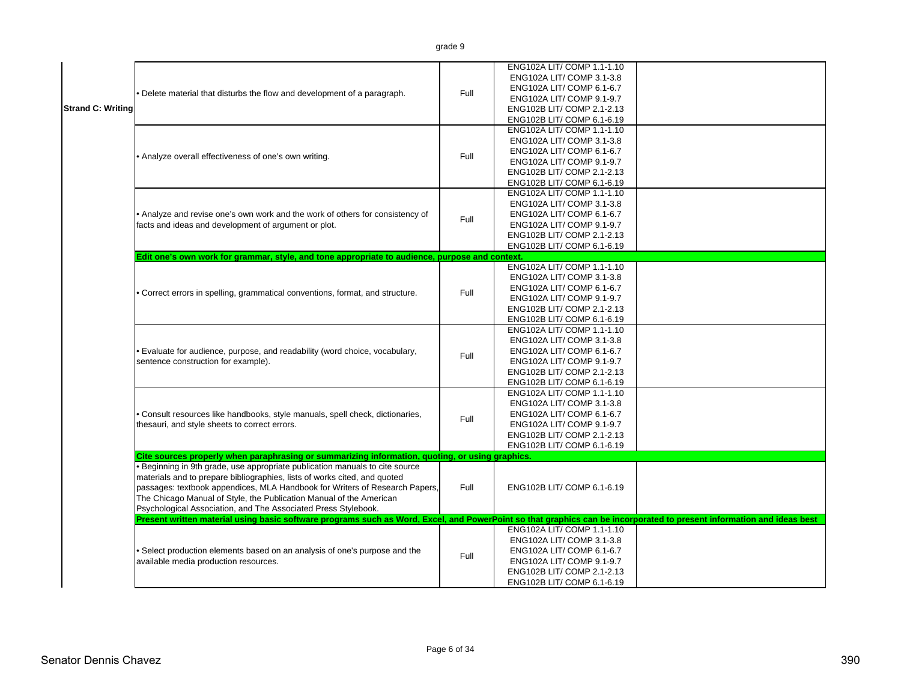| <b>Strand C: Writing</b> | • Delete material that disturbs the flow and development of a paragraph.<br>• Analyze overall effectiveness of one's own writing.                                                                                                                                                                                                                                                                                                                                                    | Full<br>Full | ENG102A LIT/ COMP 1.1-1.10<br>ENG102A LIT/ COMP 3.1-3.8<br>ENG102A LIT/ COMP 6.1-6.7<br>ENG102A LIT/ COMP 9.1-9.7<br>ENG102B LIT/ COMP 2.1-2.13<br>ENG102B LIT/ COMP 6.1-6.19<br>ENG102A LIT/ COMP 1.1-1.10<br>ENG102A LIT/ COMP 3.1-3.8<br>ENG102A LIT/ COMP 6.1-6.7<br>ENG102A LIT/ COMP 9.1-9.7<br>ENG102B LIT/ COMP 2.1-2.13<br>ENG102B LIT/ COMP 6.1-6.19 |  |
|--------------------------|--------------------------------------------------------------------------------------------------------------------------------------------------------------------------------------------------------------------------------------------------------------------------------------------------------------------------------------------------------------------------------------------------------------------------------------------------------------------------------------|--------------|----------------------------------------------------------------------------------------------------------------------------------------------------------------------------------------------------------------------------------------------------------------------------------------------------------------------------------------------------------------|--|
|                          | . Analyze and revise one's own work and the work of others for consistency of<br>facts and ideas and development of argument or plot.                                                                                                                                                                                                                                                                                                                                                | Full         | ENG102A LIT/ COMP 1.1-1.10<br>ENG102A LIT/ COMP 3.1-3.8<br>ENG102A LIT/ COMP 6.1-6.7<br>ENG102A LIT/ COMP 9.1-9.7<br>ENG102B LIT/ COMP 2.1-2.13<br>ENG102B LIT/ COMP 6.1-6.19                                                                                                                                                                                  |  |
|                          | Edit one's own work for grammar, style, and tone appropriate to audience, purpose and context.                                                                                                                                                                                                                                                                                                                                                                                       |              |                                                                                                                                                                                                                                                                                                                                                                |  |
|                          | • Correct errors in spelling, grammatical conventions, format, and structure.                                                                                                                                                                                                                                                                                                                                                                                                        | Full         | ENG102A LIT/ COMP 1.1-1.10<br>ENG102A LIT/ COMP 3.1-3.8<br>ENG102A LIT/ COMP 6.1-6.7<br>ENG102A LIT/ COMP 9.1-9.7<br>ENG102B LIT/ COMP 2.1-2.13<br>ENG102B LIT/ COMP 6.1-6.19                                                                                                                                                                                  |  |
|                          | • Evaluate for audience, purpose, and readability (word choice, vocabulary,<br>sentence construction for example).                                                                                                                                                                                                                                                                                                                                                                   | Full         | ENG102A LIT/ COMP 1.1-1.10<br>ENG102A LIT/ COMP 3.1-3.8<br>ENG102A LIT/ COMP 6.1-6.7<br>ENG102A LIT/ COMP 9.1-9.7<br>ENG102B LIT/ COMP 2.1-2.13<br>ENG102B LIT/ COMP 6.1-6.19                                                                                                                                                                                  |  |
|                          | · Consult resources like handbooks, style manuals, spell check, dictionaries,<br>thesauri, and style sheets to correct errors.                                                                                                                                                                                                                                                                                                                                                       | Full         | ENG102A LIT/ COMP 1.1-1.10<br>ENG102A LIT/ COMP 3.1-3.8<br>ENG102A LIT/ COMP 6.1-6.7<br>ENG102A LIT/ COMP 9.1-9.7<br>ENG102B LIT/ COMP 2.1-2.13<br>ENG102B LIT/ COMP 6.1-6.19                                                                                                                                                                                  |  |
|                          | Cite sources properly when paraphrasing or summarizing information, quoting, or using graphics.<br>· Beginning in 9th grade, use appropriate publication manuals to cite source<br>materials and to prepare bibliographies, lists of works cited, and quoted<br>passages: textbook appendices, MLA Handbook for Writers of Research Papers,<br>The Chicago Manual of Style, the Publication Manual of the American<br>Psychological Association, and The Associated Press Stylebook. | Full         | ENG102B LIT/ COMP 6.1-6.19                                                                                                                                                                                                                                                                                                                                     |  |
|                          | Present written material using basic software programs such as Word, Excel, and PowerPoint so that graphics can be incorporated to present information and ideas best<br>· Select production elements based on an analysis of one's purpose and the<br>available media production resources.                                                                                                                                                                                         | Full         | ENG102A LIT/ COMP 1.1-1.10<br>ENG102A LIT/ COMP 3.1-3.8<br>ENG102A LIT/ COMP 6.1-6.7<br>ENG102A LIT/ COMP 9.1-9.7<br>ENG102B LIT/ COMP 2.1-2.13<br>ENG102B LIT/ COMP 6.1-6.19                                                                                                                                                                                  |  |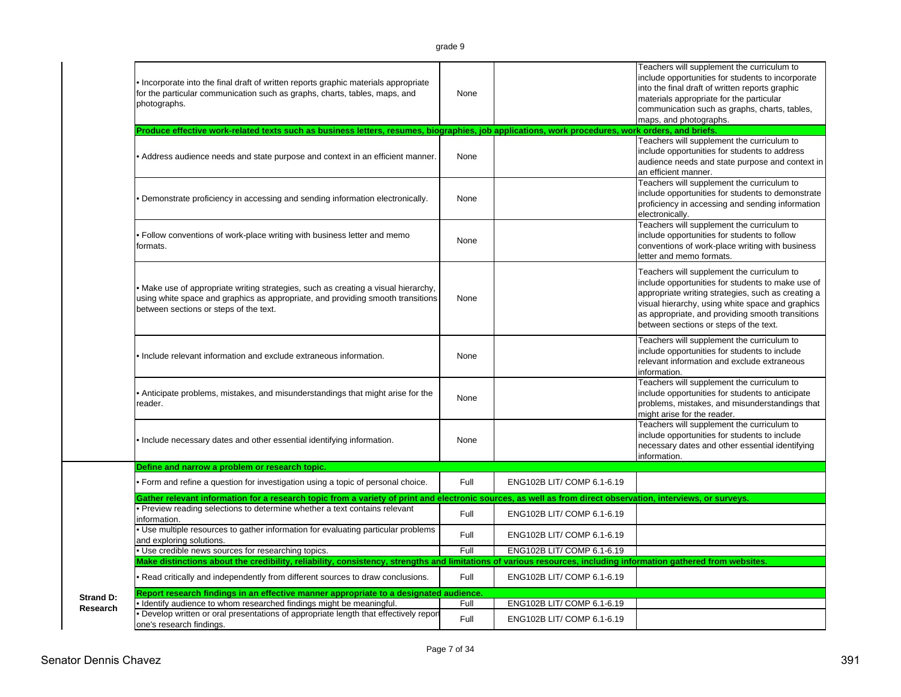| ∽<br>г<br>ıŁ<br>aг |  |
|--------------------|--|
|--------------------|--|

|           | Incorporate into the final draft of written reports graphic materials appropriate<br>for the particular communication such as graphs, charts, tables, maps, and<br>photographs.                                 | None |                            | Teachers will supplement the curriculum to<br>include opportunities for students to incorporate<br>into the final draft of written reports graphic<br>materials appropriate for the particular<br>communication such as graphs, charts, tables,<br>maps, and photographs.                               |
|-----------|-----------------------------------------------------------------------------------------------------------------------------------------------------------------------------------------------------------------|------|----------------------------|---------------------------------------------------------------------------------------------------------------------------------------------------------------------------------------------------------------------------------------------------------------------------------------------------------|
|           | Produce effective work-related texts such as business letters, resumes, biographies, job applications, work procedures, work orders, and briefs.                                                                |      |                            |                                                                                                                                                                                                                                                                                                         |
|           | • Address audience needs and state purpose and context in an efficient manner.                                                                                                                                  | None |                            | Teachers will supplement the curriculum to<br>include opportunities for students to address<br>audience needs and state purpose and context in<br>an efficient manner.                                                                                                                                  |
|           | Demonstrate proficiency in accessing and sending information electronically.                                                                                                                                    | None |                            | Teachers will supplement the curriculum to<br>include opportunities for students to demonstrate<br>proficiency in accessing and sending information<br>electronically.                                                                                                                                  |
|           | • Follow conventions of work-place writing with business letter and memo<br>formats.                                                                                                                            | None |                            | Teachers will supplement the curriculum to<br>include opportunities for students to follow<br>conventions of work-place writing with business<br>letter and memo formats.                                                                                                                               |
|           | • Make use of appropriate writing strategies, such as creating a visual hierarchy,<br>using white space and graphics as appropriate, and providing smooth transitions<br>between sections or steps of the text. | None |                            | Teachers will supplement the curriculum to<br>include opportunities for students to make use of<br>appropriate writing strategies, such as creating a<br>visual hierarchy, using white space and graphics<br>as appropriate, and providing smooth transitions<br>between sections or steps of the text. |
|           | Include relevant information and exclude extraneous information.                                                                                                                                                | None |                            | Teachers will supplement the curriculum to<br>include opportunities for students to include<br>relevant information and exclude extraneous<br>information.                                                                                                                                              |
|           | • Anticipate problems, mistakes, and misunderstandings that might arise for the<br>reader.                                                                                                                      | None |                            | Teachers will supplement the curriculum to<br>include opportunities for students to anticipate<br>problems, mistakes, and misunderstandings that<br>might arise for the reader.                                                                                                                         |
|           | . Include necessary dates and other essential identifying information.                                                                                                                                          | None |                            | Teachers will supplement the curriculum to<br>include opportunities for students to include<br>necessary dates and other essential identifying<br>information.                                                                                                                                          |
|           | Define and narrow a problem or research topic.                                                                                                                                                                  |      |                            |                                                                                                                                                                                                                                                                                                         |
|           | • Form and refine a question for investigation using a topic of personal choice.                                                                                                                                | Full | ENG102B LIT/ COMP 6.1-6.19 |                                                                                                                                                                                                                                                                                                         |
|           | Gather relevant information for a research topic from a variety of print and electronic sources, as well as from direct observation, interviews, or surveys.                                                    |      |                            |                                                                                                                                                                                                                                                                                                         |
|           | Preview reading selections to determine whether a text contains relevant<br>information.                                                                                                                        | Full | ENG102B LIT/ COMP 6.1-6.19 |                                                                                                                                                                                                                                                                                                         |
|           | Use multiple resources to gather information for evaluating particular problems<br>and exploring solutions.                                                                                                     | Full | ENG102B LIT/ COMP 6.1-6.19 |                                                                                                                                                                                                                                                                                                         |
|           | · Use credible news sources for researching topics.                                                                                                                                                             | Full | ENG102B LIT/ COMP 6.1-6.19 |                                                                                                                                                                                                                                                                                                         |
|           | Make distinctions about the credibility, reliability, consistency, strengths and limitations of various resources, including information gathered from websites                                                 |      |                            |                                                                                                                                                                                                                                                                                                         |
|           | Read critically and independently from different sources to draw conclusions.                                                                                                                                   | Full | ENG102B LIT/ COMP 6.1-6.19 |                                                                                                                                                                                                                                                                                                         |
| Strand D: | Report research findings in an effective manner appropriate to a designated audience.                                                                                                                           |      |                            |                                                                                                                                                                                                                                                                                                         |
| Research  | Identify audience to whom researched findings might be meaningful.                                                                                                                                              | Full | ENG102B LIT/ COMP 6.1-6.19 |                                                                                                                                                                                                                                                                                                         |
|           | Develop written or oral presentations of appropriate length that effectively report<br>one's research findings.                                                                                                 | Full | ENG102B LIT/ COMP 6.1-6.19 |                                                                                                                                                                                                                                                                                                         |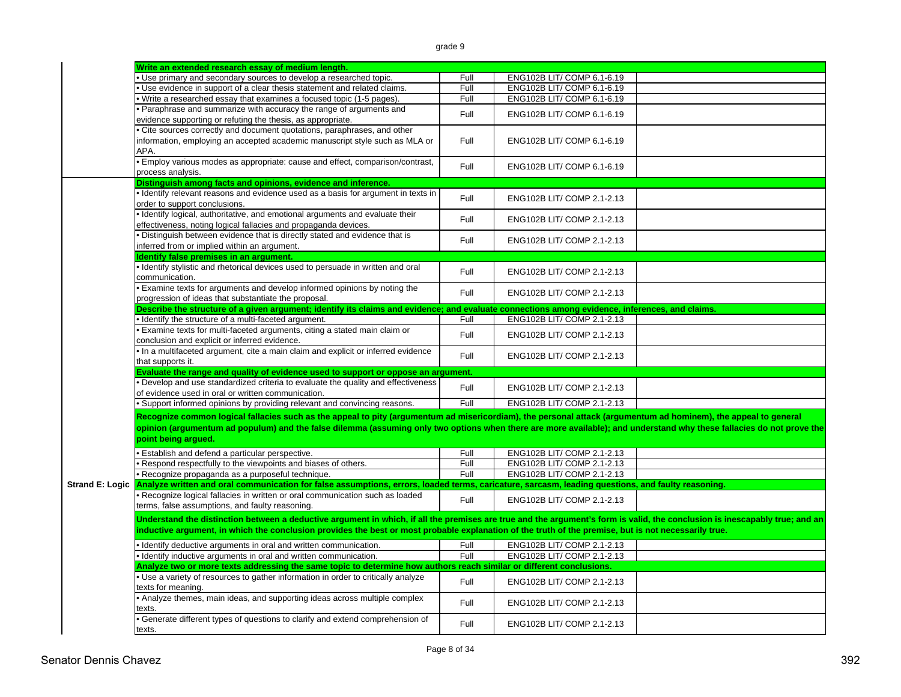|                        | Write an extended research essay of medium length.                                                                                                                                          |      |                            |  |
|------------------------|---------------------------------------------------------------------------------------------------------------------------------------------------------------------------------------------|------|----------------------------|--|
|                        | . Use primary and secondary sources to develop a researched topic.                                                                                                                          | Full | ENG102B LIT/ COMP 6.1-6.19 |  |
|                        | Use evidence in support of a clear thesis statement and related claims.                                                                                                                     | Full | ENG102B LIT/ COMP 6.1-6.19 |  |
|                        | Write a researched essay that examines a focused topic (1-5 pages).                                                                                                                         | Full | ENG102B LIT/ COMP 6.1-6.19 |  |
|                        | Paraphrase and summarize with accuracy the range of arguments and                                                                                                                           | Full | ENG102B LIT/ COMP 6.1-6.19 |  |
|                        | evidence supporting or refuting the thesis, as appropriate.                                                                                                                                 |      |                            |  |
|                        | Cite sources correctly and document quotations, paraphrases, and other                                                                                                                      |      |                            |  |
|                        | information, employing an accepted academic manuscript style such as MLA or                                                                                                                 | Full | ENG102B LIT/ COMP 6.1-6.19 |  |
|                        | APA.                                                                                                                                                                                        |      |                            |  |
|                        | · Employ various modes as appropriate: cause and effect, comparison/contrast,                                                                                                               | Full | ENG102B LIT/ COMP 6.1-6.19 |  |
|                        | process analysis.                                                                                                                                                                           |      |                            |  |
|                        | Distinguish among facts and opinions, evidence and inference.                                                                                                                               |      |                            |  |
|                        | · Identify relevant reasons and evidence used as a basis for argument in texts in                                                                                                           | Full | ENG102B LIT/ COMP 2.1-2.13 |  |
|                        | order to support conclusions.                                                                                                                                                               |      |                            |  |
|                        | · Identify logical, authoritative, and emotional arguments and evaluate their                                                                                                               | Full | ENG102B LIT/ COMP 2.1-2.13 |  |
|                        | effectiveness, noting logical fallacies and propaganda devices.                                                                                                                             |      |                            |  |
|                        | Distinguish between evidence that is directly stated and evidence that is<br>inferred from or implied within an argument.                                                                   | Full | ENG102B LIT/ COMP 2.1-2.13 |  |
|                        | dentify false premises in an argument.                                                                                                                                                      |      |                            |  |
|                        | · Identify stylistic and rhetorical devices used to persuade in written and oral                                                                                                            |      |                            |  |
|                        | communication.                                                                                                                                                                              | Full | ENG102B LIT/ COMP 2.1-2.13 |  |
|                        | Examine texts for arguments and develop informed opinions by noting the<br>progression of ideas that substantiate the proposal.                                                             | Full | ENG102B LIT/ COMP 2.1-2.13 |  |
|                        | Describe the structure of a given argument; identify its claims and evidence; and evaluate connections among evidence, inferences, and claims.                                              |      |                            |  |
|                        | · Identify the structure of a multi-faceted argument.                                                                                                                                       | Full | ENG102B LIT/ COMP 2.1-2.13 |  |
|                        | Examine texts for multi-faceted arguments, citing a stated main claim or<br>conclusion and explicit or inferred evidence.                                                                   | Full | ENG102B LIT/ COMP 2.1-2.13 |  |
|                        | In a multifaceted argument, cite a main claim and explicit or inferred evidence                                                                                                             | Full | ENG102B LIT/ COMP 2.1-2.13 |  |
|                        | that supports it.                                                                                                                                                                           |      |                            |  |
|                        | Evaluate the range and quality of evidence used to support or oppose an argument.                                                                                                           |      |                            |  |
|                        | Develop and use standardized criteria to evaluate the quality and effectiveness                                                                                                             | Full | ENG102B LIT/ COMP 2.1-2.13 |  |
|                        | of evidence used in oral or written communication.                                                                                                                                          | Full |                            |  |
|                        | · Support informed opinions by providing relevant and convincing reasons.                                                                                                                   |      | ENG102B LIT/ COMP 2.1-2.13 |  |
|                        | Recognize common logical fallacies such as the appeal to pity (argumentum ad misericordiam), the personal attack (argumentum ad hominem), the appeal to general                             |      |                            |  |
|                        | opinion (argumentum ad populum) and the false dilemma (assuming only two options when there are more available); and understand why these fallacies do not prove the<br>point being argued. |      |                            |  |
|                        | Establish and defend a particular perspective.                                                                                                                                              | Full | ENG102B LIT/ COMP 2.1-2.13 |  |
|                        | Respond respectfully to the viewpoints and biases of others.                                                                                                                                | Full | ENG102B LIT/ COMP 2.1-2.13 |  |
|                        | · Recognize propaganda as a purposeful technique.                                                                                                                                           | Full | ENG102B LIT/ COMP 2.1-2.13 |  |
| <b>Strand E: Logic</b> | Analyze written and oral communication for false assumptions, errors, loaded terms, caricature, sarcasm, leading questions, and faulty reasoning.                                           |      |                            |  |
|                        | • Recognize logical fallacies in written or oral communication such as loaded                                                                                                               |      |                            |  |
|                        | terms, false assumptions, and faulty reasoning.                                                                                                                                             | Full | ENG102B LIT/ COMP 2.1-2.13 |  |
|                        | Understand the distinction between a deductive argument in which, if all the premises are true and the argument's form is valid, the conclusion is inescapably true; and an                 |      |                            |  |
|                        | inductive argument, in which the conclusion provides the best or most probable explanation of the truth of the premise, but is not necessarily true.                                        |      |                            |  |
|                        | · Identify deductive arguments in oral and written communication.                                                                                                                           | Full | ENG102B LIT/ COMP 2.1-2.13 |  |
|                        | · Identify inductive arguments in oral and written communication.                                                                                                                           | Full | ENG102B LIT/ COMP 2.1-2.13 |  |
|                        | Analyze two or more texts addressing the same topic to determine how authors reach similar or different conclusions.                                                                        |      |                            |  |
|                        | Use a variety of resources to gather information in order to critically analyze                                                                                                             |      |                            |  |
|                        | texts for meaning.                                                                                                                                                                          | Full | ENG102B LIT/ COMP 2.1-2.13 |  |
|                        | • Analyze themes, main ideas, and supporting ideas across multiple complex<br>texts.                                                                                                        | Full | ENG102B LIT/ COMP 2.1-2.13 |  |
|                        | Generate different types of questions to clarify and extend comprehension of<br>texts.                                                                                                      | Full | ENG102B LIT/ COMP 2.1-2.13 |  |
|                        |                                                                                                                                                                                             |      |                            |  |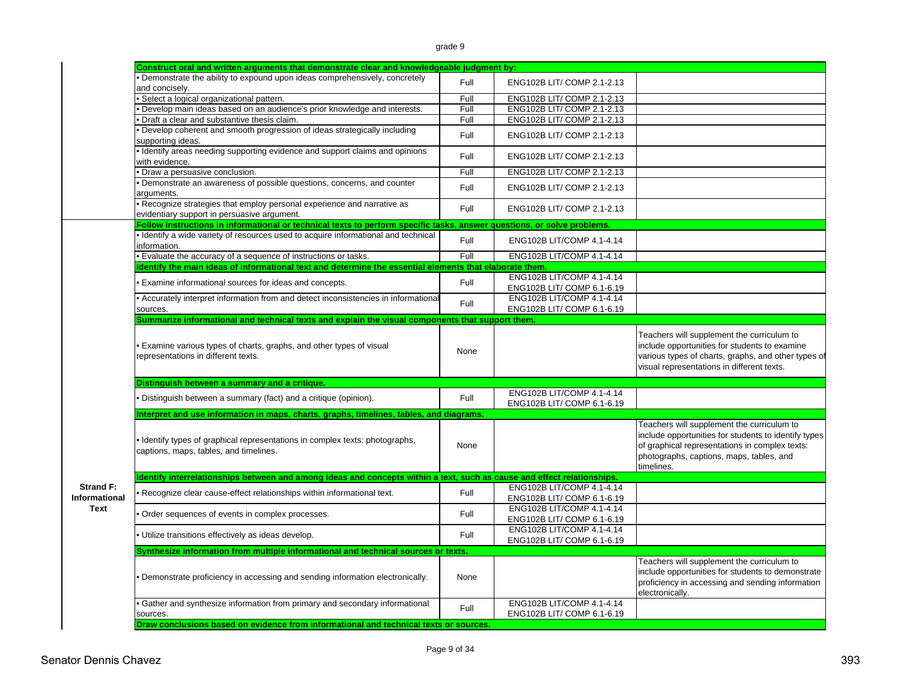grade 9

|                                          | Construct oral and written arguments that demonstrate clear and knowledgeable judgment by:                              |      |                                                         |                                                                                                                                                                                                                |
|------------------------------------------|-------------------------------------------------------------------------------------------------------------------------|------|---------------------------------------------------------|----------------------------------------------------------------------------------------------------------------------------------------------------------------------------------------------------------------|
|                                          | Demonstrate the ability to expound upon ideas comprehensively, concretely<br>and concisely.                             | Full | ENG102B LIT/ COMP 2.1-2.13                              |                                                                                                                                                                                                                |
|                                          | Select a logical organizational pattern.                                                                                | Full | ENG102B LIT/ COMP 2.1-2.13                              |                                                                                                                                                                                                                |
|                                          | Develop main ideas based on an audience's prior knowledge and interests.                                                | Full | ENG102B LIT/ COMP 2.1-2.13                              |                                                                                                                                                                                                                |
|                                          | Draft a clear and substantive thesis claim.                                                                             | Full | ENG102B LIT/ COMP 2.1-2.13                              |                                                                                                                                                                                                                |
|                                          | Develop coherent and smooth progression of ideas strategically including<br>supporting ideas.                           | Full | ENG102B LIT/ COMP 2.1-2.13                              |                                                                                                                                                                                                                |
|                                          | I dentify areas needing supporting evidence and support claims and opinions<br>with evidence.                           | Full | ENG102B LIT/ COMP 2.1-2.13                              |                                                                                                                                                                                                                |
|                                          | Draw a persuasive conclusion.                                                                                           | Full | ENG102B LIT/ COMP 2.1-2.13                              |                                                                                                                                                                                                                |
|                                          | Demonstrate an awareness of possible questions, concerns, and counter<br>arguments.                                     | Full | ENG102B LIT/ COMP 2.1-2.13                              |                                                                                                                                                                                                                |
|                                          | Recognize strategies that employ personal experience and narrative as<br>evidentiary support in persuasive argument.    | Full | ENG102B LIT/ COMP 2.1-2.13                              |                                                                                                                                                                                                                |
|                                          | Follow instructions in informational or technical texts to perform specific tasks, answer questions, or solve problems. |      |                                                         |                                                                                                                                                                                                                |
|                                          | Identify a wide variety of resources used to acquire informational and technical<br>information.                        | Full | ENG102B LIT/COMP 4.1-4.14                               |                                                                                                                                                                                                                |
|                                          | · Evaluate the accuracy of a sequence of instructions or tasks.                                                         | Full | ENG102B LIT/COMP 4.1-4.14                               |                                                                                                                                                                                                                |
|                                          | Identify the main ideas of informational text and determine the essential elements that elaborate them.                 |      |                                                         |                                                                                                                                                                                                                |
|                                          | Examine informational sources for ideas and concepts.                                                                   | Full | ENG102B LIT/COMP 4.1-4.14<br>ENG102B LIT/ COMP 6.1-6.19 |                                                                                                                                                                                                                |
|                                          | Accurately interpret information from and detect inconsistencies in informational<br>sources.                           | Full | ENG102B LIT/COMP 4.1-4.14<br>ENG102B LIT/ COMP 6.1-6.19 |                                                                                                                                                                                                                |
|                                          | Summarize informational and technical texts and explain the visual components that support them.                        |      |                                                         |                                                                                                                                                                                                                |
|                                          | Examine various types of charts, graphs, and other types of visual<br>representations in different texts.               | None |                                                         | Teachers will supplement the curriculum to<br>include opportunities for students to examine<br>various types of charts, graphs, and other types of<br>visual representations in different texts.               |
|                                          | Distinguish between a summary and a critique.                                                                           |      |                                                         |                                                                                                                                                                                                                |
|                                          | Distinguish between a summary (fact) and a critique (opinion).                                                          | Full | ENG102B LIT/COMP 4.1-4.14<br>ENG102B LIT/ COMP 6.1-6.19 |                                                                                                                                                                                                                |
|                                          | Interpret and use information in maps, charts, graphs, timelines, tables, and diagrams.                                 |      |                                                         |                                                                                                                                                                                                                |
|                                          | Identify types of graphical representations in complex texts: photographs,<br>captions, maps, tables, and timelines.    | None |                                                         | Teachers will supplement the curriculum to<br>include opportunities for students to identify types<br>of graphical representations in complex texts:<br>photographs, captions, maps, tables, and<br>timelines. |
|                                          | Identify interrelationships between and among ideas and concepts within a text, such as cause and effect relationships. |      |                                                         |                                                                                                                                                                                                                |
| <b>Strand F:</b><br><b>Informational</b> | Recognize clear cause-effect relationships within informational text.                                                   | Full | ENG102B LIT/COMP 4.1-4.14<br>ENG102B LIT/ COMP 6.1-6.19 |                                                                                                                                                                                                                |
| <b>Text</b>                              | Order sequences of events in complex processes.                                                                         | Full | ENG102B LIT/COMP 4.1-4.14<br>ENG102B LIT/ COMP 6.1-6.19 |                                                                                                                                                                                                                |
|                                          | Utilize transitions effectively as ideas develop.                                                                       | Full | ENG102B LIT/COMP 4.1-4.14<br>ENG102B LIT/ COMP 6.1-6.19 |                                                                                                                                                                                                                |
|                                          | Synthesize information from multiple informational and technical sources or texts.                                      |      |                                                         |                                                                                                                                                                                                                |
|                                          | Demonstrate proficiency in accessing and sending information electronically.                                            | None |                                                         | Teachers will supplement the curriculum to<br>include opportunities for students to demonstrate<br>proficiency in accessing and sending information<br>electronically.                                         |
|                                          | Gather and synthesize information from primary and secondary informational<br>sources.                                  | Full | ENG102B LIT/COMP 4.1-4.14<br>ENG102B LIT/ COMP 6.1-6.19 |                                                                                                                                                                                                                |
|                                          | Draw conclusions based on evidence from informational and technical texts or sources.                                   |      |                                                         |                                                                                                                                                                                                                |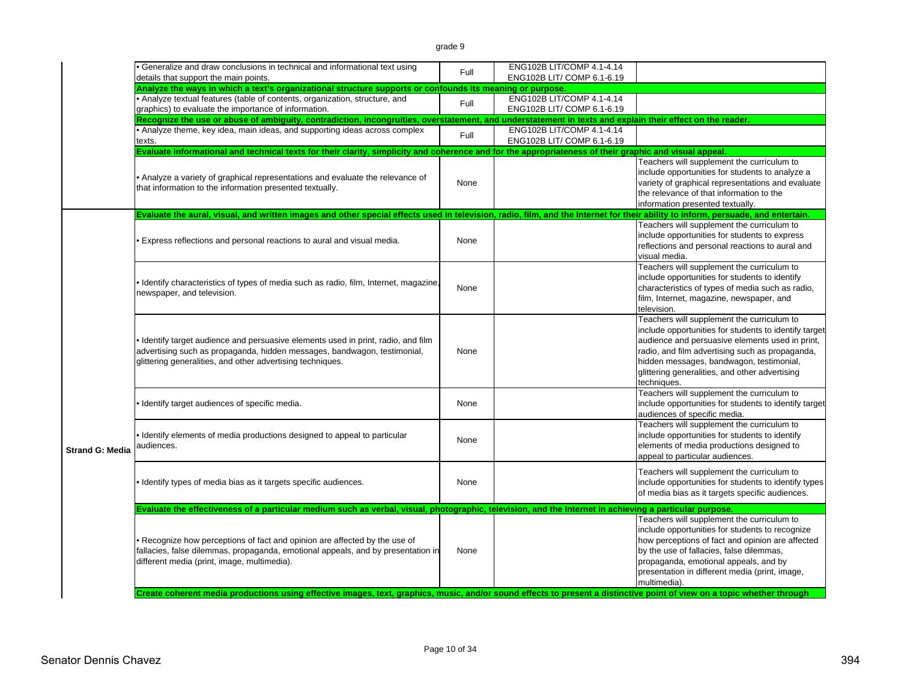|                        | • Generalize and draw conclusions in technical and informational text using<br>details that support the main points.                                                                                                        | Full | ENG102B LIT/COMP 4.1-4.14<br>ENG102B LIT/ COMP 6.1-6.19 |                                                                                                                                                                                                                                                                                                                        |
|------------------------|-----------------------------------------------------------------------------------------------------------------------------------------------------------------------------------------------------------------------------|------|---------------------------------------------------------|------------------------------------------------------------------------------------------------------------------------------------------------------------------------------------------------------------------------------------------------------------------------------------------------------------------------|
|                        | Analyze the ways in which a text's organizational structure supports or confounds its meaning or purpose.                                                                                                                   |      |                                                         |                                                                                                                                                                                                                                                                                                                        |
|                        | • Analyze textual features (table of contents, organization, structure, and<br>graphics) to evaluate the importance of information.                                                                                         | Full | ENG102B LIT/COMP 4.1-4.14<br>ENG102B LIT/ COMP 6.1-6.19 |                                                                                                                                                                                                                                                                                                                        |
|                        | Recognize the use or abuse of ambiguity, contradiction, incongruities, overstatement, and understatement in texts and explain their effect on the reader.                                                                   |      |                                                         |                                                                                                                                                                                                                                                                                                                        |
|                        | • Analyze theme, key idea, main ideas, and supporting ideas across complex<br>texts.                                                                                                                                        | Full | ENG102B LIT/COMP 4.1-4.14<br>ENG102B LIT/ COMP 6.1-6.19 |                                                                                                                                                                                                                                                                                                                        |
|                        | Evaluate informational and technical texts for their clarity, simplicity and coherence and for the appropriateness of their graphic and visual appeal.                                                                      |      |                                                         |                                                                                                                                                                                                                                                                                                                        |
|                        | • Analyze a variety of graphical representations and evaluate the relevance of<br>that information to the information presented textually.                                                                                  | None |                                                         | Teachers will supplement the curriculum to<br>include opportunities for students to analyze a<br>variety of graphical representations and evaluate<br>the relevance of that information to the<br>information presented textually.                                                                                     |
|                        | Evaluate the aural, visual, and written images and other special effects used in television, radio, film, and the Internet for their ability to inform, persuade, and entertain.                                            |      |                                                         |                                                                                                                                                                                                                                                                                                                        |
|                        | Express reflections and personal reactions to aural and visual media.                                                                                                                                                       | None |                                                         | Teachers will supplement the curriculum to<br>include opportunities for students to express<br>reflections and personal reactions to aural and<br>visual media.                                                                                                                                                        |
|                        | • Identify characteristics of types of media such as radio, film, Internet, magazine,<br>newspaper, and television.                                                                                                         | None |                                                         | Teachers will supplement the curriculum to<br>include opportunities for students to identify<br>characteristics of types of media such as radio,<br>film, Internet, magazine, newspaper, and<br>television.                                                                                                            |
|                        | . Identify target audience and persuasive elements used in print, radio, and film<br>advertising such as propaganda, hidden messages, bandwagon, testimonial,<br>glittering generalities, and other advertising techniques. | None |                                                         | Teachers will supplement the curriculum to<br>include opportunities for students to identify target<br>audience and persuasive elements used in print,<br>radio, and film advertising such as propaganda,<br>hidden messages, bandwagon, testimonial,<br>glittering generalities, and other advertising<br>techniques. |
|                        | . Identify target audiences of specific media.                                                                                                                                                                              | None |                                                         | Teachers will supplement the curriculum to<br>include opportunities for students to identify target<br>audiences of specific media.                                                                                                                                                                                    |
| <b>Strand G: Media</b> | . Identify elements of media productions designed to appeal to particular<br>audiences.                                                                                                                                     | None |                                                         | Teachers will supplement the curriculum to<br>include opportunities for students to identify<br>elements of media productions designed to<br>appeal to particular audiences.                                                                                                                                           |
|                        | . Identify types of media bias as it targets specific audiences.                                                                                                                                                            | None |                                                         | Teachers will supplement the curriculum to<br>include opportunities for students to identify types<br>of media bias as it targets specific audiences.                                                                                                                                                                  |
|                        | Evaluate the effectiveness of a particular medium such as verbal, visual, photographic, television, and the Internet in achieving a particular purpose.                                                                     |      |                                                         |                                                                                                                                                                                                                                                                                                                        |
|                        | • Recognize how perceptions of fact and opinion are affected by the use of<br>fallacies, false dilemmas, propaganda, emotional appeals, and by presentation in<br>different media (print, image, multimedia).               | None |                                                         | Teachers will supplement the curriculum to<br>include opportunities for students to recognize<br>how perceptions of fact and opinion are affected<br>by the use of fallacies, false dilemmas,<br>propaganda, emotional appeals, and by<br>presentation in different media (print, image,<br>multimedia).               |
|                        | Create coherent media productions using effective images, text, graphics, music, and/or sound effects to present a distinctive point of view on a topic whether through                                                     |      |                                                         |                                                                                                                                                                                                                                                                                                                        |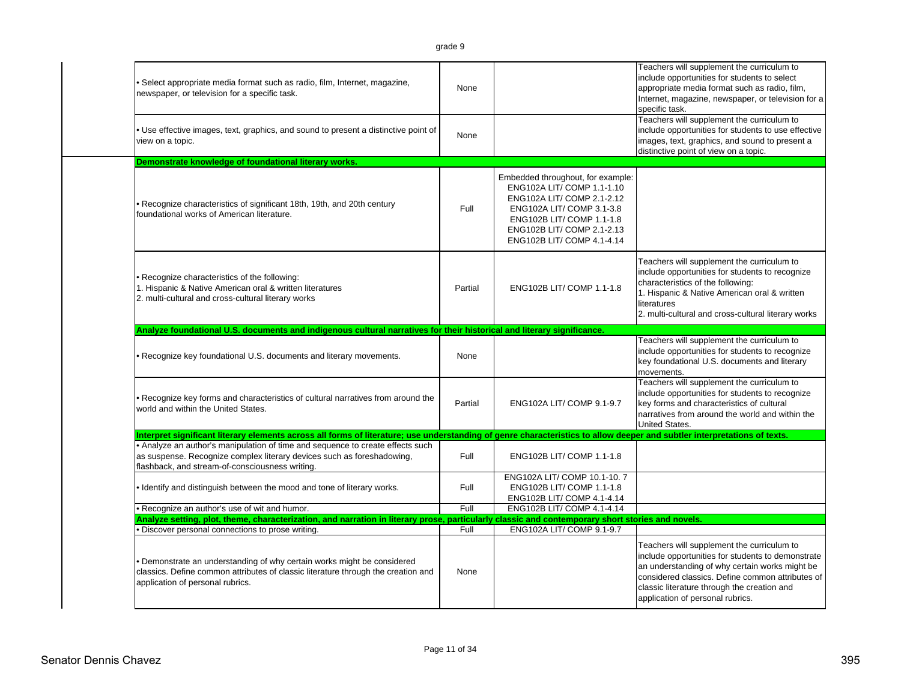|                                                                                                                                                                                                                                                            |         |                                                          | Teachers will supplement the curriculum to<br>include opportunities for students to select            |
|------------------------------------------------------------------------------------------------------------------------------------------------------------------------------------------------------------------------------------------------------------|---------|----------------------------------------------------------|-------------------------------------------------------------------------------------------------------|
| Select appropriate media format such as radio, film, Internet, magazine,                                                                                                                                                                                   | None    |                                                          | appropriate media format such as radio, film,                                                         |
| newspaper, or television for a specific task.                                                                                                                                                                                                              |         |                                                          | Internet, magazine, newspaper, or television for a                                                    |
|                                                                                                                                                                                                                                                            |         |                                                          | specific task.                                                                                        |
|                                                                                                                                                                                                                                                            |         |                                                          | Teachers will supplement the curriculum to                                                            |
| • Use effective images, text, graphics, and sound to present a distinctive point of<br>view on a topic.                                                                                                                                                    | None    |                                                          | include opportunities for students to use effective<br>images, text, graphics, and sound to present a |
|                                                                                                                                                                                                                                                            |         |                                                          | distinctive point of view on a topic.                                                                 |
| Demonstrate knowledge of foundational literary works.                                                                                                                                                                                                      |         |                                                          |                                                                                                       |
|                                                                                                                                                                                                                                                            |         | Embedded throughout, for example:                        |                                                                                                       |
|                                                                                                                                                                                                                                                            |         | ENG102A LIT/ COMP 1.1-1.10                               |                                                                                                       |
| • Recognize characteristics of significant 18th, 19th, and 20th century                                                                                                                                                                                    |         | ENG102A LIT/ COMP 2.1-2.12                               |                                                                                                       |
| foundational works of American literature.                                                                                                                                                                                                                 | Full    | ENG102A LIT/ COMP 3.1-3.8                                |                                                                                                       |
|                                                                                                                                                                                                                                                            |         | ENG102B LIT/ COMP 1.1-1.8<br>ENG102B LIT/ COMP 2.1-2.13  |                                                                                                       |
|                                                                                                                                                                                                                                                            |         | ENG102B LIT/ COMP 4.1-4.14                               |                                                                                                       |
|                                                                                                                                                                                                                                                            |         |                                                          |                                                                                                       |
|                                                                                                                                                                                                                                                            |         |                                                          | Teachers will supplement the curriculum to                                                            |
| • Recognize characteristics of the following:                                                                                                                                                                                                              |         |                                                          | include opportunities for students to recognize                                                       |
| 1. Hispanic & Native American oral & written literatures                                                                                                                                                                                                   | Partial | ENG102B LIT/ COMP 1.1-1.8                                | characteristics of the following:<br>1. Hispanic & Native American oral & written                     |
| 2. multi-cultural and cross-cultural literary works                                                                                                                                                                                                        |         |                                                          | literatures                                                                                           |
|                                                                                                                                                                                                                                                            |         |                                                          | 2. multi-cultural and cross-cultural literary works                                                   |
| Analyze foundational U.S. documents and indigenous cultural narratives for their historical and literary significance.                                                                                                                                     |         |                                                          |                                                                                                       |
|                                                                                                                                                                                                                                                            |         |                                                          | Teachers will supplement the curriculum to                                                            |
| Recognize key foundational U.S. documents and literary movements.                                                                                                                                                                                          | None    |                                                          | include opportunities for students to recognize                                                       |
|                                                                                                                                                                                                                                                            |         |                                                          |                                                                                                       |
|                                                                                                                                                                                                                                                            |         |                                                          | key foundational U.S. documents and literary                                                          |
|                                                                                                                                                                                                                                                            |         |                                                          | movements.<br>Teachers will supplement the curriculum to                                              |
|                                                                                                                                                                                                                                                            |         |                                                          | include opportunities for students to recognize                                                       |
| . Recognize key forms and characteristics of cultural narratives from around the<br>world and within the United States.                                                                                                                                    | Partial | ENG102A LIT/ COMP 9.1-9.7                                | key forms and characteristics of cultural                                                             |
|                                                                                                                                                                                                                                                            |         |                                                          | narratives from around the world and within the                                                       |
|                                                                                                                                                                                                                                                            |         |                                                          | United States.                                                                                        |
| Interpret significant literary elements across all forms of literature; use understanding of genre characteristics to allow deeper and subtler interpretations of texts.<br>. Analyze an author's manipulation of time and sequence to create effects such |         |                                                          |                                                                                                       |
| as suspense. Recognize complex literary devices such as foreshadowing,                                                                                                                                                                                     | Full    | ENG102B LIT/ COMP 1.1-1.8                                |                                                                                                       |
| flashback, and stream-of-consciousness writing.                                                                                                                                                                                                            |         |                                                          |                                                                                                       |
|                                                                                                                                                                                                                                                            |         | ENG102A LIT/ COMP 10.1-10.7                              |                                                                                                       |
| . Identify and distinguish between the mood and tone of literary works.                                                                                                                                                                                    | Full    | ENG102B LIT/ COMP 1.1-1.8                                |                                                                                                       |
| . Recognize an author's use of wit and humor.                                                                                                                                                                                                              | Full    | ENG102B LIT/ COMP 4.1-4.14<br>ENG102B LIT/ COMP 4.1-4.14 |                                                                                                       |
| Analyze setting, plot, theme, characterization, and narration in literary prose, particularly classic and contemporary short stories and novels.                                                                                                           |         |                                                          |                                                                                                       |
| · Discover personal connections to prose writing.                                                                                                                                                                                                          | Full    | ENG102A LIT/ COMP 9.1-9.7                                |                                                                                                       |
|                                                                                                                                                                                                                                                            |         |                                                          | Teachers will supplement the curriculum to                                                            |
| • Demonstrate an understanding of why certain works might be considered                                                                                                                                                                                    |         |                                                          | include opportunities for students to demonstrate                                                     |
| classics. Define common attributes of classic literature through the creation and                                                                                                                                                                          | None    |                                                          | an understanding of why certain works might be                                                        |
| application of personal rubrics.                                                                                                                                                                                                                           |         |                                                          | considered classics. Define common attributes of<br>classic literature through the creation and       |
|                                                                                                                                                                                                                                                            |         |                                                          | application of personal rubrics.                                                                      |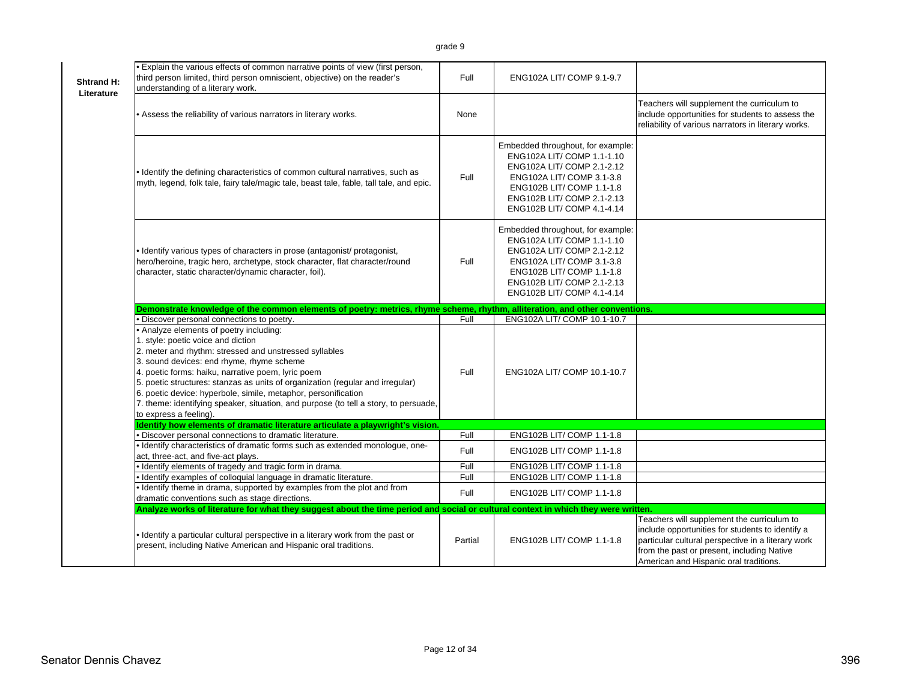| <b>Shtrand H:</b><br>Literature | . Explain the various effects of common narrative points of view (first person,<br>third person limited, third person omniscient, objective) on the reader's<br>understanding of a literary work.                                                                                                                                                                                                                                                                                                                | Full    | ENG102A LIT/ COMP 9.1-9.7                                                                                                                                                                                           |                                                                                                                                                                                                                                              |
|---------------------------------|------------------------------------------------------------------------------------------------------------------------------------------------------------------------------------------------------------------------------------------------------------------------------------------------------------------------------------------------------------------------------------------------------------------------------------------------------------------------------------------------------------------|---------|---------------------------------------------------------------------------------------------------------------------------------------------------------------------------------------------------------------------|----------------------------------------------------------------------------------------------------------------------------------------------------------------------------------------------------------------------------------------------|
|                                 | . Assess the reliability of various narrators in literary works.                                                                                                                                                                                                                                                                                                                                                                                                                                                 | None    |                                                                                                                                                                                                                     | Teachers will supplement the curriculum to<br>include opportunities for students to assess the<br>reliability of various narrators in literary works.                                                                                        |
|                                 | . Identify the defining characteristics of common cultural narratives, such as<br>myth, legend, folk tale, fairy tale/magic tale, beast tale, fable, tall tale, and epic.                                                                                                                                                                                                                                                                                                                                        | Full    | Embedded throughout, for example:<br>ENG102A LIT/ COMP 1.1-1.10<br>ENG102A LIT/ COMP 2.1-2.12<br>ENG102A LIT/ COMP 3.1-3.8<br>ENG102B LIT/ COMP 1.1-1.8<br>ENG102B LIT/ COMP 2.1-2.13<br>ENG102B LIT/ COMP 4.1-4.14 |                                                                                                                                                                                                                                              |
|                                 | · Identify various types of characters in prose (antagonist/ protagonist,<br>hero/heroine, tragic hero, archetype, stock character, flat character/round<br>character, static character/dynamic character, foil).                                                                                                                                                                                                                                                                                                | Full    | Embedded throughout, for example:<br>ENG102A LIT/ COMP 1.1-1.10<br>ENG102A LIT/ COMP 2.1-2.12<br>ENG102A LIT/ COMP 3.1-3.8<br>ENG102B LIT/ COMP 1.1-1.8<br>ENG102B LIT/ COMP 2.1-2.13<br>ENG102B LIT/ COMP 4.1-4.14 |                                                                                                                                                                                                                                              |
|                                 | Demonstrate knowledge of the common elements of poetry: metrics, rhyme scheme, rhythm, alliteration, and other conventions.                                                                                                                                                                                                                                                                                                                                                                                      |         |                                                                                                                                                                                                                     |                                                                                                                                                                                                                                              |
|                                 | · Discover personal connections to poetry.                                                                                                                                                                                                                                                                                                                                                                                                                                                                       | Full    | ENG102A LIT/ COMP 10.1-10.7                                                                                                                                                                                         |                                                                                                                                                                                                                                              |
|                                 | • Analyze elements of poetry including:<br>1. style: poetic voice and diction<br>2. meter and rhythm: stressed and unstressed syllables<br>3. sound devices: end rhyme, rhyme scheme<br>4. poetic forms: haiku, narrative poem, lyric poem<br>5. poetic structures: stanzas as units of organization (regular and irregular)<br>6. poetic device: hyperbole, simile, metaphor, personification<br>7. theme: identifying speaker, situation, and purpose (to tell a story, to persuade,<br>to express a feeling). | Full    | ENG102A LIT/ COMP 10.1-10.7                                                                                                                                                                                         |                                                                                                                                                                                                                                              |
|                                 | Identify how elements of dramatic literature articulate a playwright's vision.                                                                                                                                                                                                                                                                                                                                                                                                                                   |         |                                                                                                                                                                                                                     |                                                                                                                                                                                                                                              |
|                                 | · Discover personal connections to dramatic literature.                                                                                                                                                                                                                                                                                                                                                                                                                                                          | Full    | ENG102B LIT/ COMP 1.1-1.8                                                                                                                                                                                           |                                                                                                                                                                                                                                              |
|                                 | · Identify characteristics of dramatic forms such as extended monologue, one-<br>act, three-act, and five-act plays.                                                                                                                                                                                                                                                                                                                                                                                             | Full    | ENG102B LIT/ COMP 1.1-1.8                                                                                                                                                                                           |                                                                                                                                                                                                                                              |
|                                 | · Identify elements of tragedy and tragic form in drama.                                                                                                                                                                                                                                                                                                                                                                                                                                                         | Full    | ENG102B LIT/ COMP 1.1-1.8                                                                                                                                                                                           |                                                                                                                                                                                                                                              |
|                                 | · Identify examples of colloquial language in dramatic literature.                                                                                                                                                                                                                                                                                                                                                                                                                                               | Full    | ENG102B LIT/ COMP 1.1-1.8                                                                                                                                                                                           |                                                                                                                                                                                                                                              |
|                                 | . Identify theme in drama, supported by examples from the plot and from<br>dramatic conventions such as stage directions.                                                                                                                                                                                                                                                                                                                                                                                        | Full    | ENG102B LIT/ COMP 1.1-1.8                                                                                                                                                                                           |                                                                                                                                                                                                                                              |
|                                 | Analyze works of literature for what they suggest about the time period and social or cultural context in which they were written.                                                                                                                                                                                                                                                                                                                                                                               |         |                                                                                                                                                                                                                     |                                                                                                                                                                                                                                              |
|                                 | . Identify a particular cultural perspective in a literary work from the past or<br>present, including Native American and Hispanic oral traditions.                                                                                                                                                                                                                                                                                                                                                             | Partial | ENG102B LIT/ COMP 1.1-1.8                                                                                                                                                                                           | Teachers will supplement the curriculum to<br>include opportunities for students to identify a<br>particular cultural perspective in a literary work<br>from the past or present, including Native<br>American and Hispanic oral traditions. |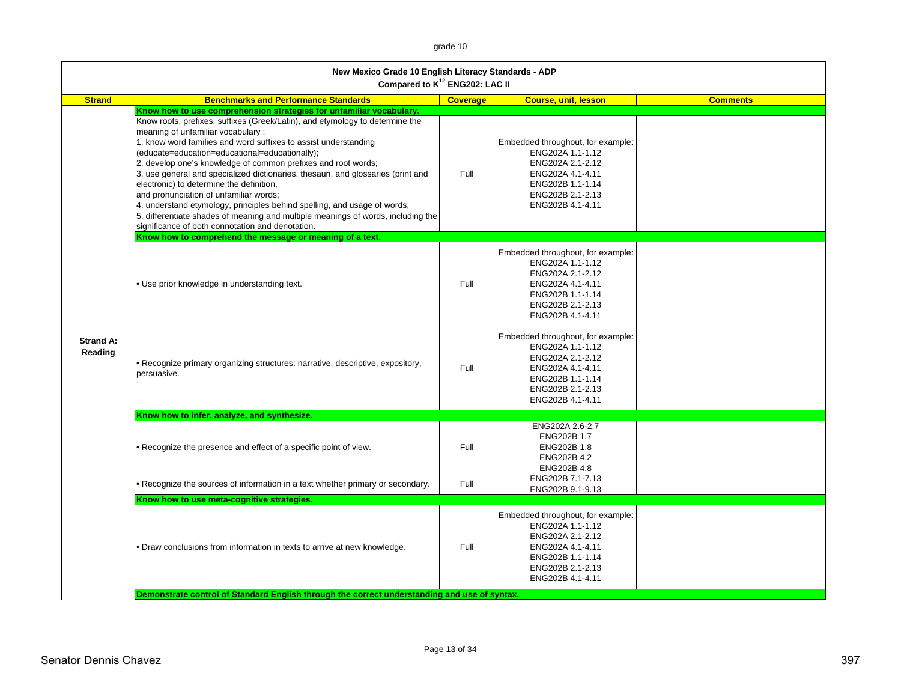grade 10

| New Mexico Grade 10 English Literacy Standards - ADP<br>Compared to K <sup>12</sup> ENG202: LAC II |                                                                                                                                                                                                                                                                                                                                                                                                                                                                                                                                                                                                                                                                                                                                                                                                                                          |                 |                                                                                                                                                           |                 |  |
|----------------------------------------------------------------------------------------------------|------------------------------------------------------------------------------------------------------------------------------------------------------------------------------------------------------------------------------------------------------------------------------------------------------------------------------------------------------------------------------------------------------------------------------------------------------------------------------------------------------------------------------------------------------------------------------------------------------------------------------------------------------------------------------------------------------------------------------------------------------------------------------------------------------------------------------------------|-----------------|-----------------------------------------------------------------------------------------------------------------------------------------------------------|-----------------|--|
| <b>Strand</b>                                                                                      | <b>Benchmarks and Performance Standards</b>                                                                                                                                                                                                                                                                                                                                                                                                                                                                                                                                                                                                                                                                                                                                                                                              | <b>Coverage</b> | <b>Course, unit, lesson</b>                                                                                                                               | <b>Comments</b> |  |
| Strand A:<br>Reading                                                                               | Know how to use comprehension strategies for unfamiliar vocabulary.<br>Know roots, prefixes, suffixes (Greek/Latin), and etymology to determine the<br>meaning of unfamiliar vocabulary:<br>1. know word families and word suffixes to assist understanding<br>(educate=education=educational=educationally);<br>2. develop one's knowledge of common prefixes and root words;<br>3. use general and specialized dictionaries, thesauri, and glossaries (print and<br>electronic) to determine the definition,<br>and pronunciation of unfamiliar words;<br>4. understand etymology, principles behind spelling, and usage of words;<br>5. differentiate shades of meaning and multiple meanings of words, including the<br>significance of both connotation and denotation.<br>Know how to comprehend the message or meaning of a text. | Full            | Embedded throughout, for example:<br>ENG202A 1.1-1.12<br>ENG202A 2.1-2.12<br>ENG202A 4.1-4.11<br>ENG202B 1.1-1.14<br>ENG202B 2.1-2.13<br>ENG202B 4.1-4.11 |                 |  |
|                                                                                                    | . Use prior knowledge in understanding text.                                                                                                                                                                                                                                                                                                                                                                                                                                                                                                                                                                                                                                                                                                                                                                                             | Full            | Embedded throughout, for example:<br>ENG202A 1.1-1.12<br>ENG202A 2.1-2.12<br>ENG202A 4.1-4.11<br>ENG202B 1.1-1.14<br>ENG202B 2.1-2.13<br>ENG202B 4.1-4.11 |                 |  |
|                                                                                                    | • Recognize primary organizing structures: narrative, descriptive, expository,<br>persuasive.                                                                                                                                                                                                                                                                                                                                                                                                                                                                                                                                                                                                                                                                                                                                            | Full            | Embedded throughout, for example:<br>ENG202A 1.1-1.12<br>ENG202A 2.1-2.12<br>ENG202A 4.1-4.11<br>ENG202B 1.1-1.14<br>ENG202B 2.1-2.13<br>ENG202B 4.1-4.11 |                 |  |
|                                                                                                    | Know how to infer, analyze, and synthesize.                                                                                                                                                                                                                                                                                                                                                                                                                                                                                                                                                                                                                                                                                                                                                                                              |                 |                                                                                                                                                           |                 |  |
|                                                                                                    | • Recognize the presence and effect of a specific point of view.                                                                                                                                                                                                                                                                                                                                                                                                                                                                                                                                                                                                                                                                                                                                                                         | Full            | ENG202A 2.6-2.7<br>ENG202B 1.7<br>ENG202B 1.8<br>ENG202B 4.2<br>ENG202B 4.8                                                                               |                 |  |
|                                                                                                    | Recognize the sources of information in a text whether primary or secondary.                                                                                                                                                                                                                                                                                                                                                                                                                                                                                                                                                                                                                                                                                                                                                             | Full            | ENG202B 7.1-7.13<br>ENG202B 9.1-9.13                                                                                                                      |                 |  |
|                                                                                                    | Know how to use meta-cognitive strategies.                                                                                                                                                                                                                                                                                                                                                                                                                                                                                                                                                                                                                                                                                                                                                                                               |                 |                                                                                                                                                           |                 |  |
|                                                                                                    | Draw conclusions from information in texts to arrive at new knowledge.                                                                                                                                                                                                                                                                                                                                                                                                                                                                                                                                                                                                                                                                                                                                                                   | Full            | Embedded throughout, for example:<br>ENG202A 1.1-1.12<br>ENG202A 2.1-2.12<br>ENG202A 4.1-4.11<br>ENG202B 1.1-1.14<br>ENG202B 2.1-2.13<br>ENG202B 4.1-4.11 |                 |  |
|                                                                                                    | Demonstrate control of Standard English through the correct understanding and use of syntax.                                                                                                                                                                                                                                                                                                                                                                                                                                                                                                                                                                                                                                                                                                                                             |                 |                                                                                                                                                           |                 |  |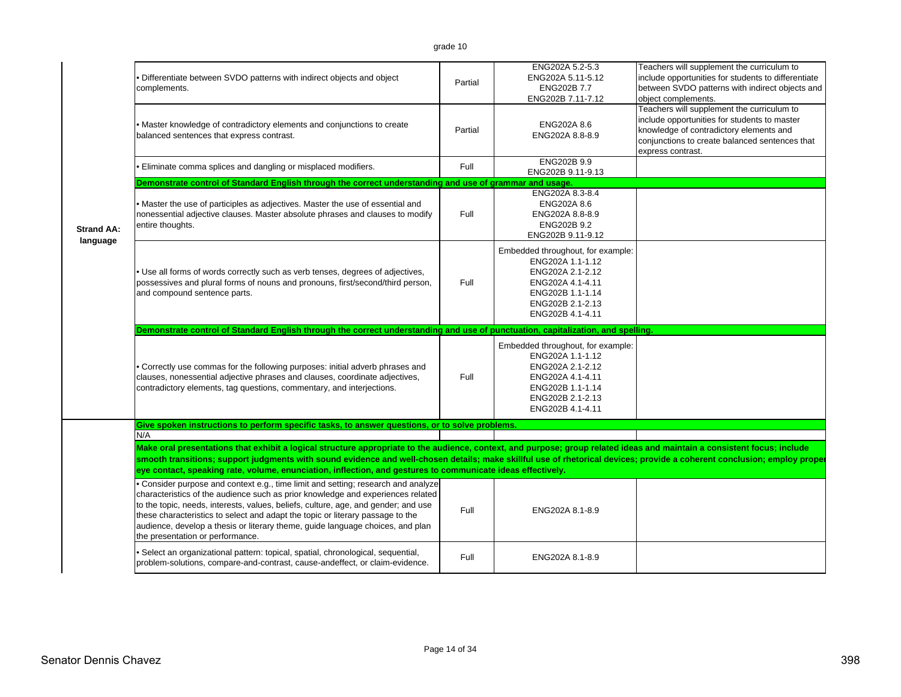|                               | Differentiate between SVDO patterns with indirect objects and object<br>complements.                                                                                                                                                                                                                                                                                                                                                                                | Partial | ENG202A 5.2-5.3<br>ENG202A 5.11-5.12<br>ENG202B 7.7<br>ENG202B 7.11-7.12                                                                                  | Teachers will supplement the curriculum to<br>include opportunities for students to differentiate<br>between SVDO patterns with indirect objects and<br>object complements.                                  |
|-------------------------------|---------------------------------------------------------------------------------------------------------------------------------------------------------------------------------------------------------------------------------------------------------------------------------------------------------------------------------------------------------------------------------------------------------------------------------------------------------------------|---------|-----------------------------------------------------------------------------------------------------------------------------------------------------------|--------------------------------------------------------------------------------------------------------------------------------------------------------------------------------------------------------------|
|                               | Master knowledge of contradictory elements and conjunctions to create<br>balanced sentences that express contrast.                                                                                                                                                                                                                                                                                                                                                  | Partial | ENG202A 8.6<br>ENG202A 8.8-8.9                                                                                                                            | Teachers will supplement the curriculum to<br>include opportunities for students to master<br>knowledge of contradictory elements and<br>conjunctions to create balanced sentences that<br>express contrast. |
|                               | Eliminate comma splices and dangling or misplaced modifiers.                                                                                                                                                                                                                                                                                                                                                                                                        | Full    | ENG202B 9.9<br>ENG202B 9.11-9.13                                                                                                                          |                                                                                                                                                                                                              |
|                               | Demonstrate control of Standard English through the correct understanding and use of grammar and usage.                                                                                                                                                                                                                                                                                                                                                             |         |                                                                                                                                                           |                                                                                                                                                                                                              |
| <b>Strand AA:</b><br>language | Master the use of participles as adjectives. Master the use of essential and<br>nonessential adjective clauses. Master absolute phrases and clauses to modify<br>entire thoughts.                                                                                                                                                                                                                                                                                   | Full    | ENG202A 8.3-8.4<br>ENG202A 8.6<br>ENG202A 8.8-8.9<br>ENG202B 9.2<br>ENG202B 9.11-9.12                                                                     |                                                                                                                                                                                                              |
|                               | . Use all forms of words correctly such as verb tenses, degrees of adjectives,<br>possessives and plural forms of nouns and pronouns, first/second/third person,<br>and compound sentence parts.                                                                                                                                                                                                                                                                    | Full    | Embedded throughout, for example:<br>ENG202A 1.1-1.12<br>ENG202A 2.1-2.12<br>ENG202A 4.1-4.11<br>ENG202B 1.1-1.14<br>ENG202B 2.1-2.13<br>ENG202B 4.1-4.11 |                                                                                                                                                                                                              |
|                               | Demonstrate control of Standard English through the correct understanding and use of punctuation, capitalization, and spelling.                                                                                                                                                                                                                                                                                                                                     |         |                                                                                                                                                           |                                                                                                                                                                                                              |
|                               |                                                                                                                                                                                                                                                                                                                                                                                                                                                                     |         | Embedded throughout, for example:<br>ENG202A 1.1-1.12                                                                                                     |                                                                                                                                                                                                              |
|                               | Correctly use commas for the following purposes: initial adverb phrases and<br>clauses, nonessential adjective phrases and clauses, coordinate adjectives,<br>contradictory elements, tag questions, commentary, and interjections.                                                                                                                                                                                                                                 | Full    | ENG202A 2.1-2.12<br>ENG202A 4.1-4.11<br>ENG202B 1.1-1.14<br>ENG202B 2.1-2.13<br>ENG202B 4.1-4.11                                                          |                                                                                                                                                                                                              |
|                               | Give spoken instructions to perform specific tasks, to answer questions, or to solve problems.                                                                                                                                                                                                                                                                                                                                                                      |         |                                                                                                                                                           |                                                                                                                                                                                                              |
|                               | N/A                                                                                                                                                                                                                                                                                                                                                                                                                                                                 |         |                                                                                                                                                           |                                                                                                                                                                                                              |
|                               | Make oral presentations that exhibit a logical structure appropriate to the audience, context, and purpose; group related ideas and maintain a consistent focus; include<br>smooth transitions; support judgments with sound evidence and well-chosen details; make skillful use of rhetorical devices; provide a coherent conclusion; employ proper<br>eye contact, speaking rate, volume, enunciation, inflection, and gestures to communicate ideas effectively. |         |                                                                                                                                                           |                                                                                                                                                                                                              |
|                               | . Consider purpose and context e.g., time limit and setting; research and analyze<br>characteristics of the audience such as prior knowledge and experiences related<br>to the topic, needs, interests, values, beliefs, culture, age, and gender; and use<br>these characteristics to select and adapt the topic or literary passage to the<br>audience, develop a thesis or literary theme, guide language choices, and plan<br>the presentation or performance.  | Full    | ENG202A 8.1-8.9                                                                                                                                           |                                                                                                                                                                                                              |